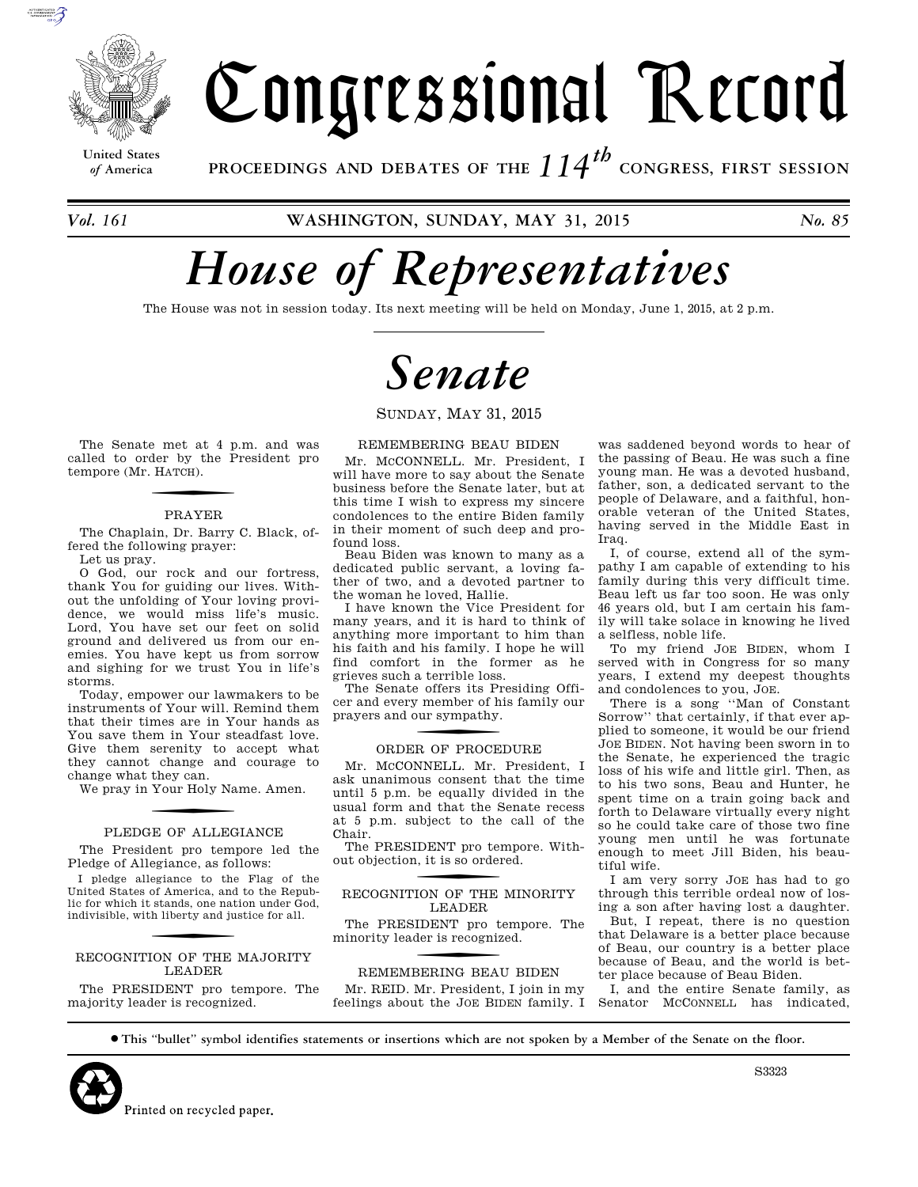

# Congressional Record

**United States**

The Senate met at 4 p.m. and was called to order by the President pro

PRAYER The Chaplain, Dr. Barry C. Black, of-

O God, our rock and our fortress, thank You for guiding our lives. Without the unfolding of Your loving providence, we would miss life's music. Lord, You have set our feet on solid ground and delivered us from our enemies. You have kept us from sorrow and sighing for we trust You in life's

Today, empower our lawmakers to be instruments of Your will. Remind them that their times are in Your hands as You save them in Your steadfast love. Give them serenity to accept what they cannot change and courage to

We pray in Your Holy Name. Amen.

PLEDGE OF ALLEGIANCE The President pro tempore led the

I pledge allegiance to the Flag of the United States of America, and to the Republic for which it stands, one nation under God, indivisible, with liberty and justice for all.

RECOGNITION OF THE MAJORITY LEADER The PRESIDENT pro tempore. The

Pledge of Allegiance, as follows:

tempore (Mr. H ATCH).

fered the following prayer:

change what they can.

Let us pray.

storms.

*of* **America PROCEEDINGS AND DEBATES OF THE** *114th*  **CONGRESS, FIRST SESSION**

*Vol. 161* **WASHINGTON, SUNDAY, MAY 31, 2015** *No. 85* 

## *House of Representatives*

The House was not in session today. Its next meeting will be held on Monday, June 1, 2015, at 2 p.m.

## *Senate*

SUNDAY, MAY 31, 2015

REMEMBERING BEAU BIDEN

Mr. MCCONNELL. Mr. President, I will have more to say about the Senate business before the Senate later, but at this time I wish to express my sincere condolences to the entire Biden family in their moment of such deep and profound loss.

Beau Biden was known to many as a dedicated public servant, a loving father of two, and a devoted partner to the woman he loved, Hallie.

I have known the Vice President for many years, and it is hard to think of anything more important to him than his faith and his family. I hope he will find comfort in the former as he grieves such a terrible loss.

The Senate offers its Presiding Officer and every member of his family our prayers and our sympathy.

## ORDER OF PROCEDURE

Mr. MCCONNELL. Mr. President, I ask unanimous consent that the time until 5 p.m. be equally divided in the usual form and that the Senate recess at 5 p.m. subject to the call of the Chair.

The PRESIDENT pro tempore. Without objection, it is so ordered.

## RECOGNITION OF THE MINORITY LEADER

The PRESIDENT pro tempore. The minority leader is recognized.

## f REMEMBERING BEAU BIDEN

Mr. REID. Mr. President, I join in my feelings about the JOE BIDEN family. I

was saddened beyond words to hear of the passing of Beau. He was such a fine young man. He was a devoted husband, father, son, a dedicated servant to the people of Delaware, and a faithful, honorable veteran of the United States, having served in the Middle East in Iraq.

I, of course, extend all of the sympathy I am capable of extending to his family during this very difficult time. Beau left us far too soon. He was only 46 years old, but I am certain his family will take solace in knowing he lived a selfless, noble life.

To my friend JOE BIDEN, whom I served with in Congress for so many years, I extend my deepest thoughts and condolences to you, JOE.

There is a song ''Man of Constant Sorrow'' that certainly, if that ever applied to someone, it would be our friend JOE BIDEN. Not having been sworn in to the Senate, he experienced the tragic loss of his wife and little girl. Then, as to his two sons, Beau and Hunter, he spent time on a train going back and forth to Delaware virtually every night so he could take care of those two fine young men until he was fortunate enough to meet Jill Biden, his beautiful wife.

I am very sorry JOE has had to go through this terrible ordeal now of losing a son after having lost a daughter.

But, I repeat, there is no question that Delaware is a better place because of Beau, our country is a better place because of Beau, and the world is better place because of Beau Biden.

I, and the entire Senate family, as Senator MCCONNELL has indicated,

∑ **This ''bullet'' symbol identifies statements or insertions which are not spoken by a Member of the Senate on the floor.**



majority leader is recognized.

S3323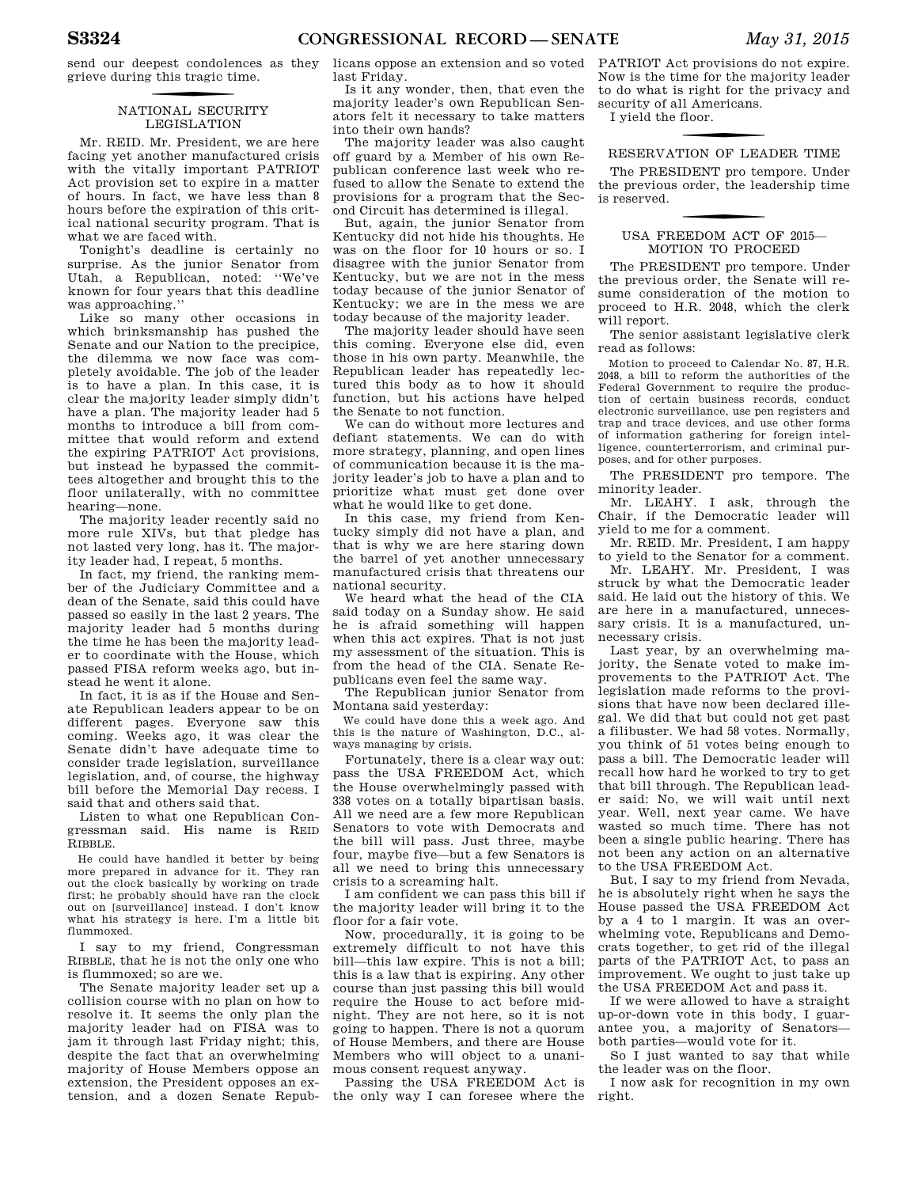send our deepest condolences as they grieve during this tragic time.

## NATIONAL SECURITY LEGISLATION

Mr. REID. Mr. President, we are here facing yet another manufactured crisis with the vitally important PATRIOT Act provision set to expire in a matter of hours. In fact, we have less than 8 hours before the expiration of this critical national security program. That is what we are faced with.

Tonight's deadline is certainly no surprise. As the junior Senator from Utah, a Republican, noted: ''We've known for four years that this deadline was approaching.''

Like so many other occasions in which brinksmanship has pushed the Senate and our Nation to the precipice, the dilemma we now face was completely avoidable. The job of the leader is to have a plan. In this case, it is clear the majority leader simply didn't have a plan. The majority leader had 5 months to introduce a bill from committee that would reform and extend the expiring PATRIOT Act provisions, but instead he bypassed the committees altogether and brought this to the floor unilaterally, with no committee hearing—none.

The majority leader recently said no more rule XIVs, but that pledge has not lasted very long, has it. The majority leader had, I repeat, 5 months.

In fact, my friend, the ranking member of the Judiciary Committee and a dean of the Senate, said this could have passed so easily in the last 2 years. The majority leader had 5 months during the time he has been the majority leader to coordinate with the House, which passed FISA reform weeks ago, but instead he went it alone.

In fact, it is as if the House and Senate Republican leaders appear to be on different pages. Everyone saw this coming. Weeks ago, it was clear the Senate didn't have adequate time to consider trade legislation, surveillance legislation, and, of course, the highway bill before the Memorial Day recess. I said that and others said that.

Listen to what one Republican Congressman said. His name is REID RIBBLE.

He could have handled it better by being more prepared in advance for it. They ran out the clock basically by working on trade first; he probably should have ran the clock out on [surveillance] instead. I don't know what his strategy is here. I'm a little bit flummoxed.

I say to my friend, Congressman RIBBLE, that he is not the only one who is flummoxed; so are we.

The Senate majority leader set up a collision course with no plan on how to resolve it. It seems the only plan the majority leader had on FISA was to jam it through last Friday night; this, despite the fact that an overwhelming majority of House Members oppose an extension, the President opposes an extension, and a dozen Senate Repub-

licans oppose an extension and so voted last Friday.

Is it any wonder, then, that even the majority leader's own Republican Senators felt it necessary to take matters into their own hands?

The majority leader was also caught off guard by a Member of his own Republican conference last week who refused to allow the Senate to extend the provisions for a program that the Second Circuit has determined is illegal.

But, again, the junior Senator from Kentucky did not hide his thoughts. He was on the floor for 10 hours or so. I disagree with the junior Senator from Kentucky, but we are not in the mess today because of the junior Senator of Kentucky; we are in the mess we are today because of the majority leader.

The majority leader should have seen this coming. Everyone else did, even those in his own party. Meanwhile, the Republican leader has repeatedly lectured this body as to how it should function, but his actions have helped the Senate to not function.

We can do without more lectures and defiant statements. We can do with more strategy, planning, and open lines of communication because it is the majority leader's job to have a plan and to prioritize what must get done over what he would like to get done.

In this case, my friend from Kentucky simply did not have a plan, and that is why we are here staring down the barrel of yet another unnecessary manufactured crisis that threatens our national security.

We heard what the head of the CIA said today on a Sunday show. He said he is afraid something will happen when this act expires. That is not just my assessment of the situation. This is from the head of the CIA. Senate Republicans even feel the same way.

The Republican junior Senator from Montana said yesterday:

We could have done this a week ago. And this is the nature of Washington, D.C., always managing by crisis.

Fortunately, there is a clear way out: pass the USA FREEDOM Act, which the House overwhelmingly passed with 338 votes on a totally bipartisan basis. All we need are a few more Republican Senators to vote with Democrats and the bill will pass. Just three, maybe four, maybe five—but a few Senators is all we need to bring this unnecessary crisis to a screaming halt.

I am confident we can pass this bill if the majority leader will bring it to the floor for a fair vote.

Now, procedurally, it is going to be extremely difficult to not have this bill—this law expire. This is not a bill; this is a law that is expiring. Any other course than just passing this bill would require the House to act before midnight. They are not here, so it is not going to happen. There is not a quorum of House Members, and there are House Members who will object to a unanimous consent request anyway.

Passing the USA FREEDOM Act is the only way I can foresee where the PATRIOT Act provisions do not expire. Now is the time for the majority leader to do what is right for the privacy and security of all Americans.

I yield the floor.

## RESERVATION OF LEADER TIME

The PRESIDENT pro tempore. Under the previous order, the leadership time is reserved.

## USA FREEDOM ACT OF 2015-MOTION TO PROCEED

The PRESIDENT pro tempore. Under the previous order, the Senate will resume consideration of the motion to proceed to H.R. 2048, which the clerk will report.

The senior assistant legislative clerk read as follows:

Motion to proceed to Calendar No. 87, H.R. 2048, a bill to reform the authorities of the Federal Government to require the production of certain business records, conduct electronic surveillance, use pen registers and trap and trace devices, and use other forms of information gathering for foreign intelligence, counterterrorism, and criminal purposes, and for other purposes.

The PRESIDENT pro tempore. The minority leader.

Mr. LEAHY. I ask, through the Chair, if the Democratic leader will yield to me for a comment.

Mr. REID. Mr. President, I am happy to yield to the Senator for a comment.

Mr. LEAHY. Mr. President, I was struck by what the Democratic leader said. He laid out the history of this. We are here in a manufactured, unnecessary crisis. It is a manufactured, unnecessary crisis.

Last year, by an overwhelming majority, the Senate voted to make improvements to the PATRIOT Act. The legislation made reforms to the provisions that have now been declared illegal. We did that but could not get past a filibuster. We had 58 votes. Normally, you think of 51 votes being enough to pass a bill. The Democratic leader will recall how hard he worked to try to get that bill through. The Republican leader said: No, we will wait until next year. Well, next year came. We have wasted so much time. There has not been a single public hearing. There has not been any action on an alternative to the USA FREEDOM Act.

But, I say to my friend from Nevada, he is absolutely right when he says the House passed the USA FREEDOM Act by a 4 to 1 margin. It was an overwhelming vote, Republicans and Democrats together, to get rid of the illegal parts of the PATRIOT Act, to pass an improvement. We ought to just take up the USA FREEDOM Act and pass it.

If we were allowed to have a straight up-or-down vote in this body, I guarantee you, a majority of Senators both parties—would vote for it.

So I just wanted to say that while the leader was on the floor.

I now ask for recognition in my own right.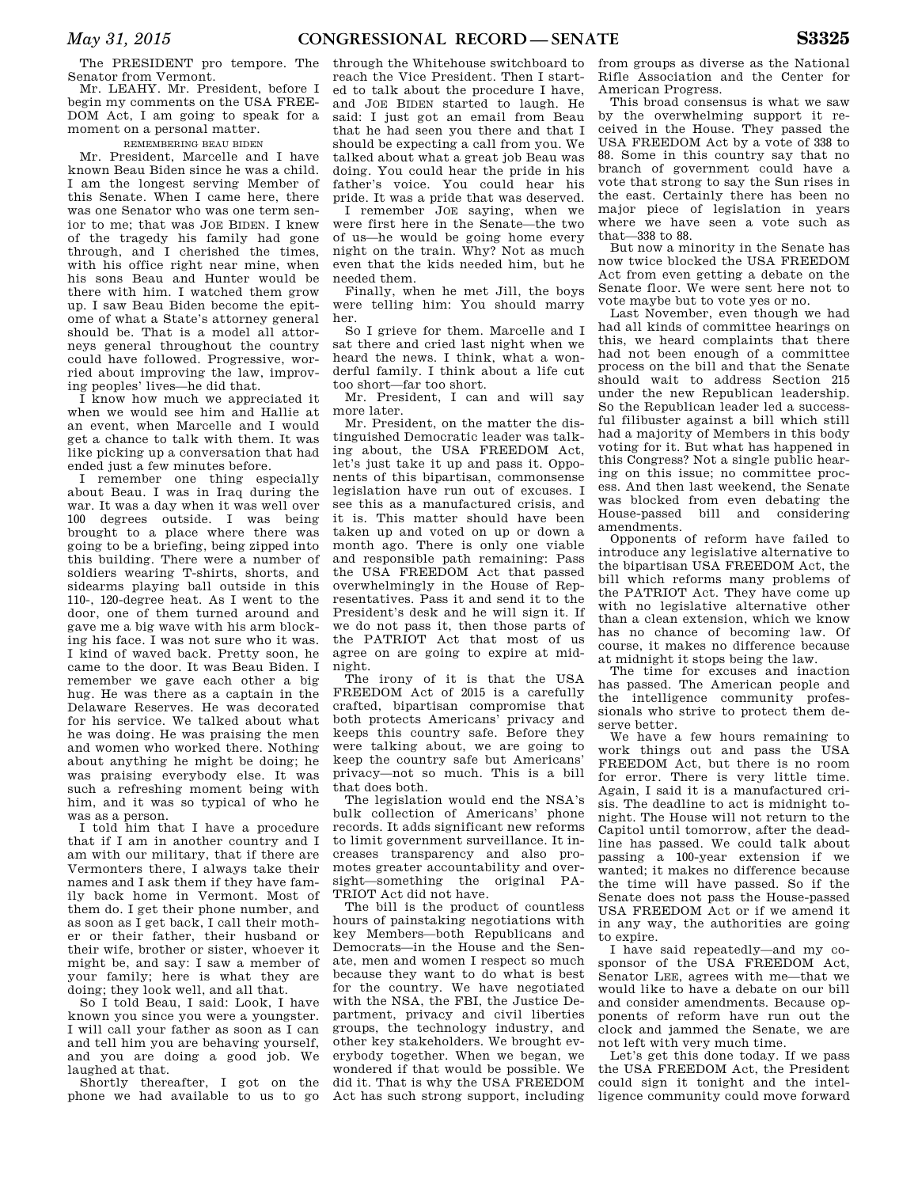The PRESIDENT pro tempore. The Senator from Vermont.

Mr. LEAHY. Mr. President, before I begin my comments on the USA FREE-DOM Act, I am going to speak for a moment on a personal matter.

REMEMBERING BEAU BIDEN

Mr. President, Marcelle and I have known Beau Biden since he was a child. I am the longest serving Member of this Senate. When I came here, there was one Senator who was one term senior to me; that was JOE BIDEN. I knew of the tragedy his family had gone through, and I cherished the times, with his office right near mine, when his sons Beau and Hunter would be there with him. I watched them grow up. I saw Beau Biden become the epitome of what a State's attorney general should be. That is a model all attorneys general throughout the country could have followed. Progressive, worried about improving the law, improving peoples' lives—he did that.

I know how much we appreciated it when we would see him and Hallie at an event, when Marcelle and I would get a chance to talk with them. It was like picking up a conversation that had ended just a few minutes before.

I remember one thing especially about Beau. I was in Iraq during the war. It was a day when it was well over 100 degrees outside. I was being brought to a place where there was going to be a briefing, being zipped into this building. There were a number of soldiers wearing T-shirts, shorts, and sidearms playing ball outside in this 110-, 120-degree heat. As I went to the door, one of them turned around and gave me a big wave with his arm blocking his face. I was not sure who it was. I kind of waved back. Pretty soon, he came to the door. It was Beau Biden. I remember we gave each other a big hug. He was there as a captain in the Delaware Reserves. He was decorated for his service. We talked about what he was doing. He was praising the men and women who worked there. Nothing about anything he might be doing; he was praising everybody else. It was such a refreshing moment being with him, and it was so typical of who he was as a person.

I told him that I have a procedure that if I am in another country and I am with our military, that if there are Vermonters there, I always take their names and I ask them if they have family back home in Vermont. Most of them do. I get their phone number, and as soon as I get back, I call their mother or their father, their husband or their wife, brother or sister, whoever it might be, and say: I saw a member of your family; here is what they are doing; they look well, and all that.

So I told Beau, I said: Look, I have known you since you were a youngster. I will call your father as soon as I can and tell him you are behaving yourself, and you are doing a good job. We laughed at that.

Shortly thereafter, I got on the phone we had available to us to go

through the Whitehouse switchboard to reach the Vice President. Then I started to talk about the procedure I have, and JOE BIDEN started to laugh. He said: I just got an email from Beau that he had seen you there and that I should be expecting a call from you. We talked about what a great job Beau was doing. You could hear the pride in his father's voice. You could hear his pride. It was a pride that was deserved.

I remember JOE saying, when we were first here in the Senate—the two of us—he would be going home every night on the train. Why? Not as much even that the kids needed him, but he needed them.

Finally, when he met Jill, the boys were telling him: You should marry her.

So I grieve for them. Marcelle and I sat there and cried last night when we heard the news. I think, what a wonderful family. I think about a life cut too short—far too short.

Mr. President, I can and will say more later.

Mr. President, on the matter the distinguished Democratic leader was talking about, the USA FREEDOM Act, let's just take it up and pass it. Opponents of this bipartisan, commonsense legislation have run out of excuses. I see this as a manufactured crisis, and it is. This matter should have been taken up and voted on up or down a month ago. There is only one viable and responsible path remaining: Pass the USA FREEDOM Act that passed overwhelmingly in the House of Representatives. Pass it and send it to the President's desk and he will sign it. If we do not pass it, then those parts of the PATRIOT Act that most of us agree on are going to expire at midnight.

The irony of it is that the USA FREEDOM Act of 2015 is a carefully crafted, bipartisan compromise that both protects Americans' privacy and keeps this country safe. Before they were talking about, we are going to keep the country safe but Americans' privacy—not so much. This is a bill that does both.

The legislation would end the NSA's bulk collection of Americans' phone records. It adds significant new reforms to limit government surveillance. It increases transparency and also promotes greater accountability and oversight—something the original PA-TRIOT Act did not have.

The bill is the product of countless hours of painstaking negotiations with key Members—both Republicans and Democrats—in the House and the Senate, men and women I respect so much because they want to do what is best for the country. We have negotiated with the NSA, the FBI, the Justice Department, privacy and civil liberties groups, the technology industry, and other key stakeholders. We brought everybody together. When we began, we wondered if that would be possible. We did it. That is why the USA FREEDOM Act has such strong support, including

from groups as diverse as the National Rifle Association and the Center for American Progress.

This broad consensus is what we saw by the overwhelming support it received in the House. They passed the USA FREEDOM Act by a vote of 338 to 88. Some in this country say that no branch of government could have a vote that strong to say the Sun rises in the east. Certainly there has been no major piece of legislation in years where we have seen a vote such as that—338 to 88.

But now a minority in the Senate has now twice blocked the USA FREEDOM Act from even getting a debate on the Senate floor. We were sent here not to vote maybe but to vote yes or no.

Last November, even though we had had all kinds of committee hearings on this, we heard complaints that there had not been enough of a committee process on the bill and that the Senate should wait to address Section 215 under the new Republican leadership. So the Republican leader led a successful filibuster against a bill which still had a majority of Members in this body voting for it. But what has happened in this Congress? Not a single public hearing on this issue; no committee process. And then last weekend, the Senate was blocked from even debating the House-passed bill and considering amendments.

Opponents of reform have failed to introduce any legislative alternative to the bipartisan USA FREEDOM Act, the bill which reforms many problems of the PATRIOT Act. They have come up with no legislative alternative other than a clean extension, which we know has no chance of becoming law. Of course, it makes no difference because at midnight it stops being the law.

The time for excuses and inaction has passed. The American people and the intelligence community professionals who strive to protect them deserve better.

We have a few hours remaining to work things out and pass the USA FREEDOM Act, but there is no room for error. There is very little time. Again, I said it is a manufactured crisis. The deadline to act is midnight tonight. The House will not return to the Capitol until tomorrow, after the deadline has passed. We could talk about passing a 100-year extension if we wanted; it makes no difference because the time will have passed. So if the Senate does not pass the House-passed USA FREEDOM Act or if we amend it in any way, the authorities are going to expire.

I have said repeatedly—and my cosponsor of the USA FREEDOM Act. Senator LEE, agrees with me—that we would like to have a debate on our bill and consider amendments. Because opponents of reform have run out the clock and jammed the Senate, we are not left with very much time.

Let's get this done today. If we pass the USA FREEDOM Act, the President could sign it tonight and the intelligence community could move forward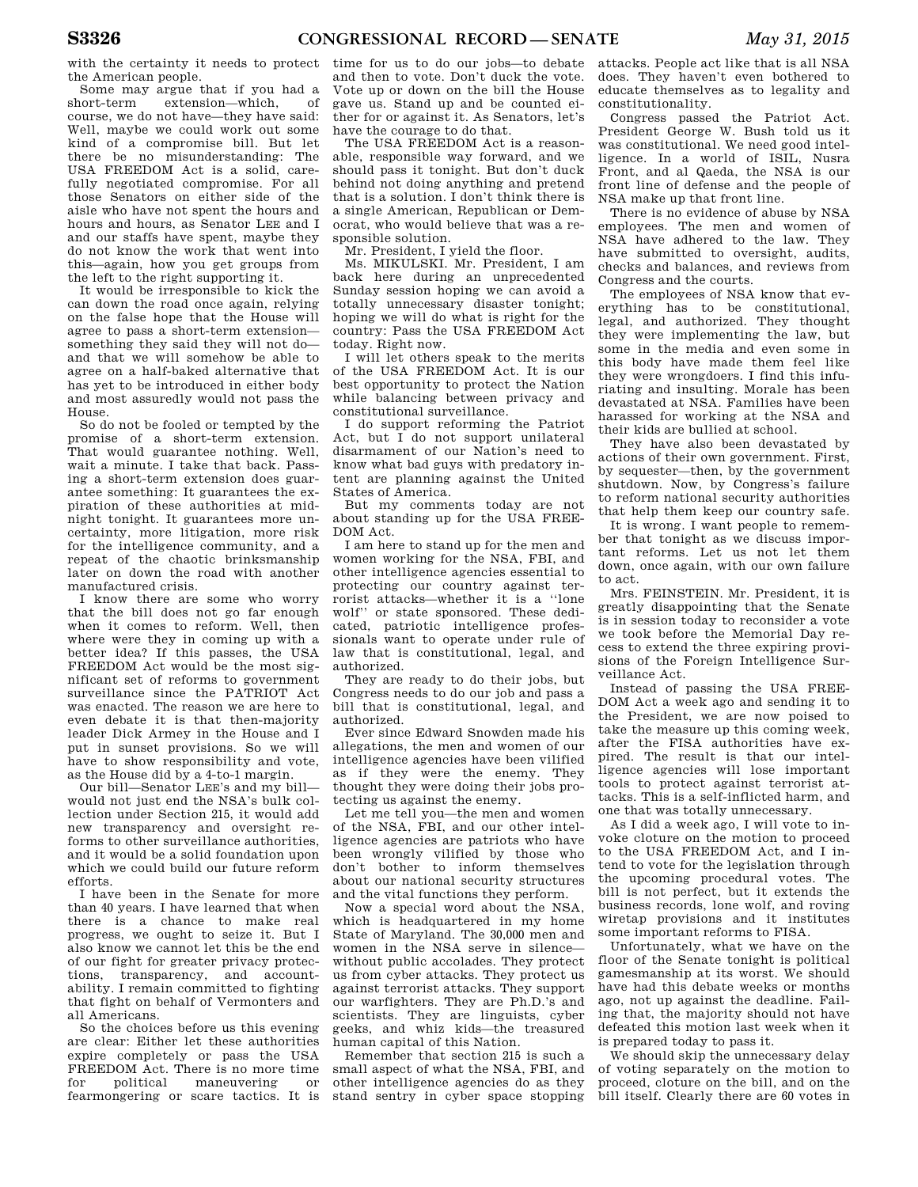with the certainty it needs to protect the American people.

Some may argue that if you had a short-term extension—which, of course, we do not have—they have said: Well, maybe we could work out some kind of a compromise bill. But let there be no misunderstanding: The USA FREEDOM Act is a solid, carefully negotiated compromise. For all those Senators on either side of the aisle who have not spent the hours and hours and hours, as Senator LEE and I and our staffs have spent, maybe they do not know the work that went into this—again, how you get groups from the left to the right supporting it.

It would be irresponsible to kick the can down the road once again, relying on the false hope that the House will agree to pass a short-term extension something they said they will not do and that we will somehow be able to agree on a half-baked alternative that has yet to be introduced in either body and most assuredly would not pass the House.

So do not be fooled or tempted by the promise of a short-term extension. That would guarantee nothing. Well, wait a minute. I take that back. Passing a short-term extension does guarantee something: It guarantees the expiration of these authorities at midnight tonight. It guarantees more uncertainty, more litigation, more risk for the intelligence community, and a repeat of the chaotic brinksmanship later on down the road with another manufactured crisis.

I know there are some who worry that the bill does not go far enough when it comes to reform. Well, then where were they in coming up with a better idea? If this passes, the USA FREEDOM Act would be the most significant set of reforms to government surveillance since the PATRIOT Act was enacted. The reason we are here to even debate it is that then-majority leader Dick Armey in the House and I put in sunset provisions. So we will have to show responsibility and vote, as the House did by a 4-to-1 margin.

Our bill—Senator LEE's and my bill would not just end the NSA's bulk collection under Section 215, it would add new transparency and oversight reforms to other surveillance authorities, and it would be a solid foundation upon which we could build our future reform efforts.

I have been in the Senate for more than 40 years. I have learned that when there is a chance to make real progress, we ought to seize it. But I also know we cannot let this be the end of our fight for greater privacy protections, transparency, and accountability. I remain committed to fighting that fight on behalf of Vermonters and all Americans.

So the choices before us this evening are clear: Either let these authorities expire completely or pass the USA FREEDOM Act. There is no more time for political maneuvering or fearmongering or scare tactics. It is

time for us to do our jobs—to debate and then to vote. Don't duck the vote. Vote up or down on the bill the House gave us. Stand up and be counted either for or against it. As Senators, let's have the courage to do that.

The USA FREEDOM Act is a reasonable, responsible way forward, and we should pass it tonight. But don't duck behind not doing anything and pretend that is a solution. I don't think there is a single American, Republican or Democrat, who would believe that was a responsible solution.

Mr. President, I yield the floor.

Ms. MIKULSKI. Mr. President, I am back here during an unprecedented Sunday session hoping we can avoid a totally unnecessary disaster tonight; hoping we will do what is right for the country: Pass the USA FREEDOM Act today. Right now.

I will let others speak to the merits of the USA FREEDOM Act. It is our best opportunity to protect the Nation while balancing between privacy and constitutional surveillance.

I do support reforming the Patriot Act, but I do not support unilateral disarmament of our Nation's need to know what bad guys with predatory intent are planning against the United States of America.

But my comments today are not about standing up for the USA FREE-DOM Act.

I am here to stand up for the men and women working for the NSA, FBI, and other intelligence agencies essential to protecting our country against terrorist attacks—whether it is a ''lone wolf'' or state sponsored. These dedicated, patriotic intelligence professionals want to operate under rule of law that is constitutional, legal, and authorized.

They are ready to do their jobs, but Congress needs to do our job and pass a bill that is constitutional, legal, and authorized.

Ever since Edward Snowden made his allegations, the men and women of our intelligence agencies have been vilified as if they were the enemy. They thought they were doing their jobs protecting us against the enemy.

Let me tell you—the men and women of the NSA, FBI, and our other intelligence agencies are patriots who have been wrongly vilified by those who don't bother to inform themselves about our national security structures and the vital functions they perform.

Now a special word about the NSA, which is headquartered in my home State of Maryland. The 30,000 men and women in the NSA serve in silence without public accolades. They protect us from cyber attacks. They protect us against terrorist attacks. They support our warfighters. They are Ph.D.'s and scientists. They are linguists, cyber geeks, and whiz kids—the treasured human capital of this Nation.

Remember that section 215 is such a small aspect of what the NSA, FBI, and other intelligence agencies do as they stand sentry in cyber space stopping

attacks. People act like that is all NSA does. They haven't even bothered to educate themselves as to legality and constitutionality.

Congress passed the Patriot Act. President George W. Bush told us it was constitutional. We need good intelligence. In a world of ISIL, Nusra Front, and al Qaeda, the NSA is our front line of defense and the people of NSA make up that front line.

There is no evidence of abuse by NSA employees. The men and women of NSA have adhered to the law. They have submitted to oversight, audits, checks and balances, and reviews from Congress and the courts.

The employees of NSA know that everything has to be constitutional, legal, and authorized. They thought they were implementing the law, but some in the media and even some in this body have made them feel like they were wrongdoers. I find this infuriating and insulting. Morale has been devastated at NSA. Families have been harassed for working at the NSA and their kids are bullied at school.

They have also been devastated by actions of their own government. First, by sequester—then, by the government shutdown. Now, by Congress's failure to reform national security authorities that help them keep our country safe.

It is wrong. I want people to remember that tonight as we discuss important reforms. Let us not let them down, once again, with our own failure to act.

Mrs. FEINSTEIN. Mr. President, it is greatly disappointing that the Senate is in session today to reconsider a vote we took before the Memorial Day recess to extend the three expiring provisions of the Foreign Intelligence Surveillance Act.

Instead of passing the USA FREE-DOM Act a week ago and sending it to the President, we are now poised to take the measure up this coming week, after the FISA authorities have expired. The result is that our intelligence agencies will lose important tools to protect against terrorist attacks. This is a self-inflicted harm, and one that was totally unnecessary.

As I did a week ago, I will vote to invoke cloture on the motion to proceed to the USA FREEDOM Act, and I intend to vote for the legislation through the upcoming procedural votes. The bill is not perfect, but it extends the business records, lone wolf, and roving wiretap provisions and it institutes some important reforms to FISA.

Unfortunately, what we have on the floor of the Senate tonight is political gamesmanship at its worst. We should have had this debate weeks or months ago, not up against the deadline. Failing that, the majority should not have defeated this motion last week when it is prepared today to pass it.

We should skip the unnecessary delay of voting separately on the motion to proceed, cloture on the bill, and on the bill itself. Clearly there are 60 votes in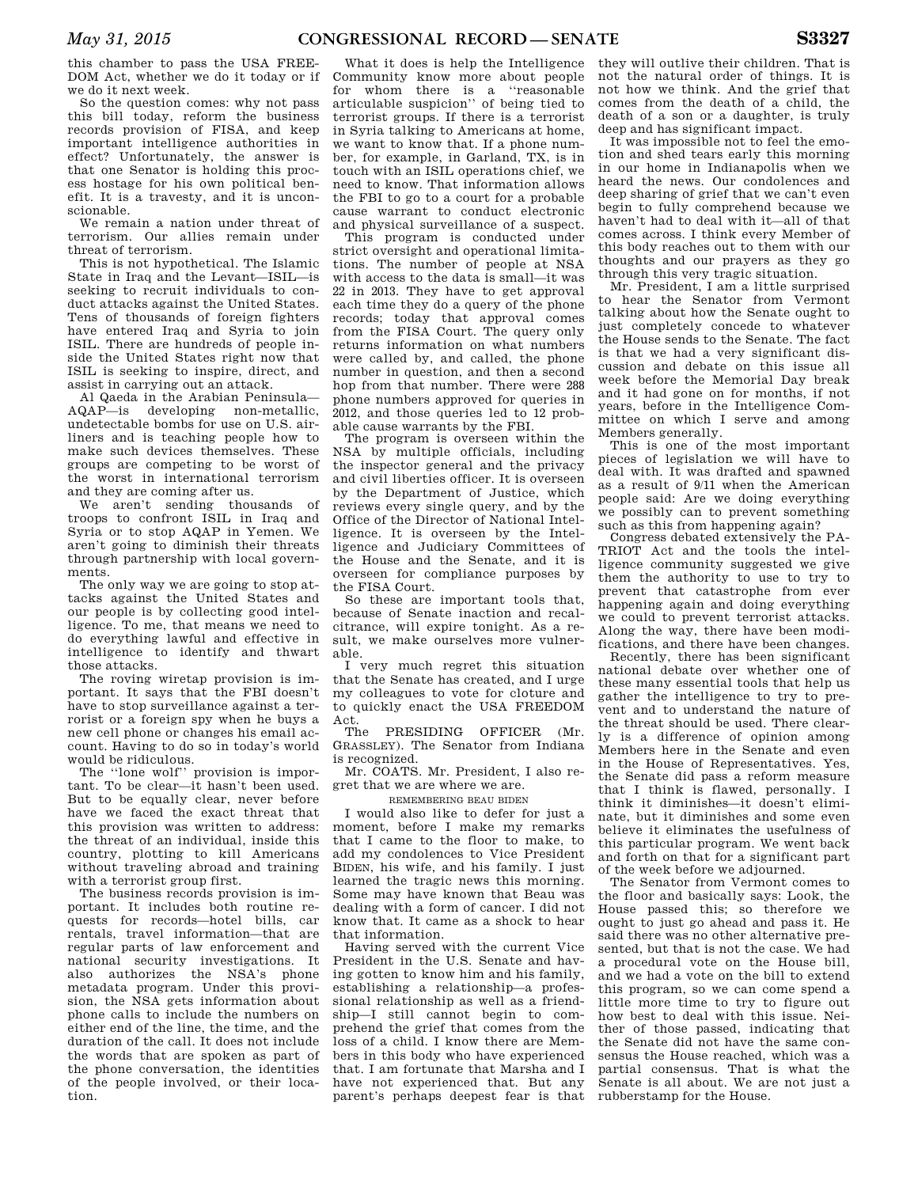this chamber to pass the USA FREE-DOM Act, whether we do it today or if we do it next week.

So the question comes: why not pass this bill today, reform the business records provision of FISA, and keep important intelligence authorities in effect? Unfortunately, the answer is that one Senator is holding this process hostage for his own political benefit. It is a travesty, and it is unconscionable.

We remain a nation under threat of terrorism. Our allies remain under threat of terrorism.

This is not hypothetical. The Islamic State in Iraq and the Levant—ISIL—is seeking to recruit individuals to conduct attacks against the United States. Tens of thousands of foreign fighters have entered Iraq and Syria to join ISIL. There are hundreds of people inside the United States right now that ISIL is seeking to inspire, direct, and assist in carrying out an attack.

Al Qaeda in the Arabian Peninsula— AQAP—is developing non-metallic, undetectable bombs for use on U.S. airliners and is teaching people how to make such devices themselves. These groups are competing to be worst of the worst in international terrorism and they are coming after us.

We aren't sending thousands of troops to confront ISIL in Iraq and Syria or to stop AQAP in Yemen. We aren't going to diminish their threats through partnership with local governments.

The only way we are going to stop attacks against the United States and our people is by collecting good intelligence. To me, that means we need to do everything lawful and effective in intelligence to identify and thwart those attacks.

The roving wiretap provision is important. It says that the FBI doesn't have to stop surveillance against a terrorist or a foreign spy when he buys a new cell phone or changes his email account. Having to do so in today's world would be ridiculous.

The ''lone wolf'' provision is important. To be clear—it hasn't been used. But to be equally clear, never before have we faced the exact threat that this provision was written to address: the threat of an individual, inside this country, plotting to kill Americans without traveling abroad and training with a terrorist group first.

The business records provision is important. It includes both routine requests for records—hotel bills, car rentals, travel information—that are regular parts of law enforcement and national security investigations. It also authorizes the NSA's phone metadata program. Under this provision, the NSA gets information about phone calls to include the numbers on either end of the line, the time, and the duration of the call. It does not include the words that are spoken as part of the phone conversation, the identities of the people involved, or their location.

What it does is help the Intelligence Community know more about people for whom there is a ''reasonable articulable suspicion'' of being tied to terrorist groups. If there is a terrorist in Syria talking to Americans at home, we want to know that. If a phone number, for example, in Garland, TX, is in touch with an ISIL operations chief, we need to know. That information allows the FBI to go to a court for a probable cause warrant to conduct electronic and physical surveillance of a suspect.

This program is conducted under strict oversight and operational limitations. The number of people at NSA with access to the data is small—it was 22 in 2013. They have to get approval each time they do a query of the phone records; today that approval comes from the FISA Court. The query only returns information on what numbers were called by, and called, the phone number in question, and then a second hop from that number. There were 288 phone numbers approved for queries in 2012, and those queries led to 12 probable cause warrants by the FBI.

The program is overseen within the NSA by multiple officials, including the inspector general and the privacy and civil liberties officer. It is overseen by the Department of Justice, which reviews every single query, and by the Office of the Director of National Intelligence. It is overseen by the Intelligence and Judiciary Committees of the House and the Senate, and it is overseen for compliance purposes by the FISA Court.

So these are important tools that, because of Senate inaction and recalcitrance, will expire tonight. As a result, we make ourselves more vulnerable.

I very much regret this situation that the Senate has created, and I urge my colleagues to vote for cloture and to quickly enact the USA FREEDOM Act.

The PRESIDING OFFICER (Mr. GRASSLEY). The Senator from Indiana is recognized.

Mr. COATS. Mr. President, I also regret that we are where we are.

REMEMBERING BEAU BIDEN

I would also like to defer for just a moment, before I make my remarks that I came to the floor to make, to add my condolences to Vice President BIDEN, his wife, and his family. I just learned the tragic news this morning. Some may have known that Beau was dealing with a form of cancer. I did not know that. It came as a shock to hear that information.

Having served with the current Vice President in the U.S. Senate and having gotten to know him and his family, establishing a relationship—a professional relationship as well as a friendship—I still cannot begin to comprehend the grief that comes from the loss of a child. I know there are Members in this body who have experienced that. I am fortunate that Marsha and I have not experienced that. But any parent's perhaps deepest fear is that

they will outlive their children. That is not the natural order of things. It is not how we think. And the grief that comes from the death of a child, the death of a son or a daughter, is truly deep and has significant impact.

It was impossible not to feel the emotion and shed tears early this morning in our home in Indianapolis when we heard the news. Our condolences and deep sharing of grief that we can't even begin to fully comprehend because we haven't had to deal with it—all of that comes across. I think every Member of this body reaches out to them with our thoughts and our prayers as they go through this very tragic situation.

Mr. President, I am a little surprised to hear the Senator from Vermont talking about how the Senate ought to just completely concede to whatever the House sends to the Senate. The fact is that we had a very significant discussion and debate on this issue all week before the Memorial Day break and it had gone on for months, if not years, before in the Intelligence Committee on which I serve and among Members generally.

This is one of the most important pieces of legislation we will have to deal with. It was drafted and spawned as a result of 9/11 when the American people said: Are we doing everything we possibly can to prevent something such as this from happening again?

Congress debated extensively the PA-TRIOT Act and the tools the intelligence community suggested we give them the authority to use to try to prevent that catastrophe from ever happening again and doing everything we could to prevent terrorist attacks. Along the way, there have been modifications, and there have been changes.

Recently, there has been significant national debate over whether one of these many essential tools that help us gather the intelligence to try to prevent and to understand the nature of the threat should be used. There clearly is a difference of opinion among Members here in the Senate and even in the House of Representatives. Yes, the Senate did pass a reform measure that I think is flawed, personally. I think it diminishes—it doesn't eliminate, but it diminishes and some even believe it eliminates the usefulness of this particular program. We went back and forth on that for a significant part of the week before we adjourned.

The Senator from Vermont comes to the floor and basically says: Look, the House passed this; so therefore we ought to just go ahead and pass it. He said there was no other alternative presented, but that is not the case. We had a procedural vote on the House bill, and we had a vote on the bill to extend this program, so we can come spend a little more time to try to figure out how best to deal with this issue. Neither of those passed, indicating that the Senate did not have the same consensus the House reached, which was a partial consensus. That is what the Senate is all about. We are not just a rubberstamp for the House.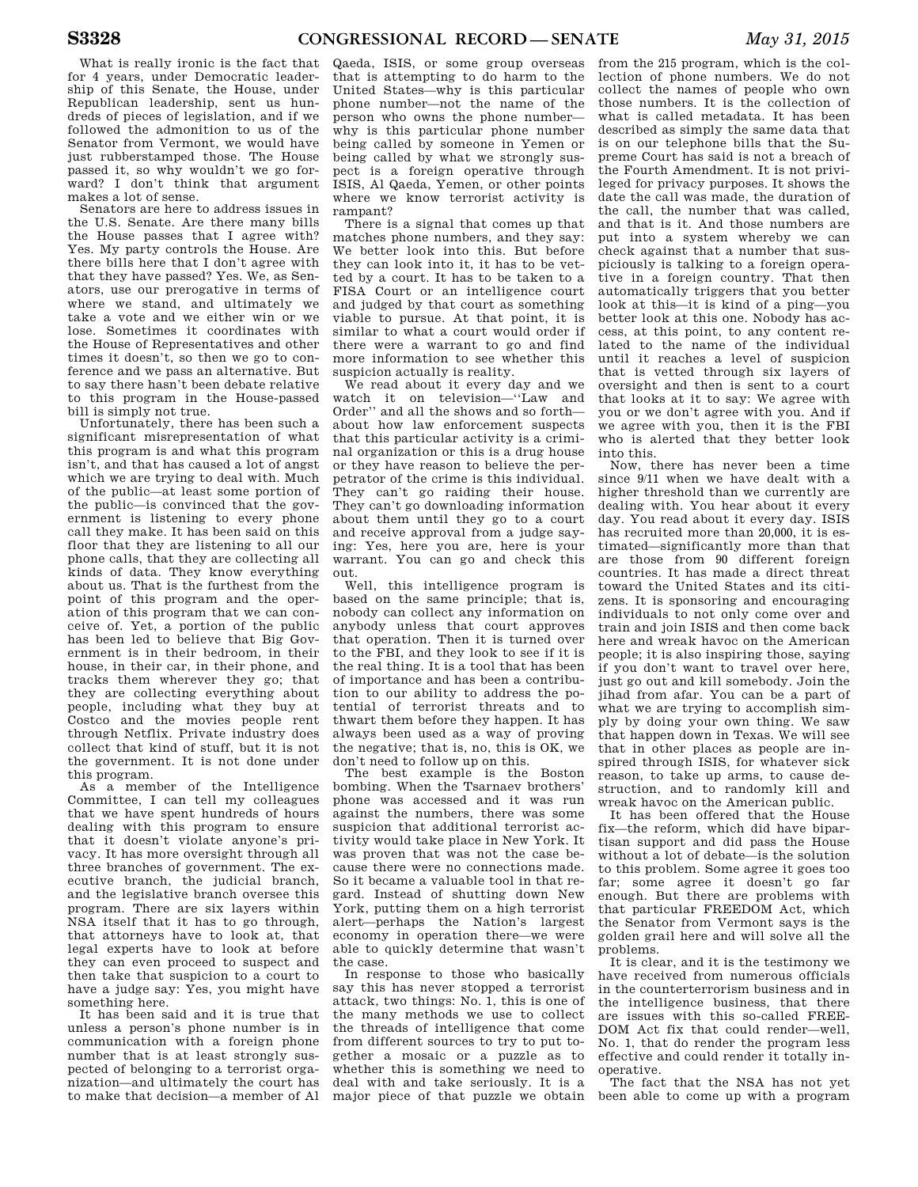What is really ironic is the fact that for 4 years, under Democratic leadership of this Senate, the House, under Republican leadership, sent us hundreds of pieces of legislation, and if we followed the admonition to us of the Senator from Vermont, we would have just rubberstamped those. The House passed it, so why wouldn't we go forward? I don't think that argument makes a lot of sense.

Senators are here to address issues in the U.S. Senate. Are there many bills the House passes that I agree with? Yes. My party controls the House. Are there bills here that I don't agree with that they have passed? Yes. We, as Senators, use our prerogative in terms of where we stand, and ultimately we take a vote and we either win or we lose. Sometimes it coordinates with the House of Representatives and other times it doesn't, so then we go to conference and we pass an alternative. But to say there hasn't been debate relative to this program in the House-passed bill is simply not true.

Unfortunately, there has been such a significant misrepresentation of what this program is and what this program isn't, and that has caused a lot of angst which we are trying to deal with. Much of the public—at least some portion of the public—is convinced that the government is listening to every phone call they make. It has been said on this floor that they are listening to all our phone calls, that they are collecting all kinds of data. They know everything about us. That is the furthest from the point of this program and the operation of this program that we can conceive of. Yet, a portion of the public has been led to believe that Big Government is in their bedroom, in their house, in their car, in their phone, and tracks them wherever they go; that they are collecting everything about people, including what they buy at Costco and the movies people rent through Netflix. Private industry does collect that kind of stuff, but it is not the government. It is not done under this program.

As a member of the Intelligence Committee, I can tell my colleagues that we have spent hundreds of hours dealing with this program to ensure that it doesn't violate anyone's privacy. It has more oversight through all three branches of government. The executive branch, the judicial branch, and the legislative branch oversee this program. There are six layers within NSA itself that it has to go through, that attorneys have to look at, that legal experts have to look at before they can even proceed to suspect and then take that suspicion to a court to have a judge say: Yes, you might have something here.

It has been said and it is true that unless a person's phone number is in communication with a foreign phone number that is at least strongly suspected of belonging to a terrorist organization—and ultimately the court has to make that decision—a member of Al

Qaeda, ISIS, or some group overseas that is attempting to do harm to the United States—why is this particular phone number—not the name of the person who owns the phone number why is this particular phone number being called by someone in Yemen or being called by what we strongly suspect is a foreign operative through ISIS, Al Qaeda, Yemen, or other points where we know terrorist activity is rampant?

There is a signal that comes up that matches phone numbers, and they say: We better look into this. But before they can look into it, it has to be vetted by a court. It has to be taken to a FISA Court or an intelligence court and judged by that court as something viable to pursue. At that point, it is similar to what a court would order if there were a warrant to go and find more information to see whether this suspicion actually is reality.

We read about it every day and we watch it on television—''Law and Order'' and all the shows and so forth about how law enforcement suspects that this particular activity is a criminal organization or this is a drug house or they have reason to believe the perpetrator of the crime is this individual. They can't go raiding their house. They can't go downloading information about them until they go to a court and receive approval from a judge saying: Yes, here you are, here is your warrant. You can go and check this out.

Well, this intelligence program is based on the same principle; that is, nobody can collect any information on anybody unless that court approves that operation. Then it is turned over to the FBI, and they look to see if it is the real thing. It is a tool that has been of importance and has been a contribution to our ability to address the potential of terrorist threats and to thwart them before they happen. It has always been used as a way of proving the negative; that is, no, this is OK, we don't need to follow up on this.

The best example is the Boston bombing. When the Tsarnaev brothers' phone was accessed and it was run against the numbers, there was some suspicion that additional terrorist activity would take place in New York. It was proven that was not the case because there were no connections made. So it became a valuable tool in that regard. Instead of shutting down New York, putting them on a high terrorist alert—perhaps the Nation's largest economy in operation there—we were able to quickly determine that wasn't the case.

In response to those who basically say this has never stopped a terrorist attack, two things: No. 1, this is one of the many methods we use to collect the threads of intelligence that come from different sources to try to put together a mosaic or a puzzle as to whether this is something we need to deal with and take seriously. It is a major piece of that puzzle we obtain

from the 215 program, which is the collection of phone numbers. We do not collect the names of people who own those numbers. It is the collection of what is called metadata. It has been described as simply the same data that is on our telephone bills that the Supreme Court has said is not a breach of the Fourth Amendment. It is not privileged for privacy purposes. It shows the date the call was made, the duration of the call, the number that was called, and that is it. And those numbers are put into a system whereby we can check against that a number that suspiciously is talking to a foreign operative in a foreign country. That then automatically triggers that you better look at this—it is kind of a ping—you better look at this one. Nobody has access, at this point, to any content related to the name of the individual until it reaches a level of suspicion that is vetted through six layers of oversight and then is sent to a court that looks at it to say: We agree with you or we don't agree with you. And if we agree with you, then it is the FBI who is alerted that they better look into this.

Now, there has never been a time since 9/11 when we have dealt with a higher threshold than we currently are dealing with. You hear about it every day. You read about it every day. ISIS has recruited more than 20,000, it is estimated—significantly more than that are those from 90 different foreign countries. It has made a direct threat toward the United States and its citizens. It is sponsoring and encouraging individuals to not only come over and train and join ISIS and then come back here and wreak havoc on the American people; it is also inspiring those, saying if you don't want to travel over here, just go out and kill somebody. Join the jihad from afar. You can be a part of what we are trying to accomplish simply by doing your own thing. We saw that happen down in Texas. We will see that in other places as people are inspired through ISIS, for whatever sick reason, to take up arms, to cause destruction, and to randomly kill and wreak havoc on the American public.

It has been offered that the House fix—the reform, which did have bipartisan support and did pass the House without a lot of debate—is the solution to this problem. Some agree it goes too far; some agree it doesn't go far enough. But there are problems with that particular FREEDOM Act, which the Senator from Vermont says is the golden grail here and will solve all the problems.

It is clear, and it is the testimony we have received from numerous officials in the counterterrorism business and in the intelligence business, that there are issues with this so-called FREE-DOM Act fix that could render—well, No. 1, that do render the program less effective and could render it totally inoperative.

The fact that the NSA has not yet been able to come up with a program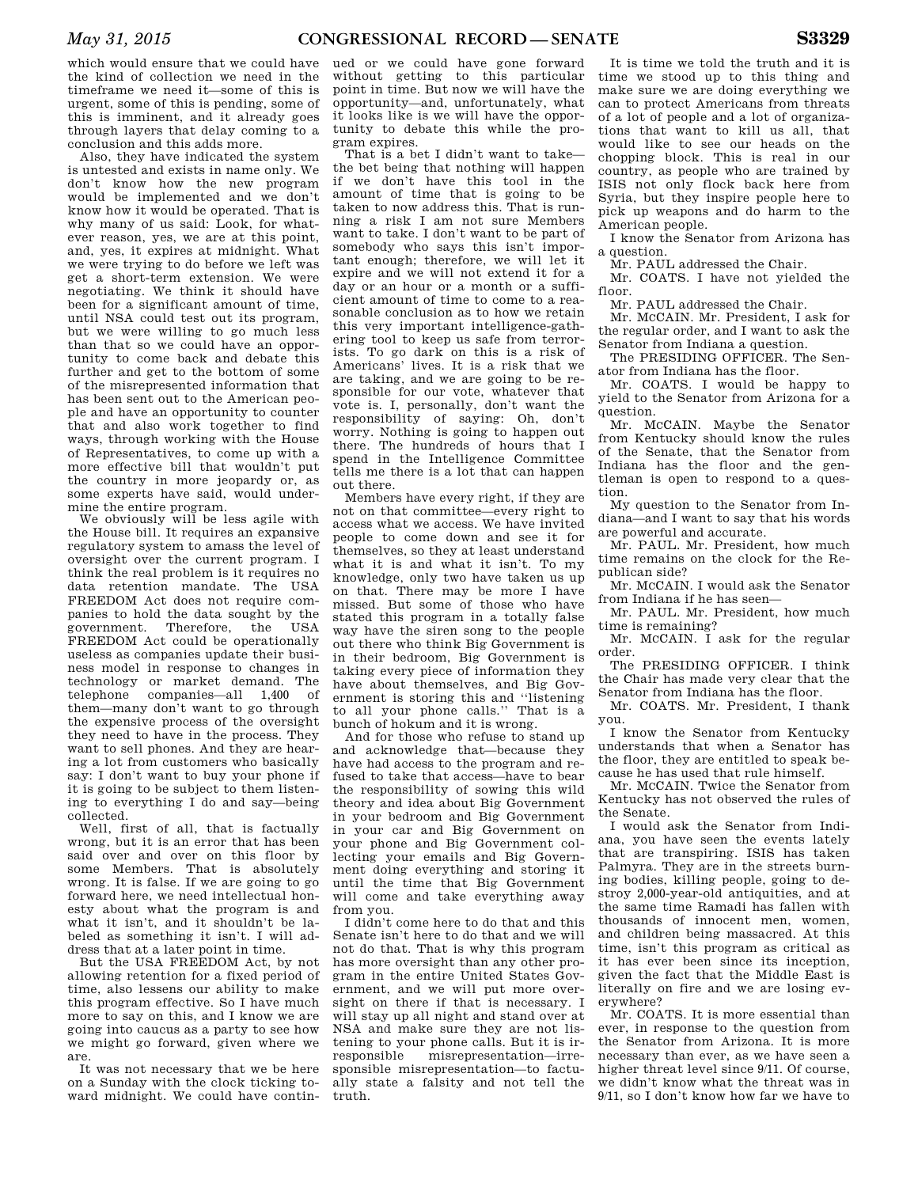which would ensure that we could have the kind of collection we need in the timeframe we need it—some of this is urgent, some of this is pending, some of this is imminent, and it already goes through layers that delay coming to a conclusion and this adds more.

Also, they have indicated the system is untested and exists in name only. We don't know how the new program would be implemented and we don't know how it would be operated. That is why many of us said: Look, for whatever reason, yes, we are at this point, and, yes, it expires at midnight. What we were trying to do before we left was get a short-term extension. We were negotiating. We think it should have been for a significant amount of time, until NSA could test out its program, but we were willing to go much less than that so we could have an opportunity to come back and debate this further and get to the bottom of some of the misrepresented information that has been sent out to the American people and have an opportunity to counter that and also work together to find ways, through working with the House of Representatives, to come up with a more effective bill that wouldn't put the country in more jeopardy or, as some experts have said, would undermine the entire program.

We obviously will be less agile with the House bill. It requires an expansive regulatory system to amass the level of oversight over the current program. I think the real problem is it requires no data retention mandate. The USA FREEDOM Act does not require companies to hold the data sought by the government. Therefore, the USA FREEDOM Act could be operationally useless as companies update their business model in response to changes in technology or market demand. The telephone companies—all 1,400 of them—many don't want to go through the expensive process of the oversight they need to have in the process. They want to sell phones. And they are hearing a lot from customers who basically say: I don't want to buy your phone if it is going to be subject to them listening to everything I do and say—being collected.

Well, first of all, that is factually wrong, but it is an error that has been said over and over on this floor by some Members. That is absolutely wrong. It is false. If we are going to go forward here, we need intellectual honesty about what the program is and what it isn't, and it shouldn't be labeled as something it isn't. I will address that at a later point in time.

But the USA FREEDOM Act, by not allowing retention for a fixed period of time, also lessens our ability to make this program effective. So I have much more to say on this, and I know we are going into caucus as a party to see how we might go forward, given where we are.

It was not necessary that we be here on a Sunday with the clock ticking toward midnight. We could have contin-

ued or we could have gone forward without getting to this particular point in time. But now we will have the opportunity—and, unfortunately, what it looks like is we will have the opportunity to debate this while the program expires.

That is a bet I didn't want to takethe bet being that nothing will happen if we don't have this tool in the amount of time that is going to be taken to now address this. That is running a risk I am not sure Members want to take. I don't want to be part of somebody who says this isn't important enough; therefore, we will let it expire and we will not extend it for a day or an hour or a month or a sufficient amount of time to come to a reasonable conclusion as to how we retain this very important intelligence-gathering tool to keep us safe from terrorists. To go dark on this is a risk of Americans' lives. It is a risk that we are taking, and we are going to be responsible for our vote, whatever that vote is. I, personally, don't want the responsibility of saying: Oh, don't worry. Nothing is going to happen out there. The hundreds of hours that I spend in the Intelligence Committee tells me there is a lot that can happen out there.

Members have every right, if they are not on that committee—every right to access what we access. We have invited people to come down and see it for themselves, so they at least understand what it is and what it isn't. To my knowledge, only two have taken us up on that. There may be more I have missed. But some of those who have stated this program in a totally false way have the siren song to the people out there who think Big Government is in their bedroom, Big Government is taking every piece of information they have about themselves, and Big Government is storing this and ''listening to all your phone calls.'' That is a bunch of hokum and it is wrong.

And for those who refuse to stand up and acknowledge that—because they have had access to the program and refused to take that access—have to bear the responsibility of sowing this wild theory and idea about Big Government in your bedroom and Big Government in your car and Big Government on your phone and Big Government collecting your emails and Big Government doing everything and storing it until the time that Big Government will come and take everything away from you.

I didn't come here to do that and this Senate isn't here to do that and we will not do that. That is why this program has more oversight than any other program in the entire United States Government, and we will put more oversight on there if that is necessary. I will stay up all night and stand over at NSA and make sure they are not listening to your phone calls. But it is irresponsible misrepresentation—irresponsible misrepresentation—to factually state a falsity and not tell the truth.

It is time we told the truth and it is time we stood up to this thing and make sure we are doing everything we can to protect Americans from threats of a lot of people and a lot of organizations that want to kill us all, that would like to see our heads on the chopping block. This is real in our country, as people who are trained by ISIS not only flock back here from Syria, but they inspire people here to pick up weapons and do harm to the American people.

I know the Senator from Arizona has a question.

Mr. PAUL addressed the Chair.

Mr. COATS. I have not yielded the floor.

Mr. PAUL addressed the Chair.

Mr. MCCAIN. Mr. President, I ask for the regular order, and I want to ask the Senator from Indiana a question.

The PRESIDING OFFICER. The Senator from Indiana has the floor.

Mr. COATS. I would be happy to yield to the Senator from Arizona for a question.

Mr. MCCAIN. Maybe the Senator from Kentucky should know the rules of the Senate, that the Senator from Indiana has the floor and the gentleman is open to respond to a question.

My question to the Senator from Indiana—and I want to say that his words are powerful and accurate.

Mr. PAUL. Mr. President, how much time remains on the clock for the Republican side?

Mr. MCCAIN. I would ask the Senator from Indiana if he has seen—

Mr. PAUL. Mr. President, how much time is remaining?

Mr. MCCAIN. I ask for the regular order.

The PRESIDING OFFICER. I think the Chair has made very clear that the Senator from Indiana has the floor.

Mr. COATS. Mr. President, I thank you.

I know the Senator from Kentucky understands that when a Senator has the floor, they are entitled to speak because he has used that rule himself.

Mr. MCCAIN. Twice the Senator from Kentucky has not observed the rules of the Senate.

I would ask the Senator from Indiana, you have seen the events lately that are transpiring. ISIS has taken Palmyra. They are in the streets burning bodies, killing people, going to destroy 2,000-year-old antiquities, and at the same time Ramadi has fallen with thousands of innocent men, women, and children being massacred. At this time, isn't this program as critical as it has ever been since its inception, given the fact that the Middle East is literally on fire and we are losing everywhere?

Mr. COATS. It is more essential than ever, in response to the question from the Senator from Arizona. It is more necessary than ever, as we have seen a higher threat level since 9/11. Of course, we didn't know what the threat was in 9/11, so I don't know how far we have to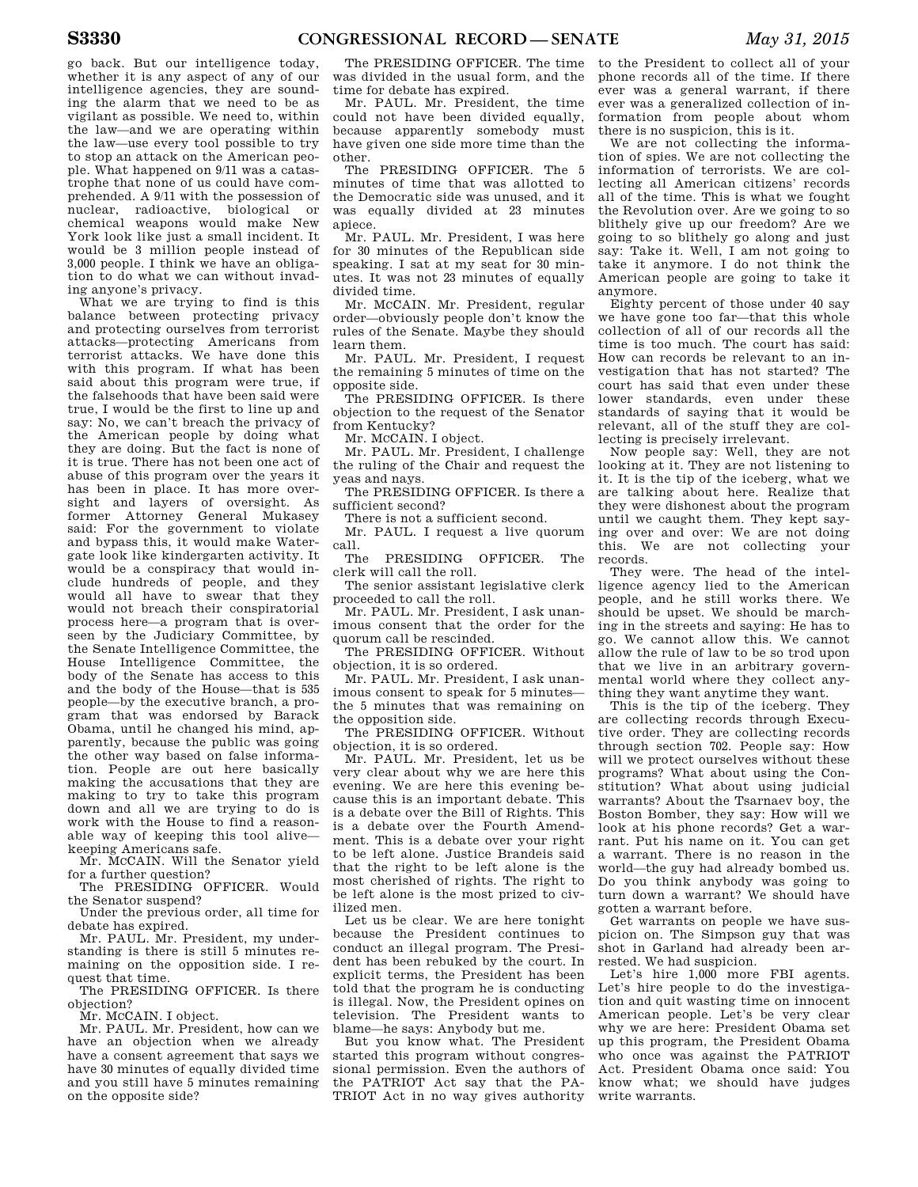go back. But our intelligence today, whether it is any aspect of any of our intelligence agencies, they are sounding the alarm that we need to be as vigilant as possible. We need to, within the law—and we are operating within the law—use every tool possible to try to stop an attack on the American people. What happened on 9/11 was a catastrophe that none of us could have comprehended. A 9/11 with the possession of nuclear, radioactive, biological or chemical weapons would make New York look like just a small incident. It would be 3 million people instead of 3,000 people. I think we have an obligation to do what we can without invading anyone's privacy.

What we are trying to find is this balance between protecting privacy and protecting ourselves from terrorist attacks—protecting Americans from terrorist attacks. We have done this with this program. If what has been said about this program were true, if the falsehoods that have been said were true, I would be the first to line up and say: No, we can't breach the privacy of the American people by doing what they are doing. But the fact is none of it is true. There has not been one act of abuse of this program over the years it has been in place. It has more oversight and layers of oversight. As former Attorney General Mukasey said: For the government to violate and bypass this, it would make Watergate look like kindergarten activity. It would be a conspiracy that would include hundreds of people, and they would all have to swear that they would not breach their conspiratorial process here—a program that is overseen by the Judiciary Committee, by the Senate Intelligence Committee, the House Intelligence Committee, the body of the Senate has access to this and the body of the House—that is 535 people—by the executive branch, a program that was endorsed by Barack Obama, until he changed his mind, apparently, because the public was going the other way based on false information. People are out here basically making the accusations that they are making to try to take this program down and all we are trying to do is work with the House to find a reasonable way of keeping this tool alive keeping Americans safe.

Mr. MCCAIN. Will the Senator yield for a further question?

The PRESIDING OFFICER. Would the Senator suspend?

Under the previous order, all time for debate has expired.

Mr. PAUL. Mr. President, my understanding is there is still 5 minutes remaining on the opposition side. I request that time.

The PRESIDING OFFICER. Is there objection?

Mr. MCCAIN. I object.

Mr. PAUL. Mr. President, how can we have an objection when we already have a consent agreement that says we have 30 minutes of equally divided time and you still have 5 minutes remaining on the opposite side?

The PRESIDING OFFICER. The time was divided in the usual form, and the time for debate has expired.

Mr. PAUL. Mr. President, the time could not have been divided equally, because apparently somebody must have given one side more time than the other.

The PRESIDING OFFICER. The 5 minutes of time that was allotted to the Democratic side was unused, and it was equally divided at 23 minutes apiece.

Mr. PAUL. Mr. President, I was here for 30 minutes of the Republican side speaking. I sat at my seat for 30 minutes. It was not 23 minutes of equally divided time.

Mr. MCCAIN. Mr. President, regular order—obviously people don't know the rules of the Senate. Maybe they should learn them.

Mr. PAUL. Mr. President, I request the remaining 5 minutes of time on the opposite side.

The PRESIDING OFFICER. Is there objection to the request of the Senator from Kentucky?

Mr. MCCAIN. I object.

Mr. PAUL. Mr. President, I challenge the ruling of the Chair and request the yeas and nays.

The PRESIDING OFFICER. Is there a sufficient second?

There is not a sufficient second.

Mr. PAUL. I request a live quorum call.

The PRESIDING OFFICER. The clerk will call the roll.

The senior assistant legislative clerk proceeded to call the roll.

Mr. PAUL. Mr. President, I ask unanimous consent that the order for the quorum call be rescinded.

The PRESIDING OFFICER. Without objection, it is so ordered.

Mr. PAUL. Mr. President, I ask unanimous consent to speak for 5 minutes the 5 minutes that was remaining on the opposition side.

The PRESIDING OFFICER. Without objection, it is so ordered.

Mr. PAUL. Mr. President, let us be very clear about why we are here this evening. We are here this evening because this is an important debate. This is a debate over the Bill of Rights. This is a debate over the Fourth Amendment. This is a debate over your right to be left alone. Justice Brandeis said that the right to be left alone is the most cherished of rights. The right to be left alone is the most prized to civilized men.

Let us be clear. We are here tonight because the President continues to conduct an illegal program. The President has been rebuked by the court. In explicit terms, the President has been told that the program he is conducting is illegal. Now, the President opines on television. The President wants to blame—he says: Anybody but me.

But you know what. The President started this program without congressional permission. Even the authors of the PATRIOT Act say that the PA-TRIOT Act in no way gives authority

to the President to collect all of your phone records all of the time. If there ever was a general warrant, if there ever was a generalized collection of information from people about whom there is no suspicion, this is it.

We are not collecting the information of spies. We are not collecting the information of terrorists. We are collecting all American citizens' records all of the time. This is what we fought the Revolution over. Are we going to so blithely give up our freedom? Are we going to so blithely go along and just say: Take it. Well, I am not going to take it anymore. I do not think the American people are going to take it anymore.

Eighty percent of those under 40 say we have gone too far—that this whole collection of all of our records all the time is too much. The court has said: How can records be relevant to an investigation that has not started? The court has said that even under these lower standards, even under these standards of saying that it would be relevant, all of the stuff they are collecting is precisely irrelevant.

Now people say: Well, they are not looking at it. They are not listening to it. It is the tip of the iceberg, what we are talking about here. Realize that they were dishonest about the program until we caught them. They kept saying over and over: We are not doing this. We are not collecting your records.

They were. The head of the intelligence agency lied to the American people, and he still works there. We should be upset. We should be marching in the streets and saying: He has to go. We cannot allow this. We cannot allow the rule of law to be so trod upon that we live in an arbitrary governmental world where they collect anything they want anytime they want.

This is the tip of the iceberg. They are collecting records through Executive order. They are collecting records through section 702. People say: How will we protect ourselves without these programs? What about using the Constitution? What about using judicial warrants? About the Tsarnaev boy, the Boston Bomber, they say: How will we look at his phone records? Get a warrant. Put his name on it. You can get a warrant. There is no reason in the world—the guy had already bombed us. Do you think anybody was going to turn down a warrant? We should have gotten a warrant before.

Get warrants on people we have suspicion on. The Simpson guy that was shot in Garland had already been arrested. We had suspicion.

Let's hire 1,000 more FBI agents. Let's hire people to do the investigation and quit wasting time on innocent American people. Let's be very clear why we are here: President Obama set up this program, the President Obama who once was against the PATRIOT Act. President Obama once said: You know what; we should have judges write warrants.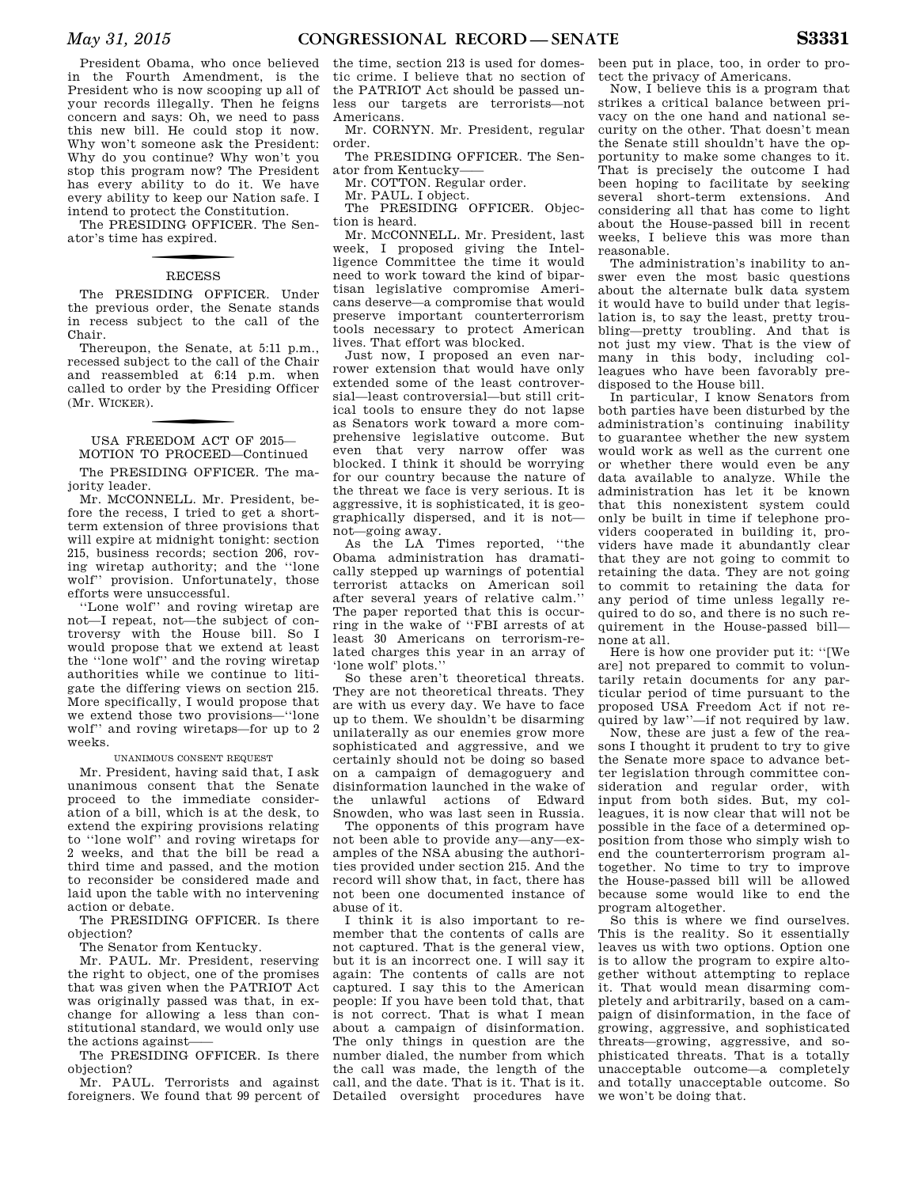President Obama, who once believed in the Fourth Amendment, is the President who is now scooping up all of your records illegally. Then he feigns concern and says: Oh, we need to pass this new bill. He could stop it now. Why won't someone ask the President: Why do you continue? Why won't you stop this program now? The President has every ability to do it. We have every ability to keep our Nation safe. I intend to protect the Constitution.

The PRESIDING OFFICER. The Senator's time has expired.

#### RECESS

The PRESIDING OFFICER. Under the previous order, the Senate stands in recess subject to the call of the Chair.

Thereupon, the Senate, at 5:11 p.m., recessed subject to the call of the Chair and reassembled at 6:14 p.m. when called to order by the Presiding Officer (Mr. WICKER).

## USA FREEDOM ACT OF 2015-MOTION TO PROCEED—Continued

The PRESIDING OFFICER. The majority leader.

Mr. MCCONNELL. Mr. President, before the recess, I tried to get a shortterm extension of three provisions that will expire at midnight tonight: section 215, business records; section 206, roving wiretap authority; and the ''lone wolf'' provision. Unfortunately, those efforts were unsuccessful.

''Lone wolf'' and roving wiretap are not—I repeat, not—the subject of controversy with the House bill. So I would propose that we extend at least the ''lone wolf'' and the roving wiretap authorities while we continue to litigate the differing views on section 215. More specifically, I would propose that we extend those two provisions—''lone wolf'' and roving wiretaps—for up to 2 weeks.

#### UNANIMOUS CONSENT REQUEST

Mr. President, having said that, I ask unanimous consent that the Senate proceed to the immediate consideration of a bill, which is at the desk, to extend the expiring provisions relating to ''lone wolf'' and roving wiretaps for 2 weeks, and that the bill be read a third time and passed, and the motion to reconsider be considered made and laid upon the table with no intervening action or debate.

The PRESIDING OFFICER. Is there objection?

The Senator from Kentucky.

Mr. PAUL. Mr. President, reserving the right to object, one of the promises that was given when the PATRIOT Act was originally passed was that, in exchange for allowing a less than constitutional standard, we would only use the actions against——

The PRESIDING OFFICER. Is there objection?

Mr. PAUL. Terrorists and against foreigners. We found that 99 percent of

the time, section 213 is used for domestic crime. I believe that no section of the PATRIOT Act should be passed unless our targets are terrorists—not Americans.

Mr. CORNYN. Mr. President, regular order.

The PRESIDING OFFICER. The Senator from Kentucky——

Mr. COTTON. Regular order.

Mr. PAUL. I object.

The PRESIDING OFFICER. Objection is heard.

Mr. MCCONNELL. Mr. President, last week, I proposed giving the Intelligence Committee the time it would need to work toward the kind of bipartisan legislative compromise Americans deserve—a compromise that would preserve important counterterrorism tools necessary to protect American lives. That effort was blocked.

Just now, I proposed an even narrower extension that would have only extended some of the least controversial—least controversial—but still critical tools to ensure they do not lapse as Senators work toward a more comprehensive legislative outcome. But even that very narrow offer was blocked. I think it should be worrying for our country because the nature of the threat we face is very serious. It is aggressive, it is sophisticated, it is geographically dispersed, and it is not not—going away.

As the LA Times reported, ''the Obama administration has dramatically stepped up warnings of potential terrorist attacks on American soil after several years of relative calm.'' The paper reported that this is occurring in the wake of ''FBI arrests of at least 30 Americans on terrorism-related charges this year in an array of 'lone wolf' plots.''

So these aren't theoretical threats. They are not theoretical threats. They are with us every day. We have to face up to them. We shouldn't be disarming unilaterally as our enemies grow more sophisticated and aggressive, and we certainly should not be doing so based on a campaign of demagoguery and disinformation launched in the wake of the unlawful actions of Edward Snowden, who was last seen in Russia.

The opponents of this program have not been able to provide any—any—examples of the NSA abusing the authorities provided under section 215. And the record will show that, in fact, there has not been one documented instance of abuse of it.

I think it is also important to remember that the contents of calls are not captured. That is the general view, but it is an incorrect one. I will say it again: The contents of calls are not captured. I say this to the American people: If you have been told that, that is not correct. That is what I mean about a campaign of disinformation. The only things in question are the number dialed, the number from which the call was made, the length of the call, and the date. That is it. That is it. Detailed oversight procedures have

been put in place, too, in order to protect the privacy of Americans.

Now, I believe this is a program that strikes a critical balance between privacy on the one hand and national security on the other. That doesn't mean the Senate still shouldn't have the opportunity to make some changes to it. That is precisely the outcome I had been hoping to facilitate by seeking several short-term extensions. And considering all that has come to light about the House-passed bill in recent weeks, I believe this was more than reasonable.

The administration's inability to answer even the most basic questions about the alternate bulk data system it would have to build under that legislation is, to say the least, pretty troubling—pretty troubling. And that is not just my view. That is the view of many in this body, including colleagues who have been favorably predisposed to the House bill.

In particular, I know Senators from both parties have been disturbed by the administration's continuing inability to guarantee whether the new system would work as well as the current one or whether there would even be any data available to analyze. While the administration has let it be known that this nonexistent system could only be built in time if telephone providers cooperated in building it, providers have made it abundantly clear that they are not going to commit to retaining the data. They are not going to commit to retaining the data for any period of time unless legally required to do so, and there is no such requirement in the House-passed bill none at all.

Here is how one provider put it: ''[We are] not prepared to commit to voluntarily retain documents for any particular period of time pursuant to the proposed USA Freedom Act if not required by law''—if not required by law.

Now, these are just a few of the reasons I thought it prudent to try to give the Senate more space to advance better legislation through committee consideration and regular order, with input from both sides. But, my colleagues, it is now clear that will not be possible in the face of a determined opposition from those who simply wish to end the counterterrorism program altogether. No time to try to improve the House-passed bill will be allowed because some would like to end the program altogether.

So this is where we find ourselves. This is the reality. So it essentially leaves us with two options. Option one is to allow the program to expire altogether without attempting to replace it. That would mean disarming completely and arbitrarily, based on a campaign of disinformation, in the face of growing, aggressive, and sophisticated threats—growing, aggressive, and sophisticated threats. That is a totally unacceptable outcome—a completely and totally unacceptable outcome. So we won't be doing that.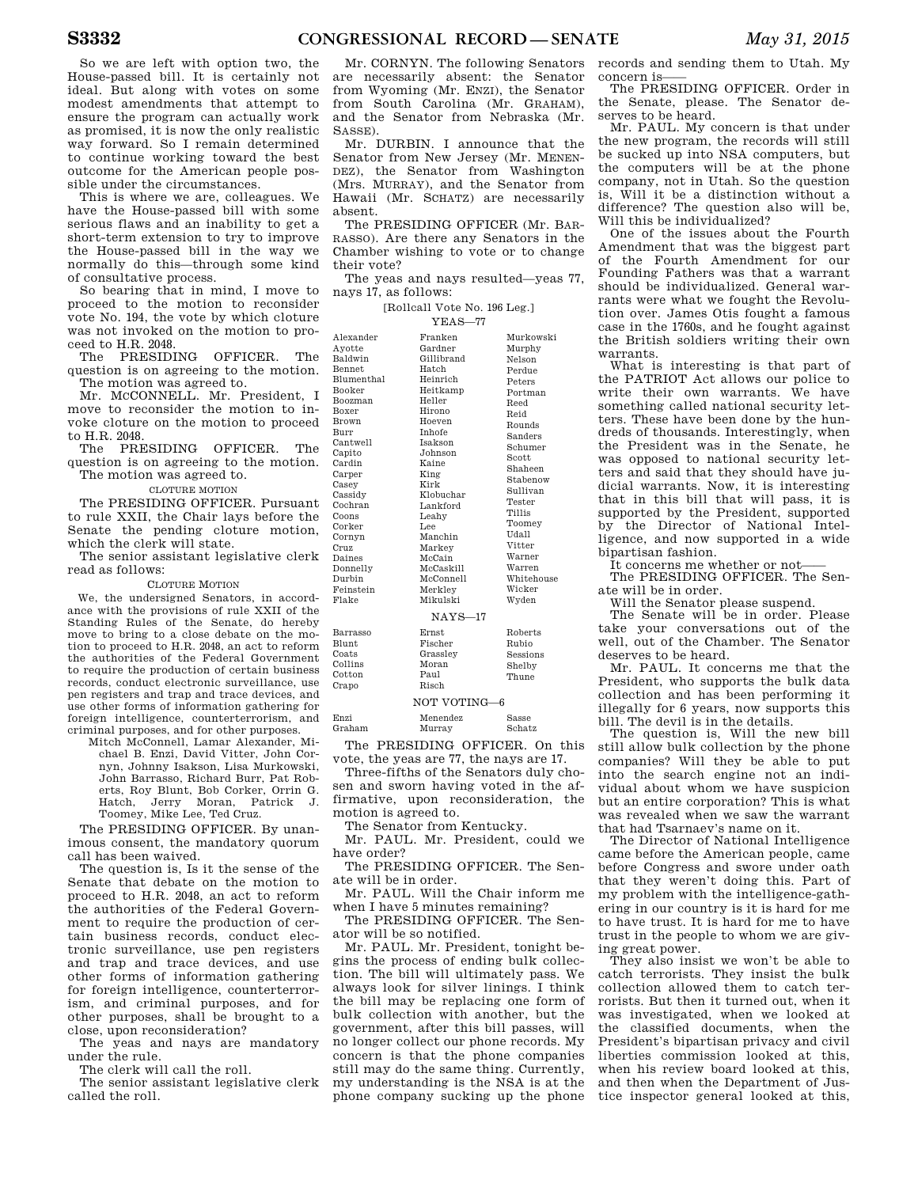So we are left with option two, the House-passed bill. It is certainly not ideal. But along with votes on some modest amendments that attempt to ensure the program can actually work as promised, it is now the only realistic way forward. So I remain determined to continue working toward the best outcome for the American people possible under the circumstances.

This is where we are, colleagues. We have the House-passed bill with some serious flaws and an inability to get a short-term extension to try to improve the House-passed bill in the way we normally do this—through some kind of consultative process.

So bearing that in mind, I move to proceed to the motion to reconsider vote No. 194, the vote by which cloture was not invoked on the motion to proceed to H.R. 2048.

The PRESIDING OFFICER. The question is on agreeing to the motion. The motion was agreed to.

Mr. MCCONNELL. Mr. President, I move to reconsider the motion to invoke cloture on the motion to proceed to H.R. 2048.

The PRESIDING OFFICER. The question is on agreeing to the motion. The motion was agreed to.

CLOTURE MOTION

The PRESIDING OFFICER. Pursuant to rule XXII, the Chair lays before the Senate the pending cloture motion, which the clerk will state.

The senior assistant legislative clerk read as follows:

CLOTURE MOTION

We, the undersigned Senators, in accordance with the provisions of rule XXII of the Standing Rules of the Senate, do hereby move to bring to a close debate on the motion to proceed to H.R. 2048, an act to reform the authorities of the Federal Government to require the production of certain business records, conduct electronic surveillance, use pen registers and trap and trace devices, and use other forms of information gathering for foreign intelligence, counterterrorism, and criminal purposes, and for other purposes.  $\overline{F}$  $\overline{B}$ Enzi

Mitch McConnell, Lamar Alexander, Michael B. Enzi, David Vitter, John Cornyn, Johnny Isakson, Lisa Murkowski, John Barrasso, Richard Burr, Pat Roberts, Roy Blunt, Bob Corker, Orrin G. Hatch, Jerry Moran, Patrick J. Toomey, Mike Lee, Ted Cruz.

The PRESIDING OFFICER. By unanimous consent, the mandatory quorum call has been waived.

The question is, Is it the sense of the Senate that debate on the motion to proceed to H.R. 2048, an act to reform the authorities of the Federal Government to require the production of certain business records, conduct electronic surveillance, use pen registers and trap and trace devices, and use other forms of information gathering for foreign intelligence, counterterrorism, and criminal purposes, and for other purposes, shall be brought to a close, upon reconsideration?

The yeas and nays are mandatory under the rule.

The clerk will call the roll.

The senior assistant legislative clerk called the roll.

Mr. CORNYN. The following Senators are necessarily absent: the Senator from Wyoming (Mr. ENZI), the Senator from South Carolina (Mr. GRAHAM), and the Senator from Nebraska (Mr. SASSE).

Mr. DURBIN. I announce that the Senator from New Jersey (Mr. MENEN-DEZ), the Senator from Washington (Mrs. MURRAY), and the Senator from Hawaii (Mr. SCHATZ) are necessarily absent.

The PRESIDING OFFICER (Mr. BAR-RASSO). Are there any Senators in the Chamber wishing to vote or to change their vote?

The yeas and nays resulted—yeas 77, nays 17, as follows:

 $\overline{B}$  $_{\rm B}^{\rm B}$ 

 $\overline{B}$  $\overline{B}$ 

> $\mathcal{C}$  $\check{\rm c}$  $\mathbf{C}$  $\mathcal{C}$  $\overline{c}$  $\mathbf C$  $\overline{C}$  $\overline{C}$

Cotton Crapo

| [Rollcall Vote No. 196 Leg.] |                |               |
|------------------------------|----------------|---------------|
| $YFAS - 77$                  |                |               |
| Alexander                    | Franken        | Murkowski     |
| Ayotte                       | Gardner        | Murphy        |
| Baldwin                      | Gillibrand     | Nelson        |
| <b>Bennet</b>                | Hatch          | Perdue        |
| <b>Blumenthal</b>            | Heinrich       | Peters        |
| <b>Booker</b>                | Heitkamp       | Portman       |
| <b>Boozman</b>               | Heller         | Reed          |
| Boxer                        | Hirono         | Reid          |
| <b>Brown</b>                 | Hoeven         | Rounds        |
| Burr                         | <b>Inhofe</b>  | Sanders       |
| Cantwell                     | <b>Isakson</b> | Schumer       |
| Capito                       | Johnson        | Scott         |
| Cardin                       | Kaine          | Shaheen       |
| Carper                       | King           | Stabenow      |
| Casey                        | Kirk           | Sullivan      |
| Cassidy                      | Klobuchar      | Tester        |
| Cochran                      | Lankford       | <b>Tillis</b> |
| Coons                        | Leahy          |               |
| Corker                       | Lee            | Toomey        |
| Cornyn                       | Manchin        | Udall         |
| Cruz                         | Markey         | Vitter        |
| Daines                       | McCain         | Warner        |
| Donnelly                     | McCaskill      | Warren        |
| Durbin                       | McConnell      | Whitehouse    |
| Feinstein                    | Merkley        | Wicker        |
| Flake                        | Mikulski       | Wyden         |
| $NAYS-17$                    |                |               |
| Barrasso                     | Ernst          | Roberts       |
| <b>Blunt</b>                 | Fischer        | Rubio         |
| Coats                        | Grasslev       | Sessions      |
| Collins                      | Moran          | Shelby        |

Risch Thune

Paul

NOT VOTING—6

Menendez

Graham Murray Schatz The PRESIDING OFFICER. On this vote, the yeas are 77, the nays are 17.

Sasse

Three-fifths of the Senators duly chosen and sworn having voted in the affirmative, upon reconsideration, the motion is agreed to.

The Senator from Kentucky.

Mr. PAUL. Mr. President, could we have order?

The PRESIDING OFFICER. The Senate will be in order.

Mr. PAUL. Will the Chair inform me when I have 5 minutes remaining?

The PRESIDING OFFICER. The Senator will be so notified.

Mr. PAUL. Mr. President, tonight begins the process of ending bulk collection. The bill will ultimately pass. We always look for silver linings. I think the bill may be replacing one form of bulk collection with another, but the government, after this bill passes, will no longer collect our phone records. My concern is that the phone companies still may do the same thing. Currently, my understanding is the NSA is at the phone company sucking up the phone records and sending them to Utah. My concern is-

The PRESIDING OFFICER. Order in the Senate, please. The Senator deserves to be heard.

Mr. PAUL. My concern is that under the new program, the records will still be sucked up into NSA computers, but the computers will be at the phone company, not in Utah. So the question is, Will it be a distinction without a difference? The question also will be, Will this be individualized?

One of the issues about the Fourth Amendment that was the biggest part of the Fourth Amendment for our Founding Fathers was that a warrant should be individualized. General warrants were what we fought the Revolution over. James Otis fought a famous case in the 1760s, and he fought against the British soldiers writing their own warrants.

What is interesting is that part of the PATRIOT Act allows our police to write their own warrants. We have something called national security letters. These have been done by the hundreds of thousands. Interestingly, when the President was in the Senate, he was opposed to national security letters and said that they should have judicial warrants. Now, it is interesting that in this bill that will pass, it is supported by the President, supported by the Director of National Intelligence, and now supported in a wide bipartisan fashion.

It concerns me whether or not-

The PRESIDING OFFICER. The Senate will be in order.

Will the Senator please suspend.

The Senate will be in order. Please take your conversations out of the well, out of the Chamber. The Senator deserves to be heard.

Mr. PAUL. It concerns me that the President, who supports the bulk data collection and has been performing it illegally for 6 years, now supports this bill. The devil is in the details.

The question is, Will the new bill still allow bulk collection by the phone companies? Will they be able to put into the search engine not an individual about whom we have suspicion but an entire corporation? This is what was revealed when we saw the warrant that had Tsarnaev's name on it.

The Director of National Intelligence came before the American people, came before Congress and swore under oath that they weren't doing this. Part of my problem with the intelligence-gathering in our country is it is hard for me to have trust. It is hard for me to have trust in the people to whom we are giving great power.

They also insist we won't be able to catch terrorists. They insist the bulk collection allowed them to catch terrorists. But then it turned out, when it was investigated, when we looked at the classified documents, when the President's bipartisan privacy and civil liberties commission looked at this, when his review board looked at this, and then when the Department of Justice inspector general looked at this,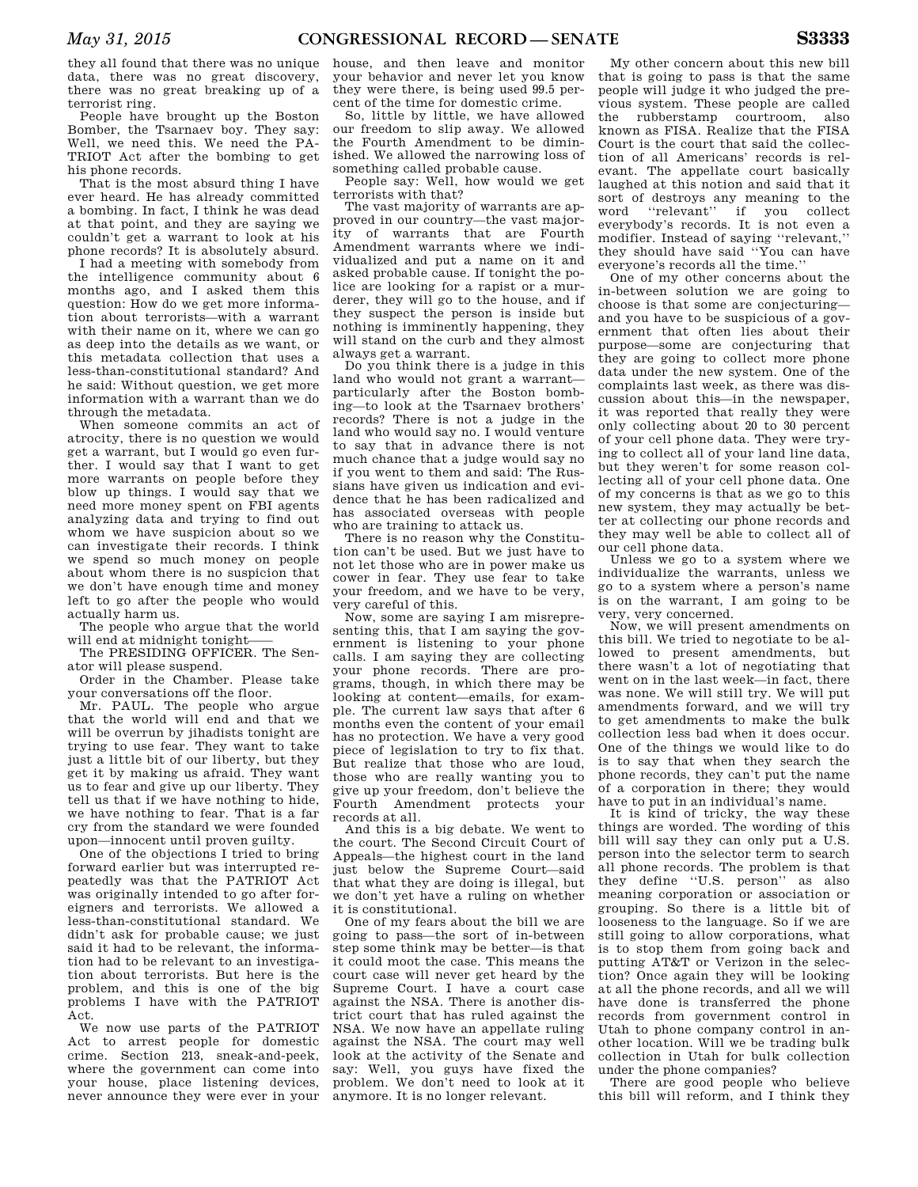they all found that there was no unique data, there was no great discovery, there was no great breaking up of a terrorist ring.

People have brought up the Boston Bomber, the Tsarnaev boy. They say: Well, we need this. We need the PA-TRIOT Act after the bombing to get his phone records.

That is the most absurd thing I have ever heard. He has already committed a bombing. In fact, I think he was dead at that point, and they are saying we couldn't get a warrant to look at his phone records? It is absolutely absurd.

I had a meeting with somebody from the intelligence community about 6 months ago, and I asked them this question: How do we get more information about terrorists—with a warrant with their name on it, where we can go as deep into the details as we want, or this metadata collection that uses a less-than-constitutional standard? And he said: Without question, we get more information with a warrant than we do through the metadata.

When someone commits an act of atrocity, there is no question we would get a warrant, but I would go even further. I would say that I want to get more warrants on people before they blow up things. I would say that we need more money spent on FBI agents analyzing data and trying to find out whom we have suspicion about so we can investigate their records. I think we spend so much money on people about whom there is no suspicion that we don't have enough time and money left to go after the people who would actually harm us.

The people who argue that the world will end at midnight tonight-

The PRESIDING OFFICER. The Senator will please suspend.

Order in the Chamber. Please take your conversations off the floor.

Mr. PAUL. The people who argue that the world will end and that we will be overrun by jihadists tonight are trying to use fear. They want to take just a little bit of our liberty, but they get it by making us afraid. They want us to fear and give up our liberty. They tell us that if we have nothing to hide, we have nothing to fear. That is a far cry from the standard we were founded upon—innocent until proven guilty.

One of the objections I tried to bring forward earlier but was interrupted repeatedly was that the PATRIOT Act was originally intended to go after foreigners and terrorists. We allowed a less-than-constitutional standard. We didn't ask for probable cause; we just said it had to be relevant, the information had to be relevant to an investigation about terrorists. But here is the problem, and this is one of the big problems I have with the PATRIOT Act.

We now use parts of the PATRIOT Act to arrest people for domestic crime. Section 213, sneak-and-peek, where the government can come into your house, place listening devices, never announce they were ever in your

house, and then leave and monitor your behavior and never let you know they were there, is being used 99.5 percent of the time for domestic crime.

So, little by little, we have allowed our freedom to slip away. We allowed the Fourth Amendment to be diminished. We allowed the narrowing loss of something called probable cause.

People say: Well, how would we get terrorists with that?

The vast majority of warrants are approved in our country—the vast majority of warrants that are Fourth Amendment warrants where we individualized and put a name on it and asked probable cause. If tonight the police are looking for a rapist or a murderer, they will go to the house, and if they suspect the person is inside but nothing is imminently happening, they will stand on the curb and they almost always get a warrant.

Do you think there is a judge in this land who would not grant a warrant particularly after the Boston bombing—to look at the Tsarnaev brothers' records? There is not a judge in the land who would say no. I would venture to say that in advance there is not much chance that a judge would say no if you went to them and said: The Russians have given us indication and evidence that he has been radicalized and has associated overseas with people who are training to attack us.

There is no reason why the Constitution can't be used. But we just have to not let those who are in power make us cower in fear. They use fear to take your freedom, and we have to be very, very careful of this.

Now, some are saying I am misrepresenting this, that I am saying the government is listening to your phone calls. I am saying they are collecting your phone records. There are programs, though, in which there may be looking at content—emails, for example. The current law says that after 6 months even the content of your email has no protection. We have a very good piece of legislation to try to fix that. But realize that those who are loud, those who are really wanting you to give up your freedom, don't believe the Fourth Amendment protects your records at all.

And this is a big debate. We went to the court. The Second Circuit Court of Appeals—the highest court in the land just below the Supreme Court—said that what they are doing is illegal, but we don't yet have a ruling on whether it is constitutional.

One of my fears about the bill we are going to pass—the sort of in-between step some think may be better—is that it could moot the case. This means the court case will never get heard by the Supreme Court. I have a court case against the NSA. There is another district court that has ruled against the NSA. We now have an appellate ruling against the NSA. The court may well look at the activity of the Senate and say: Well, you guys have fixed the problem. We don't need to look at it anymore. It is no longer relevant.

My other concern about this new bill that is going to pass is that the same people will judge it who judged the previous system. These people are called the rubberstamp courtroom, also known as FISA. Realize that the FISA Court is the court that said the collection of all Americans' records is relevant. The appellate court basically laughed at this notion and said that it sort of destroys any meaning to the word ''relevant'' if you collect everybody's records. It is not even a modifier. Instead of saying ''relevant,'' they should have said ''You can have everyone's records all the time.''

One of my other concerns about the in-between solution we are going to choose is that some are conjecturing and you have to be suspicious of a government that often lies about their purpose—some are conjecturing that they are going to collect more phone data under the new system. One of the complaints last week, as there was discussion about this—in the newspaper, it was reported that really they were only collecting about 20 to 30 percent of your cell phone data. They were trying to collect all of your land line data, but they weren't for some reason collecting all of your cell phone data. One of my concerns is that as we go to this new system, they may actually be better at collecting our phone records and they may well be able to collect all of our cell phone data.

Unless we go to a system where we individualize the warrants, unless we go to a system where a person's name is on the warrant, I am going to be very, very concerned.

Now, we will present amendments on this bill. We tried to negotiate to be allowed to present amendments, but there wasn't a lot of negotiating that went on in the last week—in fact, there was none. We will still try. We will put amendments forward, and we will try to get amendments to make the bulk collection less bad when it does occur. One of the things we would like to do is to say that when they search the phone records, they can't put the name of a corporation in there; they would have to put in an individual's name.

It is kind of tricky, the way these things are worded. The wording of this bill will say they can only put a U.S. person into the selector term to search all phone records. The problem is that they define ''U.S. person'' as also meaning corporation or association or grouping. So there is a little bit of looseness to the language. So if we are still going to allow corporations, what is to stop them from going back and putting AT&T or Verizon in the selection? Once again they will be looking at all the phone records, and all we will have done is transferred the phone records from government control in Utah to phone company control in another location. Will we be trading bulk collection in Utah for bulk collection under the phone companies?

There are good people who believe this bill will reform, and I think they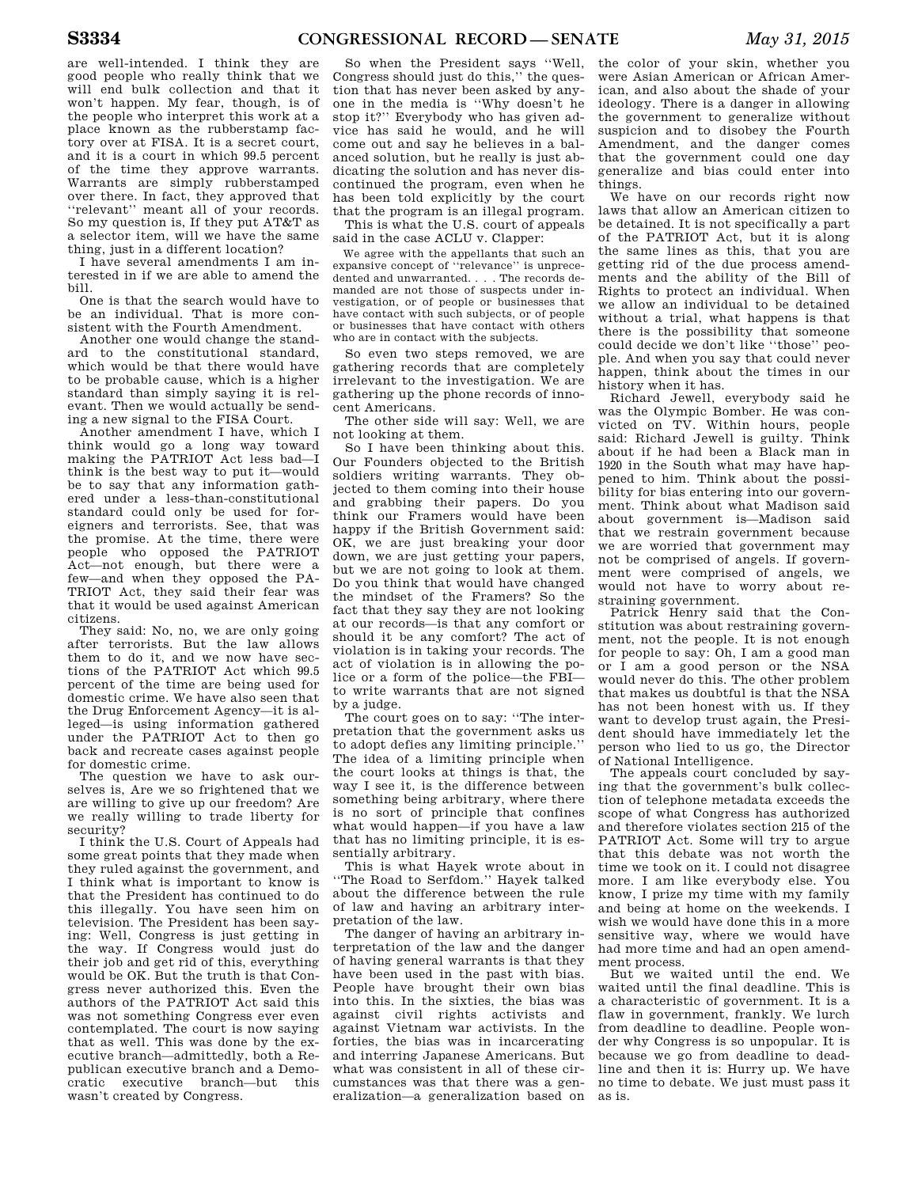are well-intended. I think they are good people who really think that we will end bulk collection and that it won't happen. My fear, though, is of the people who interpret this work at a place known as the rubberstamp factory over at FISA. It is a secret court, and it is a court in which 99.5 percent of the time they approve warrants. Warrants are simply rubberstamped over there. In fact, they approved that ''relevant'' meant all of your records. So my question is, If they put AT&T as a selector item, will we have the same thing, just in a different location?

I have several amendments I am interested in if we are able to amend the bill.

One is that the search would have to be an individual. That is more consistent with the Fourth Amendment.

Another one would change the standard to the constitutional standard, which would be that there would have to be probable cause, which is a higher standard than simply saying it is relevant. Then we would actually be sending a new signal to the FISA Court.

Another amendment I have, which I think would go a long way toward making the PATRIOT Act less bad—I think is the best way to put it—would be to say that any information gathered under a less-than-constitutional standard could only be used for foreigners and terrorists. See, that was the promise. At the time, there were people who opposed the PATRIOT Act—not enough, but there were a few—and when they opposed the PA-TRIOT Act, they said their fear was that it would be used against American citizens.

They said: No, no, we are only going after terrorists. But the law allows them to do it, and we now have sections of the PATRIOT Act which 99.5 percent of the time are being used for domestic crime. We have also seen that the Drug Enforcement Agency—it is alleged—is using information gathered under the PATRIOT Act to then go back and recreate cases against people for domestic crime.

The question we have to ask ourselves is, Are we so frightened that we are willing to give up our freedom? Are we really willing to trade liberty for security?

I think the U.S. Court of Appeals had some great points that they made when they ruled against the government, and I think what is important to know is that the President has continued to do this illegally. You have seen him on television. The President has been saying: Well, Congress is just getting in the way. If Congress would just do their job and get rid of this, everything would be OK. But the truth is that Congress never authorized this. Even the authors of the PATRIOT Act said this was not something Congress ever even contemplated. The court is now saying that as well. This was done by the executive branch—admittedly, both a Republican executive branch and a Democratic executive branch—but this wasn't created by Congress.

So when the President says ''Well, Congress should just do this,'' the question that has never been asked by anyone in the media is ''Why doesn't he stop it?'' Everybody who has given advice has said he would, and he will come out and say he believes in a balanced solution, but he really is just abdicating the solution and has never discontinued the program, even when he has been told explicitly by the court that the program is an illegal program.

This is what the U.S. court of appeals said in the case ACLU v. Clapper:

We agree with the appellants that such an expansive concept of ''relevance'' is unprecedented and unwarranted. . . . The records demanded are not those of suspects under investigation, or of people or businesses that have contact with such subjects, or of people or businesses that have contact with others who are in contact with the subjects.

So even two steps removed, we are gathering records that are completely irrelevant to the investigation. We are gathering up the phone records of innocent Americans.

The other side will say: Well, we are not looking at them.

So I have been thinking about this. Our Founders objected to the British soldiers writing warrants. They objected to them coming into their house and grabbing their papers. Do you think our Framers would have been happy if the British Government said: OK, we are just breaking your door down, we are just getting your papers, but we are not going to look at them. Do you think that would have changed the mindset of the Framers? So the fact that they say they are not looking at our records—is that any comfort or should it be any comfort? The act of violation is in taking your records. The act of violation is in allowing the police or a form of the police—the FBI to write warrants that are not signed by a judge.

The court goes on to say: ''The interpretation that the government asks us to adopt defies any limiting principle.'' The idea of a limiting principle when the court looks at things is that, the way I see it, is the difference between something being arbitrary, where there is no sort of principle that confines what would happen—if you have a law that has no limiting principle, it is essentially arbitrary.

This is what Hayek wrote about in ''The Road to Serfdom.'' Hayek talked about the difference between the rule of law and having an arbitrary interpretation of the law.

The danger of having an arbitrary interpretation of the law and the danger of having general warrants is that they have been used in the past with bias. People have brought their own bias into this. In the sixties, the bias was against civil rights activists and against Vietnam war activists. In the forties, the bias was in incarcerating and interring Japanese Americans. But what was consistent in all of these circumstances was that there was a generalization—a generalization based on

the color of your skin, whether you were Asian American or African American, and also about the shade of your ideology. There is a danger in allowing the government to generalize without suspicion and to disobey the Fourth Amendment, and the danger comes that the government could one day generalize and bias could enter into things.

We have on our records right now laws that allow an American citizen to be detained. It is not specifically a part of the PATRIOT Act, but it is along the same lines as this, that you are getting rid of the due process amendments and the ability of the Bill of Rights to protect an individual. When we allow an individual to be detained without a trial, what happens is that there is the possibility that someone could decide we don't like ''those'' people. And when you say that could never happen, think about the times in our history when it has.

Richard Jewell, everybody said he was the Olympic Bomber. He was convicted on TV. Within hours, people said: Richard Jewell is guilty. Think about if he had been a Black man in 1920 in the South what may have happened to him. Think about the possibility for bias entering into our government. Think about what Madison said about government is—Madison said that we restrain government because we are worried that government may not be comprised of angels. If government were comprised of angels, we would not have to worry about restraining government.

Patrick Henry said that the Constitution was about restraining government, not the people. It is not enough for people to say: Oh, I am a good man or I am a good person or the NSA would never do this. The other problem that makes us doubtful is that the NSA has not been honest with us. If they want to develop trust again, the President should have immediately let the person who lied to us go, the Director of National Intelligence.

The appeals court concluded by saying that the government's bulk collection of telephone metadata exceeds the scope of what Congress has authorized and therefore violates section 215 of the PATRIOT Act. Some will try to argue that this debate was not worth the time we took on it. I could not disagree more. I am like everybody else. You know, I prize my time with my family and being at home on the weekends. I wish we would have done this in a more sensitive way, where we would have had more time and had an open amendment process.

But we waited until the end. We waited until the final deadline. This is a characteristic of government. It is a flaw in government, frankly. We lurch from deadline to deadline. People wonder why Congress is so unpopular. It is because we go from deadline to deadline and then it is: Hurry up. We have no time to debate. We just must pass it as is.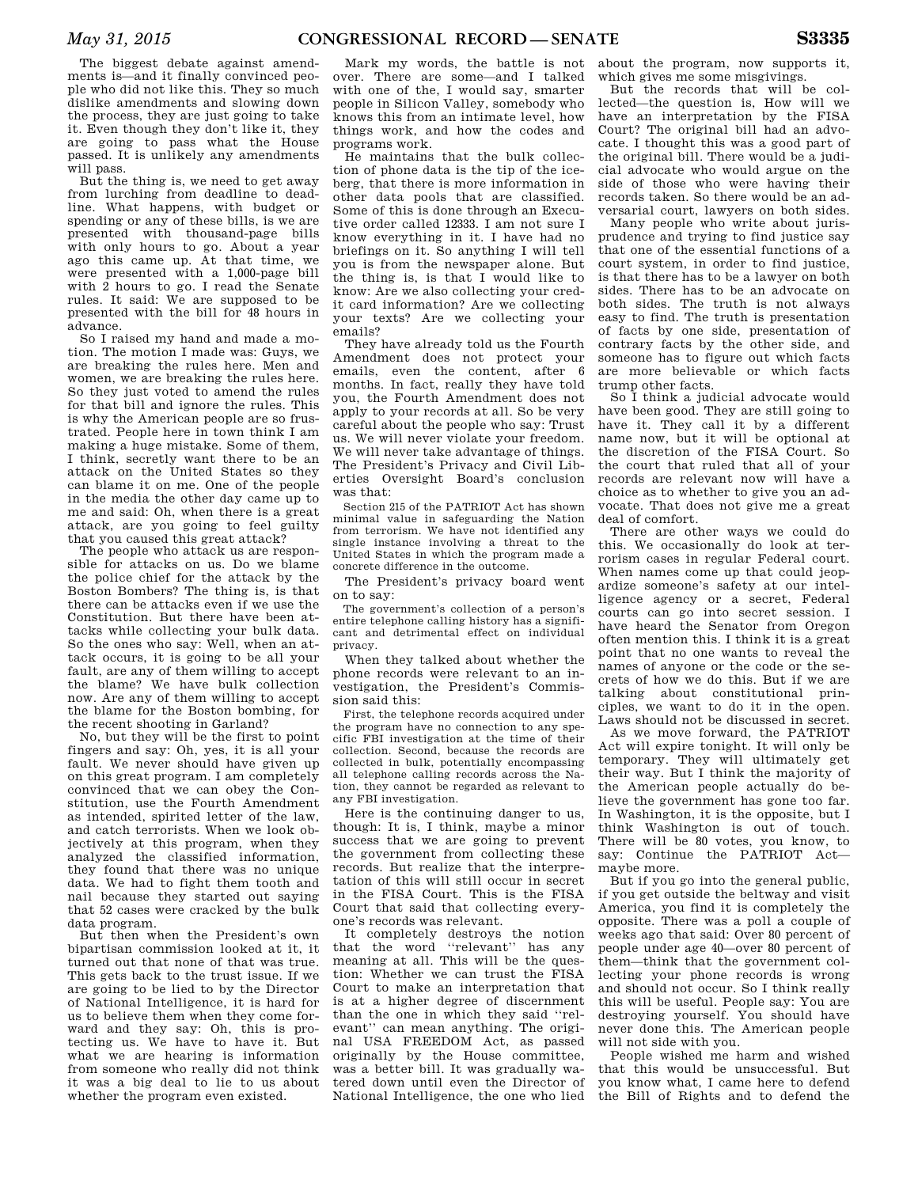The biggest debate against amendments is—and it finally convinced people who did not like this. They so much dislike amendments and slowing down the process, they are just going to take it. Even though they don't like it, they are going to pass what the House passed. It is unlikely any amendments will pass.

But the thing is, we need to get away from lurching from deadline to deadline. What happens, with budget or spending or any of these bills, is we are presented with thousand-page bills with only hours to go. About a year ago this came up. At that time, we were presented with a 1,000-page bill with 2 hours to go. I read the Senate rules. It said: We are supposed to be presented with the bill for 48 hours in advance.

So I raised my hand and made a motion. The motion I made was: Guys, we are breaking the rules here. Men and women, we are breaking the rules here. So they just voted to amend the rules for that bill and ignore the rules. This is why the American people are so frustrated. People here in town think I am making a huge mistake. Some of them, I think, secretly want there to be an attack on the United States so they can blame it on me. One of the people in the media the other day came up to me and said: Oh, when there is a great attack, are you going to feel guilty that you caused this great attack?

The people who attack us are responsible for attacks on us. Do we blame the police chief for the attack by the Boston Bombers? The thing is, is that there can be attacks even if we use the Constitution. But there have been attacks while collecting your bulk data. So the ones who say: Well, when an attack occurs, it is going to be all your fault, are any of them willing to accept the blame? We have bulk collection now. Are any of them willing to accept the blame for the Boston bombing, for the recent shooting in Garland?

No, but they will be the first to point fingers and say: Oh, yes, it is all your fault. We never should have given up on this great program. I am completely convinced that we can obey the Constitution, use the Fourth Amendment as intended, spirited letter of the law, and catch terrorists. When we look objectively at this program, when they analyzed the classified information, they found that there was no unique data. We had to fight them tooth and nail because they started out saying that 52 cases were cracked by the bulk data program.

But then when the President's own bipartisan commission looked at it, it turned out that none of that was true. This gets back to the trust issue. If we are going to be lied to by the Director of National Intelligence, it is hard for us to believe them when they come forward and they say: Oh, this is protecting us. We have to have it. But what we are hearing is information from someone who really did not think it was a big deal to lie to us about whether the program even existed.

Mark my words, the battle is not over. There are some—and I talked with one of the, I would say, smarter people in Silicon Valley, somebody who knows this from an intimate level, how things work, and how the codes and programs work.

He maintains that the bulk collection of phone data is the tip of the iceberg, that there is more information in other data pools that are classified. Some of this is done through an Executive order called 12333. I am not sure I know everything in it. I have had no briefings on it. So anything I will tell you is from the newspaper alone. But the thing is, is that I would like to know: Are we also collecting your credit card information? Are we collecting your texts? Are we collecting your emails?

They have already told us the Fourth Amendment does not protect your emails, even the content, after 6 months. In fact, really they have told you, the Fourth Amendment does not apply to your records at all. So be very careful about the people who say: Trust us. We will never violate your freedom. We will never take advantage of things. The President's Privacy and Civil Liberties Oversight Board's conclusion was that:

Section 215 of the PATRIOT Act has shown minimal value in safeguarding the Nation from terrorism. We have not identified any single instance involving a threat to the United States in which the program made a concrete difference in the outcome.

The President's privacy board went on to say:

The government's collection of a person's entire telephone calling history has a significant and detrimental effect on individual privacy.

When they talked about whether the phone records were relevant to an investigation, the President's Commission said this:

First, the telephone records acquired under the program have no connection to any specific FBI investigation at the time of their collection. Second, because the records are collected in bulk, potentially encompassing all telephone calling records across the Nation, they cannot be regarded as relevant to any FBI investigation.

Here is the continuing danger to us, though: It is, I think, maybe a minor success that we are going to prevent the government from collecting these records. But realize that the interpretation of this will still occur in secret in the FISA Court. This is the FISA Court that said that collecting everyone's records was relevant.

It completely destroys the notion that the word ''relevant'' has any meaning at all. This will be the question: Whether we can trust the FISA Court to make an interpretation that is at a higher degree of discernment than the one in which they said ''relevant'' can mean anything. The original USA FREEDOM Act, as passed originally by the House committee, was a better bill. It was gradually watered down until even the Director of National Intelligence, the one who lied

about the program, now supports it, which gives me some misgivings.

But the records that will be collected—the question is, How will we have an interpretation by the FISA Court? The original bill had an advocate. I thought this was a good part of the original bill. There would be a judicial advocate who would argue on the side of those who were having their records taken. So there would be an adversarial court, lawyers on both sides.

Many people who write about jurisprudence and trying to find justice say that one of the essential functions of a court system, in order to find justice, is that there has to be a lawyer on both sides. There has to be an advocate on both sides. The truth is not always easy to find. The truth is presentation of facts by one side, presentation of contrary facts by the other side, and someone has to figure out which facts are more believable or which facts trump other facts.

So I think a judicial advocate would have been good. They are still going to have it. They call it by a different name now, but it will be optional at the discretion of the FISA Court. So the court that ruled that all of your records are relevant now will have a choice as to whether to give you an advocate. That does not give me a great deal of comfort.

There are other ways we could do this. We occasionally do look at terrorism cases in regular Federal court. When names come up that could jeopardize someone's safety at our intelligence agency or a secret, Federal courts can go into secret session. I have heard the Senator from Oregon often mention this. I think it is a great point that no one wants to reveal the names of anyone or the code or the secrets of how we do this. But if we are talking about constitutional principles, we want to do it in the open. Laws should not be discussed in secret.

As we move forward, the PATRIOT Act will expire tonight. It will only be temporary. They will ultimately get their way. But I think the majority of the American people actually do believe the government has gone too far. In Washington, it is the opposite, but I think Washington is out of touch. There will be 80 votes, you know, to say: Continue the PATRIOT Act maybe more.

But if you go into the general public, if you get outside the beltway and visit America, you find it is completely the opposite. There was a poll a couple of weeks ago that said: Over 80 percent of people under age 40—over 80 percent of them—think that the government collecting your phone records is wrong and should not occur. So I think really this will be useful. People say: You are destroying yourself. You should have never done this. The American people will not side with you.

People wished me harm and wished that this would be unsuccessful. But you know what, I came here to defend the Bill of Rights and to defend the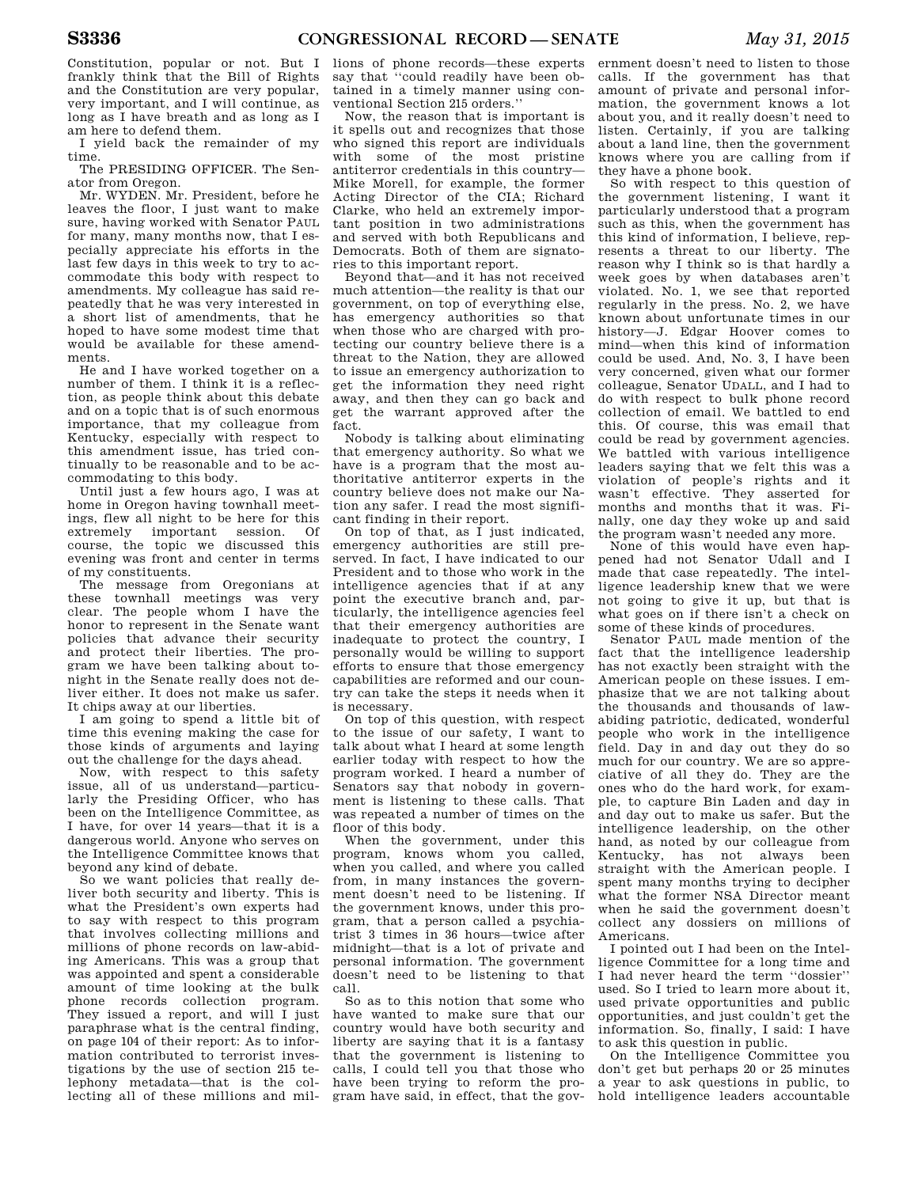Constitution, popular or not. But I frankly think that the Bill of Rights and the Constitution are very popular, very important, and I will continue, as long as I have breath and as long as I am here to defend them.

I yield back the remainder of my time.

The PRESIDING OFFICER. The Senator from Oregon.

Mr. WYDEN. Mr. President, before he leaves the floor, I just want to make sure, having worked with Senator PAUL for many, many months now, that I especially appreciate his efforts in the last few days in this week to try to accommodate this body with respect to amendments. My colleague has said repeatedly that he was very interested in a short list of amendments, that he hoped to have some modest time that would be available for these amendments.

He and I have worked together on a number of them. I think it is a reflection, as people think about this debate and on a topic that is of such enormous importance, that my colleague from Kentucky, especially with respect to this amendment issue, has tried continually to be reasonable and to be accommodating to this body.

Until just a few hours ago, I was at home in Oregon having townhall meetings, flew all night to be here for this extremely important session. Of course, the topic we discussed this evening was front and center in terms of my constituents.

The message from Oregonians at these townhall meetings was very clear. The people whom I have the honor to represent in the Senate want policies that advance their security and protect their liberties. The program we have been talking about tonight in the Senate really does not deliver either. It does not make us safer. It chips away at our liberties.

I am going to spend a little bit of time this evening making the case for those kinds of arguments and laying out the challenge for the days ahead.

Now, with respect to this safety issue, all of us understand—particularly the Presiding Officer, who has been on the Intelligence Committee, as I have, for over 14 years—that it is a dangerous world. Anyone who serves on the Intelligence Committee knows that beyond any kind of debate.

So we want policies that really deliver both security and liberty. This is what the President's own experts had to say with respect to this program that involves collecting millions and millions of phone records on law-abiding Americans. This was a group that was appointed and spent a considerable amount of time looking at the bulk phone records collection program. They issued a report, and will I just paraphrase what is the central finding, on page 104 of their report: As to information contributed to terrorist investigations by the use of section 215 telephony metadata—that is the collecting all of these millions and mil-

lions of phone records—these experts say that ''could readily have been obtained in a timely manner using conventional Section 215 orders.''

Now, the reason that is important is it spells out and recognizes that those who signed this report are individuals with some of the most pristine antiterror credentials in this country— Mike Morell, for example, the former Acting Director of the CIA; Richard Clarke, who held an extremely important position in two administrations and served with both Republicans and Democrats. Both of them are signatories to this important report.

Beyond that—and it has not received much attention—the reality is that our government, on top of everything else, has emergency authorities so that when those who are charged with protecting our country believe there is a threat to the Nation, they are allowed to issue an emergency authorization to get the information they need right away, and then they can go back and get the warrant approved after the fact.

Nobody is talking about eliminating that emergency authority. So what we have is a program that the most authoritative antiterror experts in the country believe does not make our Nation any safer. I read the most significant finding in their report.

On top of that, as I just indicated, emergency authorities are still preserved. In fact, I have indicated to our President and to those who work in the intelligence agencies that if at any point the executive branch and, particularly, the intelligence agencies feel that their emergency authorities are inadequate to protect the country, I personally would be willing to support efforts to ensure that those emergency capabilities are reformed and our country can take the steps it needs when it is necessary.

On top of this question, with respect to the issue of our safety, I want to talk about what I heard at some length earlier today with respect to how the program worked. I heard a number of Senators say that nobody in government is listening to these calls. That was repeated a number of times on the floor of this body.

When the government, under this program, knows whom you called, when you called, and where you called from, in many instances the government doesn't need to be listening. If the government knows, under this program, that a person called a psychiatrist 3 times in 36 hours—twice after midnight—that is a lot of private and personal information. The government doesn't need to be listening to that call.

So as to this notion that some who have wanted to make sure that our country would have both security and liberty are saying that it is a fantasy that the government is listening to calls, I could tell you that those who have been trying to reform the program have said, in effect, that the gov-

ernment doesn't need to listen to those calls. If the government has that amount of private and personal information, the government knows a lot about you, and it really doesn't need to listen. Certainly, if you are talking about a land line, then the government knows where you are calling from if they have a phone book.

So with respect to this question of the government listening, I want it particularly understood that a program such as this, when the government has this kind of information, I believe, represents a threat to our liberty. The reason why I think so is that hardly a week goes by when databases aren't violated. No. 1, we see that reported regularly in the press. No. 2, we have known about unfortunate times in our history—J. Edgar Hoover comes to mind—when this kind of information could be used. And, No. 3, I have been very concerned, given what our former colleague, Senator UDALL, and I had to do with respect to bulk phone record collection of email. We battled to end this. Of course, this was email that could be read by government agencies. We battled with various intelligence leaders saying that we felt this was a violation of people's rights and it wasn't effective. They asserted for months and months that it was. Finally, one day they woke up and said the program wasn't needed any more.

None of this would have even happened had not Senator Udall and I made that case repeatedly. The intelligence leadership knew that we were not going to give it up, but that is what goes on if there isn't a check on some of these kinds of procedures.

Senator PAUL made mention of the fact that the intelligence leadership has not exactly been straight with the American people on these issues. I emphasize that we are not talking about the thousands and thousands of lawabiding patriotic, dedicated, wonderful people who work in the intelligence field. Day in and day out they do so much for our country. We are so appreciative of all they do. They are the ones who do the hard work, for example, to capture Bin Laden and day in and day out to make us safer. But the intelligence leadership, on the other hand, as noted by our colleague from Kentucky, has not always been straight with the American people. I spent many months trying to decipher what the former NSA Director meant when he said the government doesn't collect any dossiers on millions of Americans.

I pointed out I had been on the Intelligence Committee for a long time and I had never heard the term ''dossier'' used. So I tried to learn more about it, used private opportunities and public opportunities, and just couldn't get the information. So, finally, I said: I have to ask this question in public.

On the Intelligence Committee you don't get but perhaps 20 or 25 minutes a year to ask questions in public, to hold intelligence leaders accountable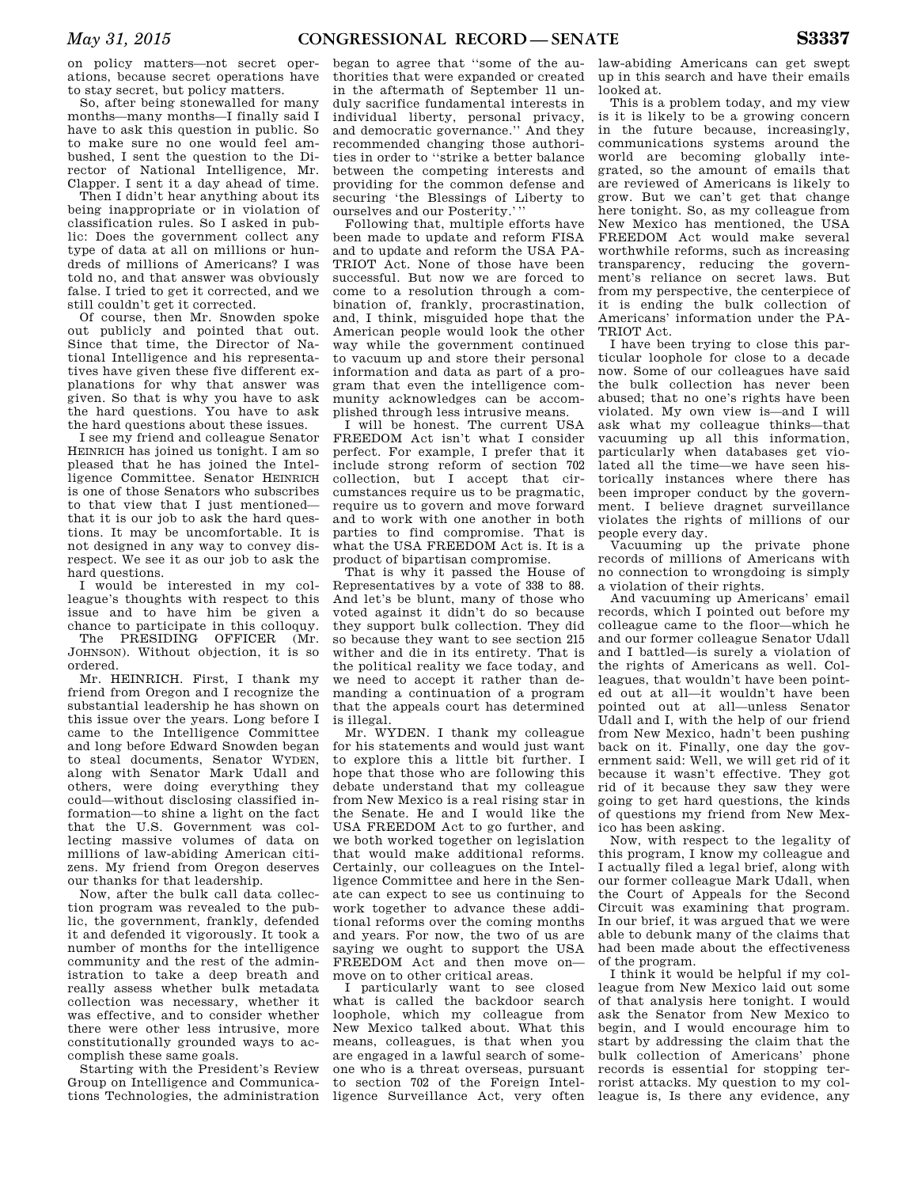on policy matters—not secret operations, because secret operations have to stay secret, but policy matters.

So, after being stonewalled for many months—many months—I finally said I have to ask this question in public. So to make sure no one would feel ambushed, I sent the question to the Director of National Intelligence, Mr. Clapper. I sent it a day ahead of time.

Then I didn't hear anything about its being inappropriate or in violation of classification rules. So I asked in public: Does the government collect any type of data at all on millions or hundreds of millions of Americans? I was told no, and that answer was obviously false. I tried to get it corrected, and we still couldn't get it corrected.

Of course, then Mr. Snowden spoke out publicly and pointed that out. Since that time, the Director of National Intelligence and his representatives have given these five different explanations for why that answer was given. So that is why you have to ask the hard questions. You have to ask the hard questions about these issues.

I see my friend and colleague Senator HEINRICH has joined us tonight. I am so pleased that he has joined the Intelligence Committee. Senator HEINRICH is one of those Senators who subscribes to that view that I just mentioned that it is our job to ask the hard questions. It may be uncomfortable. It is not designed in any way to convey disrespect. We see it as our job to ask the hard questions.

I would be interested in my colleague's thoughts with respect to this issue and to have him be given a chance to participate in this colloquy.

The PRESIDING OFFICER (Mr. JOHNSON). Without objection, it is so ordered.

Mr. HEINRICH. First, I thank my friend from Oregon and I recognize the substantial leadership he has shown on this issue over the years. Long before I came to the Intelligence Committee and long before Edward Snowden began to steal documents, Senator WYDEN, along with Senator Mark Udall and others, were doing everything they could—without disclosing classified information—to shine a light on the fact that the U.S. Government was collecting massive volumes of data on millions of law-abiding American citizens. My friend from Oregon deserves our thanks for that leadership.

Now, after the bulk call data collection program was revealed to the public, the government, frankly, defended it and defended it vigorously. It took a number of months for the intelligence community and the rest of the administration to take a deep breath and really assess whether bulk metadata collection was necessary, whether it was effective, and to consider whether there were other less intrusive, more constitutionally grounded ways to accomplish these same goals.

Starting with the President's Review Group on Intelligence and Communications Technologies, the administration

began to agree that ''some of the authorities that were expanded or created in the aftermath of September 11 unduly sacrifice fundamental interests in individual liberty, personal privacy, and democratic governance.'' And they recommended changing those authorities in order to ''strike a better balance between the competing interests and providing for the common defense and securing 'the Blessings of Liberty to ourselves and our Posterity.'''

Following that, multiple efforts have been made to update and reform FISA and to update and reform the USA PA-TRIOT Act. None of those have been successful. But now we are forced to come to a resolution through a combination of, frankly, procrastination, and, I think, misguided hope that the American people would look the other way while the government continued to vacuum up and store their personal information and data as part of a program that even the intelligence community acknowledges can be accomplished through less intrusive means.

I will be honest. The current USA FREEDOM Act isn't what I consider perfect. For example, I prefer that it include strong reform of section 702 collection, but I accept that circumstances require us to be pragmatic, require us to govern and move forward and to work with one another in both parties to find compromise. That is what the USA FREEDOM Act is. It is a product of bipartisan compromise.

That is why it passed the House of Representatives by a vote of 338 to 88. And let's be blunt, many of those who voted against it didn't do so because they support bulk collection. They did so because they want to see section 215 wither and die in its entirety. That is the political reality we face today, and we need to accept it rather than demanding a continuation of a program that the appeals court has determined is illegal.

Mr. WYDEN. I thank my colleague for his statements and would just want to explore this a little bit further. I hope that those who are following this debate understand that my colleague from New Mexico is a real rising star in the Senate. He and I would like the USA FREEDOM Act to go further, and we both worked together on legislation that would make additional reforms. Certainly, our colleagues on the Intelligence Committee and here in the Senate can expect to see us continuing to work together to advance these additional reforms over the coming months and years. For now, the two of us are saying we ought to support the USA FREEDOM Act and then move on move on to other critical areas.

I particularly want to see closed what is called the backdoor search loophole, which my colleague from New Mexico talked about. What this means, colleagues, is that when you are engaged in a lawful search of someone who is a threat overseas, pursuant to section 702 of the Foreign Intelligence Surveillance Act, very often

law-abiding Americans can get swept up in this search and have their emails looked at.

This is a problem today, and my view is it is likely to be a growing concern in the future because, increasingly, communications systems around the world are becoming globally integrated, so the amount of emails that are reviewed of Americans is likely to grow. But we can't get that change here tonight. So, as my colleague from New Mexico has mentioned, the USA FREEDOM Act would make several worthwhile reforms, such as increasing transparency, reducing the government's reliance on secret laws. But from my perspective, the centerpiece of it is ending the bulk collection of Americans' information under the PA-TRIOT Act.

I have been trying to close this particular loophole for close to a decade now. Some of our colleagues have said the bulk collection has never been abused; that no one's rights have been violated. My own view is—and I will ask what my colleague thinks—that vacuuming up all this information, particularly when databases get violated all the time—we have seen historically instances where there has been improper conduct by the government. I believe dragnet surveillance violates the rights of millions of our people every day.

Vacuuming up the private phone records of millions of Americans with no connection to wrongdoing is simply a violation of their rights.

And vacuuming up Americans' email records, which I pointed out before my colleague came to the floor—which he and our former colleague Senator Udall and I battled—is surely a violation of the rights of Americans as well. Colleagues, that wouldn't have been pointed out at all—it wouldn't have been pointed out at all—unless Senator Udall and I, with the help of our friend from New Mexico, hadn't been pushing back on it. Finally, one day the government said: Well, we will get rid of it because it wasn't effective. They got rid of it because they saw they were going to get hard questions, the kinds of questions my friend from New Mexico has been asking.

Now, with respect to the legality of this program, I know my colleague and I actually filed a legal brief, along with our former colleague Mark Udall, when the Court of Appeals for the Second Circuit was examining that program. In our brief, it was argued that we were able to debunk many of the claims that had been made about the effectiveness of the program.

I think it would be helpful if my colleague from New Mexico laid out some of that analysis here tonight. I would ask the Senator from New Mexico to begin, and I would encourage him to start by addressing the claim that the bulk collection of Americans' phone records is essential for stopping terrorist attacks. My question to my colleague is, Is there any evidence, any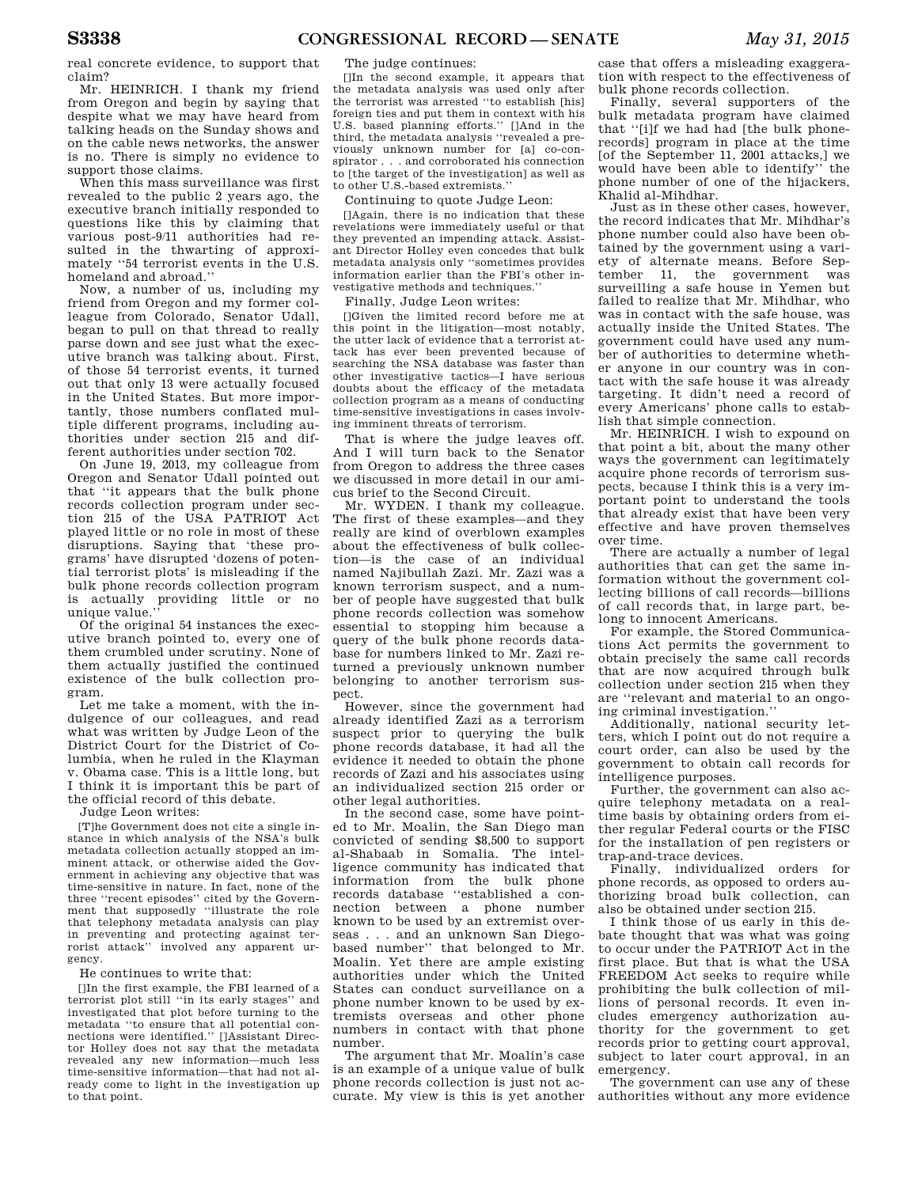real concrete evidence, to support that claim?

Mr. HEINRICH. I thank my friend from Oregon and begin by saying that despite what we may have heard from talking heads on the Sunday shows and on the cable news networks, the answer is no. There is simply no evidence to support those claims.

When this mass surveillance was first revealed to the public 2 years ago, the executive branch initially responded to questions like this by claiming that various post-9/11 authorities had resulted in the thwarting of approximately ''54 terrorist events in the U.S. homeland and abroad.''

Now, a number of us, including my friend from Oregon and my former colleague from Colorado, Senator Udall, began to pull on that thread to really parse down and see just what the executive branch was talking about. First, of those 54 terrorist events, it turned out that only 13 were actually focused in the United States. But more importantly, those numbers conflated multiple different programs, including authorities under section 215 and different authorities under section 702.

On June 19, 2013, my colleague from Oregon and Senator Udall pointed out that ''it appears that the bulk phone records collection program under section 215 of the USA PATRIOT Act played little or no role in most of these disruptions. Saying that 'these programs' have disrupted 'dozens of potential terrorist plots' is misleading if the bulk phone records collection program is actually providing little or no unique value.''

Of the original 54 instances the executive branch pointed to, every one of them crumbled under scrutiny. None of them actually justified the continued existence of the bulk collection program.

Let me take a moment, with the indulgence of our colleagues, and read what was written by Judge Leon of the District Court for the District of Columbia, when he ruled in the Klayman v. Obama case. This is a little long, but I think it is important this be part of the official record of this debate.

Judge Leon writes:

[T]he Government does not cite a single instance in which analysis of the NSA's bulk metadata collection actually stopped an imminent attack, or otherwise aided the Government in achieving any objective that was time-sensitive in nature. In fact, none of the three ''recent episodes'' cited by the Government that supposedly ''illustrate the role that telephony metadata analysis can play in preventing and protecting against terrorist attack'' involved any apparent urgency.

He continues to write that:

[]In the first example, the FBI learned of a terrorist plot still ''in its early stages'' and investigated that plot before turning to the metadata ''to ensure that all potential connections were identified.'' []Assistant Director Holley does not say that the metadata revealed any new information—much less time-sensitive information—that had not already come to light in the investigation up to that point.

The judge continues:

[]In the second example, it appears that the metadata analysis was used only after the terrorist was arrested ''to establish [his] foreign ties and put them in context with his U.S. based planning efforts.'' []And in the third, the metadata analysis ''revealed a previously unknown number for [a] co-conspirator . . . and corroborated his connection to [the target of the investigation] as well as to other U.S.-based extremists.''

Continuing to quote Judge Leon:

[]Again, there is no indication that these revelations were immediately useful or that they prevented an impending attack. Assistant Director Holley even concedes that bulk metadata analysis only ''sometimes provides information earlier than the FBI's other investigative methods and techniques.''

Finally, Judge Leon writes:

[]Given the limited record before me at this point in the litigation—most notably, the utter lack of evidence that a terrorist attack has ever been prevented because of searching the NSA database was faster than other investigative tactics—I have serious doubts about the efficacy of the metadata collection program as a means of conducting time-sensitive investigations in cases involving imminent threats of terrorism.

That is where the judge leaves off. And I will turn back to the Senator from Oregon to address the three cases we discussed in more detail in our amicus brief to the Second Circuit.

Mr. WYDEN. I thank my colleague. The first of these examples—and they really are kind of overblown examples about the effectiveness of bulk collection—is the case of an individual named Najibullah Zazi. Mr. Zazi was a known terrorism suspect, and a number of people have suggested that bulk phone records collection was somehow essential to stopping him because a query of the bulk phone records database for numbers linked to Mr. Zazi returned a previously unknown number belonging to another terrorism suspect.

However, since the government had already identified Zazi as a terrorism suspect prior to querying the bulk phone records database, it had all the evidence it needed to obtain the phone records of Zazi and his associates using an individualized section 215 order or other legal authorities.

In the second case, some have pointed to Mr. Moalin, the San Diego man convicted of sending \$8,500 to support al-Shabaab in Somalia. The intelligence community has indicated that information from the bulk phone records database ''established a connection between a phone number known to be used by an extremist overseas . . . and an unknown San Diegobased number'' that belonged to Mr. Moalin. Yet there are ample existing authorities under which the United States can conduct surveillance on a phone number known to be used by extremists overseas and other phone numbers in contact with that phone number.

The argument that Mr. Moalin's case is an example of a unique value of bulk phone records collection is just not accurate. My view is this is yet another

case that offers a misleading exaggeration with respect to the effectiveness of bulk phone records collection.

Finally, several supporters of the bulk metadata program have claimed that ''[i]f we had had [the bulk phonerecords] program in place at the time [of the September 11, 2001 attacks,] we would have been able to identify'' the phone number of one of the hijackers, Khalid al-Mihdhar.

Just as in these other cases, however, the record indicates that Mr. Mihdhar's phone number could also have been obtained by the government using a variety of alternate means. Before September 11, the government was surveilling a safe house in Yemen but failed to realize that Mr. Mihdhar, who was in contact with the safe house, was actually inside the United States. The government could have used any number of authorities to determine whether anyone in our country was in contact with the safe house it was already targeting. It didn't need a record of every Americans' phone calls to establish that simple connection.

Mr. HEINRICH. I wish to expound on that point a bit, about the many other ways the government can legitimately acquire phone records of terrorism suspects, because I think this is a very important point to understand the tools that already exist that have been very effective and have proven themselves over time.

There are actually a number of legal authorities that can get the same information without the government collecting billions of call records—billions of call records that, in large part, belong to innocent Americans.

For example, the Stored Communications Act permits the government to obtain precisely the same call records that are now acquired through bulk collection under section 215 when they are ''relevant and material to an ongoing criminal investigation.''

Additionally, national security letters, which I point out do not require a court order, can also be used by the government to obtain call records for intelligence purposes.

Further, the government can also acquire telephony metadata on a realtime basis by obtaining orders from either regular Federal courts or the FISC for the installation of pen registers or trap-and-trace devices.

Finally, individualized orders for phone records, as opposed to orders authorizing broad bulk collection, can also be obtained under section 215.

I think those of us early in this debate thought that was what was going to occur under the PATRIOT Act in the first place. But that is what the USA FREEDOM Act seeks to require while prohibiting the bulk collection of millions of personal records. It even includes emergency authorization authority for the government to get records prior to getting court approval, subject to later court approval, in an emergency.

The government can use any of these authorities without any more evidence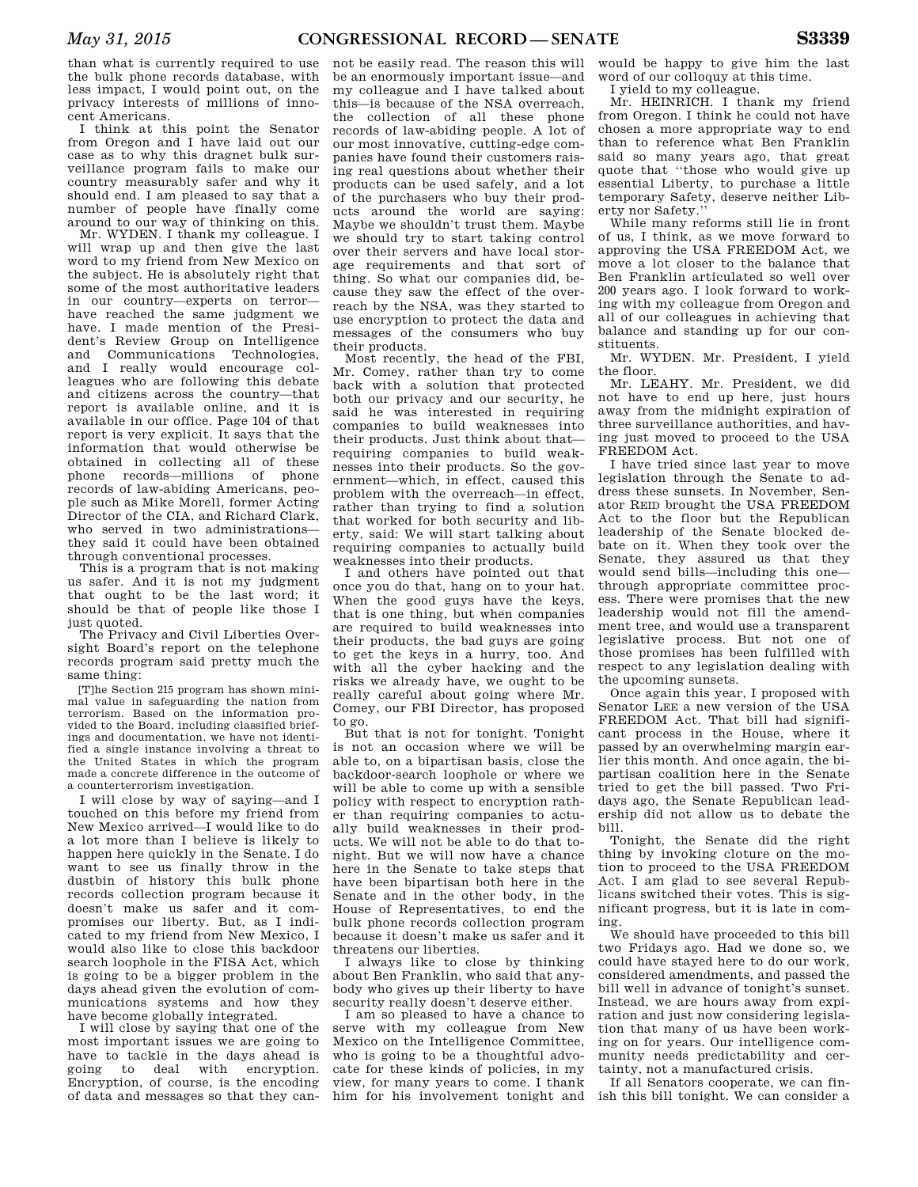than what is currently required to use the bulk phone records database, with less impact, I would point out, on the privacy interests of millions of innocent Americans.

I think at this point the Senator from Oregon and I have laid out our case as to why this dragnet bulk surveillance program fails to make our country measurably safer and why it should end. I am pleased to say that a number of people have finally come around to our way of thinking on this.

Mr. WYDEN. I thank my colleague. I will wrap up and then give the last word to my friend from New Mexico on the subject. He is absolutely right that some of the most authoritative leaders in our country—experts on terror have reached the same judgment we have. I made mention of the President's Review Group on Intelligence and Communications Technologies, and I really would encourage colleagues who are following this debate and citizens across the country—that report is available online, and it is available in our office. Page 104 of that report is very explicit. It says that the information that would otherwise be obtained in collecting all of these phone records—millions of phone records of law-abiding Americans, people such as Mike Morell, former Acting Director of the CIA, and Richard Clark, who served in two administrations they said it could have been obtained through conventional processes.

This is a program that is not making us safer. And it is not my judgment that ought to be the last word; it should be that of people like those I just quoted.

The Privacy and Civil Liberties Oversight Board's report on the telephone records program said pretty much the same thing:

[T]he Section 215 program has shown minimal value in safeguarding the nation from terrorism. Based on the information provided to the Board, including classified briefings and documentation, we have not identified a single instance involving a threat to the United States in which the program made a concrete difference in the outcome of a counterterrorism investigation.

I will close by way of saying—and I touched on this before my friend from New Mexico arrived—I would like to do a lot more than I believe is likely to happen here quickly in the Senate. I do want to see us finally throw in the dustbin of history this bulk phone records collection program because it doesn't make us safer and it compromises our liberty. But, as I indicated to my friend from New Mexico, I would also like to close this backdoor search loophole in the FISA Act, which is going to be a bigger problem in the days ahead given the evolution of communications systems and how they have become globally integrated.

I will close by saying that one of the most important issues we are going to have to tackle in the days ahead is going to deal with encryption. Encryption, of course, is the encoding of data and messages so that they can-

not be easily read. The reason this will be an enormously important issue—and my colleague and I have talked about this—is because of the NSA overreach, the collection of all these phone records of law-abiding people. A lot of our most innovative, cutting-edge companies have found their customers raising real questions about whether their products can be used safely, and a lot of the purchasers who buy their products around the world are saying: Maybe we shouldn't trust them. Maybe we should try to start taking control over their servers and have local storage requirements and that sort of thing. So what our companies did, because they saw the effect of the overreach by the NSA, was they started to use encryption to protect the data and messages of the consumers who buy their products.

Most recently, the head of the FBI, Mr. Comey, rather than try to come back with a solution that protected both our privacy and our security, he said he was interested in requiring companies to build weaknesses into their products. Just think about that requiring companies to build weaknesses into their products. So the government—which, in effect, caused this problem with the overreach—in effect, rather than trying to find a solution that worked for both security and liberty, said: We will start talking about requiring companies to actually build weaknesses into their products.

I and others have pointed out that once you do that, hang on to your hat. When the good guys have the keys, that is one thing, but when companies are required to build weaknesses into their products, the bad guys are going to get the keys in a hurry, too. And with all the cyber hacking and the risks we already have, we ought to be really careful about going where Mr. Comey, our FBI Director, has proposed to go.

But that is not for tonight. Tonight is not an occasion where we will be able to, on a bipartisan basis, close the backdoor-search loophole or where we will be able to come up with a sensible policy with respect to encryption rather than requiring companies to actually build weaknesses in their products. We will not be able to do that tonight. But we will now have a chance here in the Senate to take steps that have been bipartisan both here in the Senate and in the other body, in the House of Representatives, to end the bulk phone records collection program because it doesn't make us safer and it threatens our liberties.

I always like to close by thinking about Ben Franklin, who said that anybody who gives up their liberty to have security really doesn't deserve either.

I am so pleased to have a chance to serve with my colleague from New Mexico on the Intelligence Committee, who is going to be a thoughtful advocate for these kinds of policies, in my view, for many years to come. I thank him for his involvement tonight and

would be happy to give him the last word of our colloquy at this time.

I yield to my colleague.

Mr. HEINRICH. I thank my friend from Oregon. I think he could not have chosen a more appropriate way to end than to reference what Ben Franklin said so many years ago, that great quote that ''those who would give up essential Liberty, to purchase a little temporary Safety, deserve neither Liberty nor Safety.''

While many reforms still lie in front of us, I think, as we move forward to approving the USA FREEDOM Act, we move a lot closer to the balance that Ben Franklin articulated so well over 200 years ago. I look forward to working with my colleague from Oregon and all of our colleagues in achieving that balance and standing up for our constituents.

Mr. WYDEN. Mr. President, I yield the floor.

Mr. LEAHY. Mr. President, we did not have to end up here, just hours away from the midnight expiration of three surveillance authorities, and having just moved to proceed to the USA FREEDOM Act.

I have tried since last year to move legislation through the Senate to address these sunsets. In November, Senator REID brought the USA FREEDOM Act to the floor but the Republican leadership of the Senate blocked debate on it. When they took over the Senate, they assured us that they would send bills—including this one through appropriate committee process. There were promises that the new leadership would not fill the amendment tree, and would use a transparent legislative process. But not one of those promises has been fulfilled with respect to any legislation dealing with the upcoming sunsets.

Once again this year, I proposed with Senator LEE a new version of the USA FREEDOM Act. That bill had significant process in the House, where it passed by an overwhelming margin earlier this month. And once again, the bipartisan coalition here in the Senate tried to get the bill passed. Two Fridays ago, the Senate Republican leadership did not allow us to debate the bill.

Tonight, the Senate did the right thing by invoking cloture on the motion to proceed to the USA FREEDOM Act. I am glad to see several Republicans switched their votes. This is significant progress, but it is late in coming.

We should have proceeded to this bill two Fridays ago. Had we done so, we could have stayed here to do our work, considered amendments, and passed the bill well in advance of tonight's sunset. Instead, we are hours away from expiration and just now considering legislation that many of us have been working on for years. Our intelligence community needs predictability and certainty, not a manufactured crisis.

If all Senators cooperate, we can finish this bill tonight. We can consider a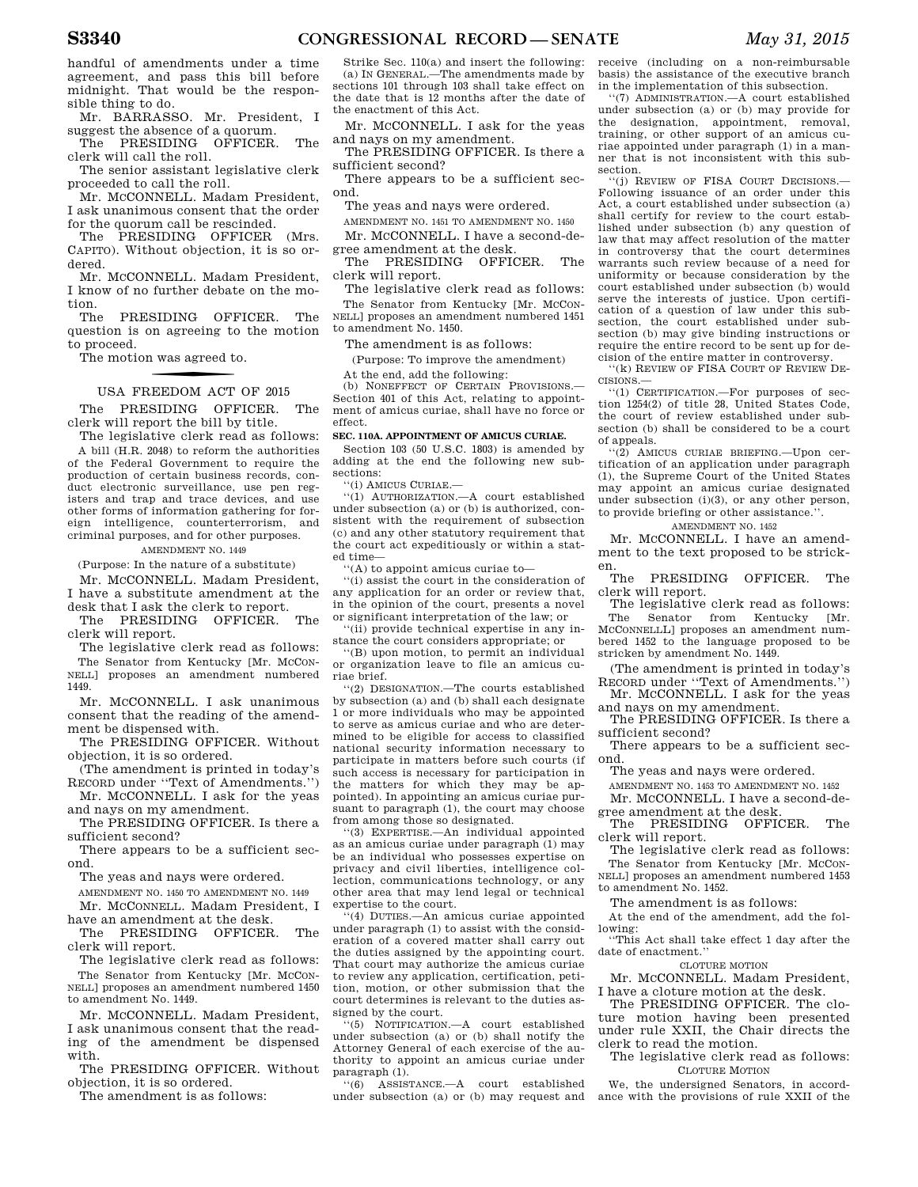handful of amendments under a time agreement, and pass this bill before midnight. That would be the responsible thing to do.

Mr. BARRASSO. Mr. President, I suggest the absence of a quorum.<br>The PRESIDING OFFICER.

The PRESIDING OFFICER. The clerk will call the roll.

The senior assistant legislative clerk proceeded to call the roll.

Mr. MCCONNELL. Madam President, I ask unanimous consent that the order for the quorum call be rescinded.

The PRESIDING OFFICER (Mrs. CAPITO). Without objection, it is so ordered.

Mr. MCCONNELL. Madam President, I know of no further debate on the motion.<br>The

PRESIDING OFFICER. The question is on agreeing to the motion to proceed.

The motion was agreed to.

## USA FREEDOM ACT OF 2015

The PRESIDING OFFICER. The clerk will report the bill by title.

The legislative clerk read as follows: A bill (H.R. 2048) to reform the authorities of the Federal Government to require the production of certain business records, conduct electronic surveillance, use pen registers and trap and trace devices, and use other forms of information gathering for foreign intelligence, counterterrorism, and criminal purposes, and for other purposes.

#### AMENDMENT NO. 1449

(Purpose: In the nature of a substitute)

Mr. MCCONNELL. Madam President, I have a substitute amendment at the

desk that I ask the clerk to report. The PRESIDING OFFICER. The

clerk will report.

The legislative clerk read as follows: The Senator from Kentucky [Mr. MCCON-NELL] proposes an amendment numbered 1449.

Mr. MCCONNELL. I ask unanimous consent that the reading of the amendment be dispensed with.

The PRESIDING OFFICER. Without objection, it is so ordered.

(The amendment is printed in today's RECORD under ''Text of Amendments.'')

Mr. MCCONNELL. I ask for the yeas and nays on my amendment.

The PRESIDING OFFICER. Is there a sufficient second?

There appears to be a sufficient second.

The yeas and nays were ordered.

AMENDMENT NO. 1450 TO AMENDMENT NO. 1449

Mr. MCCONNELL. Madam President, I have an amendment at the desk.

The PRESIDING OFFICER. The clerk will report.

The legislative clerk read as follows: The Senator from Kentucky [Mr. MCCON-NELL] proposes an amendment numbered 1450 to amendment No. 1449.

Mr. MCCONNELL. Madam President, I ask unanimous consent that the reading of the amendment be dispensed with.

The PRESIDING OFFICER. Without objection, it is so ordered.

The amendment is as follows:

Strike Sec. 110(a) and insert the following: (a) IN GENERAL.—The amendments made by sections 101 through 103 shall take effect on the date that is 12 months after the date of the enactment of this Act.

Mr. MCCONNELL. I ask for the yeas and nays on my amendment.

The PRESIDING OFFICER. Is there a sufficient second?

There appears to be a sufficient second.

The yeas and nays were ordered.

AMENDMENT NO. 1451 TO AMENDMENT NO. 1450

Mr. MCCONNELL. I have a second-degree amendment at the desk.

The PRESIDING OFFICER. The clerk will report.

The legislative clerk read as follows: The Senator from Kentucky [Mr. McCoN-NELL] proposes an amendment numbered 1451 to amendment No. 1450.

The amendment is as follows:

(Purpose: To improve the amendment)

At the end, add the following:

(b) NONEFFECT OF CERTAIN PROVISIONS.— Section 401 of this Act, relating to appointment of amicus curiae, shall have no force or effect.

#### **SEC. 110A. APPOINTMENT OF AMICUS CURIAE.**

Section 103 (50 U.S.C. 1803) is amended by adding at the end the following new subsections:

''(i) AMICUS CURIAE.—

''(1) AUTHORIZATION.—A court established under subsection (a) or (b) is authorized, consistent with the requirement of subsection (c) and any other statutory requirement that the court act expeditiously or within a stated time—

''(A) to appoint amicus curiae to—

''(i) assist the court in the consideration of any application for an order or review that, in the opinion of the court, presents a novel or significant interpretation of the law; or

''(ii) provide technical expertise in any instance the court considers appropriate; or

''(B) upon motion, to permit an individual or organization leave to file an amicus curiae brief.

''(2) DESIGNATION.—The courts established by subsection (a) and (b) shall each designate 1 or more individuals who may be appointed to serve as amicus curiae and who are determined to be eligible for access to classified national security information necessary to participate in matters before such courts (if such access is necessary for participation in the matters for which they may be appointed). In appointing an amicus curiae pursuant to paragraph (1), the court may choose from among those so designated.

''(3) EXPERTISE.—An individual appointed as an amicus curiae under paragraph (1) may be an individual who possesses expertise on privacy and civil liberties, intelligence collection, communications technology, or any other area that may lend legal or technical expertise to the court.

''(4) DUTIES.—An amicus curiae appointed under paragraph (1) to assist with the consideration of a covered matter shall carry out the duties assigned by the appointing court. That court may authorize the amicus curiae to review any application, certification, petition, motion, or other submission that the court determines is relevant to the duties assigned by the court.

''(5) NOTIFICATION.—A court established under subsection (a) or (b) shall notify the Attorney General of each exercise of the authority to appoint an amicus curiae under paragraph (1).

''(6) ASSISTANCE.—A court established under subsection (a) or (b) may request and receive (including on a non-reimbursable basis) the assistance of the executive branch in the implementation of this subsection.

''(7) ADMINISTRATION.—A court established under subsection (a) or (b) may provide for the designation, appointment, removal, training, or other support of an amicus curiae appointed under paragraph (1) in a manner that is not inconsistent with this subsection.

''(j) REVIEW OF FISA COURT DECISIONS.— Following issuance of an order under this Act, a court established under subsection (a) shall certify for review to the court established under subsection (b) any question of law that may affect resolution of the matter in controversy that the court determines warrants such review because of a need for uniformity or because consideration by the court established under subsection (b) would serve the interests of justice. Upon certification of a question of law under this subsection, the court established under subsection (b) may give binding instructions or require the entire record to be sent up for decision of the entire matter in controversy.

(k) REVIEW OF FISA COURT OF REVIEW DE-CISIONS.—

''(1) CERTIFICATION.—For purposes of section 1254(2) of title 28, United States Code, the court of review established under subsection (b) shall be considered to be a court of appeals.

''(2) AMICUS CURIAE BRIEFING.—Upon certification of an application under paragraph (1), the Supreme Court of the United States may appoint an amicus curiae designated under subsection (i)(3), or any other person. to provide briefing or other assistance.''.

#### AMENDMENT NO. 1452

Mr. MCCONNELL. I have an amendment to the text proposed to be strick-

en. PRESIDING OFFICER. The clerk will report.

The legislative clerk read as follows: The Senator from Kentucky [Mr. MCCONNELLL] proposes an amendment num-

bered 1452 to the language proposed to be stricken by amendment No. 1449.

(The amendment is printed in today's RECORD under ''Text of Amendments.'') Mr. MCCONNELL. I ask for the yeas

and nays on my amendment.

The PRESIDING OFFICER. Is there a sufficient second?

There appears to be a sufficient second.

The yeas and nays were ordered.

AMENDMENT NO. 1453 TO AMENDMENT NO. 1452 Mr. MCCONNELL. I have a second-de-

gree amendment at the desk. The PRESIDING OFFICER. The

clerk will report.

The legislative clerk read as follows: The Senator from Kentucky [Mr. MCCON-NELL] proposes an amendment numbered 1453 to amendment No. 1452.

The amendment is as follows:

At the end of the amendment, add the fol-

lowing: ''This Act shall take effect 1 day after the date of enactment.''

CLOTURE MOTION

Mr. MCCONNELL. Madam President, I have a cloture motion at the desk.

The PRESIDING OFFICER. The cloture motion having been presented under rule XXII, the Chair directs the clerk to read the motion.

The legislative clerk read as follows: CLOTURE MOTION

We, the undersigned Senators, in accordance with the provisions of rule XXII of the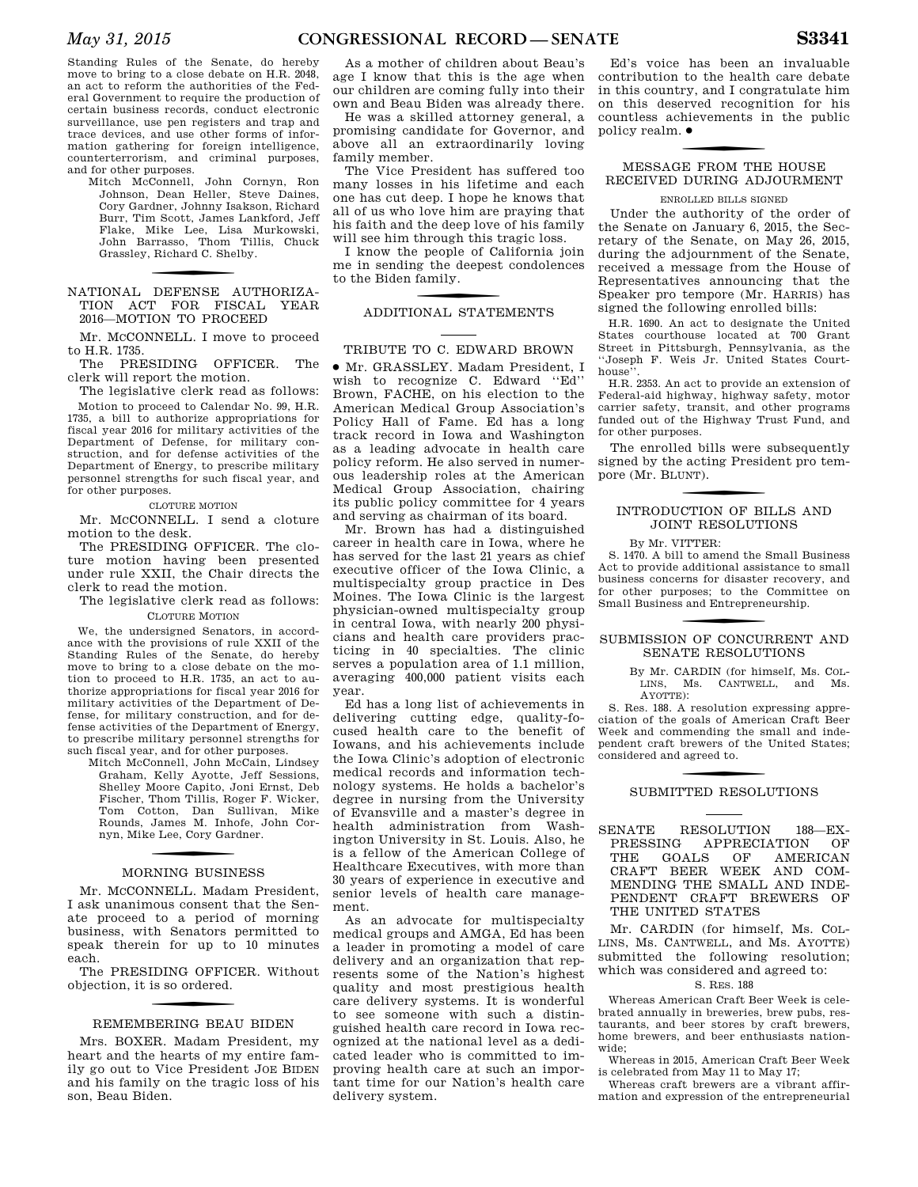Standing Rules of the Senate, do hereby move to bring to a close debate on H.R. 2048, an act to reform the authorities of the Federal Government to require the production of certain business records, conduct electronic surveillance, use pen registers and trap and trace devices, and use other forms of information gathering for foreign intelligence, counterterrorism, and criminal purposes, and for other purposes.

Mitch McConnell, John Cornyn, Ron Johnson, Dean Heller, Steve Daines, Cory Gardner, Johnny Isakson, Richard Burr, Tim Scott, James Lankford, Jeff Flake, Mike Lee, Lisa Murkowski, John Barrasso, Thom Tillis, Chuck Grassley, Richard C. Shelby.

f NATIONAL DEFENSE AUTHORIZA-TION ACT FOR FISCAL YEAR 2016—MOTION TO PROCEED

Mr. MCCONNELL. I move to proceed to H.R. 1735.

The PRESIDING OFFICER. The clerk will report the motion.

The legislative clerk read as follows:

Motion to proceed to Calendar No. 99, H.R. 1735, a bill to authorize appropriations for fiscal year 2016 for military activities of the Department of Defense, for military construction, and for defense activities of the Department of Energy, to prescribe military personnel strengths for such fiscal year, and for other purposes.

CLOTURE MOTION

Mr. MCCONNELL. I send a cloture motion to the desk.

The PRESIDING OFFICER. The cloture motion having been presented under rule XXII, the Chair directs the clerk to read the motion.

The legislative clerk read as follows: CLOTURE MOTION

We, the undersigned Senators, in accordance with the provisions of rule XXII of the Standing Rules of the Senate, do hereby move to bring to a close debate on the motion to proceed to H.R. 1735, an act to authorize appropriations for fiscal year 2016 for military activities of the Department of Defense, for military construction, and for defense activities of the Department of Energy, to prescribe military personnel strengths for such fiscal year, and for other purposes.

Mitch McConnell, John McCain, Lindsey Graham, Kelly Ayotte, Jeff Sessions, Shelley Moore Capito, Joni Ernst, Deb Fischer, Thom Tillis, Roger F. Wicker, Tom Cotton, Dan Sullivan, Mike Rounds, James M. Inhofe, John Cornyn, Mike Lee, Cory Gardner.

## f MORNING BUSINESS

Mr. MCCONNELL. Madam President, I ask unanimous consent that the Senate proceed to a period of morning business, with Senators permitted to speak therein for up to 10 minutes each.

The PRESIDING OFFICER. Without objection, it is so ordered.

#### REMEMBERING BEAU BIDEN

Mrs. BOXER. Madam President, my heart and the hearts of my entire family go out to Vice President JOE BIDEN and his family on the tragic loss of his son, Beau Biden.

As a mother of children about Beau's age I know that this is the age when our children are coming fully into their own and Beau Biden was already there.

He was a skilled attorney general, a promising candidate for Governor, and above all an extraordinarily loving family member.

The Vice President has suffered too many losses in his lifetime and each one has cut deep. I hope he knows that all of us who love him are praying that his faith and the deep love of his family will see him through this tragic loss.

I know the people of California join me in sending the deepest condolences to the Biden family.

## f ADDITIONAL STATEMENTS

#### TRIBUTE TO C. EDWARD BROWN

∑ Mr. GRASSLEY. Madam President, I wish to recognize C. Edward ''Ed'' Brown, FACHE, on his election to the American Medical Group Association's Policy Hall of Fame. Ed has a long track record in Iowa and Washington as a leading advocate in health care policy reform. He also served in numerous leadership roles at the American Medical Group Association, chairing its public policy committee for 4 years and serving as chairman of its board.

Mr. Brown has had a distinguished career in health care in Iowa, where he has served for the last 21 years as chief executive officer of the Iowa Clinic, a multispecialty group practice in Des Moines. The Iowa Clinic is the largest physician-owned multispecialty group in central Iowa, with nearly 200 physicians and health care providers practicing in 40 specialties. The clinic serves a population area of 1.1 million, averaging 400,000 patient visits each year.

Ed has a long list of achievements in delivering cutting edge, quality-focused health care to the benefit of Iowans, and his achievements include the Iowa Clinic's adoption of electronic medical records and information technology systems. He holds a bachelor's degree in nursing from the University of Evansville and a master's degree in health administration from Washington University in St. Louis. Also, he is a fellow of the American College of Healthcare Executives, with more than 30 years of experience in executive and senior levels of health care management.

As an advocate for multispecialty medical groups and AMGA, Ed has been a leader in promoting a model of care delivery and an organization that represents some of the Nation's highest quality and most prestigious health care delivery systems. It is wonderful to see someone with such a distinguished health care record in Iowa recognized at the national level as a dedicated leader who is committed to improving health care at such an important time for our Nation's health care delivery system.

Ed's voice has been an invaluable contribution to the health care debate in this country, and I congratulate him on this deserved recognition for his countless achievements in the public policy realm. ●

## f MESSAGE FROM THE HOUSE RECEIVED DURING ADJOURMENT

#### ENROLLED BILLS SIGNED

Under the authority of the order of the Senate on January 6, 2015, the Secretary of the Senate, on May 26, 2015, during the adjournment of the Senate, received a message from the House of Representatives announcing that the Speaker pro tempore (Mr. HARRIS) has signed the following enrolled bills:

H.R. 1690. An act to designate the United States courthouse located at 700 Grant Street in Pittsburgh, Pennsylvania, as the ''Joseph F. Weis Jr. United States Courthouse''.

H.R. 2353. An act to provide an extension of Federal-aid highway, highway safety, motor carrier safety, transit, and other programs funded out of the Highway Trust Fund, and for other purposes.

The enrolled bills were subsequently signed by the acting President pro tempore (Mr. BLUNT ).

## f INTRODUCTION OF BILLS AND JOINT RESOLUTIONS

#### By Mr. VITTER:

S. 1470. A bill to amend the Small Business Act to provide additional assistance to small business concerns for disaster recovery, and for other purposes; to the Committee on Small Business and Entrepreneurship.

## SUBMISSION OF CONCURRENT AND SENATE RESOLUTIONS

By Mr. CARDIN (for himself, Ms. COL-LINS, Ms. CANTWELL, and Ms. AYOTTE):

S. Res. 188. A resolution expressing appreciation of the goals of American Craft Beer Week and commending the small and independent craft brewers of the United States; considered and agreed to.

## SUBMITTED RESOLUTIONS

SENATE RESOLUTION 188—EX-PRESSING APPRECIATION OF THE GOALS OF AMERICAN CRAFT BEER WEEK AND COM-MENDING THE SMALL AND INDE-PENDENT CRAFT BREWERS OF THE UNITED STATES

Mr. CARDIN (for himself, Ms. COL-LINS, Ms. CANTWELL, and Ms. AYOTTE) submitted the following resolution; which was considered and agreed to:

#### S. RES. 188

Whereas American Craft Beer Week is celebrated annually in breweries, brew pubs, restaurants, and beer stores by craft brewers, home brewers, and beer enthusiasts nationwide;

Whereas in 2015, American Craft Beer Week is celebrated from May 11 to May 17;

Whereas craft brewers are a vibrant affirmation and expression of the entrepreneurial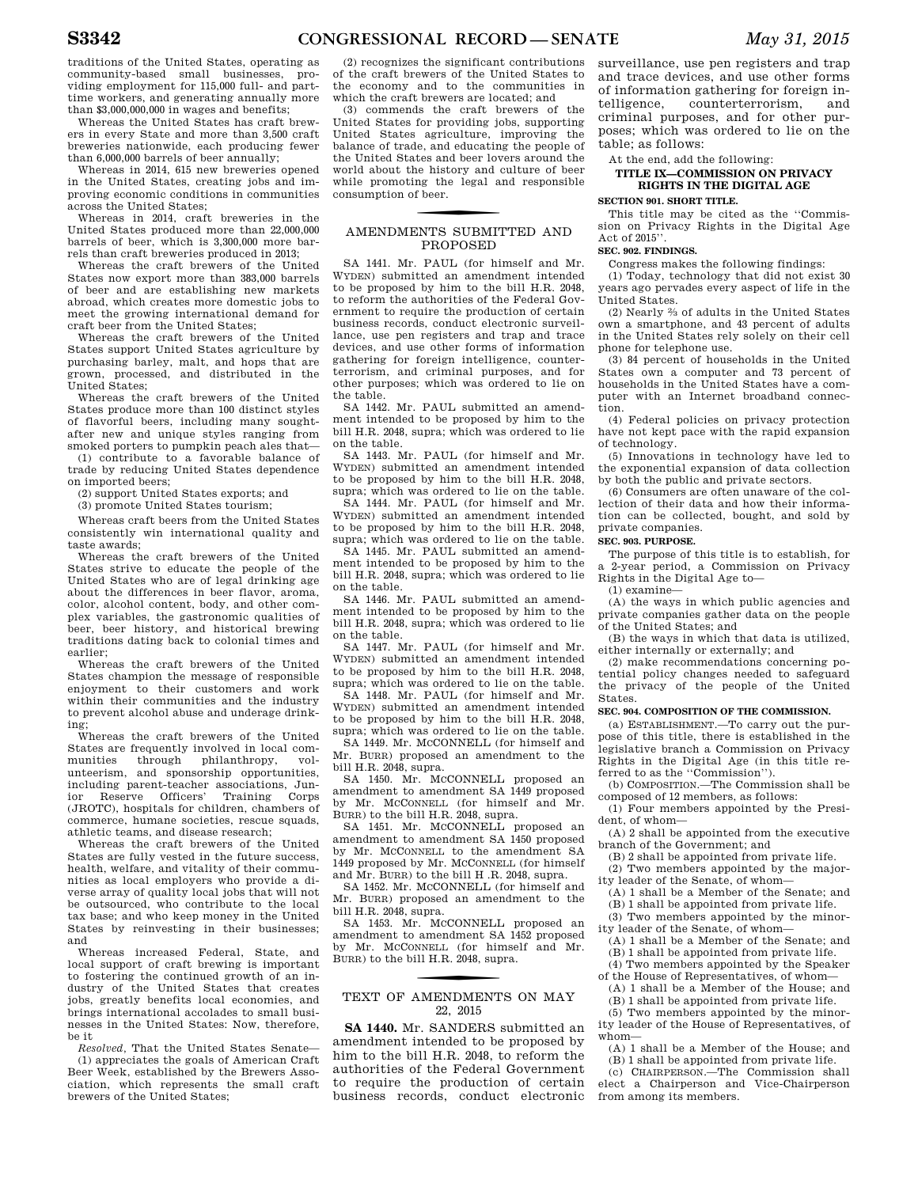traditions of the United States, operating as community-based small businesses, providing employment for 115,000 full- and parttime workers, and generating annually more than \$3,000,000,000 in wages and benefits;

Whereas the United States has craft brewers in every State and more than 3,500 craft breweries nationwide, each producing fewer than 6,000,000 barrels of beer annually;

Whereas in 2014, 615 new breweries opened in the United States, creating jobs and improving economic conditions in communities across the United States;

Whereas in 2014, craft breweries in the United States produced more than 22,000,000 barrels of beer, which is 3,300,000 more barrels than craft breweries produced in 2013;

Whereas the craft brewers of the United States now export more than 383,000 barrels of beer and are establishing new markets abroad, which creates more domestic jobs to meet the growing international demand for craft beer from the United States;

Whereas the craft brewers of the United States support United States agriculture by purchasing barley, malt, and hops that are grown, processed, and distributed in the United States;

Whereas the craft brewers of the United States produce more than 100 distinct styles of flavorful beers, including many soughtafter new and unique styles ranging from smoked porters to pumpkin peach ales that—

(1) contribute to a favorable balance of trade by reducing United States dependence on imported beers;

(2) support United States exports; and

(3) promote United States tourism;

Whereas craft beers from the United States consistently win international quality and taste awards;

Whereas the craft brewers of the United States strive to educate the people of the United States who are of legal drinking age about the differences in beer flavor, aroma, color, alcohol content, body, and other complex variables, the gastronomic qualities of beer, beer history, and historical brewing traditions dating back to colonial times and earlier;

Whereas the craft brewers of the United States champion the message of responsible enjoyment to their customers and work within their communities and the industry to prevent alcohol abuse and underage drinking;

Whereas the craft brewers of the United States are frequently involved in local com-<br>munities through philanthropy, volmunities through philanthropy, volunteerism, and sponsorship opportunities, including parent-teacher associations, Junior Reserve Officers' Training (JROTC), hospitals for children, chambers of commerce, humane societies, rescue squads, athletic teams, and disease research;

Whereas the craft brewers of the United States are fully vested in the future success, health, welfare, and vitality of their communities as local employers who provide a diverse array of quality local jobs that will not be outsourced, who contribute to the local tax base; and who keep money in the United States by reinvesting in their businesses; and

Whereas increased Federal, State, and local support of craft brewing is important to fostering the continued growth of an industry of the United States that creates jobs, greatly benefits local economies, and brings international accolades to small businesses in the United States: Now, therefore, be it

*Resolved,* That the United States Senate— (1) appreciates the goals of American Craft Beer Week, established by the Brewers Association, which represents the small craft brewers of the United States;

(2) recognizes the significant contributions of the craft brewers of the United States to the economy and to the communities in which the craft brewers are located; and

(3) commends the craft brewers of the United States for providing jobs, supporting United States agriculture, improving the balance of trade, and educating the people of the United States and beer lovers around the world about the history and culture of beer while promoting the legal and responsible consumption of beer.

## f AMENDMENTS SUBMITTED AND PROPOSED

SA 1441. Mr. PAUL (for himself and Mr. WYDEN) submitted an amendment intended to be proposed by him to the bill H.R. 2048, to reform the authorities of the Federal Government to require the production of certain business records, conduct electronic surveillance, use pen registers and trap and trace devices, and use other forms of information gathering for foreign intelligence, counterterrorism, and criminal purposes, and for other purposes; which was ordered to lie on the table.

SA 1442. Mr. PAUL submitted an amendment intended to be proposed by him to the bill H.R. 2048, supra; which was ordered to lie on the table.

SA 1443. Mr. PAUL (for himself and Mr. WYDEN) submitted an amendment intended to be proposed by him to the bill H.R. 2048, supra; which was ordered to lie on the table.

SA 1444. Mr. PAUL (for himself and Mr. WYDEN) submitted an amendment intended to be proposed by him to the bill H.R. 2048, supra; which was ordered to lie on the table.

SA 1445. Mr. PAUL submitted an amendment intended to be proposed by him to the bill H.R. 2048, supra; which was ordered to lie on the table.

SA 1446. Mr. PAUL submitted an amendment intended to be proposed by him to the bill H.R. 2048, supra; which was ordered to lie on the table.

SA 1447. Mr. PAUL (for himself and Mr. WYDEN) submitted an amendment intended to be proposed by him to the bill H.R. 2048, supra; which was ordered to lie on the table.

SA 1448. Mr. PAUL (for himself and Mr. WYDEN) submitted an amendment intended to be proposed by him to the bill H.R. 2048, supra; which was ordered to lie on the table.

SA 1449. Mr. MCCONNELL (for himself and Mr. BURR) proposed an amendment to the bill H.R. 2048, supra.

SA 1450. Mr. MCCONNELL proposed an amendment to amendment SA 1449 proposed by Mr. MCCONNELL (for himself and Mr. BURR) to the bill H.R. 2048, supra.

SA 1451. Mr. MCCONNELL proposed an amendment to amendment SA 1450 proposed by Mr. MCCONNELL to the amendment SA 1449 proposed by Mr. MCCONNELL (for himself and Mr. BURR) to the bill H .R. 2048, supra.

SA 1452. Mr. MCCONNELL (for himself and Mr. BURR) proposed an amendment to the bill H.R. 2048, supra.

SA 1453. Mr. MCCONNELL proposed an amendment to amendment SA 1452 proposed by Mr. MCCONNELL (for himself and Mr. BURR) to the bill H.R. 2048, supra.

## TEXT OF AMENDMENTS ON MAY 22, 2015

**SA 1440.** Mr. SANDERS submitted an amendment intended to be proposed by him to the bill H.R. 2048, to reform the authorities of the Federal Government to require the production of certain business records, conduct electronic

surveillance, use pen registers and trap and trace devices, and use other forms of information gathering for foreign intelligence, counterterrorism, and criminal purposes, and for other purposes; which was ordered to lie on the table; as follows:

At the end, add the following:

#### **TITLE IX—COMMISSION ON PRIVACY RIGHTS IN THE DIGITAL AGE**

#### **SECTION 901. SHORT TITLE.**

This title may be cited as the ''Commission on Privacy Rights in the Digital Age Act of 2015''.

#### **SEC. 902. FINDINGS.**

Congress makes the following findings:

(1) Today, technology that did not exist 30 years ago pervades every aspect of life in the United States.

(2) Nearly 2⁄3 of adults in the United States own a smartphone, and 43 percent of adults in the United States rely solely on their cell phone for telephone use.

(3) 84 percent of households in the United States own a computer and 73 percent of households in the United States have a computer with an Internet broadband connection.

(4) Federal policies on privacy protection have not kept pace with the rapid expansion of technology.

(5) Innovations in technology have led to the exponential expansion of data collection by both the public and private sectors.

(6) Consumers are often unaware of the collection of their data and how their information can be collected, bought, and sold by private companies.

#### **SEC. 903. PURPOSE.**

The purpose of this title is to establish, for a 2-year period, a Commission on Privacy Rights in the Digital Age to—

(1) examine—

(A) the ways in which public agencies and private companies gather data on the people of the United States; and

(B) the ways in which that data is utilized, either internally or externally; and

(2) make recommendations concerning potential policy changes needed to safeguard the privacy of the people of the United States.

#### **SEC. 904. COMPOSITION OF THE COMMISSION.**

(a) ESTABLISHMENT.—To carry out the purpose of this title, there is established in the legislative branch a Commission on Privacy Rights in the Digital Age (in this title referred to as the ''Commission'').

(b) COMPOSITION.—The Commission shall be composed of 12 members, as follows:

(1) Four members appointed by the President, of whom—

(A) 2 shall be appointed from the executive branch of the Government; and

(B) 2 shall be appointed from private life.

(2) Two members appointed by the majority leader of the Senate, of whom—

- (A) 1 shall be a Member of the Senate; and
- (B) 1 shall be appointed from private life.

(3) Two members appointed by the minority leader of the Senate, of whom—

(A) 1 shall be a Member of the Senate; and (B) 1 shall be appointed from private life.

(4) Two members appointed by the Speaker of the House of Representatives, of whom—

(A) 1 shall be a Member of the House; and (B) 1 shall be appointed from private life.

(5) Two members appointed by the minority leader of the House of Representatives, of whom—

(A) 1 shall be a Member of the House; and (B) 1 shall be appointed from private life.

(c) CHAIRPERSON.—The Commission shall elect a Chairperson and Vice-Chairperson from among its members.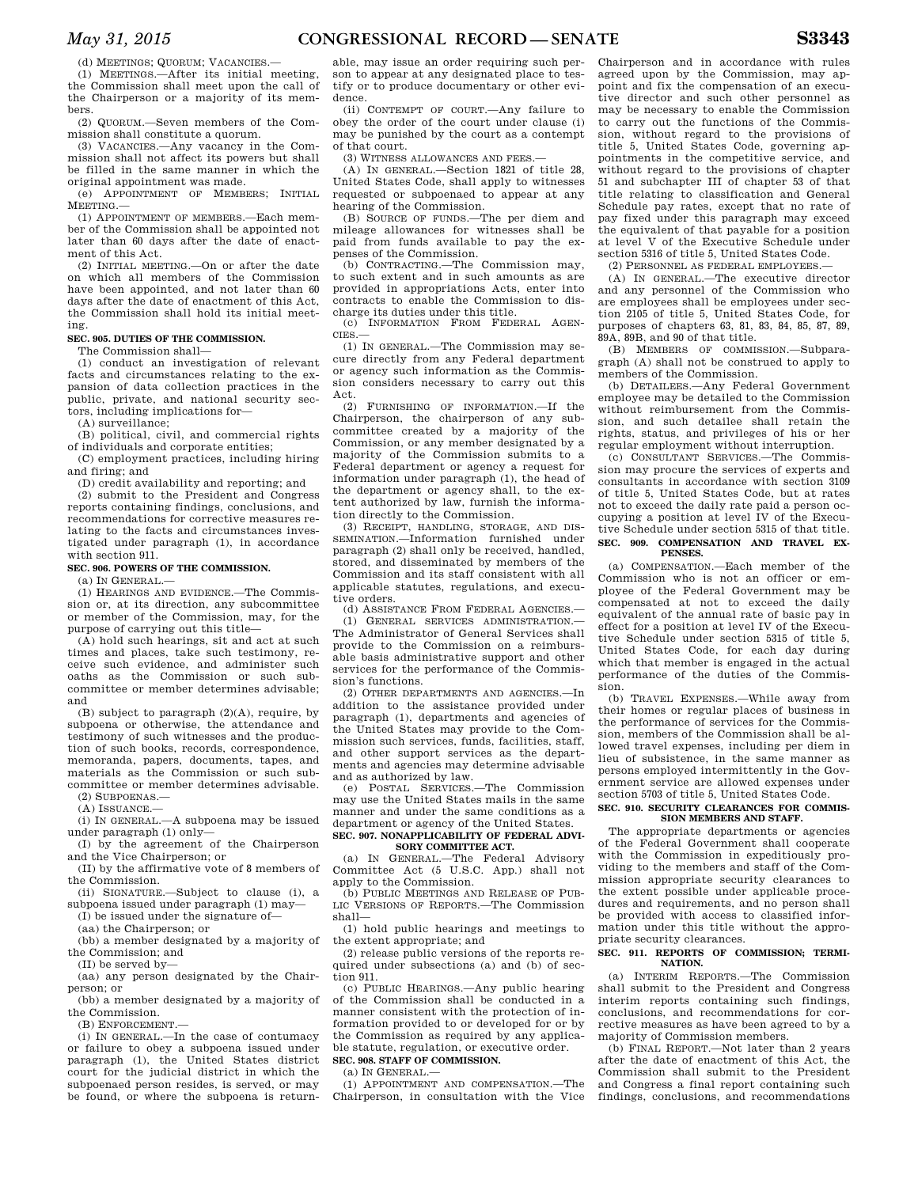(d) MEETINGS; QUORUM; VACANCIES.—

(1) MEETINGS.—After its initial meeting, the Commission shall meet upon the call of the Chairperson or a majority of its members.

(2) QUORUM.—Seven members of the Commission shall constitute a quorum.

(3) VACANCIES.—Any vacancy in the Commission shall not affect its powers but shall be filled in the same manner in which the original appointment was made.

(e) APPOINTMENT OF MEMBERS; INITIAL MEETING.—

(1) APPOINTMENT OF MEMBERS.—Each member of the Commission shall be appointed not later than 60 days after the date of enactment of this Act.

(2) INITIAL MEETING.—On or after the date on which all members of the Commission have been appointed, and not later than 60 days after the date of enactment of this Act, the Commission shall hold its initial meeting.

#### **SEC. 905. DUTIES OF THE COMMISSION.**

The Commission shall—

(1) conduct an investigation of relevant facts and circumstances relating to the expansion of data collection practices in the public, private, and national security sectors, including implications for—

(A) surveillance;

(B) political, civil, and commercial rights of individuals and corporate entities;

(C) employment practices, including hiring and firing; and

(D) credit availability and reporting; and

(2) submit to the President and Congress reports containing findings, conclusions, and recommendations for corrective measures relating to the facts and circumstances investigated under paragraph (1), in accordance with section 911.

#### **SEC. 906. POWERS OF THE COMMISSION.**

(a) IN GENERAL.

(1) HEARINGS AND EVIDENCE.—The Commission or, at its direction, any subcommittee or member of the Commission, may, for the purpose of carrying out this title—

(A) hold such hearings, sit and act at such times and places, take such testimony, receive such evidence, and administer such oaths as the Commission or such subcommittee or member determines advisable; and

(B) subject to paragraph  $(2)(A)$ , require, by subpoena or otherwise, the attendance and testimony of such witnesses and the production of such books, records, correspondence, memoranda, papers, documents, tapes, and materials as the Commission or such subcommittee or member determines advisable.  $(2)$  SUBPOENAS -

(A) ISSUANCE.—

(i) IN GENERAL.—A subpoena may be issued under paragraph (1) only—

(I) by the agreement of the Chairperson and the Vice Chairperson; or

(II) by the affirmative vote of 8 members of the Commission.

(ii) SIGNATURE.—Subject to clause (i), a subpoena issued under paragraph (1) may—

(I) be issued under the signature of—

(aa) the Chairperson; or

(bb) a member designated by a majority of the Commission; and

(II) be served by—

(aa) any person designated by the Chairperson; or

(bb) a member designated by a majority of the Commission.

(B) ENFORCEMENT.

(i) IN GENERAL.—In the case of contumacy or failure to obey a subpoena issued under paragraph (1), the United States district court for the judicial district in which the subpoenaed person resides, is served, or may be found, or where the subpoena is returnable, may issue an order requiring such person to appear at any designated place to testify or to produce documentary or other evidence.

(ii) CONTEMPT OF COURT.—Any failure to obey the order of the court under clause (i) may be punished by the court as a contempt of that court.

(3) WITNESS ALLOWANCES AND FEES.—

(A) IN GENERAL.—Section 1821 of title 28, United States Code, shall apply to witnesses requested or subpoenaed to appear at any hearing of the Commission.

(B) SOURCE OF FUNDS.—The per diem and mileage allowances for witnesses shall be paid from funds available to pay the expenses of the Commission.

(b) CONTRACTING.—The Commission may, to such extent and in such amounts as are provided in appropriations Acts, enter into contracts to enable the Commission to discharge its duties under this title.

(c) INFORMATION FROM FEDERAL AGEN-CIES.—

(1) IN GENERAL.—The Commission may secure directly from any Federal department or agency such information as the Commission considers necessary to carry out this Act.

(2) FURNISHING OF INFORMATION.—If the Chairperson, the chairperson of any subcommittee created by a majority of the Commission, or any member designated by a majority of the Commission submits to a Federal department or agency a request for information under paragraph (1), the head of the department or agency shall, to the extent authorized by law, furnish the information directly to the Commission.

(3) RECEIPT, HANDLING, STORAGE, AND DIS-SEMINATION.—Information furnished under paragraph (2) shall only be received, handled, stored, and disseminated by members of the Commission and its staff consistent with all applicable statutes, regulations, and executive orders.

(d) ASSISTANCE FROM FEDERAL AGENCIES.—

(1) GENERAL SERVICES ADMINISTRATION.— The Administrator of General Services shall provide to the Commission on a reimbursable basis administrative support and other services for the performance of the Commission's functions.

(2) OTHER DEPARTMENTS AND AGENCIES.—In addition to the assistance provided under paragraph (1), departments and agencies of the United States may provide to the Commission such services, funds, facilities, staff, and other support services as the departments and agencies may determine advisable and as authorized by law.

(e) POSTAL SERVICES.—The Commission may use the United States mails in the same manner and under the same conditions as a department or agency of the United States.

#### **SEC. 907. NONAPPLICABILITY OF FEDERAL ADVI-SORY COMMITTEE ACT.**

(a) IN GENERAL.—The Federal Advisory Committee Act (5 U.S.C. App.) shall not apply to the Commission.

(b) PUBLIC MEETINGS AND RELEASE OF PUB-LIC VERSIONS OF REPORTS.—The Commission shall—

(1) hold public hearings and meetings to the extent appropriate; and

(2) release public versions of the reports required under subsections (a) and (b) of section 911.

(c) PUBLIC HEARINGS.—Any public hearing of the Commission shall be conducted in a manner consistent with the protection of information provided to or developed for or by the Commission as required by any applicable statute, regulation, or executive order. **SEC. 908. STAFF OF COMMISSION.** 

#### (a) IN GENERAL.—

(1) APPOINTMENT AND COMPENSATION.—The Chairperson, in consultation with the Vice Chairperson and in accordance with rules agreed upon by the Commission, may appoint and fix the compensation of an executive director and such other personnel as may be necessary to enable the Commission to carry out the functions of the Commission, without regard to the provisions of title 5, United States Code, governing appointments in the competitive service, and without regard to the provisions of chapter 51 and subchapter III of chapter 53 of that title relating to classification and General Schedule pay rates, except that no rate of pay fixed under this paragraph may exceed the equivalent of that payable for a position at level V of the Executive Schedule under section 5316 of title 5, United States Code.

(2) PERSONNEL AS FEDERAL EMPLOYEES.—

(A) IN GENERAL.—The executive director and any personnel of the Commission who are employees shall be employees under section 2105 of title 5, United States Code, for purposes of chapters 63, 81, 83, 84, 85, 87, 89, 89A, 89B, and 90 of that title.

(B) MEMBERS OF COMMISSION.—Subparagraph (A) shall not be construed to apply to members of the Commission.

(b) DETAILEES.—Any Federal Government employee may be detailed to the Commission without reimbursement from the Commission, and such detailee shall retain the rights, status, and privileges of his or her regular employment without interruption.

(c) CONSULTANT SERVICES.—The Commission may procure the services of experts and consultants in accordance with section 3109 of title 5, United States Code, but at rates not to exceed the daily rate paid a person occupying a position at level IV of the Executive Schedule under section 5315 of that title. **SEC. 909. COMPENSATION AND TRAVEL EX-**

## **PENSES.**

(a) COMPENSATION.—Each member of the Commission who is not an officer or employee of the Federal Government may be compensated at not to exceed the daily equivalent of the annual rate of basic pay in effect for a position at level IV of the Executive Schedule under section 5315 of title 5, United States Code, for each day during which that member is engaged in the actual performance of the duties of the Commission.

(b) TRAVEL EXPENSES.—While away from their homes or regular places of business in the performance of services for the Commission, members of the Commission shall be allowed travel expenses, including per diem in lieu of subsistence, in the same manner as persons employed intermittently in the Government service are allowed expenses under section 5703 of title 5, United States Code.

#### **SEC. 910. SECURITY CLEARANCES FOR COMMIS-SION MEMBERS AND STAFF.**

The appropriate departments or agencies of the Federal Government shall cooperate with the Commission in expeditiously providing to the members and staff of the Commission appropriate security clearances to the extent possible under applicable procedures and requirements, and no person shall be provided with access to classified information under this title without the appropriate security clearances.

#### **SEC. 911. REPORTS OF COMMISSION; TERMI-NATION.**

(a) INTERIM REPORTS.—The Commission shall submit to the President and Congress interim reports containing such findings, conclusions, and recommendations for corrective measures as have been agreed to by a majority of Commission members.

(b) FINAL REPORT.—Not later than 2 years after the date of enactment of this Act, the Commission shall submit to the President and Congress a final report containing such findings, conclusions, and recommendations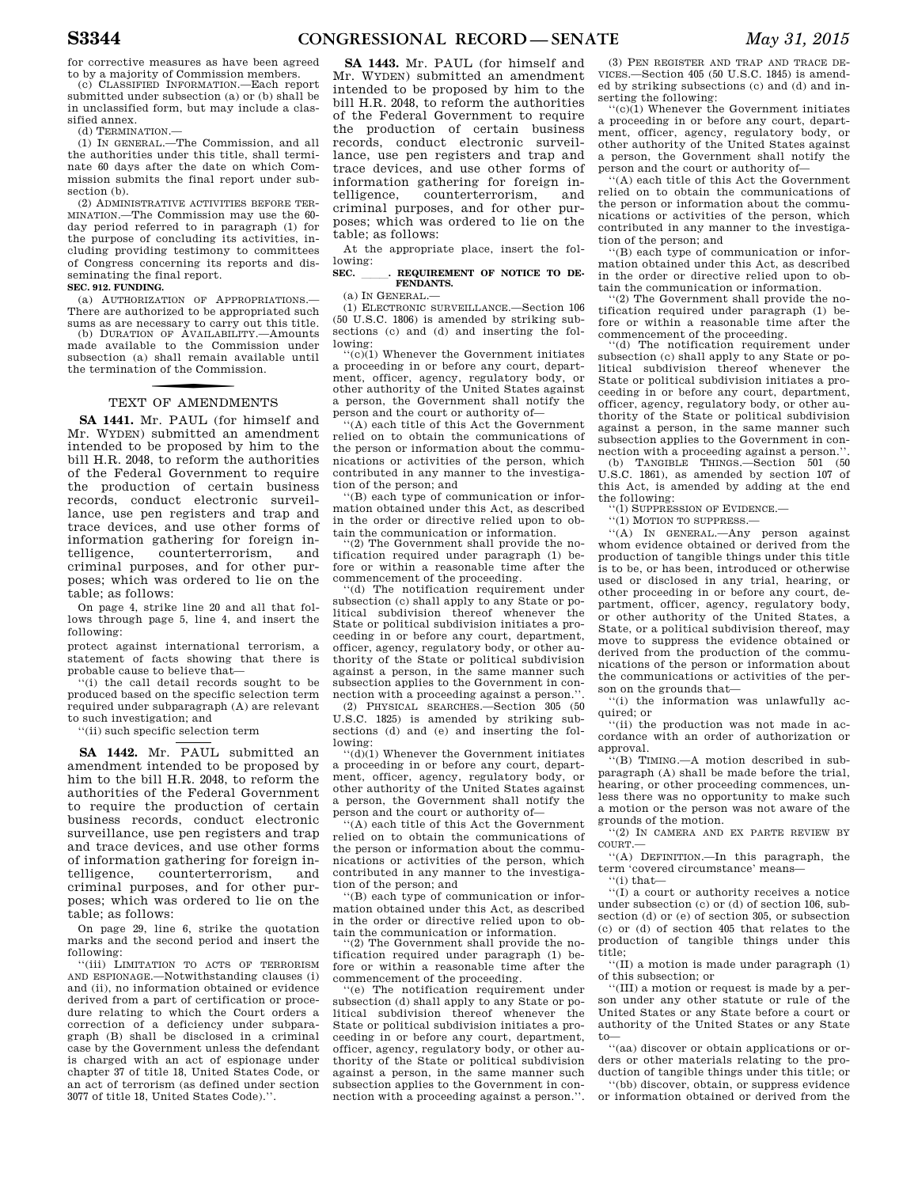for corrective measures as have been agreed to by a majority of Commission members.

(c) CLASSIFIED INFORMATION.—Each report submitted under subsection (a) or (b) shall be in unclassified form, but may include a classified annex.

(d) TERMINATION.—

(1) IN GENERAL.—The Commission, and all the authorities under this title, shall terminate 60 days after the date on which Commission submits the final report under subsection (b).

(2) ADMINISTRATIVE ACTIVITIES BEFORE TER-MINATION.—The Commission may use the 60 day period referred to in paragraph (1) for the purpose of concluding its activities, including providing testimony to committees of Congress concerning its reports and disseminating the final report.

#### **SEC. 912. FUNDING.**

(a) AUTHORIZATION OF APPROPRIATIONS.— There are authorized to be appropriated such sums as are necessary to carry out this title.

(b) DURATION OF AVAILABILITY.—Amounts made available to the Commission under subsection (a) shall remain available until the termination of the Commission.

## TEXT OF AMENDMENTS

**SA 1441.** Mr. PAUL (for himself and Mr. WYDEN) submitted an amendment intended to be proposed by him to the bill H.R. 2048, to reform the authorities of the Federal Government to require the production of certain business records, conduct electronic surveillance, use pen registers and trap and trace devices, and use other forms of information gathering for foreign intelligence, counterterrorism, and criminal purposes, and for other purposes; which was ordered to lie on the table; as follows:

On page 4, strike line 20 and all that follows through page 5, line 4, and insert the following:

protect against international terrorism, a statement of facts showing that there is probable cause to believe that—

''(i) the call detail records sought to be produced based on the specific selection term required under subparagraph (A) are relevant to such investigation; and

''(ii) such specific selection term

**SA 1442.** Mr. PAUL submitted an amendment intended to be proposed by him to the bill H.R. 2048, to reform the authorities of the Federal Government to require the production of certain business records, conduct electronic surveillance, use pen registers and trap and trace devices, and use other forms of information gathering for foreign intelligence, counterterrorism, and criminal purposes, and for other purposes; which was ordered to lie on the table; as follows:

On page 29, line 6, strike the quotation marks and the second period and insert the following:

''(iii) LIMITATION TO ACTS OF TERRORISM AND ESPIONAGE.—Notwithstanding clauses (i) and (ii), no information obtained or evidence derived from a part of certification or procedure relating to which the Court orders a correction of a deficiency under subparagraph (B) shall be disclosed in a criminal case by the Government unless the defendant is charged with an act of espionage under chapter 37 of title 18, United States Code, or an act of terrorism (as defined under section 3077 of title 18, United States Code).''.

**SA 1443.** Mr. PAUL (for himself and Mr. WYDEN) submitted an amendment intended to be proposed by him to the bill H.R. 2048, to reform the authorities of the Federal Government to require the production of certain business records, conduct electronic surveillance, use pen registers and trap and trace devices, and use other forms of information gathering for foreign in-<br>telligence. counterterrorism and telligence, counterterrorism, criminal purposes, and for other purposes; which was ordered to lie on the table; as follows:

At the appropriate place, insert the following:

#### SEC. BEQUIREMENT OF NOTICE TO DE-**FENDANTS.**

 $(a)$  IN GENERAL.

(1) ELECTRONIC SURVEILLANCE.—Section 106 (50 U.S.C. 1806) is amended by striking subsections (c) and (d) and inserting the following:

 $C$ <sup>(c)(1)</sup> Whenever the Government initiates a proceeding in or before any court, department, officer, agency, regulatory body, or other authority of the United States against a person, the Government shall notify the person and the court or authority of—

''(A) each title of this Act the Government relied on to obtain the communications of the person or information about the communications or activities of the person, which contributed in any manner to the investigation of the person; and

''(B) each type of communication or information obtained under this Act, as described in the order or directive relied upon to obtain the communication or information.

''(2) The Government shall provide the notification required under paragraph (1) before or within a reasonable time after the commencement of the proceeding.

'(d) The notification requirement under subsection (c) shall apply to any State or political subdivision thereof whenever the State or political subdivision initiates a proceeding in or before any court, department, officer, agency, regulatory body, or other authority of the State or political subdivision against a person, in the same manner such subsection applies to the Government in connection with a proceeding against a person.'

(2) PHYSICAL SEARCHES.—Section 305 (50 U.S.C. 1825) is amended by striking subsections (d) and (e) and inserting the following:

''(d)(1) Whenever the Government initiates a proceeding in or before any court, department, officer, agency, regulatory body, or other authority of the United States against a person, the Government shall notify the person and the court or authority of—

''(A) each title of this Act the Government relied on to obtain the communications of the person or information about the communications or activities of the person, which contributed in any manner to the investigation of the person; and

''(B) each type of communication or information obtained under this Act, as described in the order or directive relied upon to obtain the communication or information.

''(2) The Government shall provide the notification required under paragraph (1) before or within a reasonable time after the commencement of the proceeding.

'(e) The notification requirement under subsection (d) shall apply to any State or political subdivision thereof whenever the State or political subdivision initiates a proceeding in or before any court, department, officer, agency, regulatory body, or other authority of the State or political subdivision against a person, in the same manner such subsection applies to the Government in connection with a proceeding against a person.''.

(3) PEN REGISTER AND TRAP AND TRACE DE-VICES.—Section 405 (50 U.S.C. 1845) is amended by striking subsections (c) and (d) and inserting the following:

''(c)(1) Whenever the Government initiates a proceeding in or before any court, department, officer, agency, regulatory body, or other authority of the United States against a person, the Government shall notify the person and the court or authority of—

''(A) each title of this Act the Government relied on to obtain the communications of the person or information about the communications or activities of the person, which contributed in any manner to the investigation of the person; and

''(B) each type of communication or information obtained under this Act, as described in the order or directive relied upon to obtain the communication or information.

''(2) The Government shall provide the notification required under paragraph (1) before or within a reasonable time after the commencement of the proceeding.

(d) The notification requirement under subsection (c) shall apply to any State or political subdivision thereof whenever the State or political subdivision initiates a proceeding in or before any court, department, officer, agency, regulatory body, or other authority of the State or political subdivision against a person, in the same manner such subsection applies to the Government in connection with a proceeding against a person.

(b) TANGIBLE THINGS.—Section 501 (50 U.S.C. 1861), as amended by section 107 of this Act, is amended by adding at the end the following:

''(l) SUPPRESSION OF EVIDENCE.—

''(1) MOTION TO SUPPRESS.—

''(A) IN GENERAL.—Any person against whom evidence obtained or derived from the production of tangible things under this title is to be, or has been, introduced or otherwise used or disclosed in any trial, hearing, or other proceeding in or before any court, department, officer, agency, regulatory body, or other authority of the United States, a State, or a political subdivision thereof, may move to suppress the evidence obtained or derived from the production of the communications of the person or information about the communications or activities of the person on the grounds that—

''(i) the information was unlawfully acquired; or

''(ii) the production was not made in accordance with an order of authorization or approval.

''(B) TIMING.—A motion described in subparagraph (A) shall be made before the trial, hearing, or other proceeding commences, unless there was no opportunity to make such a motion or the person was not aware of the grounds of the motion.

''(2) IN CAMERA AND EX PARTE REVIEW BY COURT.—

''(A) DEFINITION.—In this paragraph, the term 'covered circumstance' means—

''(i) that—

''(I) a court or authority receives a notice under subsection (c) or (d) of section 106, subsection (d) or (e) of section 305, or subsection (c) or (d) of section 405 that relates to the production of tangible things under this title;

''(II) a motion is made under paragraph (1) of this subsection; or

''(III) a motion or request is made by a person under any other statute or rule of the United States or any State before a court or authority of the United States or any State to—

''(aa) discover or obtain applications or orders or other materials relating to the production of tangible things under this title; or

''(bb) discover, obtain, or suppress evidence or information obtained or derived from the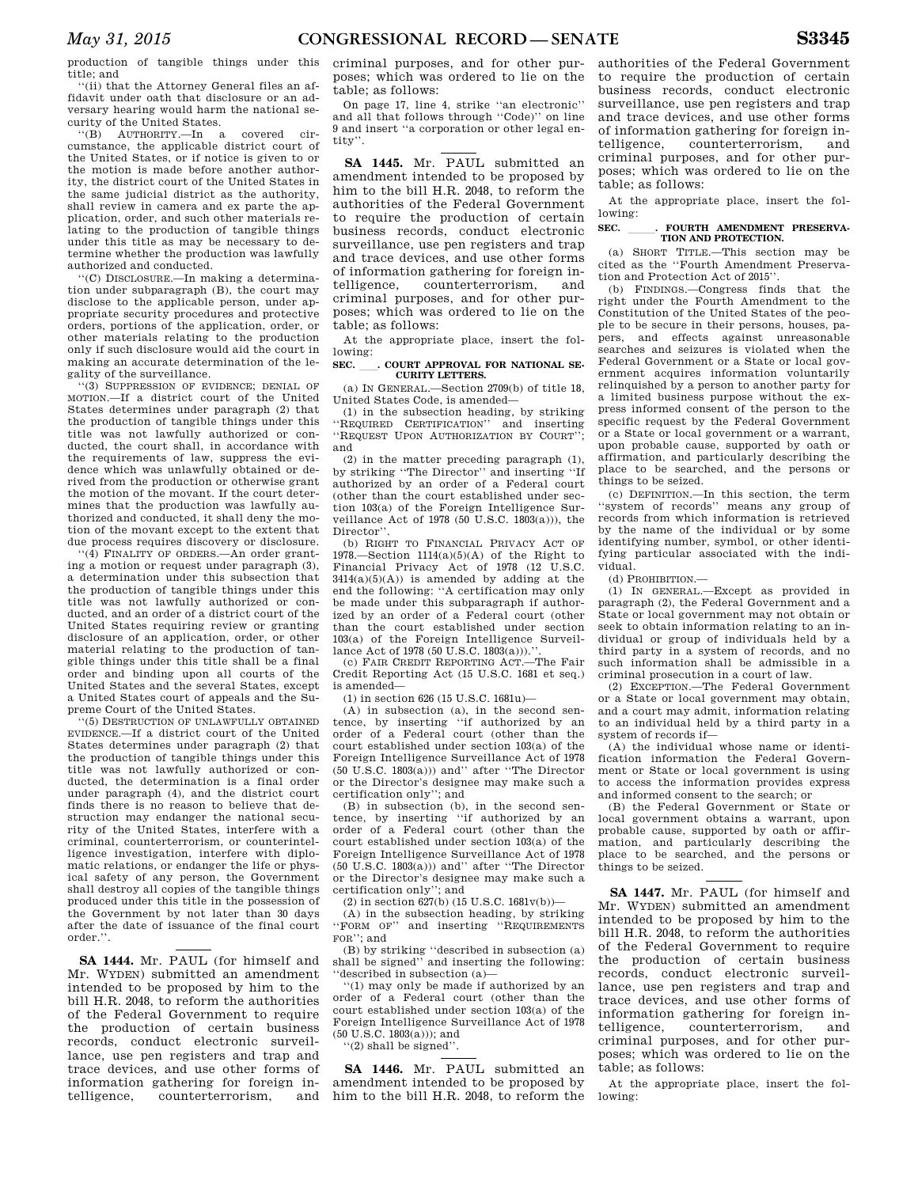production of tangible things under this title; and

''(ii) that the Attorney General files an affidavit under oath that disclosure or an adversary hearing would harm the national security of the United States.

''(B) AUTHORITY.—In a covered circumstance, the applicable district court of the United States, or if notice is given to or the motion is made before another authority, the district court of the United States in the same judicial district as the authority, shall review in camera and ex parte the application, order, and such other materials relating to the production of tangible things under this title as may be necessary to determine whether the production was lawfully authorized and conducted.

''(C) DISCLOSURE.—In making a determination under subparagraph (B), the court may disclose to the applicable person, under appropriate security procedures and protective orders, portions of the application, order, or other materials relating to the production only if such disclosure would aid the court in making an accurate determination of the legality of the surveillance.

''(3) SUPPRESSION OF EVIDENCE; DENIAL OF MOTION.—If a district court of the United States determines under paragraph (2) that the production of tangible things under this title was not lawfully authorized or conducted, the court shall, in accordance with the requirements of law, suppress the evidence which was unlawfully obtained or derived from the production or otherwise grant the motion of the movant. If the court determines that the production was lawfully authorized and conducted, it shall deny the motion of the movant except to the extent that due process requires discovery or disclosure.

''(4) FINALITY OF ORDERS.—An order granting a motion or request under paragraph (3), a determination under this subsection that the production of tangible things under this title was not lawfully authorized or conducted, and an order of a district court of the United States requiring review or granting disclosure of an application, order, or other material relating to the production of tangible things under this title shall be a final order and binding upon all courts of the United States and the several States, except a United States court of appeals and the Supreme Court of the United States.

'(5) DESTRUCTION OF UNLAWFULLY OBTAINED EVIDENCE.—If a district court of the United States determines under paragraph (2) that the production of tangible things under this title was not lawfully authorized or conducted, the determination is a final order under paragraph (4), and the district court finds there is no reason to believe that destruction may endanger the national security of the United States, interfere with a criminal, counterterrorism, or counterintelligence investigation, interfere with diplomatic relations, or endanger the life or physical safety of any person, the Government shall destroy all copies of the tangible things produced under this title in the possession of the Government by not later than 30 days after the date of issuance of the final court order.''.

**SA 1444.** Mr. PAUL (for himself and Mr. WYDEN) submitted an amendment intended to be proposed by him to the bill H.R. 2048, to reform the authorities of the Federal Government to require the production of certain business records, conduct electronic surveillance, use pen registers and trap and trace devices, and use other forms of information gathering for foreign intelligence, counterterrorism, and criminal purposes, and for other purposes; which was ordered to lie on the table; as follows:

On page 17, line 4, strike ''an electronic'' and all that follows through ''Code)'' on line 9 and insert ''a corporation or other legal entity''.

**SA 1445.** Mr. PAUL submitted an amendment intended to be proposed by him to the bill H.R. 2048, to reform the authorities of the Federal Government to require the production of certain business records, conduct electronic surveillance, use pen registers and trap and trace devices, and use other forms of information gathering for foreign intelligence, counterterrorism, and criminal purposes, and for other purposes; which was ordered to lie on the table; as follows:

At the appropriate place, insert the following:

#### SEC. \_\_\_. COURT APPROVAL FOR NATIONAL SE-**CURITY LETTERS.**

(a) IN GENERAL.—Section 2709(b) of title 18, United States Code, is amended—

(1) in the subsection heading, by striking 'REQUIRED CERTIFICATION'' and inserting ''REQUEST UPON AUTHORIZATION BY COURT''; and

(2) in the matter preceding paragraph (1), by striking ''The Director'' and inserting ''If authorized by an order of a Federal court (other than the court established under section 103(a) of the Foreign Intelligence Surveillance Act of 1978 (50 U.S.C. 1803(a))), the Director''.

(b) RIGHT TO FINANCIAL PRIVACY ACT OF 1978.—Section  $1114(a)(5)(A)$  of the Right to Financial Privacy Act of 1978 (12 U.S.C.  $3414(a)(5)(A)$  is amended by adding at the end the following: ''A certification may only be made under this subparagraph if authorized by an order of a Federal court (other than the court established under section 103(a) of the Foreign Intelligence Surveil-

lance Act of 1978 (50 U.S.C. 1803(a))).''. (c) FAIR CREDIT REPORTING ACT.—The Fair Credit Reporting Act (15 U.S.C. 1681 et seq.) is amended—

(1) in section 626 (15 U.S.C. 1681u)—

(A) in subsection (a), in the second sentence, by inserting ''if authorized by an order of a Federal court (other than the court established under section 103(a) of the Foreign Intelligence Surveillance Act of 1978 (50 U.S.C. 1803(a))) and'' after ''The Director or the Director's designee may make such a certification only''; and

(B) in subsection (b), in the second sentence, by inserting ''if authorized by an order of a Federal court (other than the court established under section 103(a) of the Foreign Intelligence Surveillance Act of 1978  $(50 \,$  U.S.C.  $1803(a)))$  and<br>''  $\,$  after ''The Director or the Director's designee may make such a certification only''; and

(2) in section 627(b) (15 U.S.C. 1681v(b))—

(A) in the subsection heading, by striking "FORM OF" and inserting "REQUIREMENTS and inserting "REQUIREMENTS FOR''; and

(B) by striking ''described in subsection (a) shall be signed'' and inserting the following: 'described in subsection (a)-

''(1) may only be made if authorized by an order of a Federal court (other than the court established under section 103(a) of the Foreign Intelligence Surveillance Act of 1978 (50 U.S.C. 1803(a))); and

''(2) shall be signed''.

**SA 1446.** Mr. PAUL submitted an amendment intended to be proposed by him to the bill H.R. 2048, to reform the

authorities of the Federal Government to require the production of certain business records, conduct electronic surveillance, use pen registers and trap and trace devices, and use other forms of information gathering for foreign intelligence, counterterrorism, and criminal purposes, and for other purposes; which was ordered to lie on the table; as follows:

At the appropriate place, insert the following:

#### SEC. **ILLEL PRESERVA-TION AND PROTECTION.**

(a) SHORT TITLE.—This section may be cited as the ''Fourth Amendment Preservation and Protection Act of 2015''.

(b) FINDINGS.—Congress finds that the right under the Fourth Amendment to the Constitution of the United States of the people to be secure in their persons, houses, papers, and effects against unreasonable searches and seizures is violated when the Federal Government or a State or local government acquires information voluntarily relinquished by a person to another party for a limited business purpose without the express informed consent of the person to the specific request by the Federal Government or a State or local government or a warrant, upon probable cause, supported by oath or affirmation, and particularly describing the place to be searched, and the persons or things to be seized.

(c) DEFINITION.—In this section, the term ''system of records'' means any group of records from which information is retrieved by the name of the individual or by some identifying number, symbol, or other identifying particular associated with the individual.

(d) PROHIBITION.—

(1) IN GENERAL.—Except as provided in paragraph (2), the Federal Government and a State or local government may not obtain or seek to obtain information relating to an individual or group of individuals held by a third party in a system of records, and no such information shall be admissible in a criminal prosecution in a court of law.

(2) EXCEPTION.—The Federal Government or a State or local government may obtain, and a court may admit, information relating to an individual held by a third party in a system of records if—

(A) the individual whose name or identification information the Federal Government or State or local government is using to access the information provides express and informed consent to the search; or

(B) the Federal Government or State or local government obtains a warrant, upon probable cause, supported by oath or affirmation, and particularly describing the place to be searched, and the persons or things to be seized.

**SA 1447.** Mr. PAUL (for himself and Mr. WYDEN) submitted an amendment intended to be proposed by him to the bill H.R. 2048, to reform the authorities of the Federal Government to require the production of certain business records, conduct electronic surveillance, use pen registers and trap and trace devices, and use other forms of information gathering for foreign intelligence, counterterrorism, and criminal purposes, and for other purposes; which was ordered to lie on the table; as follows:

At the appropriate place, insert the following: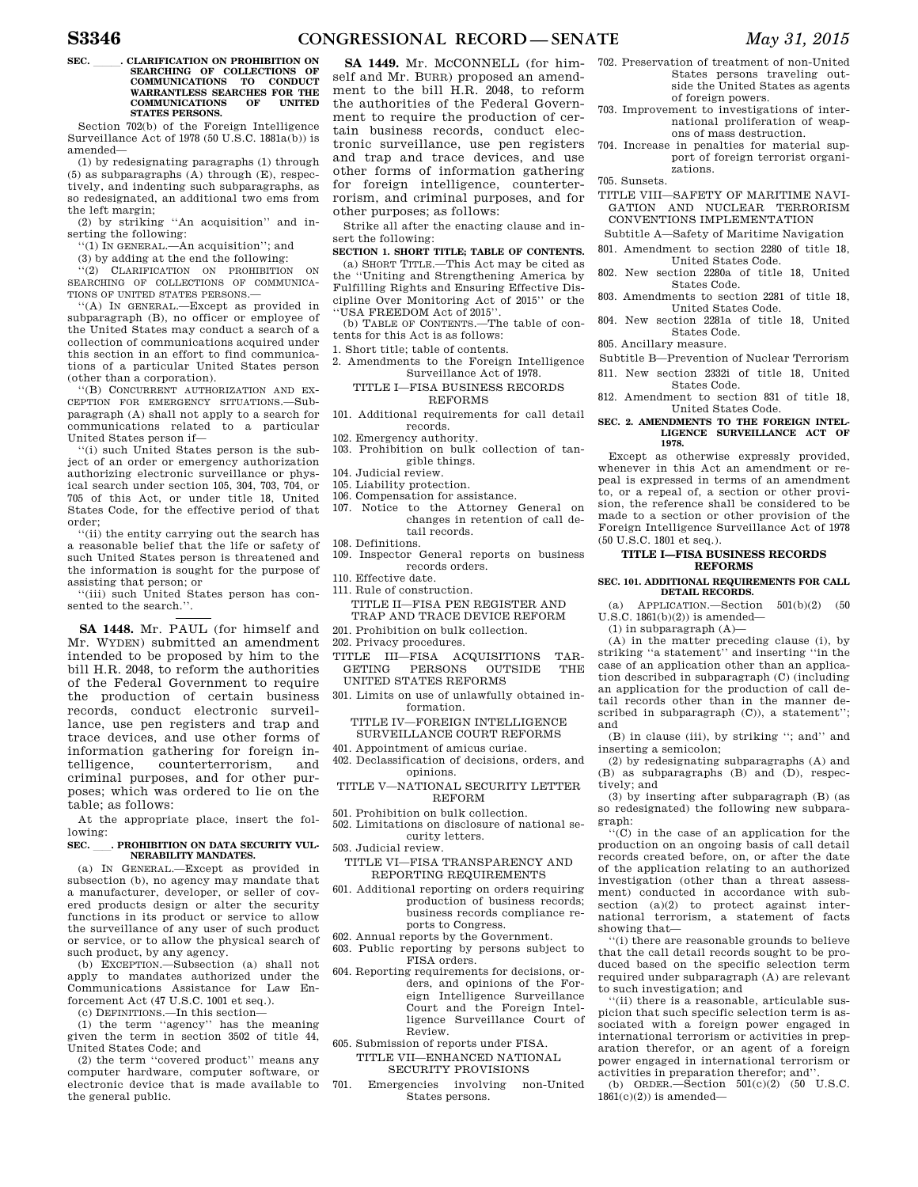## SEC. \_\_\_\_\_\_. CLARIFICATION ON PROHIBITION ON **SEARCHING OF COLLECTIONS** OF CONDUCT<br>COMMUNICATIONS TO CONDUCT<br>WARRANTLESS SEARCHES FOR THE **COMMUNICATIONS OF UNITED STATES PERSONS.**

Section 702(b) of the Foreign Intelligence Surveillance Act of 1978 (50 U.S.C.  $1881a(b)$ ) is amended—

(1) by redesignating paragraphs (1) through (5) as subparagraphs (A) through (E), respectively, and indenting such subparagraphs, as so redesignated, an additional two ems from the left margin;

(2) by striking ''An acquisition'' and inserting the following:

 $''(1)$  IN GENERAL.—An acquisition"; and

(3) by adding at the end the following:

''(2) CLARIFICATION ON PROHIBITION ON SEARCHING OF COLLECTIONS OF COMMUNICA-TIONS OF UNITED STATES PERSONS.—

''(A) IN GENERAL.—Except as provided in subparagraph (B), no officer or employee of the United States may conduct a search of a collection of communications acquired under this section in an effort to find communications of a particular United States person (other than a corporation).

''(B) CONCURRENT AUTHORIZATION AND EX-CEPTION FOR EMERGENCY SITUATIONS.—Subparagraph (A) shall not apply to a search for communications related to a particular United States person if—

''(i) such United States person is the subject of an order or emergency authorization authorizing electronic surveillance or physical search under section 105, 304, 703, 704, or 705 of this Act, or under title 18, United States Code, for the effective period of that order;

''(ii) the entity carrying out the search has a reasonable belief that the life or safety of such United States person is threatened and the information is sought for the purpose of assisting that person; or

''(iii) such United States person has consented to the search.''.

**SA 1448.** Mr. PAUL (for himself and Mr. WYDEN) submitted an amendment intended to be proposed by him to the bill H.R. 2048, to reform the authorities of the Federal Government to require the production of certain business records, conduct electronic surveillance, use pen registers and trap and trace devices, and use other forms of information gathering for foreign intelligence, counterterrorism, and criminal purposes, and for other purposes; which was ordered to lie on the table; as follows:

At the appropriate place, insert the following:

#### SEC. PROHIBITION ON DATA SECURITY VUL-**NERABILITY MANDATES.**

(a) IN GENERAL.—Except as provided in subsection (b), no agency may mandate that a manufacturer, developer, or seller of covered products design or alter the security functions in its product or service to allow the surveillance of any user of such product or service, or to allow the physical search of such product, by any agency.

(b) EXCEPTION.—Subsection (a) shall not apply to mandates authorized under the Communications Assistance for Law Enforcement Act (47 U.S.C. 1001 et seq.).

(c) DEFINITIONS.—In this section—

(1) the term ''agency'' has the meaning given the term in section 3502 of title 44, United States Code; and

(2) the term ''covered product'' means any computer hardware, computer software, or electronic device that is made available to the general public.

SA 1449. Mr. MCCONNELL (for himself and Mr. BURR) proposed an amendment to the bill H.R. 2048, to reform the authorities of the Federal Government to require the production of certain business records, conduct electronic surveillance, use pen registers and trap and trace devices, and use other forms of information gathering for foreign intelligence, counterterrorism, and criminal purposes, and for other purposes; as follows:

Strike all after the enacting clause and insert the following:

**SECTION 1. SHORT TITLE; TABLE OF CONTENTS.** 

(a) SHORT TITLE.—This Act may be cited as the ''Uniting and Strengthening America by Fulfilling Rights and Ensuring Effective Discipline Over Monitoring Act of 2015'' or the ''USA FREEDOM Act of 2015''.

(b) TABLE OF CONTENTS.—The table of contents for this Act is as follows:

1. Short title; table of contents.

2. Amendments to the Foreign Intelligence Surveillance Act of 1978.

#### TITLE I—FISA BUSINESS RECORDS REFORMS

101. Additional requirements for call detail records.

- 102. Emergency authority.
- 103. Prohibition on bulk collection of tangible things.
- 104. Judicial review.
- 105. Liability protection.
- 106. Compensation for assistance.
- 107. Notice to the Attorney General on changes in retention of call detail records.
- 108. Definitions. 109. Inspector General reports on business records orders.
- 110. Effective date.
- 111. Rule of construction.
	- TITLE II—FISA PEN REGISTER AND TRAP AND TRACE DEVICE REFORM
- 201. Prohibition on bulk collection.
- 202. Privacy procedures.
- TITLE III—FISA ACQUISITIONS TAR-<br>GETING PERSONS OUTSIDE THE PERSONS UNITED STATES REFORMS
- 301. Limits on use of unlawfully obtained information.
	- TITLE IV—FOREIGN INTELLIGENCE SURVEILLANCE COURT REFORMS
- 401. Appointment of amicus curiae.
- 402. Declassification of decisions, orders, and opinions.
- TITLE V—NATIONAL SECURITY LETTER REFORM
- 501. Prohibition on bulk collection.
- 502. Limitations on disclosure of national security letters.

503. Judicial review.

- TITLE VI—FISA TRANSPARENCY AND REPORTING REQUIREMENTS
- 601. Additional reporting on orders requiring production of business records; business records compliance reports to Congress.
- 602. Annual reports by the Government. 603. Public reporting by persons subject to
- FISA orders. 604. Reporting requirements for decisions, orders, and opinions of the For-
- eign Intelligence Surveillance Court and the Foreign Intelligence Surveillance Court of Review.
- 605. Submission of reports under FISA. TITLE VII—ENHANCED NATIONAL SECURITY PROVISIONS
- 701. Emergencies involving non-United States persons.
- 702. Preservation of treatment of non-United States persons traveling outside the United States as agents of foreign powers.
- 703. Improvement to investigations of international proliferation of weapons of mass destruction.
- 704. Increase in penalties for material support of foreign terrorist organizations.

705. Sunsets.

- TITLE VIII—SAFETY OF MARITIME NAVI-GATION AND NUCLEAR TERRORISM CONVENTIONS IMPLEMENTATION
- Subtitle A—Safety of Maritime Navigation
- 801. Amendment to section 2280 of title 18, United States Code.
- 802. New section 2280a of title 18, United States Code.
- 803. Amendments to section 2281 of title 18, United States Code.
- 804. New section 2281a of title 18, United States Code.
- 805. Ancillary measure.
- Subtitle B—Prevention of Nuclear Terrorism
- 811. New section 2332i of title 18, United States Code.

812. Amendment to section 831 of title 18, United States Code.

#### **SEC. 2. AMENDMENTS TO THE FOREIGN INTEL-LIGENCE SURVEILLANCE ACT OF 1978.**

Except as otherwise expressly provided, whenever in this Act an amendment or repeal is expressed in terms of an amendment to, or a repeal of, a section or other provision, the reference shall be considered to be made to a section or other provision of the Foreign Intelligence Surveillance Act of 1978 (50 U.S.C. 1801 et seq.).

#### **TITLE I—FISA BUSINESS RECORDS REFORMS**

#### **SEC. 101. ADDITIONAL REQUIREMENTS FOR CALL DETAIL RECORDS.**

(a) APPLICATION.—Section 501(b)(2) (50 U.S.C.  $1861(b)(2)$ ) is amended—

(1) in subparagraph (A)—

(A) in the matter preceding clause (i), by striking ''a statement'' and inserting ''in the case of an application other than an application described in subparagraph (C) (including an application for the production of call detail records other than in the manner described in subparagraph (C)), a statement''; and

(B) in clause (iii), by striking ''; and'' and inserting a semicolon;

(2) by redesignating subparagraphs (A) and (B) as subparagraphs (B) and (D), respectively; and

(3) by inserting after subparagraph (B) (as so redesignated) the following new subparagraph:

''(C) in the case of an application for the production on an ongoing basis of call detail records created before, on, or after the date of the application relating to an authorized investigation (other than a threat assessment) conducted in accordance with subsection (a)(2) to protect against international terrorism, a statement of facts showing that—

''(i) there are reasonable grounds to believe that the call detail records sought to be produced based on the specific selection term required under subparagraph (A) are relevant to such investigation; and

''(ii) there is a reasonable, articulable suspicion that such specific selection term is associated with a foreign power engaged in international terrorism or activities in preparation therefor, or an agent of a foreign power engaged in international terrorism or activities in preparation therefor; and'

(b) ORDER.—Section 501(c)(2) (50 U.S.C.  $1861(c)(2)$  is amended—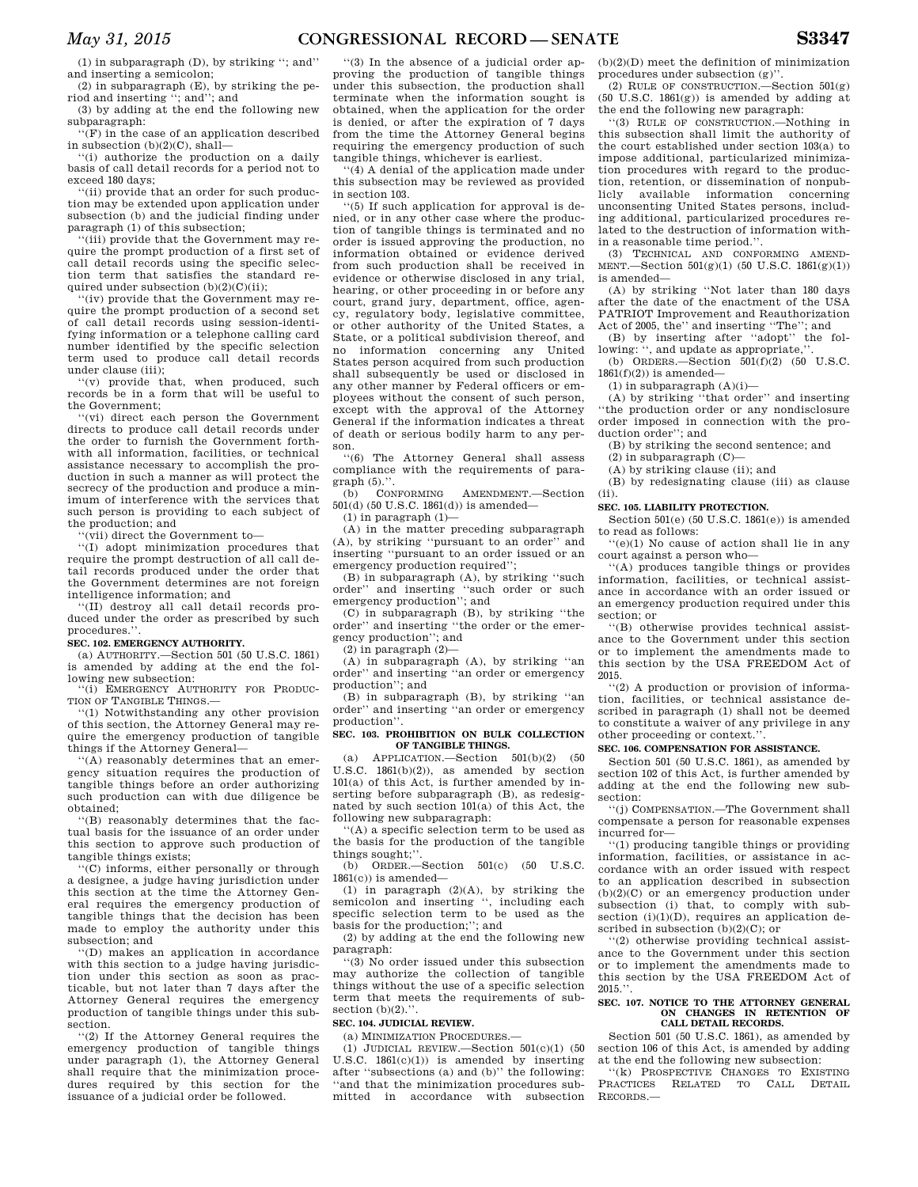(1) in subparagraph (D), by striking ''; and'' and inserting a semicolon;

(2) in subparagraph (E), by striking the period and inserting ''; and''; and

(3) by adding at the end the following new subparagraph:

''(F) in the case of an application described in subsection (b)(2)(C), shall—

''(i) authorize the production on a daily basis of call detail records for a period not to exceed 180 days;

''(ii) provide that an order for such production may be extended upon application under subsection (b) and the judicial finding under paragraph (1) of this subsection;

''(iii) provide that the Government may require the prompt production of a first set of call detail records using the specific selection term that satisfies the standard required under subsection (b)(2)(C)(ii);

''(iv) provide that the Government may require the prompt production of a second set of call detail records using session-identifying information or a telephone calling card number identified by the specific selection term used to produce call detail records under clause (iii);

''(v) provide that, when produced, such records be in a form that will be useful to the Government;

''(vi) direct each person the Government directs to produce call detail records under the order to furnish the Government forthwith all information, facilities, or technical assistance necessary to accomplish the production in such a manner as will protect the secrecy of the production and produce a minimum of interference with the services that such person is providing to each subject of the production; and

''(vii) direct the Government to—

''(I) adopt minimization procedures that require the prompt destruction of all call detail records produced under the order that the Government determines are not foreign intelligence information; and

''(II) destroy all call detail records produced under the order as prescribed by such procedures.'

#### **SEC. 102. EMERGENCY AUTHORITY.**

(a) AUTHORITY.—Section 501 (50 U.S.C. 1861) is amended by adding at the end the following new subsection:

''(i) EMERGENCY AUTHORITY FOR PRODUC-TION OF TANGIBLE THINGS.—

''(1) Notwithstanding any other provision of this section, the Attorney General may require the emergency production of tangible things if the Attorney General—

''(A) reasonably determines that an emergency situation requires the production of tangible things before an order authorizing such production can with due diligence be obtained;

''(B) reasonably determines that the factual basis for the issuance of an order under this section to approve such production of tangible things exists;

''(C) informs, either personally or through a designee, a judge having jurisdiction under this section at the time the Attorney General requires the emergency production of tangible things that the decision has been made to employ the authority under this subsection; and

''(D) makes an application in accordance with this section to a judge having jurisdiction under this section as soon as practicable, but not later than 7 days after the Attorney General requires the emergency production of tangible things under this subsection.

''(2) If the Attorney General requires the emergency production of tangible things under paragraph (1), the Attorney General shall require that the minimization procedures required by this section for the issuance of a judicial order be followed.

''(3) In the absence of a judicial order approving the production of tangible things under this subsection, the production shall terminate when the information sought is obtained, when the application for the order is denied, or after the expiration of 7 days from the time the Attorney General begins requiring the emergency production of such tangible things, whichever is earliest.

''(4) A denial of the application made under this subsection may be reviewed as provided in section 103.

''(5) If such application for approval is denied, or in any other case where the production of tangible things is terminated and no order is issued approving the production, no information obtained or evidence derived from such production shall be received in evidence or otherwise disclosed in any trial, hearing, or other proceeding in or before any court, grand jury, department, office, agency, regulatory body, legislative committee, or other authority of the United States, a State, or a political subdivision thereof, and no information concerning any United States person acquired from such production shall subsequently be used or disclosed in any other manner by Federal officers or employees without the consent of such person, except with the approval of the Attorney General if the information indicates a threat of death or serious bodily harm to any person.

''(6) The Attorney General shall assess compliance with the requirements of para $graph (5)$ .".<br>(b) CONFORMING

(b) CONFORMING AMENDMENT.—Section 501(d) (50 U.S.C. 1861(d)) is amended—

 $(1)$  in paragraph  $(1)$ -

(A) in the matter preceding subparagraph (A), by striking ''pursuant to an order'' and inserting ''pursuant to an order issued or an emergency production required'';

(B) in subparagraph (A), by striking ''such order'' and inserting ''such order or such emergency production''; and

(C) in subparagraph (B), by striking ''the order'' and inserting ''the order or the emergency production''; and

 $(2)$  in paragraph  $(2)$ —

(A) in subparagraph (A), by striking ''an order'' and inserting ''an order or emergency production''; and

(B) in subparagraph (B), by striking ''an order'' and inserting ''an order or emergency production''.

#### **SEC. 103. PROHIBITION ON BULK COLLECTION OF TANGIBLE THINGS.**

(a)  $APPLICATION. -Section 501(b)(2) (50)$ U.S.C. 1861(b)(2)), as amended by section 101(a) of this Act, is further amended by inserting before subparagraph (B), as redesignated by such section 101(a) of this Act, the following new subparagraph:

''(A) a specific selection term to be used as the basis for the production of the tangible things sought;''.

(b) ORDER.—Section 501(c) (50 U.S.C.  $1861(c)$ ) is amended—

(1) in paragraph (2)(A), by striking the semicolon and inserting '', including each specific selection term to be used as the basis for the production;''; and

(2) by adding at the end the following new paragraph:

''(3) No order issued under this subsection may authorize the collection of tangible things without the use of a specific selection term that meets the requirements of subsection  $(b)(2)$ .".

#### **SEC. 104. JUDICIAL REVIEW.**

(a) MINIMIZATION PROCEDURES.—

(1) JUDICIAL REVIEW.—Section  $501(c)(1)$  (50 U.S.C.  $1861(c)(1)$  is amended by inserting after ''subsections (a) and (b)'' the following: ''and that the minimization procedures submitted in accordance with subsection

(b)(2)(D) meet the definition of minimization procedures under subsection (g)''.

(2) RULE OF CONSTRUCTION.—Section 501(g) (50 U.S.C. 1861(g)) is amended by adding at the end the following new paragraph:

''(3) RULE OF CONSTRUCTION.—Nothing in this subsection shall limit the authority of the court established under section 103(a) to impose additional, particularized minimization procedures with regard to the production, retention, or dissemination of nonpublicly available information concerning unconsenting United States persons, including additional, particularized procedures related to the destruction of information within a reasonable time period.''.

(3) TECHNICAL AND CONFORMING AMEND-MENT.—Section 501(g)(1) (50 U.S.C. 1861(g)(1)) is amended—

(A) by striking ''Not later than 180 days after the date of the enactment of the USA PATRIOT Improvement and Reauthorization Act of 2005, the'' and inserting ''The''; and

(B) by inserting after ''adopt'' the following: ", and update as appropriate,

(b) ORDERS.—Section 501(f)(2) (50 U.S.C.  $1861(f)(2)$ ) is amended—

(1) in subparagraph  $(A)(i)$ —

(A) by striking ''that order'' and inserting ''the production order or any nondisclosure order imposed in connection with the production order''; and

(B) by striking the second sentence; and

 $(2)$  in subparagraph  $(C)$ -

(A) by striking clause (ii); and

(B) by redesignating clause (iii) as clause  $(i)$ .

#### **SEC. 105. LIABILITY PROTECTION.**

Section 501(e) (50 U.S.C. 1861(e)) is amended to read as follows:

''(e)(1) No cause of action shall lie in any court against a person who—

''(A) produces tangible things or provides information, facilities, or technical assistance in accordance with an order issued or an emergency production required under this section; or

''(B) otherwise provides technical assistance to the Government under this section or to implement the amendments made to this section by the USA FREEDOM Act of 2015.

''(2) A production or provision of information, facilities, or technical assistance described in paragraph (1) shall not be deemed to constitute a waiver of any privilege in any other proceeding or context.

#### **SEC. 106. COMPENSATION FOR ASSISTANCE.**

Section 501 (50 U.S.C. 1861), as amended by section 102 of this Act, is further amended by adding at the end the following new subsection:

''(j) COMPENSATION.—The Government shall compensate a person for reasonable expenses incurred for—

''(1) producing tangible things or providing information, facilities, or assistance in accordance with an order issued with respect to an application described in subsection  $(b)(2)(C)$  or an emergency production under subsection (i) that, to comply with subsection (i)(1)(D), requires an application described in subsection  $(b)(2)(C)$ ; or

''(2) otherwise providing technical assistance to the Government under this section or to implement the amendments made to this section by the USA FREEDOM Act of 2015.''.

#### **SEC. 107. NOTICE TO THE ATTORNEY GENERAL ON CHANGES IN RETENTION OF CALL DETAIL RECORDS.**

Section 501 (50 U.S.C. 1861), as amended by section 106 of this Act, is amended by adding at the end the following new subsection:

''(k) PROSPECTIVE CHANGES TO EXISTING PRACTICES RELATED TO CALL DETAIL RECORDS.—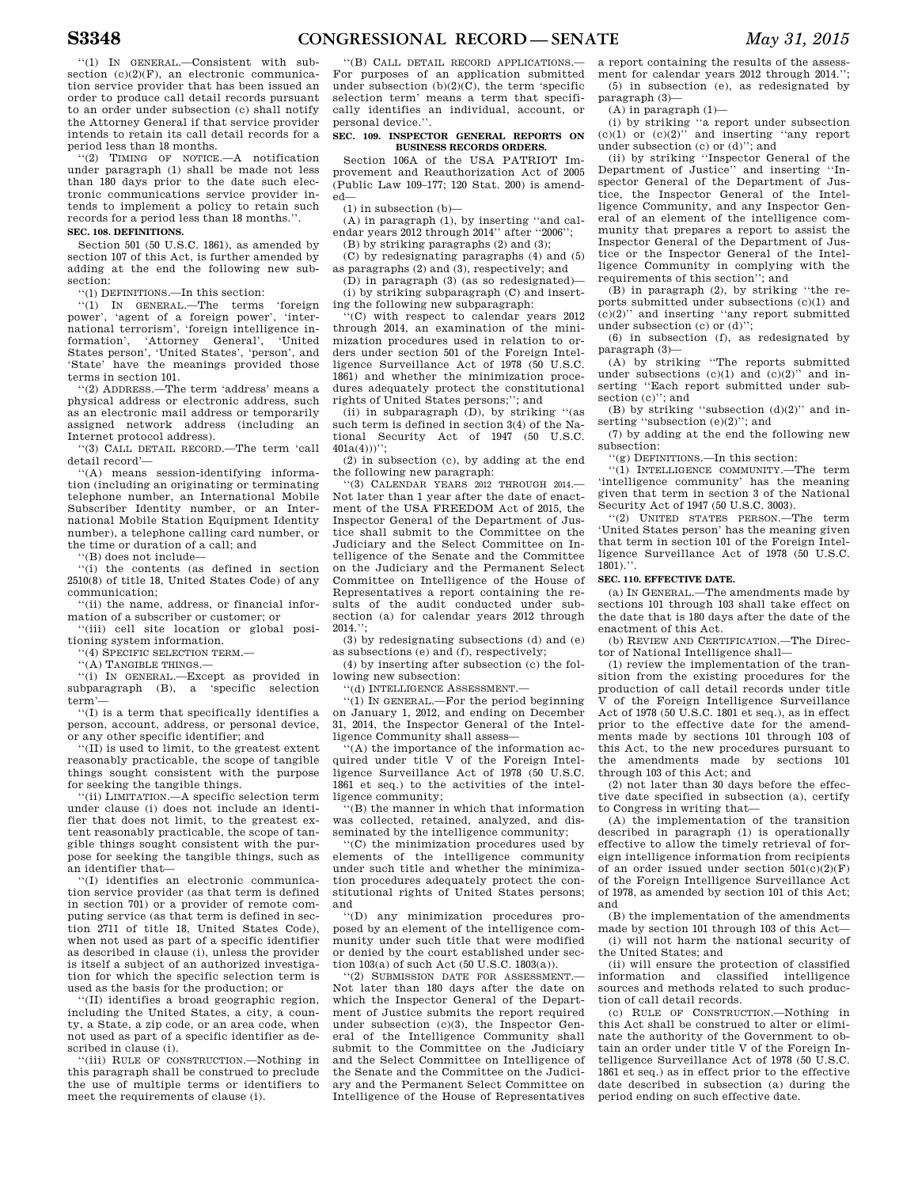''(1) IN GENERAL.—Consistent with subsection  $(c)(2)(F)$ , an electronic communication service provider that has been issued an order to produce call detail records pursuant to an order under subsection (c) shall notify the Attorney General if that service provider intends to retain its call detail records for a period less than 18 months.

''(2) TIMING OF NOTICE.—A notification under paragraph (1) shall be made not less than 180 days prior to the date such electronic communications service provider intends to implement a policy to retain such records for a period less than 18 months.''. **SEC. 108. DEFINITIONS.** 

Section 501 (50 U.S.C. 1861), as amended by section 107 of this Act, is further amended by adding at the end the following new subsection:

''(l) DEFINITIONS.—In this section:

''(1) IN GENERAL.—The terms 'foreign power', 'agent of a foreign power', 'international terrorism', 'foreign intelligence in-<br>formation', 'Attorney General', 'United formation', 'Attorney General', States person', 'United States', 'person', and 'State' have the meanings provided those terms in section 101.

''(2) ADDRESS.—The term 'address' means a physical address or electronic address, such as an electronic mail address or temporarily assigned network address (including an Internet protocol address).

''(3) CALL DETAIL RECORD.—The term 'call detail record'—

''(A) means session-identifying information (including an originating or terminating telephone number, an International Mobile Subscriber Identity number, or an International Mobile Station Equipment Identity number), a telephone calling card number, or the time or duration of a call; and

''(B) does not include—

''(i) the contents (as defined in section 2510(8) of title 18, United States Code) of any communication;

''(ii) the name, address, or financial information of a subscriber or customer; or

''(iii) cell site location or global positioning system information.

''(4) SPECIFIC SELECTION TERM.—

''(A) TANGIBLE THINGS.—

''(i) IN GENERAL.—Except as provided in subparagraph (B), a 'specific selection term'—

''(I) is a term that specifically identifies a person, account, address, or personal device, or any other specific identifier; and

 $^{\circ}$ (II) is used to limit, to the greatest extent reasonably practicable, the scope of tangible things sought consistent with the purpose for seeking the tangible things.

''(ii) LIMITATION.—A specific selection term under clause (i) does not include an identifier that does not limit, to the greatest extent reasonably practicable, the scope of tangible things sought consistent with the purpose for seeking the tangible things, such as an identifier that—

''(I) identifies an electronic communication service provider (as that term is defined in section 701) or a provider of remote computing service (as that term is defined in section 2711 of title 18, United States Code), when not used as part of a specific identifier as described in clause (i), unless the provider is itself a subject of an authorized investigation for which the specific selection term is used as the basis for the production; or

''(II) identifies a broad geographic region, including the United States, a city, a county, a State, a zip code, or an area code, when not used as part of a specific identifier as described in clause (i).

''(iii) RULE OF CONSTRUCTION.—Nothing in this paragraph shall be construed to preclude the use of multiple terms or identifiers to meet the requirements of clause (i).

''(B) CALL DETAIL RECORD APPLICATIONS.— For purposes of an application submitted under subsection  $(b)(2)(C)$ , the term 'specific selection term' means a term that specifically identifies an individual, account, or personal device.''.

#### **SEC. 109. INSPECTOR GENERAL REPORTS ON BUSINESS RECORDS ORDERS.**

Section 106A of the USA PATRIOT Improvement and Reauthorization Act of 2005 (Public Law 109–177; 120 Stat. 200) is amended—

(1) in subsection (b)—

(A) in paragraph (1), by inserting ''and calendar years 2012 through 2014'' after ''2006'';

(B) by striking paragraphs (2) and (3);

(C) by redesignating paragraphs (4) and (5) as paragraphs (2) and (3), respectively; and

(D) in paragraph (3) (as so redesignated)— (i) by striking subparagraph (C) and inserting the following new subparagraph:

'(C) with respect to calendar years 2012 through 2014, an examination of the minimization procedures used in relation to orders under section 501 of the Foreign Intelligence Surveillance Act of 1978 (50 U.S.C. 1861) and whether the minimization procedures adequately protect the constitutional rights of United States persons;''; and

(ii) in subparagraph  $(D)$ , by striking "(as such term is defined in section 3(4) of the National Security Act of 1947 (50 U.S.C.  $401a(4))$ ";

(2) in subsection (c), by adding at the end the following new paragraph:

''(3) CALENDAR YEARS 2012 THROUGH 2014.— Not later than 1 year after the date of enactment of the USA FREEDOM Act of 2015, the Inspector General of the Department of Justice shall submit to the Committee on the Judiciary and the Select Committee on Intelligence of the Senate and the Committee on the Judiciary and the Permanent Select Committee on Intelligence of the House of Representatives a report containing the results of the audit conducted under subsection (a) for calendar years 2012 through 2014.'';

(3) by redesignating subsections (d) and (e) as subsections (e) and (f), respectively;

(4) by inserting after subsection (c) the following new subsection:

''(d) INTELLIGENCE ASSESSMENT.—

''(1) IN GENERAL.—For the period beginning on January 1, 2012, and ending on December 31, 2014, the Inspector General of the Intelligence Community shall assess—

 $(A)$  the importance of the information acquired under title V of the Foreign Intelligence Surveillance Act of 1978 (50 U.S.C. 1861 et seq.) to the activities of the intelligence community;

''(B) the manner in which that information was collected, retained, analyzed, and disseminated by the intelligence community:

''(C) the minimization procedures used by elements of the intelligence community under such title and whether the minimization procedures adequately protect the constitutional rights of United States persons; and

''(D) any minimization procedures proposed by an element of the intelligence community under such title that were modified or denied by the court established under section 103(a) of such Act (50 U.S.C. 1803(a)).

''(2) SUBMISSION DATE FOR ASSESSMENT.— Not later than 180 days after the date on which the Inspector General of the Department of Justice submits the report required under subsection (c)(3), the Inspector General of the Intelligence Community shall submit to the Committee on the Judiciary and the Select Committee on Intelligence of the Senate and the Committee on the Judiciary and the Permanent Select Committee on Intelligence of the House of Representatives a report containing the results of the assessment for calendar years 2012 through 2014.''; (5) in subsection (e), as redesignated by paragraph (3)—

 $(A)$  in paragraph  $(1)$ —

(i) by striking ''a report under subsection  $(c)(1)$  or  $(c)(2)$ " and inserting "any report under subsection (c) or (d)''; and

(ii) by striking ''Inspector General of the Department of Justice'' and inserting ''Inspector General of the Department of Justice, the Inspector General of the Intelligence Community, and any Inspector General of an element of the intelligence community that prepares a report to assist the Inspector General of the Department of Justice or the Inspector General of the Intelligence Community in complying with the requirements of this section''; and

(B) in paragraph (2), by striking ''the reports submitted under subsections (c)(1) and  $(c)(2)$ " and inserting "any report submitted under subsection  $(c)$  or  $(d)$ ";

(6) in subsection (f), as redesignated by paragraph (3)—

 $(A)$  by striking "The reports submitted" under subsections  $(c)(1)$  and  $(c)(2)$ " and inserting ''Each report submitted under subsection (c)''; and

(B) by striking "subsection  $(d)(2)$ " and inserting "subsection (e)(2)"; and

(7) by adding at the end the following new subsection:

''(g) DEFINITIONS.—In this section:

''(1) INTELLIGENCE COMMUNITY.—The term 'intelligence community' has the meaning given that term in section 3 of the National Security Act of 1947 (50 U.S.C. 3003).

''(2) UNITED STATES PERSON.—The term 'United States person' has the meaning given that term in section 101 of the Foreign Intelligence Surveillance Act of 1978 (50 U.S.C.  $1801$ ."

#### **SEC. 110. EFFECTIVE DATE.**

(a) IN GENERAL.—The amendments made by sections 101 through 103 shall take effect on the date that is 180 days after the date of the enactment of this Act.

(b) REVIEW AND CERTIFICATION.—The Director of National Intelligence shall—

(1) review the implementation of the transition from the existing procedures for the production of call detail records under title V of the Foreign Intelligence Surveillance Act of 1978 (50 U.S.C. 1801 et seq.), as in effect prior to the effective date for the amendments made by sections 101 through 103 of this Act, to the new procedures pursuant to the amendments made by sections 101 through 103 of this Act; and

(2) not later than 30 days before the effective date specified in subsection (a), certify to Congress in writing that—

(A) the implementation of the transition described in paragraph (1) is operationally effective to allow the timely retrieval of foreign intelligence information from recipients of an order issued under section  $501(c)(2)(F)$ of the Foreign Intelligence Surveillance Act of 1978, as amended by section 101 of this Act; and

(B) the implementation of the amendments made by section 101 through 103 of this Act—

(i) will not harm the national security of the United States; and

(ii) will ensure the protection of classified information and classified intelligence sources and methods related to such production of call detail records.

(c) RULE OF CONSTRUCTION.—Nothing in this Act shall be construed to alter or eliminate the authority of the Government to obtain an order under title V of the Foreign Intelligence Surveillance Act of 1978 (50 U.S.C. 1861 et seq.) as in effect prior to the effective date described in subsection (a) during the period ending on such effective date.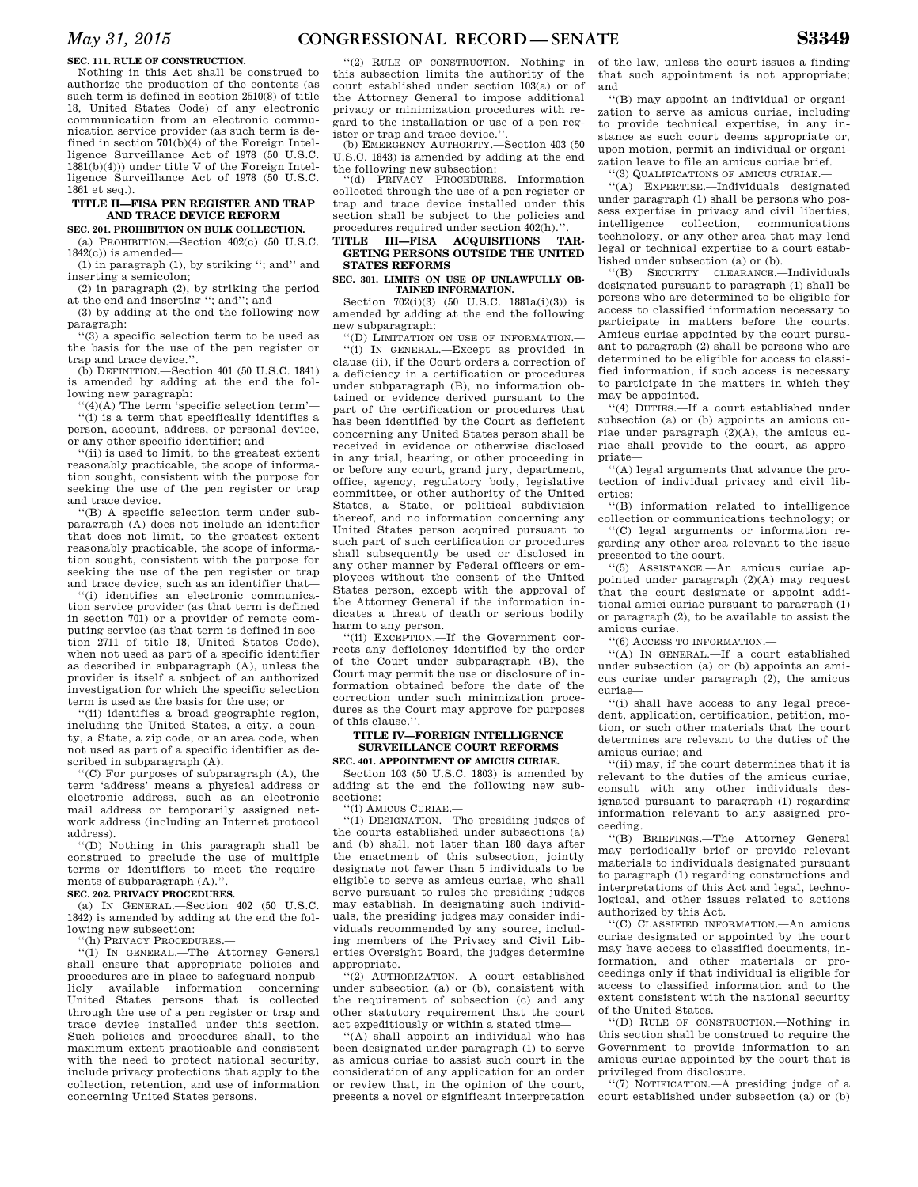#### **SEC. 111. RULE OF CONSTRUCTION.**

Nothing in this Act shall be construed to authorize the production of the contents (as such term is defined in section 2510(8) of title 18, United States Code) of any electronic communication from an electronic communication service provider (as such term is defined in section  $701(b)(4)$  of the Foreign Intelligence Surveillance Act of 1978 (50 U.S.C.  $1881(b)(4))$ ) under title V of the Foreign Intelligence Surveillance Act of 1978 (50 U.S.C. 1861 et seq.).

#### **TITLE II—FISA PEN REGISTER AND TRAP AND TRACE DEVICE REFORM**

**SEC. 201. PROHIBITION ON BULK COLLECTION.**  (a) PROHIBITION.—Section 402(c) (50 U.S.C.  $1842(c)$ ) is amended—

(1) in paragraph (1), by striking ''; and'' and inserting a semicolon;

(2) in paragraph (2), by striking the period at the end and inserting ''; and''; and

(3) by adding at the end the following new paragraph:

''(3) a specific selection term to be used as the basis for the use of the pen register or trap and trace device."

(b) DEFINITION.—Section 401 (50 U.S.C. 1841) is amended by adding at the end the following new paragraph:

 $``(4)(A)$  The term 'specific selection term'— ''(i) is a term that specifically identifies a person, account, address, or personal device, or any other specific identifier; and

''(ii) is used to limit, to the greatest extent reasonably practicable, the scope of information sought, consistent with the purpose for seeking the use of the pen register or trap and trace device.

''(B) A specific selection term under subparagraph (A) does not include an identifier that does not limit, to the greatest extent reasonably practicable, the scope of information sought, consistent with the purpose for seeking the use of the pen register or trap and trace device, such as an identifier that—

''(i) identifies an electronic communication service provider (as that term is defined in section 701) or a provider of remote computing service (as that term is defined in section 2711 of title 18, United States Code), when not used as part of a specific identifier as described in subparagraph (A), unless the provider is itself a subject of an authorized investigation for which the specific selection term is used as the basis for the use; or

'(ii) identifies a broad geographic region. including the United States, a city, a county, a State, a zip code, or an area code, when not used as part of a specific identifier as described in subparagraph (A).

''(C) For purposes of subparagraph (A), the term 'address' means a physical address or electronic address, such as an electronic mail address or temporarily assigned network address (including an Internet protocol address).

''(D) Nothing in this paragraph shall be construed to preclude the use of multiple terms or identifiers to meet the requirements of subparagraph (A).''.

#### **SEC. 202. PRIVACY PROCEDURES.**

(a) IN GENERAL.—Section 402 (50 U.S.C. 1842) is amended by adding at the end the following new subsection:

''(h) PRIVACY PROCEDURES.—

''(1) IN GENERAL.—The Attorney General shall ensure that appropriate policies and procedures are in place to safeguard nonpublicly available information concerning United States persons that is collected through the use of a pen register or trap and trace device installed under this section. Such policies and procedures shall, to the maximum extent practicable and consistent with the need to protect national security, include privacy protections that apply to the collection, retention, and use of information concerning United States persons.

''(2) RULE OF CONSTRUCTION.—Nothing in this subsection limits the authority of the court established under section 103(a) or of the Attorney General to impose additional privacy or minimization procedures with regard to the installation or use of a pen register or trap and trace device."

(b) EMERGENCY AUTHORITY.—Section 403 (50 U.S.C. 1843) is amended by adding at the end the following new subsection: ''(d) PRIVACY PROCEDURES.—Information

collected through the use of a pen register or trap and trace device installed under this section shall be subject to the policies and procedures required under section  $402(h)$ ."

#### **TITLE III—FISA ACQUISITIONS TAR-GETING PERSONS OUTSIDE THE UNITED STATES REFORMS**

#### **SEC. 301. LIMITS ON USE OF UNLAWFULLY OB-TAINED INFORMATION.**

Section 702(i)(3) (50 U.S.C. 1881a(i)(3)) is amended by adding at the end the following new subparagraph:

''(D) LIMITATION ON USE OF INFORMATION.— ''(i) IN GENERAL.—Except as provided in clause (ii), if the Court orders a correction of a deficiency in a certification or procedures under subparagraph (B), no information obtained or evidence derived pursuant to the part of the certification or procedures that has been identified by the Court as deficient concerning any United States person shall be received in evidence or otherwise disclosed in any trial, hearing, or other proceeding in or before any court, grand jury, department, office, agency, regulatory body, legislative committee, or other authority of the United States, a State, or political subdivision thereof, and no information concerning any United States person acquired pursuant to such part of such certification or procedures shall subsequently be used or disclosed in any other manner by Federal officers or employees without the consent of the United States person, except with the approval of the Attorney General if the information indicates a threat of death or serious bodily harm to any person.

''(ii) EXCEPTION.—If the Government corrects any deficiency identified by the order of the Court under subparagraph (B), the Court may permit the use or disclosure of information obtained before the date of the correction under such minimization procedures as the Court may approve for purposes of this clause.''.

#### **TITLE IV—FOREIGN INTELLIGENCE SURVEILLANCE COURT REFORMS**

**SEC. 401. APPOINTMENT OF AMICUS CURIAE.**  Section 103 (50 U.S.C. 1803) is amended by adding at the end the following new subsections:

#### ''(i) AMICUS CURIAE.—

''(1) DESIGNATION.—The presiding judges of the courts established under subsections (a) and (b) shall, not later than 180 days after the enactment of this subsection, jointly designate not fewer than 5 individuals to be eligible to serve as amicus curiae, who shall serve pursuant to rules the presiding judges may establish. In designating such individuals, the presiding judges may consider individuals recommended by any source, including members of the Privacy and Civil Liberties Oversight Board, the judges determine appropriate.

''(2) AUTHORIZATION.—A court established under subsection (a) or (b), consistent with the requirement of subsection (c) and any other statutory requirement that the court act expeditiously or within a stated time—

''(A) shall appoint an individual who has been designated under paragraph (1) to serve as amicus curiae to assist such court in the consideration of any application for an order or review that, in the opinion of the court, presents a novel or significant interpretation

of the law, unless the court issues a finding that such appointment is not appropriate; and

''(B) may appoint an individual or organization to serve as amicus curiae, including to provide technical expertise, in any instance as such court deems appropriate or, upon motion, permit an individual or organization leave to file an amicus curiae brief.

''(3) QUALIFICATIONS OF AMICUS CURIAE.—

''(A) EXPERTISE.—Individuals designated under paragraph (1) shall be persons who possess expertise in privacy and civil liberties, intelligence collection, communications technology, or any other area that may lend legal or technical expertise to a court established under subsection (a) or (b).

''(B) SECURITY CLEARANCE.—Individuals designated pursuant to paragraph (1) shall be persons who are determined to be eligible for access to classified information necessary to participate in matters before the courts. Amicus curiae appointed by the court pursuant to paragraph (2) shall be persons who are determined to be eligible for access to classified information, if such access is necessary to participate in the matters in which they may be appointed.

''(4) DUTIES.—If a court established under subsection (a) or (b) appoints an amicus curiae under paragraph (2)(A), the amicus curiae shall provide to the court, as appropriate—

''(A) legal arguments that advance the protection of individual privacy and civil liberties;

''(B) information related to intelligence collection or communications technology; or

''(C) legal arguments or information regarding any other area relevant to the issue presented to the court.

''(5) ASSISTANCE.—An amicus curiae appointed under paragraph (2)(A) may request that the court designate or appoint additional amici curiae pursuant to paragraph (1) or paragraph (2), to be available to assist the amicus curiae.

''(6) ACCESS TO INFORMATION.—

''(A) IN GENERAL.—If a court established under subsection (a) or (b) appoints an amicus curiae under paragraph (2), the amicus curiae—

''(i) shall have access to any legal precedent, application, certification, petition, motion, or such other materials that the court determines are relevant to the duties of the amicus curiae; and

''(ii) may, if the court determines that it is relevant to the duties of the amicus curiae, consult with any other individuals designated pursuant to paragraph (1) regarding information relevant to any assigned proceeding.

''(B) BRIEFINGS.—The Attorney General may periodically brief or provide relevant materials to individuals designated pursuant to paragraph (1) regarding constructions and interpretations of this Act and legal, technological, and other issues related to actions authorized by this Act.

''(C) CLASSIFIED INFORMATION.—An amicus curiae designated or appointed by the court may have access to classified documents, information, and other materials or proceedings only if that individual is eligible for access to classified information and to the extent consistent with the national security of the United States.

''(D) RULE OF CONSTRUCTION.—Nothing in this section shall be construed to require the Government to provide information to an amicus curiae appointed by the court that is privileged from disclosure.

''(7) NOTIFICATION.—A presiding judge of a court established under subsection (a) or (b)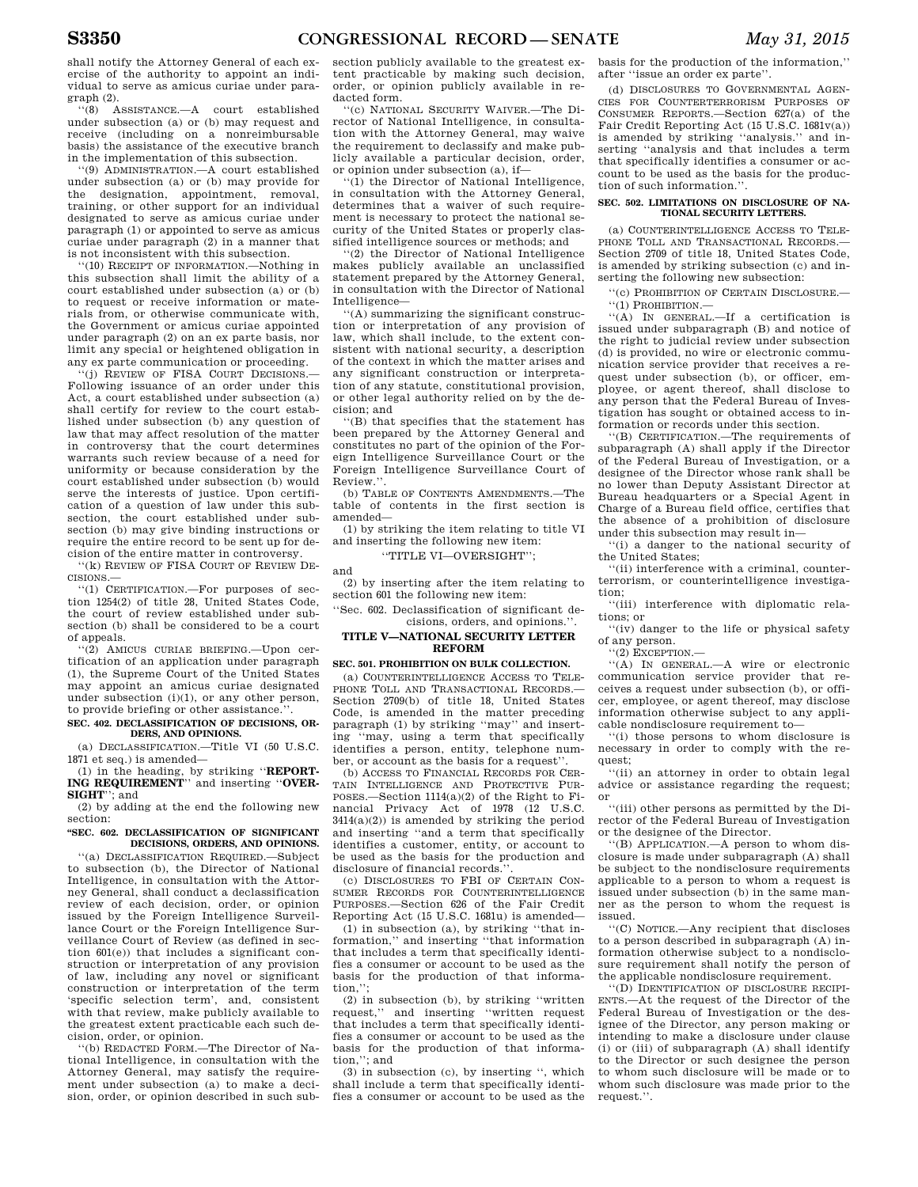shall notify the Attorney General of each exercise of the authority to appoint an individual to serve as amicus curiae under paragraph (2).

''(8) ASSISTANCE.—A court established under subsection (a) or (b) may request and receive (including on a nonreimbursable basis) the assistance of the executive branch in the implementation of this subsection.

''(9) ADMINISTRATION.—A court established under subsection (a) or (b) may provide for the designation, appointment, removal, training, or other support for an individual designated to serve as amicus curiae under paragraph (1) or appointed to serve as amicus curiae under paragraph (2) in a manner that is not inconsistent with this subsection.

'(10) RECEIPT OF INFORMATION.—Nothing in this subsection shall limit the ability of a court established under subsection (a) or (b) to request or receive information or materials from, or otherwise communicate with, the Government or amicus curiae appointed under paragraph (2) on an ex parte basis, nor limit any special or heightened obligation in any ex parte communication or proceeding.

''(j) REVIEW OF FISA COURT DECISIONS.— Following issuance of an order under this Act, a court established under subsection (a) shall certify for review to the court established under subsection (b) any question of law that may affect resolution of the matter in controversy that the court determines warrants such review because of a need for uniformity or because consideration by the court established under subsection (b) would serve the interests of justice. Upon certification of a question of law under this subsection, the court established under subsection (b) may give binding instructions or require the entire record to be sent up for decision of the entire matter in controversy.

''(k) REVIEW OF FISA COURT OF REVIEW DE-CISIONS.—

''(1) CERTIFICATION.—For purposes of section 1254(2) of title 28, United States Code, the court of review established under subsection (b) shall be considered to be a court of appeals.

''(2) AMICUS CURIAE BRIEFING.—Upon certification of an application under paragraph (1), the Supreme Court of the United States may appoint an amicus curiae designated under subsection (i)(1), or any other person. to provide briefing or other assistance.''.

**SEC. 402. DECLASSIFICATION OF DECISIONS, OR-DERS, AND OPINIONS.** 

(a) DECLASSIFICATION.—Title VI (50 U.S.C. 1871 et seq.) is amended—

(1) in the heading, by striking ''**REPORT-ING REQUIREMENT**'' and inserting ''**OVER-SIGHT**''; and

(2) by adding at the end the following new section:

#### **''SEC. 602. DECLASSIFICATION OF SIGNIFICANT DECISIONS, ORDERS, AND OPINIONS.**

''(a) DECLASSIFICATION REQUIRED.—Subject to subsection (b), the Director of National Intelligence, in consultation with the Attorney General, shall conduct a declassification review of each decision, order, or opinion issued by the Foreign Intelligence Surveillance Court or the Foreign Intelligence Surveillance Court of Review (as defined in section 601(e)) that includes a significant construction or interpretation of any provision of law, including any novel or significant construction or interpretation of the term 'specific selection term', and, consistent with that review, make publicly available to the greatest extent practicable each such decision, order, or opinion.

''(b) REDACTED FORM.—The Director of National Intelligence, in consultation with the Attorney General, may satisfy the requirement under subsection (a) to make a decision, order, or opinion described in such subsection publicly available to the greatest extent practicable by making such decision, order, or opinion publicly available in redacted form.

''(c) NATIONAL SECURITY WAIVER.—The Director of National Intelligence, in consultation with the Attorney General, may waive the requirement to declassify and make publicly available a particular decision, order, or opinion under subsection (a), if—

''(1) the Director of National Intelligence, in consultation with the Attorney General, determines that a waiver of such requirement is necessary to protect the national security of the United States or properly classified intelligence sources or methods; and

''(2) the Director of National Intelligence makes publicly available an unclassified statement prepared by the Attorney General, in consultation with the Director of National Intelligence—

''(A) summarizing the significant construction or interpretation of any provision of law, which shall include, to the extent consistent with national security, a description of the context in which the matter arises and any significant construction or interpretation of any statute, constitutional provision, or other legal authority relied on by the decision; and

''(B) that specifies that the statement has been prepared by the Attorney General and constitutes no part of the opinion of the Foreign Intelligence Surveillance Court or the Foreign Intelligence Surveillance Court of Review.

(b) TABLE OF CONTENTS AMENDMENTS.—The table of contents in the first section is amended—

(1) by striking the item relating to title VI and inserting the following new item:

#### ''TITLE VI—OVERSIGHT'';

and

(2) by inserting after the item relating to section 601 the following new item:

''Sec. 602. Declassification of significant decisions, orders, and opinions.''.

#### **TITLE V—NATIONAL SECURITY LETTER REFORM**

**SEC. 501. PROHIBITION ON BULK COLLECTION.** 

(a) COUNTERINTELLIGENCE ACCESS TO TELE-PHONE TOLL AND TRANSACTIONAL RECORDS.— Section 2709(b) of title 18, United States Code, is amended in the matter preceding paragraph (1) by striking ''may'' and inserting ''may, using a term that specifically identifies a person, entity, telephone number, or account as the basis for a request'

(b) ACCESS TO FINANCIAL RECORDS FOR CER-TAIN INTELLIGENCE AND PROTECTIVE PUR-POSES.—Section 1114(a)(2) of the Right to Financial Privacy Act of 1978 (12 U.S.C.  $3414(a)(2)$  is amended by striking the period and inserting ''and a term that specifically identifies a customer, entity, or account to be used as the basis for the production and disclosure of financial records."

(c) DISCLOSURES TO FBI OF CERTAIN CON-SUMER RECORDS FOR COUNTERINTELLIGENCE PURPOSES.—Section 626 of the Fair Credit Reporting Act (15 U.S.C. 1681u) is amended—

(1) in subsection (a), by striking ''that information,'' and inserting ''that information that includes a term that specifically identifies a consumer or account to be used as the basis for the production of that information,'';

(2) in subsection (b), by striking ''written request,'' and inserting ''written request that includes a term that specifically identifies a consumer or account to be used as the basis for the production of that information,''; and

(3) in subsection (c), by inserting '', which shall include a term that specifically identifies a consumer or account to be used as the basis for the production of the information,'' after ''issue an order ex parte''.

(d) DISCLOSURES TO GOVERNMENTAL AGEN-CIES FOR COUNTERTERRORISM PURPOSES OF CONSUMER REPORTS.—Section 627(a) of the Fair Credit Reporting Act (15 U.S.C. 1681v(a)) is amended by striking ''analysis.'' and inserting ''analysis and that includes a term that specifically identifies a consumer or account to be used as the basis for the production of such information.''.

#### **SEC. 502. LIMITATIONS ON DISCLOSURE OF NA-TIONAL SECURITY LETTERS.**

(a) COUNTERINTELLIGENCE ACCESS TO TELE-PHONE TOLL AND TRANSACTIONAL RECORDS.-Section 2709 of title 18, United States Code, is amended by striking subsection (c) and inserting the following new subsection:

''(c) PROHIBITION OF CERTAIN DISCLOSURE.— ''(1) PROHIBITION.—

''(A) IN GENERAL.—If a certification is issued under subparagraph (B) and notice of the right to judicial review under subsection (d) is provided, no wire or electronic communication service provider that receives a request under subsection (b), or officer, employee, or agent thereof, shall disclose to any person that the Federal Bureau of Investigation has sought or obtained access to information or records under this section.

''(B) CERTIFICATION.—The requirements of subparagraph (A) shall apply if the Director of the Federal Bureau of Investigation, or a designee of the Director whose rank shall be no lower than Deputy Assistant Director at Bureau headquarters or a Special Agent in Charge of a Bureau field office, certifies that the absence of a prohibition of disclosure under this subsection may result in—

''(i) a danger to the national security of the United States;

''(ii) interference with a criminal, counterterrorism, or counterintelligence investigation;

''(iii) interference with diplomatic relations; or

''(iv) danger to the life or physical safety of any person.

''(2) EXCEPTION.—

''(A) IN GENERAL.—A wire or electronic communication service provider that receives a request under subsection (b), or officer, employee, or agent thereof, may disclose information otherwise subject to any applicable nondisclosure requirement to—

''(i) those persons to whom disclosure is necessary in order to comply with the request;

''(ii) an attorney in order to obtain legal advice or assistance regarding the request; or

''(iii) other persons as permitted by the Director of the Federal Bureau of Investigation or the designee of the Director.

''(B) APPLICATION.—A person to whom disclosure is made under subparagraph (A) shall be subject to the nondisclosure requirements applicable to a person to whom a request is issued under subsection (b) in the same manner as the person to whom the request is issued.

''(C) NOTICE.—Any recipient that discloses to a person described in subparagraph (A) information otherwise subject to a nondisclosure requirement shall notify the person of the applicable nondisclosure requirement.

''(D) IDENTIFICATION OF DISCLOSURE RECIPI-ENTS.—At the request of the Director of the Federal Bureau of Investigation or the designee of the Director, any person making or intending to make a disclosure under clause (i) or (iii) of subparagraph (A) shall identify to the Director or such designee the person to whom such disclosure will be made or to whom such disclosure was made prior to the request.''.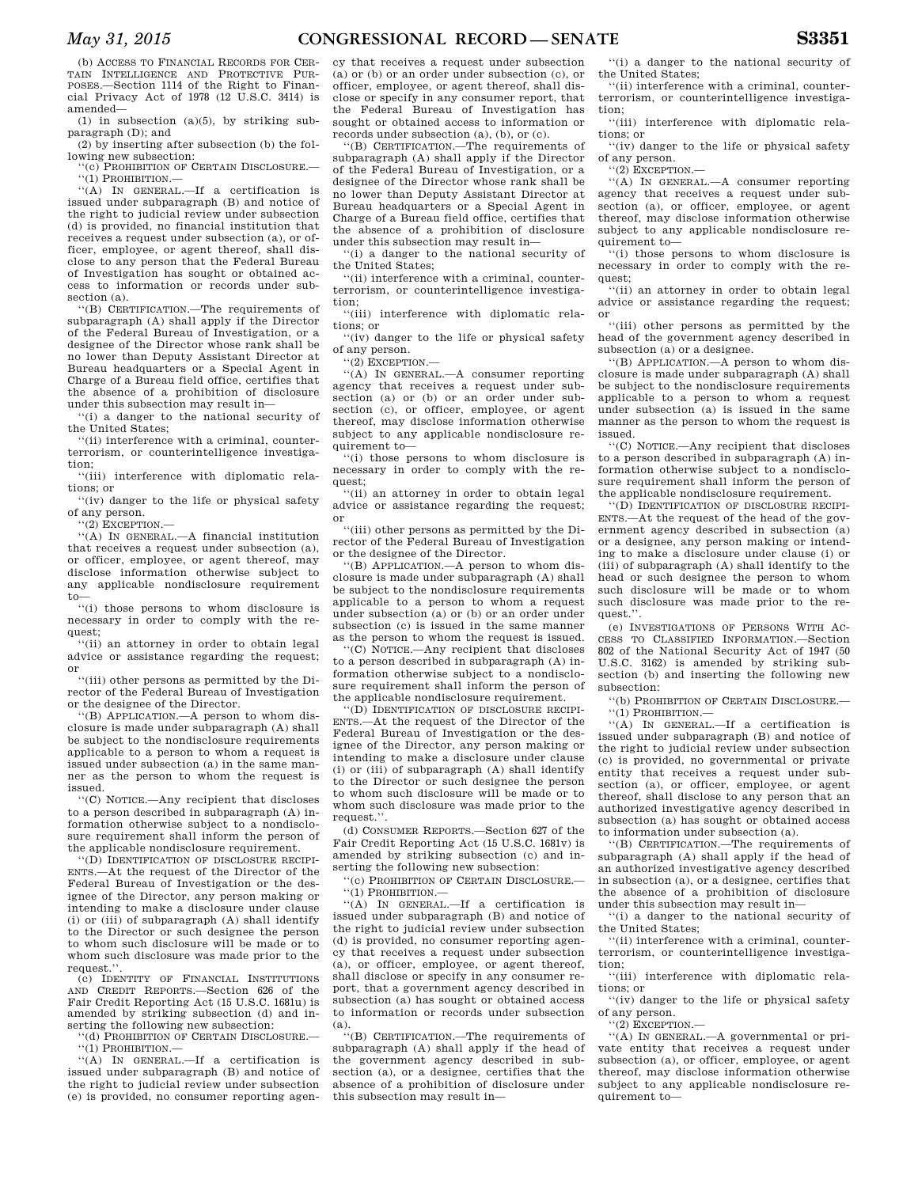(b) ACCESS TO FINANCIAL RECORDS FOR CER-TAIN INTELLIGENCE AND PROTECTIVE PUR-POSES.—Section 1114 of the Right to Financial Privacy Act of 1978 (12 U.S.C. 3414) is amended—

(1) in subsection (a)(5), by striking subparagraph (D); and

(2) by inserting after subsection (b) the following new subsection:

'(c) PROHIBITION OF CERTAIN DISCLOSURE.-''(1) PROHIBITION.—

''(A) IN GENERAL.—If a certification is issued under subparagraph (B) and notice of the right to judicial review under subsection (d) is provided, no financial institution that receives a request under subsection (a), or officer, employee, or agent thereof, shall disclose to any person that the Federal Bureau of Investigation has sought or obtained access to information or records under subsection (a).

''(B) CERTIFICATION.—The requirements of subparagraph (A) shall apply if the Director of the Federal Bureau of Investigation, or a designee of the Director whose rank shall be no lower than Deputy Assistant Director at Bureau headquarters or a Special Agent in Charge of a Bureau field office, certifies that the absence of a prohibition of disclosure under this subsection may result in—

''(i) a danger to the national security of the United States;

''(ii) interference with a criminal, counterterrorism, or counterintelligence investigation;

''(iii) interference with diplomatic relations; or

''(iv) danger to the life or physical safety of any person.

 $''(2)$  EXCEPTION  $-$ 

''(A) IN GENERAL.—A financial institution that receives a request under subsection (a), or officer, employee, or agent thereof, may disclose information otherwise subject to any applicable nondisclosure requirement to—

''(i) those persons to whom disclosure is necessary in order to comply with the request;

''(ii) an attorney in order to obtain legal advice or assistance regarding the request; or

''(iii) other persons as permitted by the Director of the Federal Bureau of Investigation or the designee of the Director.

''(B) APPLICATION.—A person to whom disclosure is made under subparagraph (A) shall be subject to the nondisclosure requirements applicable to a person to whom a request is issued under subsection (a) in the same manner as the person to whom the request is issued.

''(C) NOTICE.—Any recipient that discloses to a person described in subparagraph (A) information otherwise subject to a nondisclosure requirement shall inform the person of the applicable nondisclosure requirement.

''(D) IDENTIFICATION OF DISCLOSURE RECIPI-ENTS.—At the request of the Director of the Federal Bureau of Investigation or the designee of the Director, any person making or intending to make a disclosure under clause (i) or (iii) of subparagraph (A) shall identify to the Director or such designee the person to whom such disclosure will be made or to whom such disclosure was made prior to the request.''.

(c) IDENTITY OF FINANCIAL INSTITUTIONS AND CREDIT REPORTS.—Section 626 of the Fair Credit Reporting Act (15 U.S.C. 1681u) is amended by striking subsection (d) and inserting the following new subsection:

(d) PROHIBITION OF CERTAIN DISCLOSURE.

''(1) PROHIBITION.—

''(A) IN GENERAL.—If a certification is issued under subparagraph (B) and notice of the right to judicial review under subsection (e) is provided, no consumer reporting agen-

cy that receives a request under subsection (a) or (b) or an order under subsection (c), or officer, employee, or agent thereof, shall disclose or specify in any consumer report, that the Federal Bureau of Investigation has sought or obtained access to information or records under subsection (a), (b), or (c).

''(B) CERTIFICATION.—The requirements of subparagraph (A) shall apply if the Director of the Federal Bureau of Investigation, or a designee of the Director whose rank shall be no lower than Deputy Assistant Director at Bureau headquarters or a Special Agent in Charge of a Bureau field office, certifies that the absence of a prohibition of disclosure under this subsection may result in—

''(i) a danger to the national security of the United States;

''(ii) interference with a criminal, counterterrorism, or counterintelligence investigation;

''(iii) interference with diplomatic relations; or

''(iv) danger to the life or physical safety of any person.

 $''(2)$  EXCEPTION  $-$ 

''(A) IN GENERAL.—A consumer reporting agency that receives a request under subsection (a) or (b) or an order under subsection (c), or officer, employee, or agent thereof, may disclose information otherwise subject to any applicable nondisclosure requirement to—

''(i) those persons to whom disclosure is necessary in order to comply with the request;

''(ii) an attorney in order to obtain legal advice or assistance regarding the request; or

''(iii) other persons as permitted by the Director of the Federal Bureau of Investigation or the designee of the Director.

''(B) APPLICATION.—A person to whom disclosure is made under subparagraph (A) shall be subject to the nondisclosure requirements applicable to a person to whom a request under subsection (a) or (b) or an order under subsection (c) is issued in the same manner as the person to whom the request is issued.

''(C) NOTICE.—Any recipient that discloses to a person described in subparagraph (A) information otherwise subject to a nondisclosure requirement shall inform the person of the applicable nondisclosure requirement.

''(D) IDENTIFICATION OF DISCLOSURE RECIPI-ENTS.—At the request of the Director of the Federal Bureau of Investigation or the designee of the Director, any person making or intending to make a disclosure under clause (i) or (iii) of subparagraph (A) shall identify to the Director or such designee the person to whom such disclosure will be made or to whom such disclosure was made prior to the request.''.

(d) CONSUMER REPORTS.—Section 627 of the Fair Credit Reporting Act (15 U.S.C. 1681v) is amended by striking subsection (c) and inserting the following new subsection:

''(c) PROHIBITION OF CERTAIN DISCLOSURE.— ''(1) PROHIBITION.—

''(A) IN GENERAL.—If a certification is issued under subparagraph (B) and notice of the right to judicial review under subsection (d) is provided, no consumer reporting agency that receives a request under subsection (a), or officer, employee, or agent thereof, shall disclose or specify in any consumer report, that a government agency described in subsection (a) has sought or obtained access to information or records under subsection (a).

''(B) CERTIFICATION.—The requirements of subparagraph (A) shall apply if the head of the government agency described in subsection (a), or a designee, certifies that the absence of a prohibition of disclosure under this subsection may result in—

''(i) a danger to the national security of the United States;

''(ii) interference with a criminal, counterterrorism, or counterintelligence investigation;

''(iii) interference with diplomatic relations; or

''(iv) danger to the life or physical safety of any person.

''(2) EXCEPTION.—

''(A) IN GENERAL.—A consumer reporting agency that receives a request under subsection (a), or officer, employee, or agent thereof, may disclose information otherwise subject to any applicable nondisclosure requirement to—

''(i) those persons to whom disclosure is necessary in order to comply with the request;

''(ii) an attorney in order to obtain legal advice or assistance regarding the request: or

''(iii) other persons as permitted by the head of the government agency described in subsection (a) or a designee.

''(B) APPLICATION.—A person to whom disclosure is made under subparagraph (A) shall be subject to the nondisclosure requirements applicable to a person to whom a request under subsection (a) is issued in the same manner as the person to whom the request is issued.

''(C) NOTICE.—Any recipient that discloses to a person described in subparagraph (A) information otherwise subject to a nondisclosure requirement shall inform the person of the applicable nondisclosure requirement.

''(D) IDENTIFICATION OF DISCLOSURE RECIPI-ENTS.—At the request of the head of the government agency described in subsection (a) or a designee, any person making or intending to make a disclosure under clause (i) or (iii) of subparagraph (A) shall identify to the head or such designee the person to whom such disclosure will be made or to whom such disclosure was made prior to the request.''.

(e) INVESTIGATIONS OF PERSONS WITH AC-CESS TO CLASSIFIED INFORMATION.—Section 802 of the National Security Act of 1947 (50 U.S.C. 3162) is amended by striking subsection (b) and inserting the following new subsection:

''(b) PROHIBITION OF CERTAIN DISCLOSURE.— ''(1) PROHIBITION.—

''(A) IN GENERAL.—If a certification is issued under subparagraph (B) and notice of the right to judicial review under subsection (c) is provided, no governmental or private entity that receives a request under subsection (a), or officer, employee, or agent thereof, shall disclose to any person that an authorized investigative agency described in subsection (a) has sought or obtained access to information under subsection (a).

''(B) CERTIFICATION.—The requirements of subparagraph (A) shall apply if the head of an authorized investigative agency described in subsection (a), or a designee, certifies that the absence of a prohibition of disclosure under this subsection may result in—

''(i) a danger to the national security of the United States;

''(ii) interference with a criminal, counterterrorism, or counterintelligence investigation;

''(iii) interference with diplomatic relations; or

''(iv) danger to the life or physical safety of any person.

"(2) EXCEPTION.

''(A) IN GENERAL.—A governmental or private entity that receives a request under subsection (a), or officer, employee, or agent thereof, may disclose information otherwise subject to any applicable nondisclosure requirement to—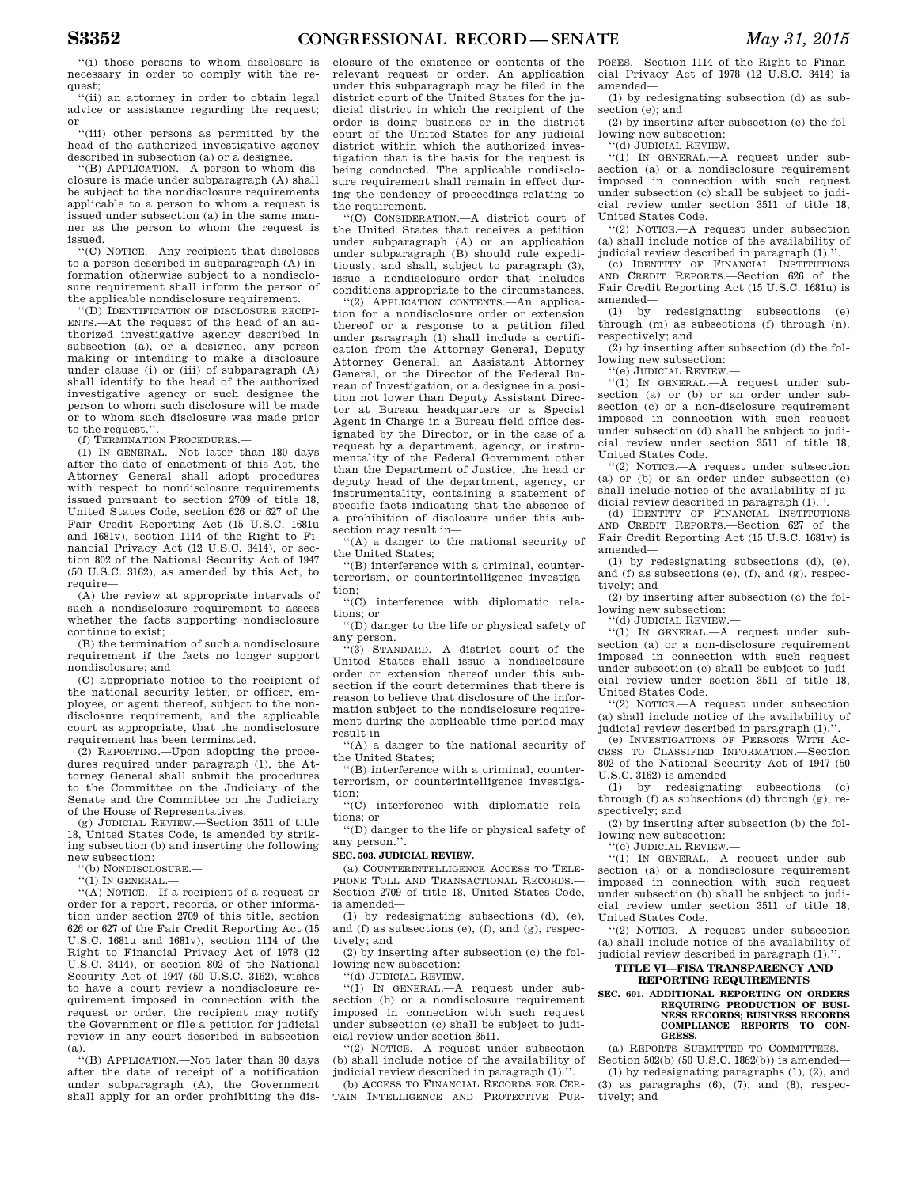''(i) those persons to whom disclosure is necessary in order to comply with the request;

''(ii) an attorney in order to obtain legal advice or assistance regarding the request; or

''(iii) other persons as permitted by the head of the authorized investigative agency described in subsection (a) or a designee.

''(B) APPLICATION.—A person to whom disclosure is made under subparagraph (A) shall be subject to the nondisclosure requirements applicable to a person to whom a request is issued under subsection (a) in the same manner as the person to whom the request is issued.

''(C) NOTICE.—Any recipient that discloses to a person described in subparagraph (A) information otherwise subject to a nondisclosure requirement shall inform the person of the applicable nondisclosure requirement.

''(D) IDENTIFICATION OF DISCLOSURE RECIPI-ENTS.—At the request of the head of an authorized investigative agency described in subsection (a), or a designee, any person making or intending to make a disclosure under clause (i) or (iii) of subparagraph (A) shall identify to the head of the authorized investigative agency or such designee the person to whom such disclosure will be made or to whom such disclosure was made prior to the request.'

(f) TERMINATION PROCEDURES.—

(1) IN GENERAL.—Not later than 180 days after the date of enactment of this Act, the Attorney General shall adopt procedures with respect to nondisclosure requirements issued pursuant to section 2709 of title 18, United States Code, section 626 or 627 of the Fair Credit Reporting Act (15 U.S.C. 1681u and 1681v), section 1114 of the Right to Financial Privacy Act (12 U.S.C. 3414), or section 802 of the National Security Act of 1947 (50 U.S.C. 3162), as amended by this Act, to require—

(A) the review at appropriate intervals of such a nondisclosure requirement to assess whether the facts supporting nondisclosure continue to exist;

(B) the termination of such a nondisclosure requirement if the facts no longer support nondisclosure; and

(C) appropriate notice to the recipient of the national security letter, or officer, employee, or agent thereof, subject to the nondisclosure requirement, and the applicable court as appropriate, that the nondisclosure requirement has been terminated.

(2) REPORTING.—Upon adopting the procedures required under paragraph (1), the Attorney General shall submit the procedures to the Committee on the Judiciary of the Senate and the Committee on the Judiciary of the House of Representatives.

(g) JUDICIAL REVIEW.—Section 3511 of title 18, United States Code, is amended by striking subsection (b) and inserting the following new subsection:

''(b) NONDISCLOSURE.—

''(1) IN GENERAL.—

''(A) NOTICE.—If a recipient of a request or order for a report, records, or other information under section 2709 of this title, section 626 or 627 of the Fair Credit Reporting Act (15 U.S.C. 1681u and 1681v), section 1114 of the Right to Financial Privacy Act of 1978 (12 U.S.C. 3414), or section 802 of the National Security Act of 1947 (50 U.S.C. 3162), wishes to have a court review a nondisclosure requirement imposed in connection with the request or order, the recipient may notify the Government or file a petition for judicial review in any court described in subsection (a).

''(B) APPLICATION.—Not later than 30 days after the date of receipt of a notification under subparagraph (A), the Government shall apply for an order prohibiting the dis-

closure of the existence or contents of the relevant request or order. An application under this subparagraph may be filed in the district court of the United States for the judicial district in which the recipient of the order is doing business or in the district court of the United States for any judicial district within which the authorized investigation that is the basis for the request is being conducted. The applicable nondisclosure requirement shall remain in effect during the pendency of proceedings relating to the requirement.

''(C) CONSIDERATION.—A district court of the United States that receives a petition under subparagraph (A) or an application under subparagraph (B) should rule expeditiously, and shall, subject to paragraph (3), issue a nondisclosure order that includes conditions appropriate to the circumstances.

''(2) APPLICATION CONTENTS.—An application for a nondisclosure order or extension thereof or a response to a petition filed under paragraph (1) shall include a certification from the Attorney General, Deputy Attorney General, an Assistant Attorney General, or the Director of the Federal Bureau of Investigation, or a designee in a position not lower than Deputy Assistant Director at Bureau headquarters or a Special Agent in Charge in a Bureau field office designated by the Director, or in the case of a request by a department, agency, or instrumentality of the Federal Government other than the Department of Justice, the head or deputy head of the department, agency, or instrumentality, containing a statement of specific facts indicating that the absence of a prohibition of disclosure under this subsection may result in—

''(A) a danger to the national security of the United States;

''(B) interference with a criminal, counterterrorism, or counterintelligence investigation;

''(C) interference with diplomatic relations; or

''(D) danger to the life or physical safety of any person.

 $(3)$  STANDARD.—A district court of the United States shall issue a nondisclosure order or extension thereof under this subsection if the court determines that there is reason to believe that disclosure of the information subject to the nondisclosure requirement during the applicable time period may result in—

''(A) a danger to the national security of the United States;

''(B) interference with a criminal, counterterrorism, or counterintelligence investigation;

''(C) interference with diplomatic relations; or

''(D) danger to the life or physical safety of any person.''.

#### **SEC. 503. JUDICIAL REVIEW.**

(a) COUNTERINTELLIGENCE ACCESS TO TELE-PHONE TOLL AND TRANSACTIONAL RECORDS. Section 2709 of title 18, United States Code, is amended—

(1) by redesignating subsections (d), (e), and (f) as subsections (e), (f), and (g), respectively; and

(2) by inserting after subsection (c) the following new subsection:

''(d) JUDICIAL REVIEW.—

''(1) IN GENERAL.—A request under subsection (b) or a nondisclosure requirement imposed in connection with such request under subsection (c) shall be subject to judicial review under section 3511.

''(2) NOTICE.—A request under subsection (b) shall include notice of the availability of judicial review described in paragraph (1).

(b) ACCESS TO FINANCIAL RECORDS FOR CER-TAIN INTELLIGENCE AND PROTECTIVE PUR-

POSES.—Section 1114 of the Right to Financial Privacy Act of 1978 (12 U.S.C. 3414) is amended—

(1) by redesignating subsection (d) as subsection (e); and

(2) by inserting after subsection (c) the following new subsection:

''(d) JUDICIAL REVIEW.—

''(1) IN GENERAL.—A request under subsection (a) or a nondisclosure requirement imposed in connection with such request under subsection (c) shall be subject to judicial review under section 3511 of title 18, United States Code.

''(2) NOTICE.—A request under subsection (a) shall include notice of the availability of judicial review described in paragraph (1).

(c) IDENTITY OF FINANCIAL INSTITUTIONS AND CREDIT REPORTS.—Section 626 of the Fair Credit Reporting Act (15 U.S.C. 1681u) is amended—

 $(1)$  by redesignating subsections through (m) as subsections (f) through (n), respectively; and

(2) by inserting after subsection (d) the following new subsection:

''(e) JUDICIAL REVIEW.—

''(1) IN GENERAL.—A request under subsection (a) or (b) or an order under subsection (c) or a non-disclosure requirement imposed in connection with such request under subsection (d) shall be subject to judicial review under section 3511 of title 18, United States Code.

''(2) NOTICE.—A request under subsection (a) or (b) or an order under subsection (c) shall include notice of the availability of judicial review described in paragraph (1).<br>
(d) IDENTITY OF FINANCIAL INSTITU

IDENTITY OF FINANCIAL INSTITUTIONS AND CREDIT REPORTS.—Section 627 of the Fair Credit Reporting Act (15 U.S.C. 1681v) is amended—

(1) by redesignating subsections (d), (e), and (f) as subsections (e), (f), and (g), respectively; and

(2) by inserting after subsection (c) the following new subsection:

''(d) JUDICIAL REVIEW.—

''(1) IN GENERAL.—A request under subsection (a) or a non-disclosure requirement imposed in connection with such request under subsection (c) shall be subject to judicial review under section 3511 of title 18, United States Code.

''(2) NOTICE.—A request under subsection (a) shall include notice of the availability of judicial review described in paragraph (1).

(e) INVESTIGATIONS OF PERSONS WITH AC-CESS TO CLASSIFIED INFORMATION.—Section 802 of the National Security Act of 1947 (50 U.S.C. 3162) is amended—

(1) by redesignating subsections (c) through (f) as subsections (d) through (g), respectively; and

(2) by inserting after subsection (b) the following new subsection:

''(c) JUDICIAL REVIEW.—

tively; and

''(1) IN GENERAL.—A request under subsection (a) or a nondisclosure requirement imposed in connection with such request under subsection (b) shall be subject to judicial review under section 3511 of title 18, United States Code.

''(2) NOTICE.—A request under subsection (a) shall include notice of the availability of judicial review described in paragraph  $(1)$ .

#### **TITLE VI—FISA TRANSPARENCY AND REPORTING REQUIREMENTS**

#### **SEC. 601. ADDITIONAL REPORTING ON ORDERS REQUIRING PRODUCTION OF BUSI-NESS RECORDS; BUSINESS RECORDS COMPLIANCE REPORTS TO CON-GRESS.**

(a) REPORTS SUBMITTED TO COMMITTEES.— Section 502(b) (50 U.S.C. 1862(b)) is amended— (1) by redesignating paragraphs (1), (2), and  $(3)$  as paragraphs  $(6)$ ,  $(7)$ , and  $(8)$ , respec-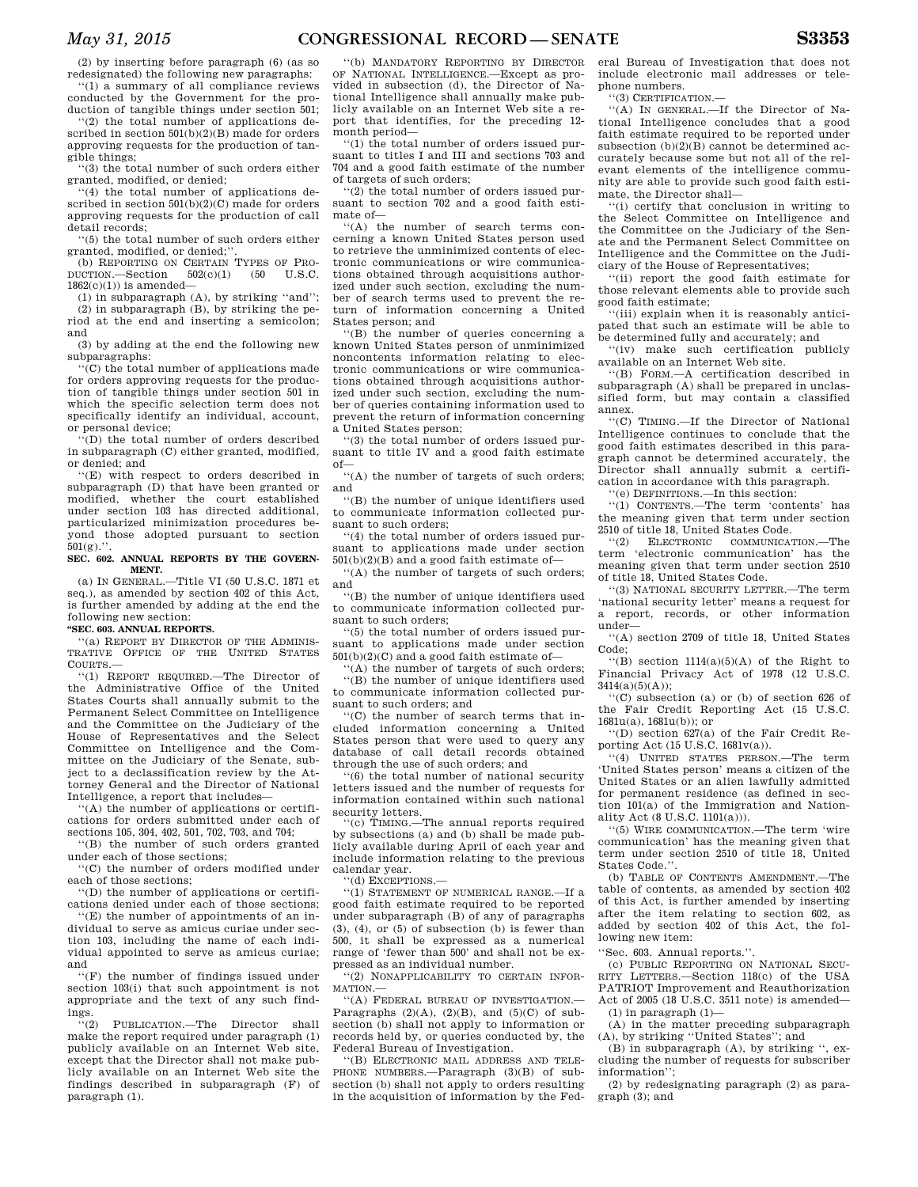(2) by inserting before paragraph (6) (as so redesignated) the following new paragraphs:

''(1) a summary of all compliance reviews conducted by the Government for the production of tangible things under section 501;

''(2) the total number of applications described in section 501(b)(2)(B) made for orders approving requests for the production of tangible things;

''(3) the total number of such orders either granted, modified, or denied;

''(4) the total number of applications described in section 501(b)(2)(C) made for orders approving requests for the production of call detail records;

''(5) the total number of such orders either granted, modified, or denied;'

(b) REPORTING ON CERTAIN TYPES OF PRO-<br>UCTION.—Section 502(c)(1) (50 U.S.C.  $DUCTION. - Section 502(c)(1) (50$  $1862(c)(1)$ ) is amended—

(1) in subparagraph (A), by striking ''and''; (2) in subparagraph (B), by striking the pe-

riod at the end and inserting a semicolon; and

(3) by adding at the end the following new subparagraphs:

''(C) the total number of applications made for orders approving requests for the production of tangible things under section 501 in which the specific selection term does not specifically identify an individual, account, or personal device;

''(D) the total number of orders described in subparagraph (C) either granted, modified, or denied; and

'(E) with respect to orders described in subparagraph (D) that have been granted or modified, whether the court established under section 103 has directed additional, particularized minimization procedures beyond those adopted pursuant to section  $501(g)$ ."

#### **SEC. 602. ANNUAL REPORTS BY THE GOVERN-MENT.**

(a) IN GENERAL.—Title VI (50 U.S.C. 1871 et seq.), as amended by section 402 of this Act, is further amended by adding at the end the following new section:

#### **''SEC. 603. ANNUAL REPORTS.**

''(a) REPORT BY DIRECTOR OF THE ADMINIS-TRATIVE OFFICE OF THE UNITED STATES COURTS.—

''(1) REPORT REQUIRED.—The Director of the Administrative Office of the United States Courts shall annually submit to the Permanent Select Committee on Intelligence and the Committee on the Judiciary of the House of Representatives and the Select Committee on Intelligence and the Committee on the Judiciary of the Senate, subject to a declassification review by the Attorney General and the Director of National Intelligence, a report that includes—

''(A) the number of applications or certifications for orders submitted under each of sections 105, 304, 402, 501, 702, 703, and 704;

''(B) the number of such orders granted under each of those sections;

''(C) the number of orders modified under each of those sections;

''(D) the number of applications or certifications denied under each of those sections;

''(E) the number of appointments of an individual to serve as amicus curiae under section 103, including the name of each individual appointed to serve as amicus curiae; and

''(F) the number of findings issued under section 103(i) that such appointment is not appropriate and the text of any such findings.

''(2) PUBLICATION.—The Director shall make the report required under paragraph (1) publicly available on an Internet Web site, except that the Director shall not make publicly available on an Internet Web site the findings described in subparagraph (F) of paragraph (1).

''(b) MANDATORY REPORTING BY DIRECTOR OF NATIONAL INTELLIGENCE.—Except as provided in subsection (d), the Director of National Intelligence shall annually make publicly available on an Internet Web site a report that identifies, for the preceding 12 month period—

''(1) the total number of orders issued pursuant to titles I and III and sections 703 and 704 and a good faith estimate of the number of targets of such orders;

''(2) the total number of orders issued pursuant to section 702 and a good faith estimate of—

''(A) the number of search terms concerning a known United States person used to retrieve the unminimized contents of electronic communications or wire communications obtained through acquisitions authorized under such section, excluding the number of search terms used to prevent the return of information concerning a United States person; and

''(B) the number of queries concerning a known United States person of unminimized noncontents information relating to electronic communications or wire communications obtained through acquisitions authorized under such section, excluding the number of queries containing information used to prevent the return of information concerning a United States person;

''(3) the total number of orders issued pursuant to title IV and a good faith estimate of—

''(A) the number of targets of such orders; and

''(B) the number of unique identifiers used to communicate information collected pursuant to such orders;

''(4) the total number of orders issued pursuant to applications made under section  $501(b)(2)(B)$  and a good faith estimate of-

''(A) the number of targets of such orders; and

''(B) the number of unique identifiers used to communicate information collected pursuant to such orders;

''(5) the total number of orders issued pursuant to applications made under section  $501(b)(2)(C)$  and a good faith estimate of-

''(A) the number of targets of such orders; ''(B) the number of unique identifiers used to communicate information collected pursuant to such orders; and

''(C) the number of search terms that included information concerning a United States person that were used to query any database of call detail records obtained through the use of such orders; and

''(6) the total number of national security letters issued and the number of requests for information contained within such national

security letters.<br>"(c) TIMING.—The annual reports required by subsections (a) and (b) shall be made publicly available during April of each year and include information relating to the previous calendar year.

''(d) EXCEPTIONS.—

''(1) STATEMENT OF NUMERICAL RANGE.—If a good faith estimate required to be reported under subparagraph (B) of any of paragraphs  $(3)$ ,  $(4)$ , or  $(5)$  of subsection  $(b)$  is fewer than 500, it shall be expressed as a numerical range of 'fewer than 500' and shall not be expressed as an individual number.

''(2) NONAPPLICABILITY TO CERTAIN INFOR-MATION.

''(A) FEDERAL BUREAU OF INVESTIGATION.— Paragraphs  $(2)(A)$ ,  $(2)(B)$ , and  $(5)(C)$  of subsection (b) shall not apply to information or records held by, or queries conducted by, the Federal Bureau of Investigation.

''(B) ELECTRONIC MAIL ADDRESS AND TELE-PHONE NUMBERS.—Paragraph (3)(B) of subsection (b) shall not apply to orders resulting in the acquisition of information by the Fed-

eral Bureau of Investigation that does not include electronic mail addresses or telephone numbers.

''(3) CERTIFICATION.—

''(A) IN GENERAL.—If the Director of National Intelligence concludes that a good faith estimate required to be reported under subsection  $(b)(2)(B)$  cannot be determined accurately because some but not all of the relevant elements of the intelligence community are able to provide such good faith estimate, the Director shall—

''(i) certify that conclusion in writing to the Select Committee on Intelligence and the Committee on the Judiciary of the Senate and the Permanent Select Committee on Intelligence and the Committee on the Judiciary of the House of Representatives;

''(ii) report the good faith estimate for those relevant elements able to provide such good faith estimate;

''(iii) explain when it is reasonably anticipated that such an estimate will be able to be determined fully and accurately; and

''(iv) make such certification publicly available on an Internet Web site.

''(B) FORM.—A certification described in subparagraph (A) shall be prepared in unclassified form, but may contain a classified annex.

''(C) TIMING.—If the Director of National Intelligence continues to conclude that the good faith estimates described in this paragraph cannot be determined accurately, the Director shall annually submit a certification in accordance with this paragraph.

''(e) DEFINITIONS.—In this section:

''(1) CONTENTS.—The term 'contents' has the meaning given that term under section 2510 of title 18, United States Code.<br>
"(2) ELECTRONIC COMMUNICA"

ELECTRONIC COMMUNICATION.—The term 'electronic communication' has the meaning given that term under section 2510 of title 18, United States Code.

''(3) NATIONAL SECURITY LETTER.—The term 'national security letter' means a request for a report, records, or other information under—

''(A) section 2709 of title 18, United States Code;

 $''(B)$  section 1114(a)(5)(A) of the Right to Financial Privacy Act of 1978 (12 U.S.C. 3414(a)(5)(A));

''(C) subsection (a) or (b) of section 626 of the Fair Credit Reporting Act (15 U.S.C. 1681u(a), 1681u(b)); or

''(D) section 627(a) of the Fair Credit Reporting Act (15 U.S.C. 1681 $v(a)$ ).

''(4) UNITED STATES PERSON.—The term 'United States person' means a citizen of the United States or an alien lawfully admitted for permanent residence (as defined in section 101(a) of the Immigration and Nationality Act (8 U.S.C.  $1101(a))$ ).

''(5) WIRE COMMUNICATION.—The term 'wire communication' has the meaning given that term under section 2510 of title 18, United States Code.'

(b) TABLE OF CONTENTS AMENDMENT.—The table of contents, as amended by section 402 of this Act, is further amended by inserting after the item relating to section 602, as added by section 402 of this Act, the following new item:

''Sec. 603. Annual reports.''.

(c) PUBLIC REPORTING ON NATIONAL SECU-RITY LETTERS.—Section 118(c) of the USA PATRIOT Improvement and Reauthorization Act of 2005 (18 U.S.C. 3511 note) is amended—  $(1)$  in paragraph  $(1)$ -

(A) in the matter preceding subparagraph (A), by striking ''United States''; and

(B) in subparagraph (A), by striking '', excluding the number of requests for subscriber information'';

(2) by redesignating paragraph (2) as paragraph (3); and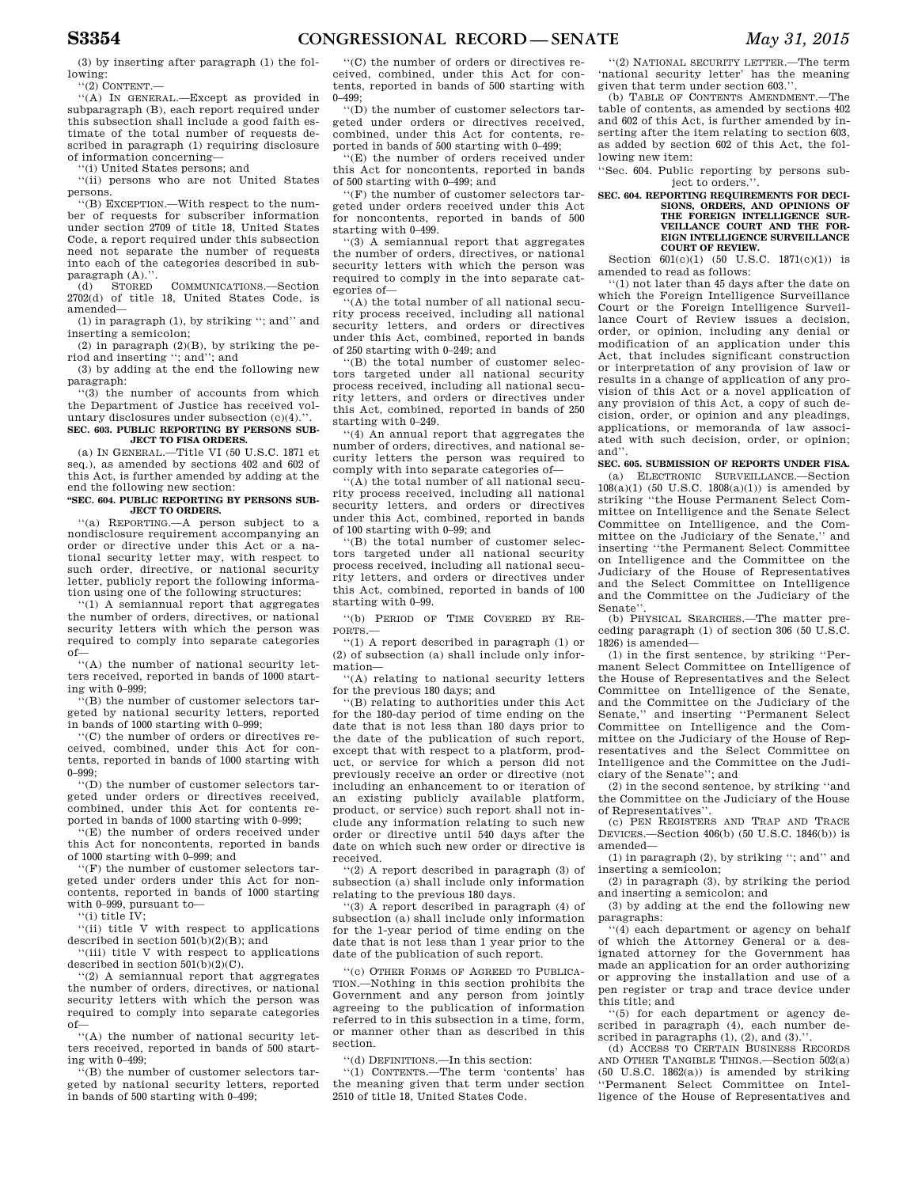(3) by inserting after paragraph (1) the following:

''(2) CONTENT.—

''(A) IN GENERAL.—Except as provided in subparagraph (B), each report required under this subsection shall include a good faith estimate of the total number of requests described in paragraph (1) requiring disclosure of information concerning—

''(i) United States persons; and

''(ii) persons who are not United States persons.

''(B) EXCEPTION.—With respect to the number of requests for subscriber information under section 2709 of title 18, United States Code, a report required under this subsection need not separate the number of requests into each of the categories described in subparagraph  $(A)$ .".<br> $(A)$  STORED

(d) STORED COMMUNICATIONS.—Section 2702(d) of title 18, United States Code, is amended—

(1) in paragraph (1), by striking ''; and'' and inserting a semicolon;

 $(2)$  in paragraph  $(2)(B)$ , by striking the period and inserting ''; and''; and

(3) by adding at the end the following new paragraph:

''(3) the number of accounts from which the Department of Justice has received voluntary disclosures under subsection (c)(4).''.

#### **SEC. 603. PUBLIC REPORTING BY PERSONS SUB-JECT TO FISA ORDERS.**

(a) IN GENERAL.—Title VI (50 U.S.C. 1871 et seq.), as amended by sections 402 and 602 of this Act, is further amended by adding at the end the following new section:

#### **''SEC. 604. PUBLIC REPORTING BY PERSONS SUB-JECT TO ORDERS.**

''(a) REPORTING.—A person subject to a nondisclosure requirement accompanying an order or directive under this Act or a national security letter may, with respect to such order, directive, or national security letter, publicly report the following information using one of the following structures:

''(1) A semiannual report that aggregates the number of orders, directives, or national security letters with which the person was required to comply into separate categories of—

''(A) the number of national security letters received, reported in bands of 1000 starting with 0–999;

''(B) the number of customer selectors targeted by national security letters, reported in bands of 1000 starting with 0–999;

'(C) the number of orders or directives received, combined, under this Act for contents, reported in bands of 1000 starting with 0–999;

''(D) the number of customer selectors targeted under orders or directives received, combined, under this Act for contents reported in bands of 1000 starting with 0–999;

''(E) the number of orders received under this Act for noncontents, reported in bands of 1000 starting with 0–999; and

''(F) the number of customer selectors targeted under orders under this Act for noncontents, reported in bands of 1000 starting with 0–999, pursuant to—

''(i) title IV;

''(ii) title V with respect to applications described in section 501(b)(2)(B); and

''(iii) title V with respect to applications described in section 501(b)(2)(C).

''(2) A semiannual report that aggregates the number of orders, directives, or national security letters with which the person was required to comply into separate categories of—

''(A) the number of national security letters received, reported in bands of 500 starting with 0–499;

''(B) the number of customer selectors targeted by national security letters, reported in bands of 500 starting with 0–499;

''(C) the number of orders or directives received, combined, under this Act for contents, reported in bands of 500 starting with 0–499;

''(D) the number of customer selectors targeted under orders or directives received, combined, under this Act for contents, reported in bands of 500 starting with 0–499;

''(E) the number of orders received under this Act for noncontents, reported in bands of 500 starting with 0–499; and

''(F) the number of customer selectors targeted under orders received under this Act for noncontents, reported in bands of 500 starting with 0–499.

''(3) A semiannual report that aggregates the number of orders, directives, or national security letters with which the person was required to comply in the into separate categories of—

''(A) the total number of all national security process received, including all national security letters, and orders or directives under this Act, combined, reported in bands of 250 starting with 0–249; and

''(B) the total number of customer selectors targeted under all national security process received, including all national security letters, and orders or directives under this Act, combined, reported in bands of 250 starting with 0–249.

''(4) An annual report that aggregates the number of orders, directives, and national security letters the person was required to comply with into separate categories of—

''(A) the total number of all national security process received, including all national security letters, and orders or directives under this Act, combined, reported in bands of 100 starting with 0–99; and

''(B) the total number of customer selectors targeted under all national security process received, including all national security letters, and orders or directives under this Act, combined, reported in bands of 100 starting with 0–99.

''(b) PERIOD OF TIME COVERED BY RE-PORTS.—

''(1) A report described in paragraph (1) or (2) of subsection (a) shall include only information—

''(A) relating to national security letters for the previous 180 days; and

''(B) relating to authorities under this Act for the 180-day period of time ending on the date that is not less than 180 days prior to the date of the publication of such report, except that with respect to a platform, product, or service for which a person did not previously receive an order or directive (not including an enhancement to or iteration of an existing publicly available platform, product, or service) such report shall not include any information relating to such new order or directive until 540 days after the date on which such new order or directive is received.

''(2) A report described in paragraph (3) of subsection (a) shall include only information relating to the previous 180 days.

''(3) A report described in paragraph (4) of subsection (a) shall include only information for the 1-year period of time ending on the date that is not less than 1 year prior to the date of the publication of such report.

''(c) OTHER FORMS OF AGREED TO PUBLICA-TION.—Nothing in this section prohibits the Government and any person from jointly agreeing to the publication of information referred to in this subsection in a time, form, or manner other than as described in this section.

''(d) DEFINITIONS.—In this section:

''(1) CONTENTS.—The term 'contents' has the meaning given that term under section 2510 of title 18, United States Code.

''(2) NATIONAL SECURITY LETTER.—The term 'national security letter' has the meaning given that term under section 603.'

(b) TABLE OF CONTENTS AMENDMENT.—The table of contents, as amended by sections 402 and 602 of this Act, is further amended by inserting after the item relating to section 603, as added by section 602 of this Act, the following new item:

''Sec. 604. Public reporting by persons subject to orders.

#### SEC. **604. REPORTING REQUIREMENTS FOR DECI-SIONS, ORDERS, AND OPINIONS OF**  THE FOREIGN INTELLIGENCE SUB-**VEILLANCE COURT AND THE FOR-**

**EIGN INTELLIGENCE SURVEILLANCE COURT OF REVIEW.**  Section  $601(c)(1)$  (50 U.S.C. 1871(c)(1)) is

amended to read as follows:

''(1) not later than 45 days after the date on which the Foreign Intelligence Surveillance Court or the Foreign Intelligence Surveillance Court of Review issues a decision, order, or opinion, including any denial or modification of an application under this Act, that includes significant construction or interpretation of any provision of law or results in a change of application of any provision of this Act or a novel application of any provision of this Act, a copy of such decision, order, or opinion and any pleadings, applications, or memoranda of law associated with such decision, order, or opinion; and''.

#### **SEC. 605. SUBMISSION OF REPORTS UNDER FISA.**

(a) ELECTRONIC SURVEILLANCE.—Section  $108(a)(1)$  (50 U.S.C.  $1808(a)(1)$ ) is amended by striking ''the House Permanent Select Committee on Intelligence and the Senate Select Committee on Intelligence, and the Committee on the Judiciary of the Senate,'' and inserting ''the Permanent Select Committee on Intelligence and the Committee on the Judiciary of the House of Representatives and the Select Committee on Intelligence and the Committee on the Judiciary of the Senate'

(b) PHYSICAL SEARCHES.—The matter preceding paragraph (1) of section 306 (50 U.S.C. 1826) is amended—

(1) in the first sentence, by striking ''Permanent Select Committee on Intelligence of the House of Representatives and the Select Committee on Intelligence of the Senate, and the Committee on the Judiciary of the Senate,'' and inserting ''Permanent Select Committee on Intelligence and the Committee on the Judiciary of the House of Representatives and the Select Committee on Intelligence and the Committee on the Judiciary of the Senate''; and

(2) in the second sentence, by striking ''and the Committee on the Judiciary of the House of Representatives''.

(c) PEN REGISTERS AND TRAP AND TRACE DEVICES.—Section 406(b) (50 U.S.C. 1846(b)) is amended—

(1) in paragraph (2), by striking ''; and'' and inserting a semicolon;

(2) in paragraph (3), by striking the period and inserting a semicolon; and

(3) by adding at the end the following new paragraphs:

''(4) each department or agency on behalf of which the Attorney General or a designated attorney for the Government has made an application for an order authorizing or approving the installation and use of a pen register or trap and trace device under this title; and

''(5) for each department or agency described in paragraph (4), each number described in paragraphs  $(1)$ ,  $(2)$ , and  $(3)$ .

(d) ACCESS TO CERTAIN BUSINESS RECORDS AND OTHER TANGIBLE THINGS.—Section 502(a) (50 U.S.C. 1862(a)) is amended by striking ''Permanent Select Committee on Intelligence of the House of Representatives and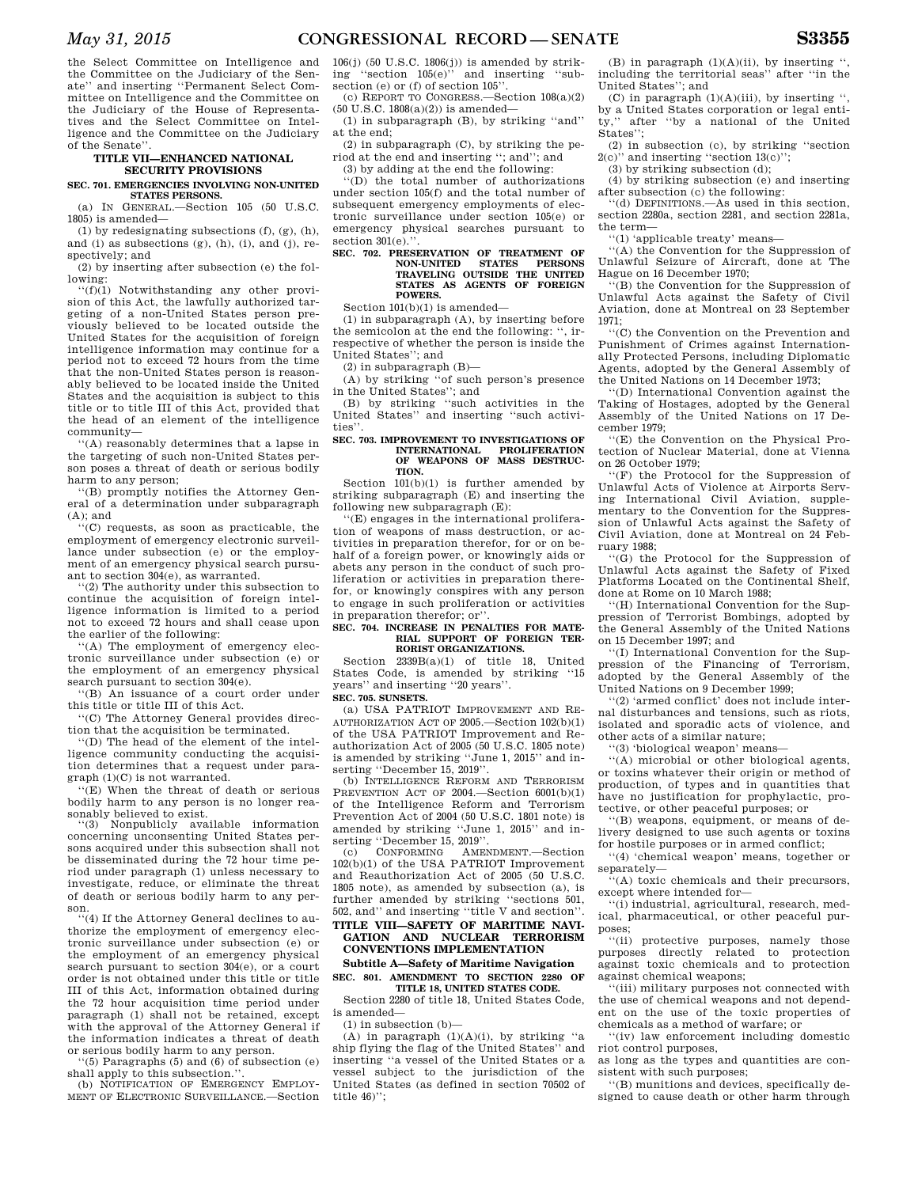#### **TITLE VII—ENHANCED NATIONAL SECURITY PROVISIONS**

**SEC. 701. EMERGENCIES INVOLVING NON-UNITED STATES PERSONS.** 

(a) IN GENERAL.—Section 105 (50 U.S.C. 1805) is amended—

(1) by redesignating subsections  $(f)$ ,  $(g)$ ,  $(h)$ , and (i) as subsections (g), (h), (i), and (j), respectively; and

(2) by inserting after subsection (e) the following:

 $(f)(1)$  Notwithstanding any other provision of this Act, the lawfully authorized targeting of a non-United States person previously believed to be located outside the United States for the acquisition of foreign intelligence information may continue for a period not to exceed 72 hours from the time that the non-United States person is reasonably believed to be located inside the United States and the acquisition is subject to this title or to title III of this Act, provided that the head of an element of the intelligence community—

'(A) reasonably determines that a lapse in the targeting of such non-United States person poses a threat of death or serious bodily harm to any person;

''(B) promptly notifies the Attorney General of a determination under subparagraph  $(A)$ ; and

''(C) requests, as soon as practicable, the employment of emergency electronic surveillance under subsection (e) or the employment of an emergency physical search pursuant to section 304(e), as warranted.

'(2) The authority under this subsection to continue the acquisition of foreign intelligence information is limited to a period not to exceed 72 hours and shall cease upon the earlier of the following:

''(A) The employment of emergency electronic surveillance under subsection (e) or the employment of an emergency physical search pursuant to section  $304(e)$ .

''(B) An issuance of a court order under this title or title III of this Act.

''(C) The Attorney General provides direction that the acquisition be terminated.

''(D) The head of the element of the intelligence community conducting the acquisition determines that a request under paragraph (1)(C) is not warranted.

''(E) When the threat of death or serious bodily harm to any person is no longer reasonably believed to exist.

'(3) Nonpublicly available information concerning unconsenting United States persons acquired under this subsection shall not be disseminated during the 72 hour time period under paragraph (1) unless necessary to investigate, reduce, or eliminate the threat of death or serious bodily harm to any person.

''(4) If the Attorney General declines to authorize the employment of emergency electronic surveillance under subsection (e) or the employment of an emergency physical search pursuant to section 304(e), or a court order is not obtained under this title or title III of this Act, information obtained during the 72 hour acquisition time period under paragraph (1) shall not be retained, except with the approval of the Attorney General if the information indicates a threat of death or serious bodily harm to any person.

 $(5)$  Paragraphs  $(5)$  and  $(6)$  of subsection  $(e)$ shall apply to this subsection.''.

(b) NOTIFICATION OF EMERGENCY EMPLOY-MENT OF ELECTRONIC SURVEILLANCE.—Section

106(j) (50 U.S.C. 1806(j)) is amended by striking ''section 105(e)'' and inserting ''subsection (e) or (f) of section 105''.

(c) REPORT TO CONGRESS.—Section 108(a)(2)  $(50 \text{ U.S.C. } 1808(a)(2))$  is amended—

(1) in subparagraph (B), by striking ''and'' at the end;

(2) in subparagraph (C), by striking the period at the end and inserting ''; and''; and

(3) by adding at the end the following:

''(D) the total number of authorizations under section 105(f) and the total number of subsequent emergency employments of electronic surveillance under section 105(e) or emergency physical searches pursuant to section  $301(e)$ ."

#### **SEC. 702. PRESERVATION OF TREATMENT OF NON-UNITED STATES PERSONS TRAVELING OUTSIDE THE UNITED STATES AS AGENTS OF FOREIGN POWERS.**

Section 101(b)(1) is amended—

(1) in subparagraph (A), by inserting before the semicolon at the end the following: '', irrespective of whether the person is inside the United States''; and

(2) in subparagraph (B)—

(A) by striking ''of such person's presence in the United States''; and

(B) by striking ''such activities in the United States'' and inserting ''such activities'

#### **SEC. 703. IMPROVEMENT TO INVESTIGATIONS OF INTERNATIONAL PROLIFERATION OF WEAPONS OF MASS DESTRUC-TION.**

Section 101(b)(1) is further amended by striking subparagraph (E) and inserting the following new subparagraph (E):

''(E) engages in the international proliferation of weapons of mass destruction, or activities in preparation therefor, for or on behalf of a foreign power, or knowingly aids or abets any person in the conduct of such proliferation or activities in preparation therefor, or knowingly conspires with any person to engage in such proliferation or activities in preparation therefor; or''.

#### **SEC. 704. INCREASE IN PENALTIES FOR MATE-RIAL SUPPORT OF FOREIGN TER-RORIST ORGANIZATIONS.**

Section 2339B(a)(1) of title 18, United States Code, is amended by striking ''15 years'' and inserting ''20 years''.

**SEC. 705. SUNSETS.** 

(a) USA PATRIOT IMPROVEMENT AND RE-AUTHORIZATION ACT OF 2005.—Section 102(b)(1) of the USA PATRIOT Improvement and Reauthorization Act of 2005 (50 U.S.C. 1805 note) is amended by striking ''June 1, 2015'' and inserting "December 15, 2019".

(b) INTELLIGENCE REFORM AND TERRORISM PREVENTION ACT OF 2004.—Section 6001(b)(1) of the Intelligence Reform and Terrorism Prevention Act of 2004 (50 U.S.C. 1801 note) is amended by striking ''June 1, 2015'' and inserting "December 15, 2019".<br>
(c) CONFORMING AMER

(c) CONFORMING AMENDMENT.—Section 102(b)(1) of the USA PATRIOT Improvement and Reauthorization Act of 2005 (50 U.S.C. 1805 note), as amended by subsection (a), is further amended by striking ''sections 501, 502, and'' and inserting ''title V and section''.

#### **TITLE VIII—SAFETY OF MARITIME NAVI-GATION AND NUCLEAR TERRORISM CONVENTIONS IMPLEMENTATION**

#### **Subtitle A—Safety of Maritime Navigation SEC. 801. AMENDMENT TO SECTION 2280 OF TITLE 18, UNITED STATES CODE.**

Section 2280 of title 18, United States Code, is amended—

 $(1)$  in subsection  $(b)$ -

 $(A)$  in paragraph  $(1)(A)(i)$ , by striking "a ship flying the flag of the United States'' and inserting ''a vessel of the United States or a vessel subject to the jurisdiction of the United States (as defined in section 70502 of title 46)'';

(B) in paragraph  $(1)(A)(ii)$ , by inserting including the territorial seas'' after ''in the United States''; and

(C) in paragraph  $(1)(A)(iii)$ , by inserting ", by a United States corporation or legal entity,'' after ''by a national of the United States'';

(2) in subsection (c), by striking ''section 2(c)'' and inserting ''section 13(c)'';

(3) by striking subsection (d);

(4) by striking subsection (e) and inserting after subsection (c) the following: ''(d) DEFINITIONS.—As used in this section,

section 2280a, section 2281, and section 2281a, the term—

(1) 'applicable treaty' means-

''(A) the Convention for the Suppression of Unlawful Seizure of Aircraft, done at The Hague on 16 December 1970;

''(B) the Convention for the Suppression of Unlawful Acts against the Safety of Civil Aviation, done at Montreal on 23 September 1971;

''(C) the Convention on the Prevention and Punishment of Crimes against Internationally Protected Persons, including Diplomatic Agents, adopted by the General Assembly of the United Nations on 14 December 1973;

''(D) International Convention against the Taking of Hostages, adopted by the General Assembly of the United Nations on 17 December 1979;

''(E) the Convention on the Physical Protection of Nuclear Material, done at Vienna on 26 October 1979;

''(F) the Protocol for the Suppression of Unlawful Acts of Violence at Airports Serving International Civil Aviation, supplementary to the Convention for the Suppression of Unlawful Acts against the Safety of Civil Aviation, done at Montreal on 24 February 1988;

''(G) the Protocol for the Suppression of Unlawful Acts against the Safety of Fixed Platforms Located on the Continental Shelf, done at Rome on 10 March 1988;

''(H) International Convention for the Suppression of Terrorist Bombings, adopted by the General Assembly of the United Nations on 15 December 1997; and

''(I) International Convention for the Suppression of the Financing of Terrorism, adopted by the General Assembly of the United Nations on 9 December 1999;

''(2) 'armed conflict' does not include internal disturbances and tensions, such as riots, isolated and sporadic acts of violence, and other acts of a similar nature;

''(3) 'biological weapon' means—

''(A) microbial or other biological agents, or toxins whatever their origin or method of production, of types and in quantities that have no justification for prophylactic, protective, or other peaceful purposes; or

''(B) weapons, equipment, or means of delivery designed to use such agents or toxins for hostile purposes or in armed conflict;

''(4) 'chemical weapon' means, together or separately—

''(A) toxic chemicals and their precursors, except where intended for—

''(i) industrial, agricultural, research, medical, pharmaceutical, or other peaceful purposes;

''(ii) protective purposes, namely those purposes directly related to protection against toxic chemicals and to protection against chemical weapons;

''(iii) military purposes not connected with the use of chemical weapons and not dependent on the use of the toxic properties of chemicals as a method of warfare; or

''(iv) law enforcement including domestic riot control purposes,

as long as the types and quantities are consistent with such purposes;

''(B) munitions and devices, specifically designed to cause death or other harm through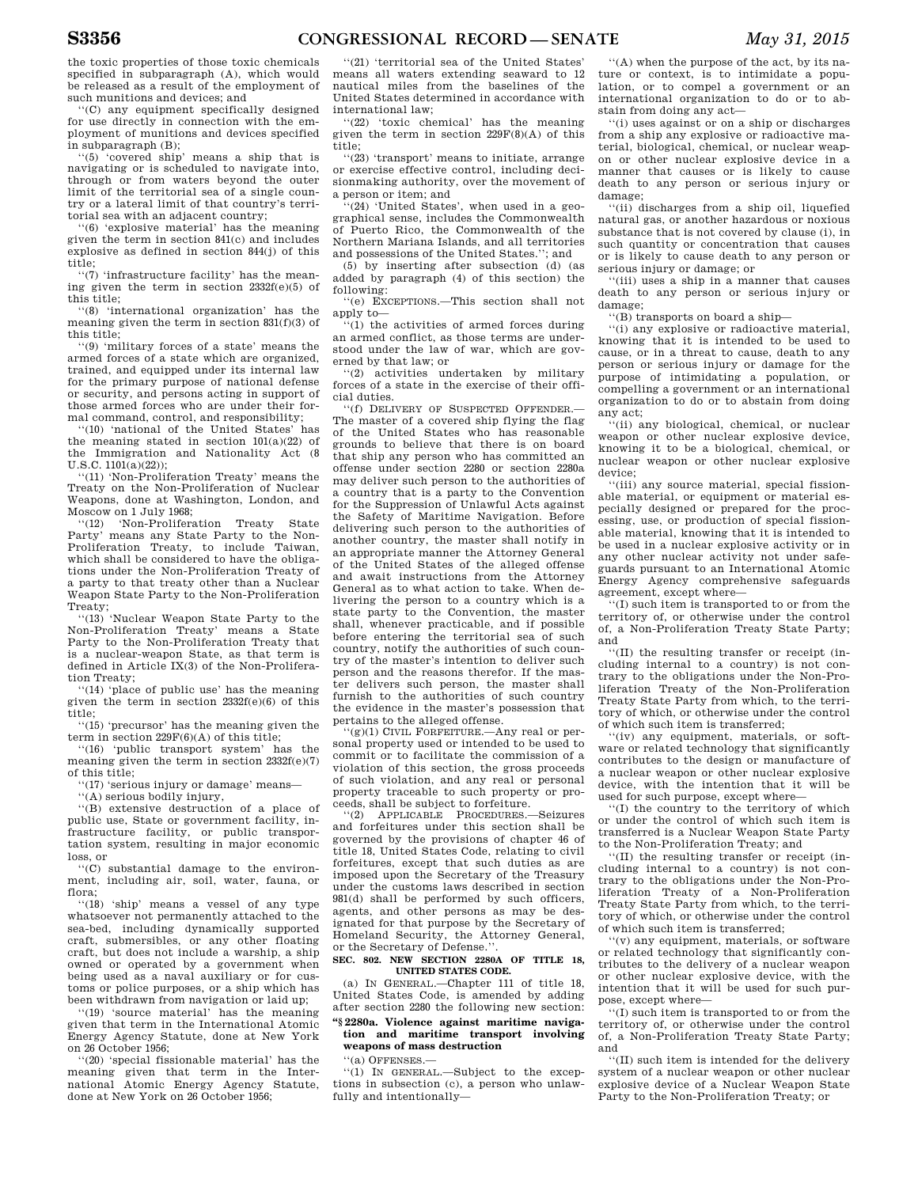the toxic properties of those toxic chemicals specified in subparagraph (A), which would be released as a result of the employment of such munitions and devices; and

''(C) any equipment specifically designed for use directly in connection with the employment of munitions and devices specified in subparagraph (B);

''(5) 'covered ship' means a ship that is navigating or is scheduled to navigate into, through or from waters beyond the outer limit of the territorial sea of a single country or a lateral limit of that country's territorial sea with an adjacent country;

''(6) 'explosive material' has the meaning given the term in section 841(c) and includes explosive as defined in section 844(j) of this title;

 $''(7)$  'infrastructure facility' has the meaning given the term in section 2332f(e)(5) of this title;

''(8) 'international organization' has the meaning given the term in section 831(f)(3) of this title;

''(9) 'military forces of a state' means the armed forces of a state which are organized, trained, and equipped under its internal law for the primary purpose of national defense or security, and persons acting in support of those armed forces who are under their formal command, control, and responsibility;

''(10) 'national of the United States' has the meaning stated in section 101(a)(22) of the Immigration and Nationality Act (8  $U.S.C. 1101(a)(22))$ ;

''(11) 'Non-Proliferation Treaty' means the Treaty on the Non-Proliferation of Nuclear Weapons, done at Washington, London, and Moscow on 1 July 1968;

''(12) 'Non-Proliferation Treaty State Party' means any State Party to the Non-Proliferation Treaty, to include Taiwan, which shall be considered to have the obligations under the Non-Proliferation Treaty of a party to that treaty other than a Nuclear Weapon State Party to the Non-Proliferation Treaty;

''(13) 'Nuclear Weapon State Party to the Non-Proliferation Treaty' means a State Party to the Non-Proliferation Treaty that is a nuclear-weapon State, as that term is defined in Article IX(3) of the Non-Proliferation Treaty;

''(14) 'place of public use' has the meaning given the term in section 2332f(e)(6) of this title;

''(15) 'precursor' has the meaning given the term in section  $229F(6)(A)$  of this title;

''(16) 'public transport system' has the meaning given the term in section  $2332f(e)(7)$ of this title;

''(17) 'serious injury or damage' means—

''(A) serious bodily injury,

''(B) extensive destruction of a place of public use, State or government facility, infrastructure facility, or public transportation system, resulting in major economic loss, or

''(C) substantial damage to the environment, including air, soil, water, fauna, or flora;

''(18) 'ship' means a vessel of any type whatsoever not permanently attached to the sea-bed, including dynamically supported craft, submersibles, or any other floating craft, but does not include a warship, a ship owned or operated by a government when being used as a naval auxiliary or for customs or police purposes, or a ship which has been withdrawn from navigation or laid up;

''(19) 'source material' has the meaning given that term in the International Atomic Energy Agency Statute, done at New York on 26 October 1956;

''(20) 'special fissionable material' has the meaning given that term in the International Atomic Energy Agency Statute, done at New York on 26 October 1956;

''(21) 'territorial sea of the United States' means all waters extending seaward to 12 nautical miles from the baselines of the United States determined in accordance with international law;

''(22) 'toxic chemical' has the meaning given the term in section 229F(8)(A) of this title;

''(23) 'transport' means to initiate, arrange or exercise effective control, including decisionmaking authority, over the movement of a person or item; and

'(24) 'United States', when used in a geographical sense, includes the Commonwealth of Puerto Rico, the Commonwealth of the Northern Mariana Islands, and all territories and possessions of the United States.''; and

(5) by inserting after subsection (d) (as added by paragraph (4) of this section) the following:

''(e) EXCEPTIONS.—This section shall not apply to—

''(1) the activities of armed forces during an armed conflict, as those terms are understood under the law of war, which are governed by that law; or

''(2) activities undertaken by military forces of a state in the exercise of their official duties.

''(f) DELIVERY OF SUSPECTED OFFENDER.— The master of a covered ship flying the flag of the United States who has reasonable grounds to believe that there is on board that ship any person who has committed an offense under section 2280 or section 2280a may deliver such person to the authorities of a country that is a party to the Convention for the Suppression of Unlawful Acts against the Safety of Maritime Navigation. Before delivering such person to the authorities of another country, the master shall notify in an appropriate manner the Attorney General of the United States of the alleged offense and await instructions from the Attorney General as to what action to take. When delivering the person to a country which is a state party to the Convention, the master shall, whenever practicable, and if possible before entering the territorial sea of such country, notify the authorities of such country of the master's intention to deliver such person and the reasons therefor. If the master delivers such person, the master shall furnish to the authorities of such country the evidence in the master's possession that pertains to the alleged offense.

''(g)(1) CIVIL FORFEITURE.—Any real or personal property used or intended to be used to commit or to facilitate the commission of a violation of this section, the gross proceeds of such violation, and any real or personal property traceable to such property or proceeds, shall be subject to forfeiture.

''(2) APPLICABLE PROCEDURES.—Seizures and forfeitures under this section shall be governed by the provisions of chapter 46 of title 18, United States Code, relating to civil forfeitures, except that such duties as are imposed upon the Secretary of the Treasury under the customs laws described in section 981(d) shall be performed by such officers. agents, and other persons as may be designated for that purpose by the Secretary of Homeland Security, the Attorney General, or the Secretary of Defense.''.

#### **SEC. 802. NEW SECTION 2280A OF TITLE 18, UNITED STATES CODE.**

(a) IN GENERAL.—Chapter 111 of title 18, United States Code, is amended by adding after section 2280 the following new section: **''§ 2280a. Violence against maritime naviga-**

#### **tion and maritime transport involving weapons of mass destruction**

''(a) OFFENSES.—

''(1) IN GENERAL.—Subject to the exceptions in subsection (c), a person who unlawfully and intentionally—

''(A) when the purpose of the act, by its nature or context, is to intimidate a population, or to compel a government or an international organization to do or to abstain from doing any act—

''(i) uses against or on a ship or discharges from a ship any explosive or radioactive material, biological, chemical, or nuclear weapon or other nuclear explosive device in a manner that causes or is likely to cause death to any person or serious injury or damage;

''(ii) discharges from a ship oil, liquefied natural gas, or another hazardous or noxious substance that is not covered by clause (i), in such quantity or concentration that causes or is likely to cause death to any person or serious injury or damage; or

''(iii) uses a ship in a manner that causes death to any person or serious injury or damage;

''(B) transports on board a ship—

''(i) any explosive or radioactive material, knowing that it is intended to be used to cause, or in a threat to cause, death to any person or serious injury or damage for the purpose of intimidating a population, or compelling a government or an international organization to do or to abstain from doing any act;

''(ii) any biological, chemical, or nuclear weapon or other nuclear explosive device, knowing it to be a biological, chemical, or nuclear weapon or other nuclear explosive device;

''(iii) any source material, special fissionable material, or equipment or material especially designed or prepared for the processing, use, or production of special fissionable material, knowing that it is intended to be used in a nuclear explosive activity or in any other nuclear activity not under safeguards pursuant to an International Atomic Energy Agency comprehensive safeguards agreement, except where—

''(I) such item is transported to or from the territory of, or otherwise under the control of, a Non-Proliferation Treaty State Party; and

''(II) the resulting transfer or receipt (including internal to a country) is not contrary to the obligations under the Non-Proliferation Treaty of the Non-Proliferation Treaty State Party from which, to the territory of which, or otherwise under the control of which such item is transferred;

''(iv) any equipment, materials, or software or related technology that significantly contributes to the design or manufacture of a nuclear weapon or other nuclear explosive device, with the intention that it will be used for such purpose, except where—

''(I) the country to the territory of which or under the control of which such item is transferred is a Nuclear Weapon State Party to the Non-Proliferation Treaty; and

''(II) the resulting transfer or receipt (including internal to a country) is not contrary to the obligations under the Non-Proliferation Treaty of a Non-Proliferation Treaty State Party from which, to the territory of which, or otherwise under the control of which such item is transferred;

''(v) any equipment, materials, or software or related technology that significantly contributes to the delivery of a nuclear weapon or other nuclear explosive device, with the intention that it will be used for such purpose, except where—

''(I) such item is transported to or from the territory of, or otherwise under the control of, a Non-Proliferation Treaty State Party; and

''(II) such item is intended for the delivery system of a nuclear weapon or other nuclear explosive device of a Nuclear Weapon State Party to the Non-Proliferation Treaty; or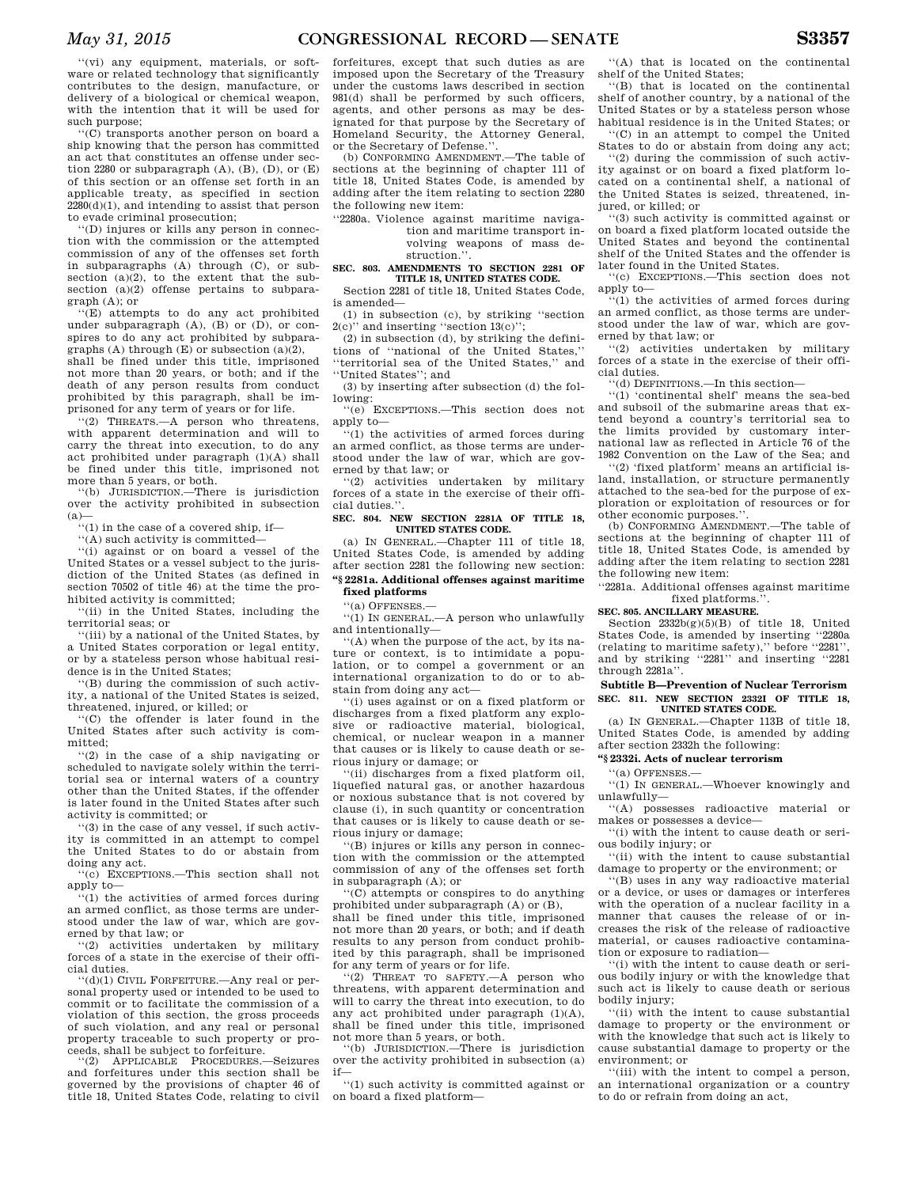''(vi) any equipment, materials, or software or related technology that significantly contributes to the design, manufacture, or delivery of a biological or chemical weapon, with the intention that it will be used for such purpose;

''(C) transports another person on board a ship knowing that the person has committed an act that constitutes an offense under section 2280 or subparagraph  $(A)$ ,  $(B)$ ,  $(D)$ , or  $(E)$ of this section or an offense set forth in an applicable treaty, as specified in section  $2280(d)(1)$ , and intending to assist that person to evade criminal prosecution;

''(D) injures or kills any person in connection with the commission or the attempted commission of any of the offenses set forth in subparagraphs (A) through (C), or subsection  $(a)(2)$ , to the extent that the subsection (a)(2) offense pertains to subparagraph (A); or

''(E) attempts to do any act prohibited under subparagraph  $(A)$ ,  $(B)$  or  $(D)$ , or conspires to do any act prohibited by subparagraphs (A) through  $(E)$  or subsection  $(a)(2)$ , shall be fined under this title, imprisoned not more than 20 years, or both; and if the death of any person results from conduct prohibited by this paragraph, shall be imprisoned for any term of years or for life.

''(2) THREATS.—A person who threatens, with apparent determination and will to carry the threat into execution, to do any act prohibited under paragraph (1)(A) shall be fined under this title, imprisoned not more than 5 years, or both.

''(b) JURISDICTION.—There is jurisdiction over the activity prohibited in subsection  $(a)$ —

''(1) in the case of a covered ship, if—

''(A) such activity is committed—

''(i) against or on board a vessel of the United States or a vessel subject to the jurisdiction of the United States (as defined in section 70502 of title 46) at the time the prohibited activity is committed;

''(ii) in the United States, including the territorial seas; or

''(iii) by a national of the United States, by a United States corporation or legal entity, or by a stateless person whose habitual residence is in the United States;

''(B) during the commission of such activity, a national of the United States is seized, threatened, injured, or killed; or

''(C) the offender is later found in the United States after such activity is committed;

''(2) in the case of a ship navigating or scheduled to navigate solely within the territorial sea or internal waters of a country other than the United States, if the offender is later found in the United States after such activity is committed; or

''(3) in the case of any vessel, if such activity is committed in an attempt to compel the United States to do or abstain from doing any act.

''(c) EXCEPTIONS.—This section shall not apply to—

''(1) the activities of armed forces during an armed conflict, as those terms are understood under the law of war, which are governed by that law; or

''(2) activities undertaken by military forces of a state in the exercise of their official duties.

''(d)(1) CIVIL FORFEITURE.—Any real or personal property used or intended to be used to commit or to facilitate the commission of a violation of this section, the gross proceeds of such violation, and any real or personal property traceable to such property or proceeds, shall be subject to forfeiture.

''(2) APPLICABLE PROCEDURES.—Seizures and forfeitures under this section shall be governed by the provisions of chapter 46 of title 18, United States Code, relating to civil

forfeitures, except that such duties as are imposed upon the Secretary of the Treasury under the customs laws described in section 981(d) shall be performed by such officers, agents, and other persons as may be designated for that purpose by the Secretary of Homeland Security, the Attorney General, or the Secretary of Defense.''.

(b) CONFORMING AMENDMENT.—The table of sections at the beginning of chapter 111 of title 18, United States Code, is amended by adding after the item relating to section 2280 the following new item:

''2280a. Violence against maritime navigation and maritime transport involving weapons of mass destruction.''.

#### **SEC. 803. AMENDMENTS TO SECTION 2281 OF TITLE 18, UNITED STATES CODE.**

Section 2281 of title 18, United States Code, is amended—

(1) in subsection (c), by striking ''section 2(c)'' and inserting ''section 13(c)'';

(2) in subsection (d), by striking the definitions of ''national of the United States,'' ''territorial sea of the United States,'' and ''United States''; and

(3) by inserting after subsection (d) the following:

''(e) EXCEPTIONS.—This section does not apply to—

''(1) the activities of armed forces during an armed conflict, as those terms are understood under the law of war, which are governed by that law; or

''(2) activities undertaken by military forces of a state in the exercise of their official duties.''.

#### **SEC. 804. NEW SECTION 2281A OF TITLE 18, UNITED STATES CODE.**

(a) IN GENERAL.—Chapter 111 of title 18, United States Code, is amended by adding after section 2281 the following new section: **''§ 2281a. Additional offenses against maritime** 

#### **fixed platforms**

''(a) OFFENSES.—

''(1) IN GENERAL.—A person who unlawfully and intentionally—

''(A) when the purpose of the act, by its nature or context, is to intimidate a population, or to compel a government or an international organization to do or to abstain from doing any act—

''(i) uses against or on a fixed platform or discharges from a fixed platform any explosive or radioactive material, biological, chemical, or nuclear weapon in a manner that causes or is likely to cause death or serious injury or damage; or

''(ii) discharges from a fixed platform oil, liquefied natural gas, or another hazardous or noxious substance that is not covered by clause (i), in such quantity or concentration that causes or is likely to cause death or serious injury or damage;

''(B) injures or kills any person in connection with the commission or the attempted commission of any of the offenses set forth in subparagraph (A); or

''(C) attempts or conspires to do anything prohibited under subparagraph (A) or (B),

shall be fined under this title, imprisoned not more than 20 years, or both; and if death results to any person from conduct prohibited by this paragraph, shall be imprisoned for any term of years or for life.

''(2) THREAT TO SAFETY.—A person who threatens, with apparent determination and will to carry the threat into execution, to do any act prohibited under paragraph (1)(A), shall be fined under this title, imprisoned not more than 5 years, or both.

''(b) JURISDICTION.—There is jurisdiction over the activity prohibited in subsection (a) if—

''(1) such activity is committed against or on board a fixed platform—

''(A) that is located on the continental shelf of the United States;

''(B) that is located on the continental shelf of another country, by a national of the United States or by a stateless person whose habitual residence is in the United States; or ''(C) in an attempt to compel the United

States to do or abstain from doing any act; ''(2) during the commission of such activ-

ity against or on board a fixed platform located on a continental shelf, a national of the United States is seized, threatened, injured, or killed; or

''(3) such activity is committed against or on board a fixed platform located outside the United States and beyond the continental shelf of the United States and the offender is later found in the United States.

''(c) EXCEPTIONS.—This section does not apply to—

''(1) the activities of armed forces during an armed conflict, as those terms are understood under the law of war, which are governed by that law; or

''(2) activities undertaken by military forces of a state in the exercise of their official duties.

''(d) DEFINITIONS.—In this section—

''(1) 'continental shelf' means the sea-bed and subsoil of the submarine areas that extend beyond a country's territorial sea to the limits provided by customary international law as reflected in Article 76 of the 1982 Convention on the Law of the Sea; and

''(2) 'fixed platform' means an artificial island, installation, or structure permanently attached to the sea-bed for the purpose of exploration or exploitation of resources or for other economic purposes.'

(b) CONFORMING AMENDMENT.—The table of sections at the beginning of chapter 111 of title 18, United States Code, is amended by adding after the item relating to section 2281 the following new item:

''2281a. Additional offenses against maritime fixed platforms."

**SEC. 805. ANCILLARY MEASURE.** 

Section 2332b(g)(5)(B) of title 18, United States Code, is amended by inserting ''2280a (relating to maritime safety),'' before ''2281'', and by striking ''2281'' and inserting ''2281 through 2281a''.

#### **Subtitle B—Prevention of Nuclear Terrorism SEC. 811. NEW SECTION 2332I OF TITLE 18, UNITED STATES CODE.**

(a) IN GENERAL.—Chapter 113B of title 18, United States Code, is amended by adding after section 2332h the following:

#### **''§ 2332i. Acts of nuclear terrorism**

''(a) OFFENSES.—

''(1) IN GENERAL.—Whoever knowingly and unlawfully—

''(A) possesses radioactive material or makes or possesses a device—

''(i) with the intent to cause death or serious bodily injury; or

''(ii) with the intent to cause substantial damage to property or the environment; or

''(B) uses in any way radioactive material or a device, or uses or damages or interferes with the operation of a nuclear facility in a manner that causes the release of or increases the risk of the release of radioactive material, or causes radioactive contamination or exposure to radiation—

''(i) with the intent to cause death or serious bodily injury or with the knowledge that such act is likely to cause death or serious bodily injury;

''(ii) with the intent to cause substantial damage to property or the environment or with the knowledge that such act is likely to cause substantial damage to property or the environment; or

''(iii) with the intent to compel a person, an international organization or a country to do or refrain from doing an act,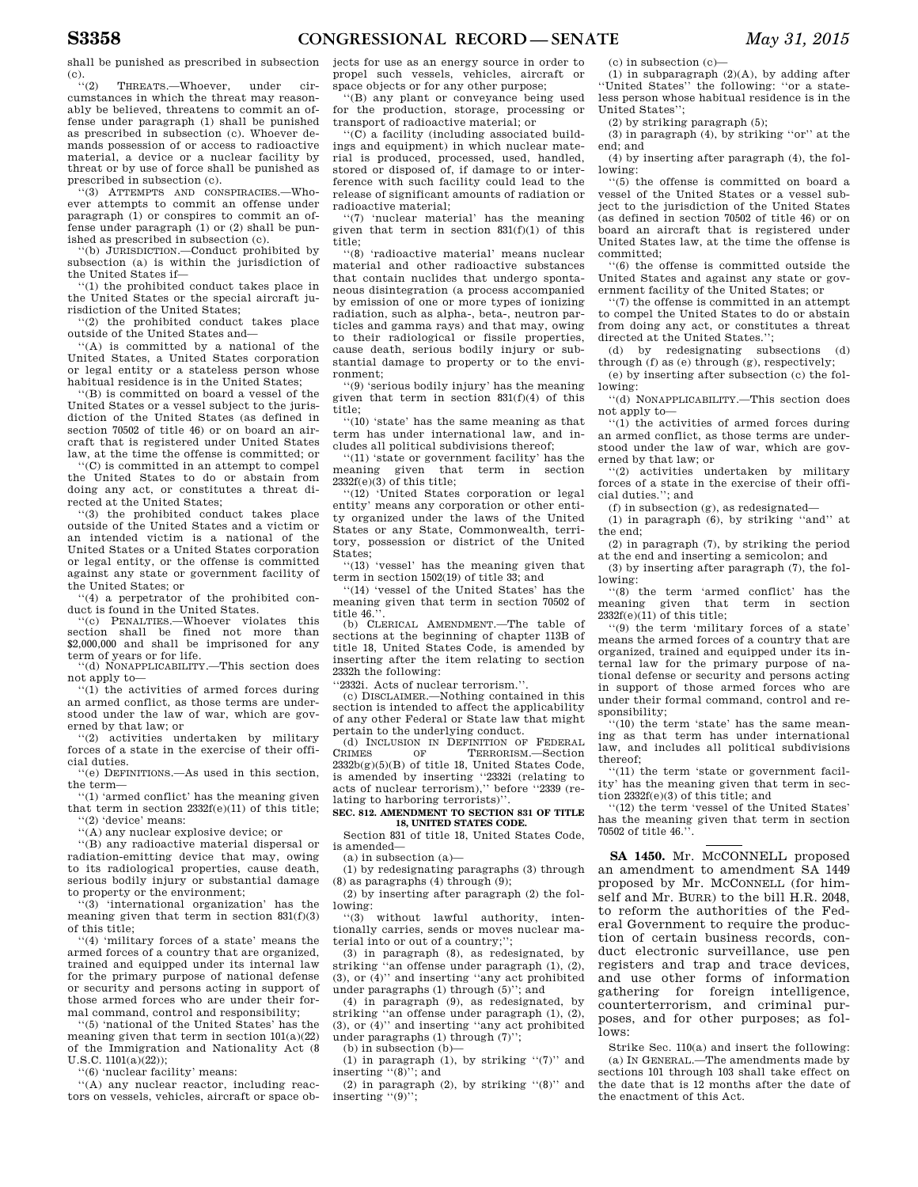shall be punished as prescribed in subsection (c).

''(2) THREATS.—Whoever, under circumstances in which the threat may reasonably be believed, threatens to commit an offense under paragraph (1) shall be punished as prescribed in subsection (c). Whoever demands possession of or access to radioactive material, a device or a nuclear facility by threat or by use of force shall be punished as prescribed in subsection (c).

''(3) ATTEMPTS AND CONSPIRACIES.—Whoever attempts to commit an offense under paragraph (1) or conspires to commit an offense under paragraph (1) or (2) shall be punished as prescribed in subsection (c).

'(b) JURISDICTION.—Conduct prohibited by subsection (a) is within the jurisdiction of the United States if—

''(1) the prohibited conduct takes place in the United States or the special aircraft jurisdiction of the United States;

''(2) the prohibited conduct takes place outside of the United States and—

''(A) is committed by a national of the United States, a United States corporation or legal entity or a stateless person whose habitual residence is in the United States;

''(B) is committed on board a vessel of the United States or a vessel subject to the jurisdiction of the United States (as defined in section 70502 of title 46) or on board an aircraft that is registered under United States law, at the time the offense is committed; or

''(C) is committed in an attempt to compel the United States to do or abstain from doing any act, or constitutes a threat directed at the United States;

''(3) the prohibited conduct takes place outside of the United States and a victim or an intended victim is a national of the United States or a United States corporation or legal entity, or the offense is committed against any state or government facility of the United States; or

 $(4)$  a perpetrator of the prohibited conduct is found in the United States.

''(c) PENALTIES.—Whoever violates this section shall be fined not more than \$2,000,000 and shall be imprisoned for any term of years or for life.

''(d) NONAPPLICABILITY.—This section does not apply to—

''(1) the activities of armed forces during an armed conflict, as those terms are understood under the law of war, which are governed by that law; or

''(2) activities undertaken by military forces of a state in the exercise of their official duties.

''(e) DEFINITIONS.—As used in this section, the term—

''(1) 'armed conflict' has the meaning given that term in section 2332f(e)(11) of this title;

''(2) 'device' means:

''(A) any nuclear explosive device; or

''(B) any radioactive material dispersal or radiation-emitting device that may, owing to its radiological properties, cause death, serious bodily injury or substantial damage to property or the environment;

''(3) 'international organization' has the meaning given that term in section 831(f)(3) of this title;

''(4) 'military forces of a state' means the armed forces of a country that are organized, trained and equipped under its internal law for the primary purpose of national defense or security and persons acting in support of those armed forces who are under their formal command, control and responsibility;

''(5) 'national of the United States' has the meaning given that term in section  $101(a)(22)$ of the Immigration and Nationality Act (8 U.S.C. 1101(a)(22));

''(6) 'nuclear facility' means:

''(A) any nuclear reactor, including reactors on vessels, vehicles, aircraft or space objects for use as an energy source in order to propel such vessels, vehicles, aircraft or space objects or for any other purpose;

''(B) any plant or conveyance being used for the production, storage, processing or transport of radioactive material; or

''(C) a facility (including associated buildings and equipment) in which nuclear material is produced, processed, used, handled, stored or disposed of, if damage to or interference with such facility could lead to the release of significant amounts of radiation or radioactive material;

''(7) 'nuclear material' has the meaning given that term in section  $831(f)(1)$  of this title;

''(8) 'radioactive material' means nuclear material and other radioactive substances that contain nuclides that undergo spontaneous disintegration (a process accompanied by emission of one or more types of ionizing radiation, such as alpha-, beta-, neutron particles and gamma rays) and that may, owing to their radiological or fissile properties, cause death, serious bodily injury or substantial damage to property or to the environment;

''(9) 'serious bodily injury' has the meaning given that term in section  $831(f)(4)$  of this title;

''(10) 'state' has the same meaning as that term has under international law, and includes all political subdivisions thereof;

''(11) 'state or government facility' has the meaning given that term in section 2332f(e)(3) of this title;

''(12) 'United States corporation or legal entity' means any corporation or other entity organized under the laws of the United States or any State, Commonwealth, territory, possession or district of the United States;

''(13) 'vessel' has the meaning given that term in section 1502(19) of title 33; and

''(14) 'vessel of the United States' has the meaning given that term in section 70502 of title 46.

(b) CLERICAL AMENDMENT.—The table of sections at the beginning of chapter 113B of title 18, United States Code, is amended by inserting after the item relating to section 2332h the following:

"2332i. Acts of nuclear terrorism.

(c) DISCLAIMER.—Nothing contained in this section is intended to affect the applicability of any other Federal or State law that might pertain to the underlying conduct.

(d) INCLUSION IN DEFINITION OF FEDERAL CRIMES OF TERRORISM.—Section 2332b(g)(5)(B) of title 18, United States Code, is amended by inserting ''2332i (relating to acts of nuclear terrorism),'' before ''2339 (relating to harboring terrorists)''.

#### **SEC. 812. AMENDMENT TO SECTION 831 OF TITLE 18, UNITED STATES CODE.**

Section 831 of title 18, United States Code, is amended—

(a) in subsection (a)—

(1) by redesignating paragraphs (3) through (8) as paragraphs (4) through (9);

(2) by inserting after paragraph (2) the following:

''(3) without lawful authority, intentionally carries, sends or moves nuclear material into or out of a country;'';

(3) in paragraph (8), as redesignated, by striking "an offense under paragraph (1),  $(2)$ . 'an offense under paragraph (1), (2), (3), or (4)'' and inserting ''any act prohibited under paragraphs (1) through (5)''; and

(4) in paragraph (9), as redesignated, by striking ''an offense under paragraph (1), (2), (3), or (4)'' and inserting ''any act prohibited under paragraphs (1) through (7)";

 $(b)$  in subsection  $(b)$ —

(1) in paragraph (1), by striking ''(7)'' and inserting ''(8)''; and

(2) in paragraph (2), by striking  $(8)$ " and inserting  $(9)$ ";

(c) in subsection (c)—

(1) in subparagraph (2)(A), by adding after ''United States'' the following: ''or a stateless person whose habitual residence is in the United States'';

(2) by striking paragraph (5);

(3) in paragraph (4), by striking ''or'' at the end; and

(4) by inserting after paragraph (4), the following:

''(5) the offense is committed on board a vessel of the United States or a vessel subject to the jurisdiction of the United States (as defined in section 70502 of title 46) or on board an aircraft that is registered under United States law, at the time the offense is committed;

''(6) the offense is committed outside the United States and against any state or government facility of the United States; or

''(7) the offense is committed in an attempt to compel the United States to do or abstain from doing any act, or constitutes a threat directed at the United States.":

(d) by redesignating subsections (d) through (f) as (e) through (g), respectively;

(e) by inserting after subsection (c) the following:

''(d) NONAPPLICABILITY.—This section does not apply to—

''(1) the activities of armed forces during an armed conflict, as those terms are understood under the law of war, which are governed by that law; or

''(2) activities undertaken by military forces of a state in the exercise of their official duties.''; and

(f) in subsection  $(g)$ , as redesignated—

(1) in paragraph (6), by striking ''and'' at the end;

(2) in paragraph (7), by striking the period at the end and inserting a semicolon; and

(3) by inserting after paragraph (7), the following:

''(8) the term 'armed conflict' has the meaning given that term in section 2332f(e)(11) of this title;

''(9) the term 'military forces of a state' means the armed forces of a country that are organized, trained and equipped under its internal law for the primary purpose of national defense or security and persons acting in support of those armed forces who are under their formal command, control and responsibility;

''(10) the term 'state' has the same meaning as that term has under international law, and includes all political subdivisions thereof;

''(11) the term 'state or government facility' has the meaning given that term in section 2332f(e)(3) of this title; and

''(12) the term 'vessel of the United States' has the meaning given that term in section 70502 of title 46.'

SA 1450. Mr. MCCONNELL proposed an amendment to amendment SA 1449 proposed by Mr. MCCONNELL (for himself and Mr. BURR) to the bill H.R. 2048, to reform the authorities of the Federal Government to require the production of certain business records, conduct electronic surveillance, use pen registers and trap and trace devices, and use other forms of information gathering for foreign intelligence, counterterrorism, and criminal purposes, and for other purposes; as follows:

Strike Sec. 110(a) and insert the following: (a) IN GENERAL.—The amendments made by sections 101 through 103 shall take effect on the date that is 12 months after the date of the enactment of this Act.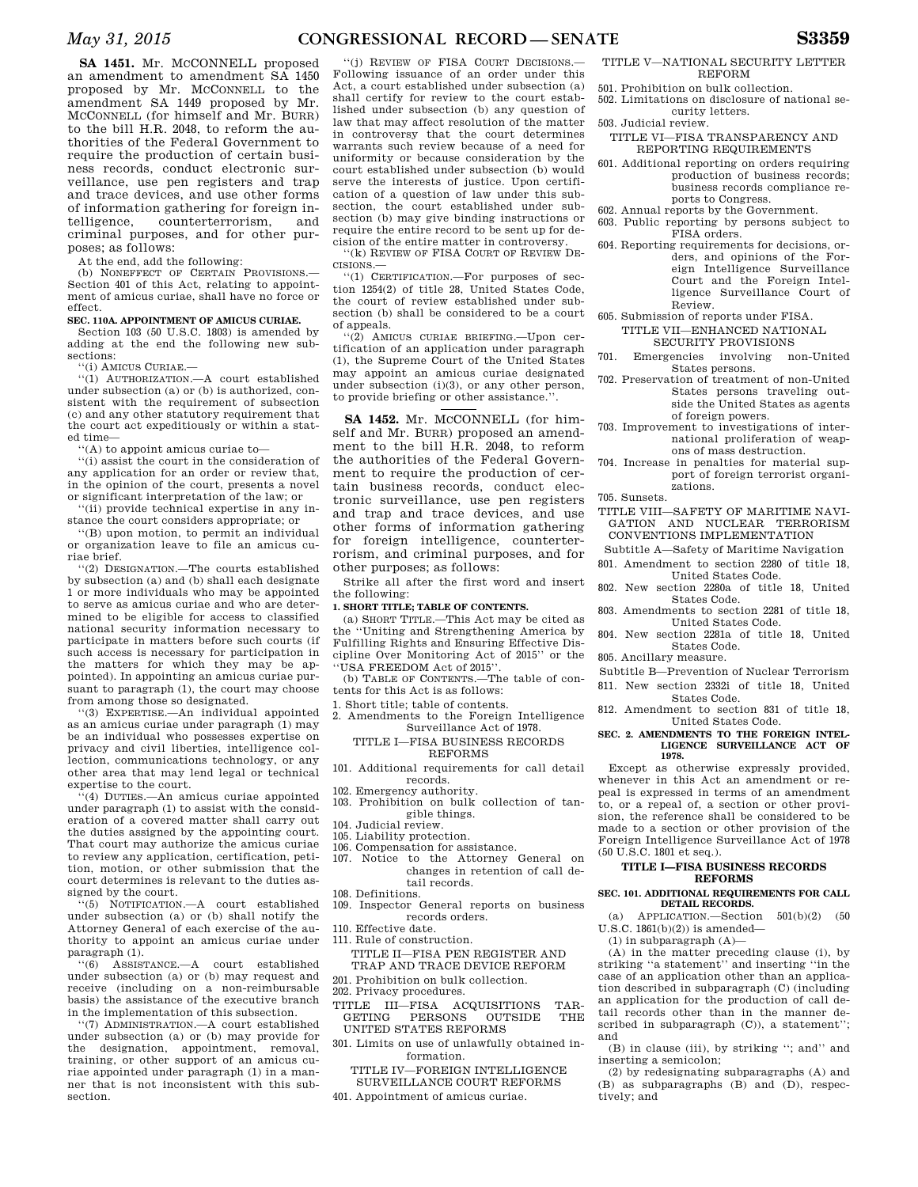SA 1451. Mr. McCONNELL proposed an amendment to amendment SA 1450 proposed by Mr. MCCONNELL to the amendment SA 1449 proposed by Mr. MCCONNELL (for himself and Mr. BURR) to the bill H.R. 2048, to reform the authorities of the Federal Government to require the production of certain business records, conduct electronic surveillance, use pen registers and trap and trace devices, and use other forms of information gathering for foreign intelligence, counterterrorism, and criminal purposes, and for other purposes; as follows:

At the end, add the following: (b) NONEFFECT OF CERTAIN PROVISIONS.—

Section 401 of this Act, relating to appointment of amicus curiae, shall have no force or effect.

#### **SEC. 110A. APPOINTMENT OF AMICUS CURIAE.**

Section 103 (50 U.S.C. 1803) is amended by adding at the end the following new subsections:

''(i) AMICUS CURIAE.—

''(1) AUTHORIZATION.—A court established under subsection (a) or (b) is authorized, consistent with the requirement of subsection (c) and any other statutory requirement that the court act expeditiously or within a stated time—

''(A) to appoint amicus curiae to—

''(i) assist the court in the consideration of any application for an order or review that. in the opinion of the court, presents a novel or significant interpretation of the law; or

''(ii) provide technical expertise in any in-

stance the court considers appropriate; or ''(B) upon motion, to permit an individual or organization leave to file an amicus cu-

riae brief. ''(2) DESIGNATION.—The courts established by subsection (a) and (b) shall each designate 1 or more individuals who may be appointed to serve as amicus curiae and who are determined to be eligible for access to classified national security information necessary to participate in matters before such courts (if such access is necessary for participation in the matters for which they may be appointed). In appointing an amicus curiae pursuant to paragraph (1), the court may choose from among those so designated.

''(3) EXPERTISE.—An individual appointed as an amicus curiae under paragraph (1) may be an individual who possesses expertise on privacy and civil liberties, intelligence collection, communications technology, or any other area that may lend legal or technical expertise to the court.

 $\cdot$ <sup>(4)</sup> DUTIES.—An amicus curiae appointed under paragraph (1) to assist with the consideration of a covered matter shall carry out the duties assigned by the appointing court. That court may authorize the amicus curiae to review any application, certification, petition, motion, or other submission that the court determines is relevant to the duties assigned by the court.

''(5) NOTIFICATION.—A court established under subsection (a) or (b) shall notify the Attorney General of each exercise of the authority to appoint an amicus curiae under paragraph (1).

''(6) ASSISTANCE.—A court established under subsection (a) or (b) may request and receive (including on a non-reimbursable basis) the assistance of the executive branch in the implementation of this subsection.

''(7) ADMINISTRATION.—A court established under subsection (a) or (b) may provide for the designation, appointment, removal, training, or other support of an amicus curiae appointed under paragraph (1) in a manner that is not inconsistent with this subsection.

''(j) REVIEW OF FISA COURT DECISIONS.— Following issuance of an order under this Act, a court established under subsection (a) shall certify for review to the court established under subsection (b) any question of law that may affect resolution of the matter in controversy that the court determines warrants such review because of a need for uniformity or because consideration by the court established under subsection (b) would serve the interests of justice. Upon certification of a question of law under this subsection, the court established under subsection (b) may give binding instructions or require the entire record to be sent up for decision of the entire matter in controversy.

''(k) REVIEW OF FISA COURT OF REVIEW DE-CISIONS.—

''(1) CERTIFICATION.—For purposes of section 1254(2) of title 28, United States Code, the court of review established under subsection (b) shall be considered to be a court of appeals.

''(2) AMICUS CURIAE BRIEFING.—Upon certification of an application under paragraph (1), the Supreme Court of the United States may appoint an amicus curiae designated under subsection (i)(3), or any other person, to provide briefing or other assistance.'

SA 1452. Mr. MCCONNELL (for himself and Mr. BURR) proposed an amendment to the bill H.R. 2048, to reform the authorities of the Federal Government to require the production of certain business records, conduct electronic surveillance, use pen registers and trap and trace devices, and use other forms of information gathering for foreign intelligence, counterterrorism, and criminal purposes, and for other purposes; as follows:

Strike all after the first word and insert the following:

**1. SHORT TITLE; TABLE OF CONTENTS.** 

(a) SHORT TITLE.—This Act may be cited as the ''Uniting and Strengthening America by Fulfilling Rights and Ensuring Effective Discipline Over Monitoring Act of 2015'' or the ''USA FREEDOM Act of 2015''.

(b) TABLE OF CONTENTS.—The table of contents for this Act is as follows:

1. Short title; table of contents.

2. Amendments to the Foreign Intelligence Surveillance Act of 1978.

#### TITLE I—FISA BUSINESS RECORDS REFORMS

- 101. Additional requirements for call detail records.
- 102. Emergency authority.
- 103. Prohibition on bulk collection of tangible things. 104. Judicial review.
- 105. Liability protection.
- 106. Compensation for assistance.
- 107. Notice to the Attorney General on changes in retention of call detail records.
- 108. Definitions.
- 109. Inspector General reports on business records orders. 110. Effective date.
- 
- 111. Rule of construction.
- TITLE II—FISA PEN REGISTER AND TRAP AND TRACE DEVICE REFORM
- 201. Prohibition on bulk collection.
- 202. Privacy procedures.
- TITLE III—FISA ACQUISITIONS TAR-<br>GETING PERSONS OUTSIDE THE PERSONS OUTSIDE THE UNITED STATES REFORMS
- 301. Limits on use of unlawfully obtained information.

TITLE IV—FOREIGN INTELLIGENCE SURVEILLANCE COURT REFORMS

401. Appointment of amicus curiae.

- TITLE V—NATIONAL SECURITY LETTER REFORM
- 501. Prohibition on bulk collection.
- 502. Limitations on disclosure of national security letters.
- 503. Judicial review.
	- TITLE VI—FISA TRANSPARENCY AND REPORTING REQUIREMENTS
- 601. Additional reporting on orders requiring production of business records; business records compliance reports to Congress.
- 602. Annual reports by the Government.
- 603. Public reporting by persons subject to FISA orders.
- 604. Reporting requirements for decisions, orders, and opinions of the Foreign Intelligence Surveillance Court and the Foreign Intelligence Surveillance Court of Review.
- 605. Submission of reports under FISA.
	- TITLE VII—ENHANCED NATIONAL SECURITY PROVISIONS
- 701. Emergencies involving non-United States persons.
- 702. Preservation of treatment of non-United States persons traveling outside the United States as agents of foreign powers.
- 703. Improvement to investigations of international proliferation of weapons of mass destruction.
- 704. Increase in penalties for material support of foreign terrorist organizations.
- 705. Sunsets.
- TITLE VIII—SAFETY OF MARITIME NAVI-GATION AND NUCLEAR TERRORISM CONVENTIONS IMPLEMENTATION
- Subtitle A—Safety of Maritime Navigation
- 801. Amendment to section 2280 of title 18, United States Code.
- 802. New section 2280a of title 18, United States Code.
- 803. Amendments to section 2281 of title 18, United States Code.
- 804. New section 2281a of title 18, United States Code.
- 805. Ancillary measure.
- Subtitle B—Prevention of Nuclear Terrorism 811. New section 2332i of title 18, United
- States Code. 812. Amendment to section 831 of title 18, United States Code.
- **SEC. 2. AMENDMENTS TO THE FOREIGN INTEL-LIGENCE SURVEILLANCE ACT OF 1978.**

Except as otherwise expressly provided, whenever in this Act an amendment or repeal is expressed in terms of an amendment to, or a repeal of, a section or other provision, the reference shall be considered to be made to a section or other provision of the Foreign Intelligence Surveillance Act of 1978 (50 U.S.C. 1801 et seq.).

#### **TITLE I—FISA BUSINESS RECORDS REFORMS**

#### **SEC. 101. ADDITIONAL REQUIREMENTS FOR CALL DETAIL RECORDS.**

(a) APPLICATION.—Section 501(b)(2) (50 U.S.C.  $1861(b)(2)$ ) is amended—

(1) in subparagraph (A)—

(A) in the matter preceding clause (i), by striking ''a statement'' and inserting ''in the case of an application other than an application described in subparagraph (C) (including an application for the production of call detail records other than in the manner described in subparagraph (C)), a statement''; and

(B) in clause (iii), by striking ''; and'' and inserting a semicolon;

(2) by redesignating subparagraphs (A) and (B) as subparagraphs (B) and (D), respectively; and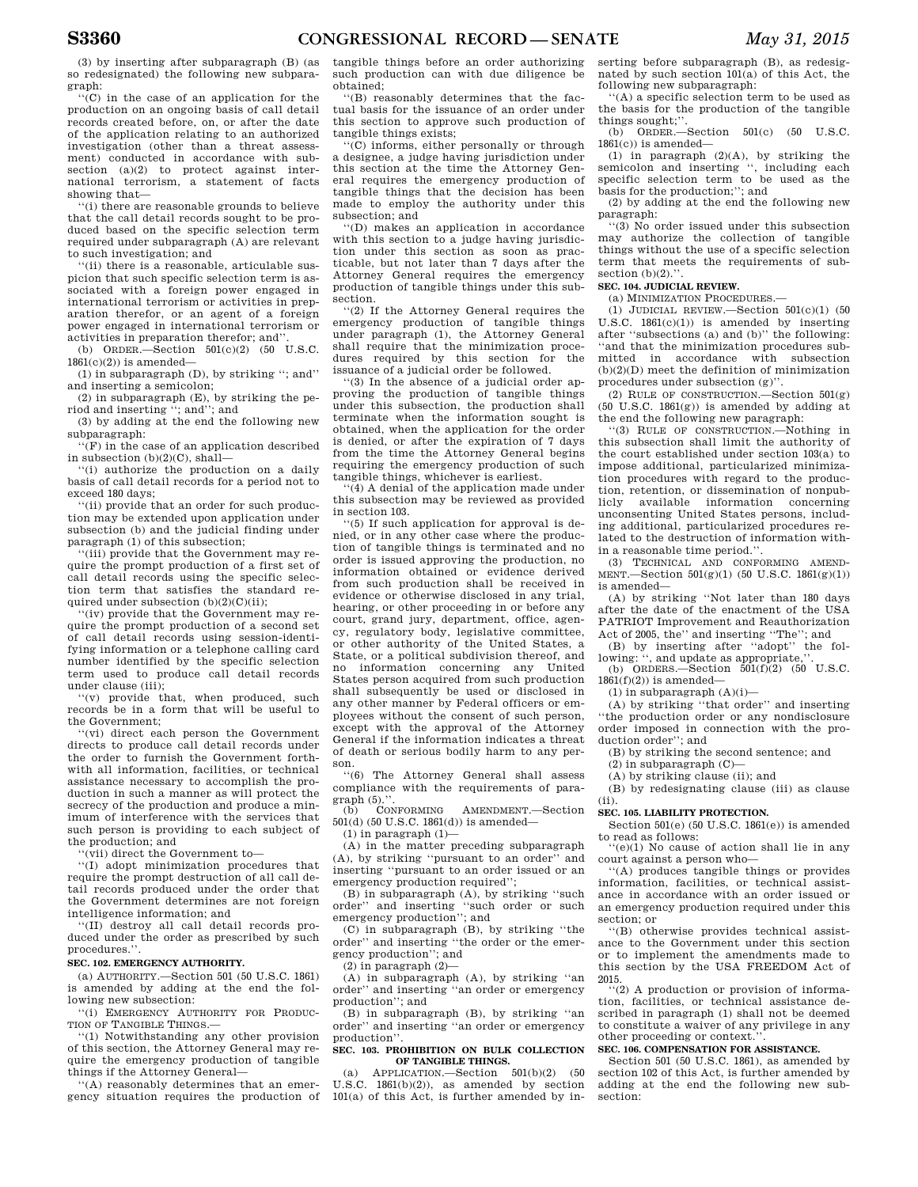(3) by inserting after subparagraph (B) (as so redesignated) the following new subparagraph:

''(C) in the case of an application for the production on an ongoing basis of call detail records created before, on, or after the date of the application relating to an authorized investigation (other than a threat assessment) conducted in accordance with subsection (a)(2) to protect against international terrorism, a statement of facts showing that—

''(i) there are reasonable grounds to believe that the call detail records sought to be produced based on the specific selection term required under subparagraph (A) are relevant to such investigation; and

''(ii) there is a reasonable, articulable suspicion that such specific selection term is associated with a foreign power engaged in international terrorism or activities in preparation therefor, or an agent of a foreign power engaged in international terrorism or activities in preparation therefor; and''.

(b) ORDER.—Section  $501(c)(2)$  (50 U.S.C.  $1861(c)(2)$ ) is amended—

(1) in subparagraph (D), by striking ''; and'' and inserting a semicolon;

(2) in subparagraph (E), by striking the period and inserting ''; and''; and

(3) by adding at the end the following new subparagraph:

''(F) in the case of an application described in subsection (b)(2)(C), shall—

''(i) authorize the production on a daily basis of call detail records for a period not to exceed 180 days;

''(ii) provide that an order for such production may be extended upon application under subsection (b) and the judicial finding under paragraph (1) of this subsection;

''(iii) provide that the Government may require the prompt production of a first set of call detail records using the specific selection term that satisfies the standard required under subsection (b)(2)(C)(ii);

''(iv) provide that the Government may require the prompt production of a second set of call detail records using session-identifying information or a telephone calling card number identified by the specific selection term used to produce call detail records under clause (iii);

''(v) provide that, when produced, such records be in a form that will be useful to the Government;

''(vi) direct each person the Government directs to produce call detail records under the order to furnish the Government forthwith all information, facilities, or technical assistance necessary to accomplish the production in such a manner as will protect the secrecy of the production and produce a minimum of interference with the services that such person is providing to each subject of the production; and

''(vii) direct the Government to—

''(I) adopt minimization procedures that require the prompt destruction of all call detail records produced under the order that the Government determines are not foreign intelligence information; and

''(II) destroy all call detail records produced under the order as prescribed by such procedures.''.

#### **SEC. 102. EMERGENCY AUTHORITY.**

(a) AUTHORITY.—Section 501 (50 U.S.C. 1861) is amended by adding at the end the following new subsection:

''(i) EMERGENCY AUTHORITY FOR PRODUC-TION OF TANGIBLE THINGS.

''(1) Notwithstanding any other provision of this section, the Attorney General may require the emergency production of tangible things if the Attorney General—

''(A) reasonably determines that an emergency situation requires the production of

tangible things before an order authorizing such production can with due diligence be obtained;

''(B) reasonably determines that the factual basis for the issuance of an order under this section to approve such production of tangible things exists;

''(C) informs, either personally or through a designee, a judge having jurisdiction under this section at the time the Attorney General requires the emergency production of tangible things that the decision has been made to employ the authority under this subsection; and

''(D) makes an application in accordance with this section to a judge having jurisdiction under this section as soon as practicable, but not later than 7 days after the Attorney General requires the emergency production of tangible things under this subsection.

''(2) If the Attorney General requires the emergency production of tangible things under paragraph (1), the Attorney General shall require that the minimization procedures required by this section for the issuance of a judicial order be followed.

''(3) In the absence of a judicial order approving the production of tangible things under this subsection, the production shall terminate when the information sought is obtained, when the application for the order is denied, or after the expiration of 7 days from the time the Attorney General begins requiring the emergency production of such tangible things, whichever is earliest.

''(4) A denial of the application made under this subsection may be reviewed as provided in section 103.

 $(5)$  If such application for approval is denied, or in any other case where the production of tangible things is terminated and no order is issued approving the production, no information obtained or evidence derived from such production shall be received in evidence or otherwise disclosed in any trial, hearing, or other proceeding in or before any court, grand jury, department, office, agency, regulatory body, legislative committee, or other authority of the United States, a State, or a political subdivision thereof, and no information concerning any United States person acquired from such production shall subsequently be used or disclosed in any other manner by Federal officers or employees without the consent of such person, except with the approval of the Attorney General if the information indicates a threat of death or serious bodily harm to any person.

''(6) The Attorney General shall assess compliance with the requirements of para $graph (5)$ .".<br>(b) CONFORMING

 $AMENDMENT.$ -Section 501(d) (50 U.S.C. 1861(d)) is amended—

 $(1)$  in paragraph  $(1)$ -

(A) in the matter preceding subparagraph (A), by striking ''pursuant to an order'' and inserting ''pursuant to an order issued or an emergency production required'';

(B) in subparagraph (A), by striking ''such order'' and inserting ''such order or such emergency production''; and

(C) in subparagraph (B), by striking ''the order'' and inserting ''the order or the emergency production''; and

(2) in paragraph (2)—

(A) in subparagraph (A), by striking ''an order'' and inserting ''an order or emergency production''; and

(B) in subparagraph (B), by striking ''an order'' and inserting ''an order or emergency production''.

#### **SEC. 103. PROHIBITION ON BULK COLLECTION OF TANGIBLE THINGS.**

(a) APPLICATION.—Section 501(b)(2) (50 U.S.C.  $1861(b)(2)$ , as amended by section 101(a) of this Act, is further amended by inserting before subparagraph (B), as redesignated by such section 101(a) of this Act, the following new subparagraph:

''(A) a specific selection term to be used as the basis for the production of the tangible things sought;''. (b) ORDER.—Section 501(c) (50 U.S.C.

 $1861(c)$ ) is amended-

(1) in paragraph  $(2)(A)$ , by striking the emicolon and inserting ", including each semicolon and inserting specific selection term to be used as the basis for the production;''; and

(2) by adding at the end the following new paragraph:

''(3) No order issued under this subsection may authorize the collection of tangible things without the use of a specific selection term that meets the requirements of subsection  $(b)(2)$ ."

#### **SEC. 104. JUDICIAL REVIEW.**

(a) MINIMIZATION PROCEDURES.—

 $(1)$  JUDICIAL REVIEW.—Section  $501(c)(1)$   $(50)$ U.S.C. 1861(c)(1)) is amended by inserting after ''subsections (a) and (b)'' the following: ''and that the minimization procedures submitted in accordance with subsection (b)(2)(D) meet the definition of minimization procedures under subsection (g)''.

(2) RULE OF CONSTRUCTION.—Section 501(g)  $(50 \text{ U.S.C. } 1861(g))$  is amended by adding at the end the following new paragraph:

''(3) RULE OF CONSTRUCTION.—Nothing in this subsection shall limit the authority of the court established under section 103(a) to impose additional, particularized minimization procedures with regard to the production, retention, or dissemination of nonpublicly available information concerning unconsenting United States persons, including additional, particularized procedures related to the destruction of information within a reasonable time period.''.

(3) TECHNICAL AND CONFORMING AMEND-MENT.—Section 501(g)(1) (50 U.S.C. 1861(g)(1)) is amended—

(A) by striking ''Not later than 180 days after the date of the enactment of the USA PATRIOT Improvement and Reauthorization Act of 2005, the'' and inserting ''The''; and

(B) by inserting after "adopt" the following: ", and update as appropriate,".<br>
(b) ORDERS.—Section 501(f)(2) (50 U.S.C.

 $1861(f)(2)$ ) is amended-

(1) in subparagraph  $(A)(i)$ –

(A) by striking ''that order'' and inserting ''the production order or any nondisclosure order imposed in connection with the production order''; and

(B) by striking the second sentence; and

 $(2)$  in subparagraph  $(C)$ —

(A) by striking clause (ii); and

(B) by redesignating clause (iii) as clause  $(iii)$ .

## **SEC. 105. LIABILITY PROTECTION.**

Section 501(e) (50 U.S.C. 1861(e)) is amended

to read as follows:  $(e)(1)$  No cause of action shall lie in any court against a person who—

''(A) produces tangible things or provides information, facilities, or technical assistance in accordance with an order issued or an emergency production required under this section; or

''(B) otherwise provides technical assistance to the Government under this section or to implement the amendments made to this section by the USA FREEDOM Act of 2015.

''(2) A production or provision of information, facilities, or technical assistance described in paragraph (1) shall not be deemed to constitute a waiver of any privilege in any other proceeding or context.''.

#### **SEC. 106. COMPENSATION FOR ASSISTANCE.**

Section 501 (50 U.S.C. 1861), as amended by section 102 of this Act, is further amended by adding at the end the following new subsection: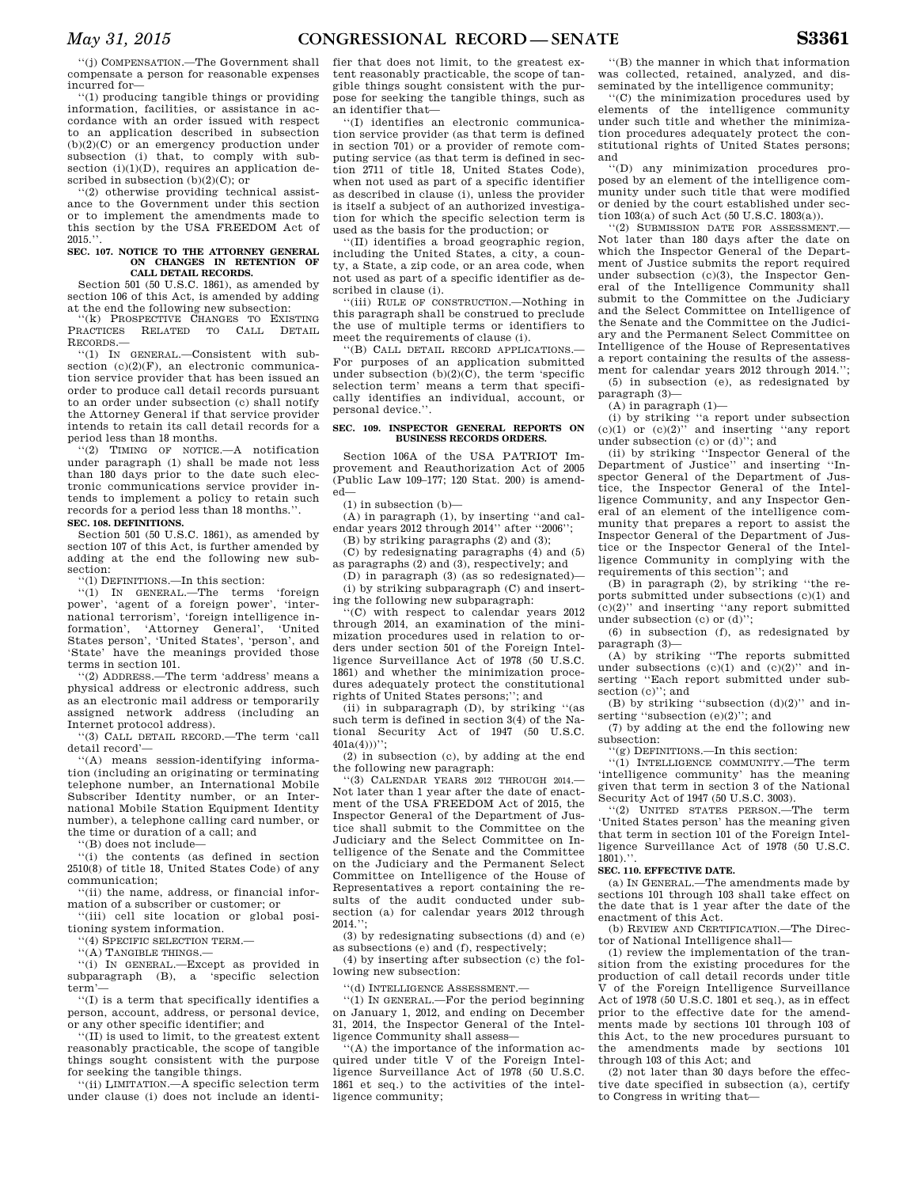''(j) COMPENSATION.—The Government shall compensate a person for reasonable expenses incurred for—

''(1) producing tangible things or providing information, facilities, or assistance in accordance with an order issued with respect to an application described in subsection (b)(2)(C) or an emergency production under subsection (i) that, to comply with subsection (i)(1)(D), requires an application described in subsection  $(b)(2)(C)$ ; or

'(2) otherwise providing technical assistance to the Government under this section or to implement the amendments made to this section by the USA FREEDOM Act of  $2015.$ 

### **SEC. 107. NOTICE TO THE ATTORNEY GENERAL ON CHANGES IN RETENTION OF CALL DETAIL RECORDS.**

Section 501 (50 U.S.C. 1861), as amended by section 106 of this Act, is amended by adding at the end the following new subsection:

''(k) PROSPECTIVE CHANGES TO EXISTING PRACTICES RELATED TO CALL DETAIL RECORDS.—

''(1) IN GENERAL.—Consistent with subsection  $(c)(2)(F)$ , an electronic communication service provider that has been issued an order to produce call detail records pursuant to an order under subsection (c) shall notify the Attorney General if that service provider intends to retain its call detail records for a period less than 18 months.

''(2) TIMING OF NOTICE.—A notification under paragraph (1) shall be made not less than 180 days prior to the date such electronic communications service provider intends to implement a policy to retain such records for a period less than 18 months.' **SEC. 108. DEFINITIONS.** 

Section 501 (50 U.S.C. 1861), as amended by section 107 of this Act, is further amended by adding at the end the following new subsection:

''(l) DEFINITIONS.—In this section:

''(1) IN GENERAL.—The terms 'foreign power', 'agent of a foreign power', 'international terrorism', 'foreign intelligence information', 'Attorney General', 'United States person', 'United States', 'person', and 'State' have the meanings provided those terms in section 101.

''(2) ADDRESS.—The term 'address' means a physical address or electronic address, such as an electronic mail address or temporarily assigned network address (including an Internet protocol address).

''(3) CALL DETAIL RECORD.—The term 'call detail record'—

''(A) means session-identifying information (including an originating or terminating telephone number, an International Mobile Subscriber Identity number, or an International Mobile Station Equipment Identity number), a telephone calling card number, or the time or duration of a call; and

''(B) does not include—

''(i) the contents (as defined in section 2510(8) of title 18, United States Code) of any communication;

''(ii) the name, address, or financial information of a subscriber or customer; or

''(iii) cell site location or global positioning system information.

''(4) SPECIFIC SELECTION TERM.—

''(A) TANGIBLE THINGS.—

''(i) IN GENERAL.—Except as provided in subparagraph (B), a 'specific selection term'—

''(I) is a term that specifically identifies a person, account, address, or personal device, or any other specific identifier; and

''(II) is used to limit, to the greatest extent reasonably practicable, the scope of tangible things sought consistent with the purpose for seeking the tangible things.

''(ii) LIMITATION.—A specific selection term under clause (i) does not include an identi-

fier that does not limit, to the greatest extent reasonably practicable, the scope of tangible things sought consistent with the purpose for seeking the tangible things, such as an identifier that—

''(I) identifies an electronic communication service provider (as that term is defined in section 701) or a provider of remote computing service (as that term is defined in section 2711 of title 18, United States Code), when not used as part of a specific identifier as described in clause (i), unless the provider is itself a subject of an authorized investigation for which the specific selection term is used as the basis for the production; or

''(II) identifies a broad geographic region, including the United States, a city, a county, a State, a zip code, or an area code, when not used as part of a specific identifier as described in clause (i).

''(iii) RULE OF CONSTRUCTION.—Nothing in this paragraph shall be construed to preclude the use of multiple terms or identifiers to meet the requirements of clause (i).

''(B) CALL DETAIL RECORD APPLICATIONS.— For purposes of an application submitted under subsection  $(b)(2)(C)$ , the term 'specific selection term' means a term that specifically identifies an individual, account, or personal device.''.

#### **SEC. 109. INSPECTOR GENERAL REPORTS ON BUSINESS RECORDS ORDERS.**

Section 106A of the USA PATRIOT Improvement and Reauthorization Act of 2005 (Public Law 109–177; 120 Stat. 200) is amended—

(1) in subsection (b)—

(A) in paragraph (1), by inserting ''and calendar years 2012 through 2014" after "2006":

(B) by striking paragraphs (2) and (3); (C) by redesignating paragraphs (4) and (5)

as paragraphs (2) and (3), respectively; and (D) in paragraph (3) (as so redesignated)—

(i) by striking subparagraph (C) and inserting the following new subparagraph:

''(C) with respect to calendar years 2012 through 2014, an examination of the minimization procedures used in relation to orders under section 501 of the Foreign Intelligence Surveillance Act of 1978 (50 U.S.C. 1861) and whether the minimization procedures adequately protect the constitutional rights of United States persons;''; and

(ii) in subparagraph (D), by striking ''(as such term is defined in section 3(4) of the National Security Act of 1947 (50 U.S.C.  $401a(4))$ )':

(2) in subsection (c), by adding at the end the following new paragraph:

''(3) CALENDAR YEARS 2012 THROUGH 2014.— Not later than 1 year after the date of enactment of the USA FREEDOM Act of 2015, the Inspector General of the Department of Justice shall submit to the Committee on the Judiciary and the Select Committee on Intelligence of the Senate and the Committee on the Judiciary and the Permanent Select Committee on Intelligence of the House of Representatives a report containing the results of the audit conducted under subsection (a) for calendar years 2012 through  $2014$   $"$ 

(3) by redesignating subsections (d) and (e) as subsections (e) and (f), respectively;

(4) by inserting after subsection (c) the following new subsection:

''(d) INTELLIGENCE ASSESSMENT.—

''(1) IN GENERAL.—For the period beginning on January 1, 2012, and ending on December 31, 2014, the Inspector General of the Intelligence Community shall assess—

''(A) the importance of the information acquired under title V of the Foreign Intelligence Surveillance Act of 1978 (50 U.S.C. 1861 et seq.) to the activities of the intelligence community;

''(B) the manner in which that information was collected, retained, analyzed, and disseminated by the intelligence community;

''(C) the minimization procedures used by elements of the intelligence community under such title and whether the minimization procedures adequately protect the constitutional rights of United States persons; and

''(D) any minimization procedures proposed by an element of the intelligence community under such title that were modified or denied by the court established under section 103(a) of such Act (50 U.S.C. 1803(a)).

''(2) SUBMISSION DATE FOR ASSESSMENT.— Not later than 180 days after the date on which the Inspector General of the Department of Justice submits the report required under subsection (c)(3), the Inspector General of the Intelligence Community shall submit to the Committee on the Judiciary and the Select Committee on Intelligence of the Senate and the Committee on the Judiciary and the Permanent Select Committee on Intelligence of the House of Representatives a report containing the results of the assessment for calendar years 2012 through 2014.'';

(5) in subsection (e), as redesignated by paragraph (3)—

(A) in paragraph (1)—

(i) by striking "a report under subsection  $(c)(1)$  or  $(c)(2)$ " and inserting "any report under subsection (c) or (d)''; and

(ii) by striking ''Inspector General of the Department of Justice'' and inserting ''Inspector General of the Department of Justice, the Inspector General of the Intelligence Community, and any Inspector General of an element of the intelligence community that prepares a report to assist the Inspector General of the Department of Justice or the Inspector General of the Intelligence Community in complying with the requirements of this section''; and

(B) in paragraph (2), by striking ''the reports submitted under subsections (c)(1) and (c)(2)'' and inserting ''any report submitted under subsection (c) or (d)'';

(6) in subsection (f), as redesignated by paragraph (3)—

(A) by striking ''The reports submitted under subsections  $(c)(1)$  and  $(c)(2)$ " and inserting ''Each report submitted under subsection (c)"; and

(B) by striking "subsection  $(d)(2)$ " and inserting "subsection (e)(2)"; and

(7) by adding at the end the following new subsection:

''(g) DEFINITIONS.—In this section:

''(1) INTELLIGENCE COMMUNITY.—The term 'intelligence community' has the meaning given that term in section 3 of the National Security Act of 1947 (50 U.S.C. 3003).

''(2) UNITED STATES PERSON.—The term 'United States person' has the meaning given that term in section 101 of the Foreign Intelligence Surveillance Act of 1978 (50 U.S.C. 1801).''.

#### **SEC. 110. EFFECTIVE DATE.**

(a) IN GENERAL.—The amendments made by sections 101 through 103 shall take effect on the date that is 1 year after the date of the enactment of this Act.

(b) REVIEW AND CERTIFICATION.—The Director of National Intelligence shall—

(1) review the implementation of the transition from the existing procedures for the production of call detail records under title V of the Foreign Intelligence Surveillance Act of 1978 (50 U.S.C. 1801 et seq.), as in effect prior to the effective date for the amendments made by sections 101 through 103 of this Act, to the new procedures pursuant to the amendments made by sections 101 through 103 of this Act; and

(2) not later than 30 days before the effective date specified in subsection (a), certify to Congress in writing that—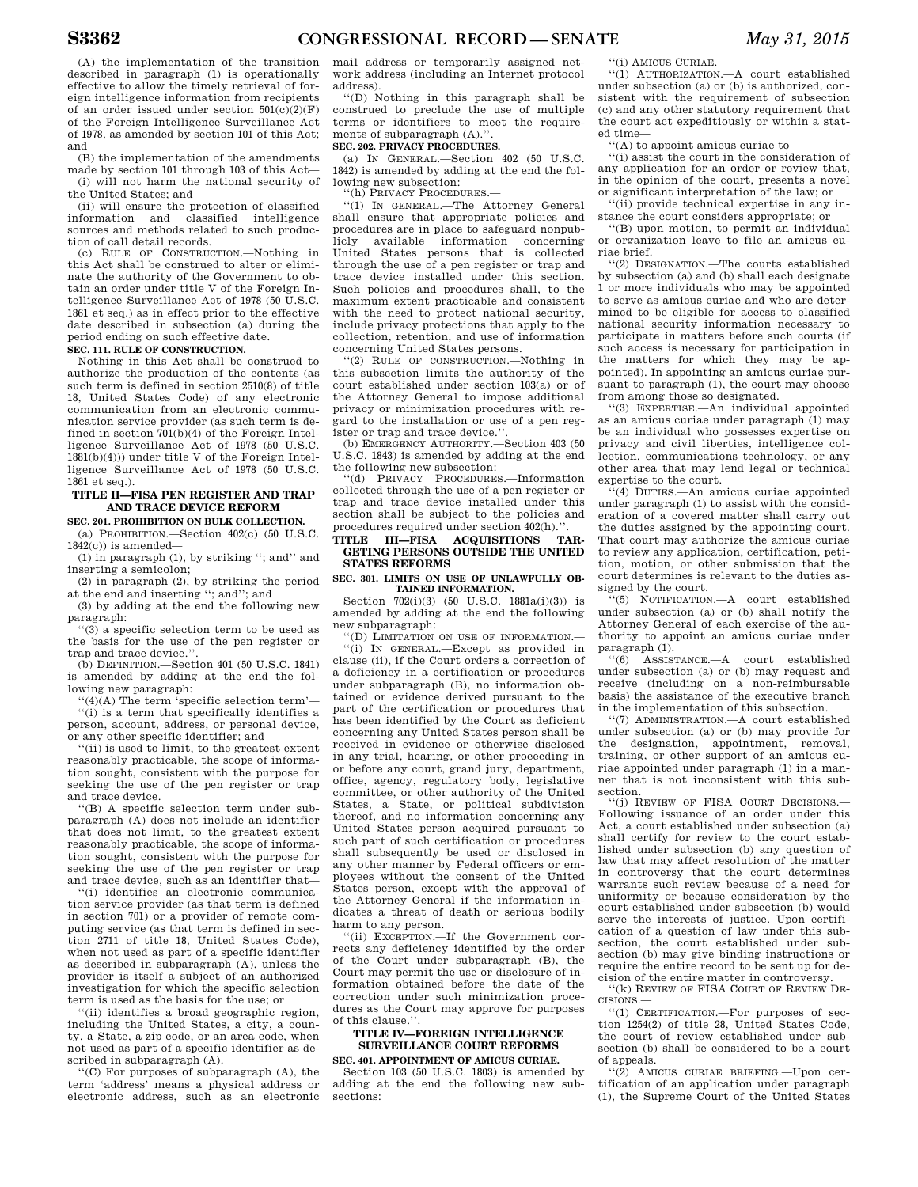(A) the implementation of the transition described in paragraph (1) is operationally effective to allow the timely retrieval of foreign intelligence information from recipients of an order issued under section  $501(c)(2)(F)$ of the Foreign Intelligence Surveillance Act of 1978, as amended by section 101 of this Act; and

(B) the implementation of the amendments made by section 101 through 103 of this Act— (i) will not harm the national security of the United States; and

(ii) will ensure the protection of classified information and classified intelligence sources and methods related to such production of call detail records.

(c) RULE OF CONSTRUCTION.—Nothing in this Act shall be construed to alter or eliminate the authority of the Government to obtain an order under title V of the Foreign Intelligence Surveillance Act of 1978 (50 U.S.C. 1861 et seq.) as in effect prior to the effective date described in subsection (a) during the period ending on such effective date.

#### **SEC. 111. RULE OF CONSTRUCTION.**

Nothing in this Act shall be construed to authorize the production of the contents (as such term is defined in section 2510(8) of title 18, United States Code) of any electronic communication from an electronic communication service provider (as such term is defined in section 701(b)(4) of the Foreign Intelligence Surveillance Act of 1978 (50 U.S.C. 1881(b)(4))) under title V of the Foreign Intelligence Surveillance Act of 1978 (50 U.S.C. 1861 et seq.).

#### **TITLE II—FISA PEN REGISTER AND TRAP AND TRACE DEVICE REFORM**

**SEC. 201. PROHIBITION ON BULK COLLECTION.**  (a) PROHIBITION.—Section  $402(c)$  (50 U.S.C.  $1842(c)$ ) is amended—

(1) in paragraph (1), by striking ''; and'' and inserting a semicolon;

(2) in paragraph (2), by striking the period

at the end and inserting ''; and''; and (3) by adding at the end the following new paragraph:

'(3) a specific selection term to be used as the basis for the use of the pen register or trap and trace device."

(b) DEFINITION.—Section 401 (50 U.S.C. 1841) is amended by adding at the end the following new paragraph:

''(4)(A) The term 'specific selection term'— ''(i) is a term that specifically identifies a person, account, address, or personal device, or any other specific identifier; and

 $(iii)$  is used to limit, to the greatest extent reasonably practicable, the scope of information sought, consistent with the purpose for seeking the use of the pen register or trap and trace device.

''(B) A specific selection term under subparagraph (A) does not include an identifier that does not limit, to the greatest extent reasonably practicable, the scope of information sought, consistent with the purpose for seeking the use of the pen register or trap and trace device, such as an identifier that—

''(i) identifies an electronic communication service provider (as that term is defined in section 701) or a provider of remote computing service (as that term is defined in section 2711 of title 18, United States Code), when not used as part of a specific identifier as described in subparagraph (A), unless the provider is itself a subject of an authorized investigation for which the specific selection term is used as the basis for the use; or

''(ii) identifies a broad geographic region, including the United States, a city, a county, a State, a zip code, or an area code, when not used as part of a specific identifier as described in subparagraph (A).

''(C) For purposes of subparagraph (A), the term 'address' means a physical address or electronic address, such as an electronic mail address or temporarily assigned network address (including an Internet protocol address).

''(D) Nothing in this paragraph shall be construed to preclude the use of multiple terms or identifiers to meet the requirements of subparagraph (A).''.

#### **SEC. 202. PRIVACY PROCEDURES.**

(a) IN GENERAL.—Section 402 (50 U.S.C. 1842) is amended by adding at the end the following new subsection:

(h) PRIVACY PROCEDURES.

''(1) IN GENERAL.—The Attorney General shall ensure that appropriate policies and procedures are in place to safeguard nonpublicly available information concerning United States persons that is collected through the use of a pen register or trap and trace device installed under this section. Such policies and procedures shall, to the maximum extent practicable and consistent with the need to protect national security, include privacy protections that apply to the collection, retention, and use of information concerning United States persons.

''(2) RULE OF CONSTRUCTION.—Nothing in this subsection limits the authority of the court established under section 103(a) or of the Attorney General to impose additional privacy or minimization procedures with regard to the installation or use of a pen reg-

ister or trap and trace device.''. (b) EMERGENCY AUTHORITY.—Section 403 (50 U.S.C. 1843) is amended by adding at the end the following new subsection:

''(d) PRIVACY PROCEDURES.—Information collected through the use of a pen register or trap and trace device installed under this section shall be subject to the policies and procedures required under section  $402(h)$ ."

#### **TITLE III—FISA ACQUISITIONS TAR-GETING PERSONS OUTSIDE THE UNITED STATES REFORMS**

#### **SEC. 301. LIMITS ON USE OF UNLAWFULLY OB-TAINED INFORMATION.**

Section 702(i)(3) (50 U.S.C. 1881a(i)(3)) is amended by adding at the end the following new subparagraph:

''(D) LIMITATION ON USE OF INFORMATION.— ''(i) IN GENERAL.—Except as provided in clause (ii), if the Court orders a correction of

a deficiency in a certification or procedures under subparagraph (B), no information obtained or evidence derived pursuant to the part of the certification or procedures that has been identified by the Court as deficient concerning any United States person shall be received in evidence or otherwise disclosed in any trial, hearing, or other proceeding in or before any court, grand jury, department, office, agency, regulatory body, legislative committee, or other authority of the United States, a State, or political subdivision thereof, and no information concerning any United States person acquired pursuant to such part of such certification or procedures shall subsequently be used or disclosed in any other manner by Federal officers or employees without the consent of the United States person, except with the approval of the Attorney General if the information indicates a threat of death or serious bodily harm to any person.

''(ii) EXCEPTION.—If the Government corrects any deficiency identified by the order of the Court under subparagraph (B), the Court may permit the use or disclosure of information obtained before the date of the correction under such minimization procedures as the Court may approve for purposes of this clause.'

#### **TITLE IV—FOREIGN INTELLIGENCE SURVEILLANCE COURT REFORMS SEC. 401. APPOINTMENT OF AMICUS CURIAE.**

Section 103 (50 U.S.C. 1803) is amended by adding at the end the following new subsections:

''(i) AMICUS CURIAE.—

''(1) AUTHORIZATION.—A court established under subsection (a) or (b) is authorized, consistent with the requirement of subsection (c) and any other statutory requirement that the court act expeditiously or within a stated time—

''(A) to appoint amicus curiae to—

''(i) assist the court in the consideration of any application for an order or review that, in the opinion of the court, presents a novel or significant interpretation of the law; or

''(ii) provide technical expertise in any instance the court considers appropriate; or

''(B) upon motion, to permit an individual or organization leave to file an amicus curiae brief.

''(2) DESIGNATION.—The courts established by subsection (a) and (b) shall each designate 1 or more individuals who may be appointed to serve as amicus curiae and who are determined to be eligible for access to classified national security information necessary to participate in matters before such courts (if such access is necessary for participation in the matters for which they may be appointed). In appointing an amicus curiae pursuant to paragraph (1), the court may choose from among those so designated.

''(3) EXPERTISE.—An individual appointed as an amicus curiae under paragraph (1) may be an individual who possesses expertise on privacy and civil liberties, intelligence collection, communications technology, or any other area that may lend legal or technical expertise to the court.

 $\frac{1}{2}(4)$  DUTIES — An amicus curiae appointed under paragraph (1) to assist with the consideration of a covered matter shall carry out the duties assigned by the appointing court. That court may authorize the amicus curiae to review any application, certification, petition, motion, or other submission that the court determines is relevant to the duties assigned by the court.

''(5) NOTIFICATION.—A court established under subsection (a) or (b) shall notify the Attorney General of each exercise of the authority to appoint an amicus curiae under paragraph (1).

''(6) ASSISTANCE.—A court established under subsection (a) or (b) may request and receive (including on a non-reimbursable basis) the assistance of the executive branch in the implementation of this subsection.

''(7) ADMINISTRATION.—A court established under subsection (a) or (b) may provide for the designation, appointment, removal, training, or other support of an amicus curiae appointed under paragraph (1) in a manner that is not inconsistent with this subsection.

''(j) REVIEW OF FISA COURT DECISIONS.— Following issuance of an order under this Act, a court established under subsection (a) shall certify for review to the court established under subsection (b) any question of law that may affect resolution of the matter in controversy that the court determines warrants such review because of a need for uniformity or because consideration by the court established under subsection (b) would serve the interests of justice. Upon certification of a question of law under this subsection, the court established under subsection (b) may give binding instructions or require the entire record to be sent up for decision of the entire matter in controversy.

''(k) REVIEW OF FISA COURT OF REVIEW DE-CISIONS.—

''(1) CERTIFICATION.—For purposes of section 1254(2) of title 28, United States Code, the court of review established under subsection (b) shall be considered to be a court of appeals.

''(2) AMICUS CURIAE BRIEFING.—Upon certification of an application under paragraph (1), the Supreme Court of the United States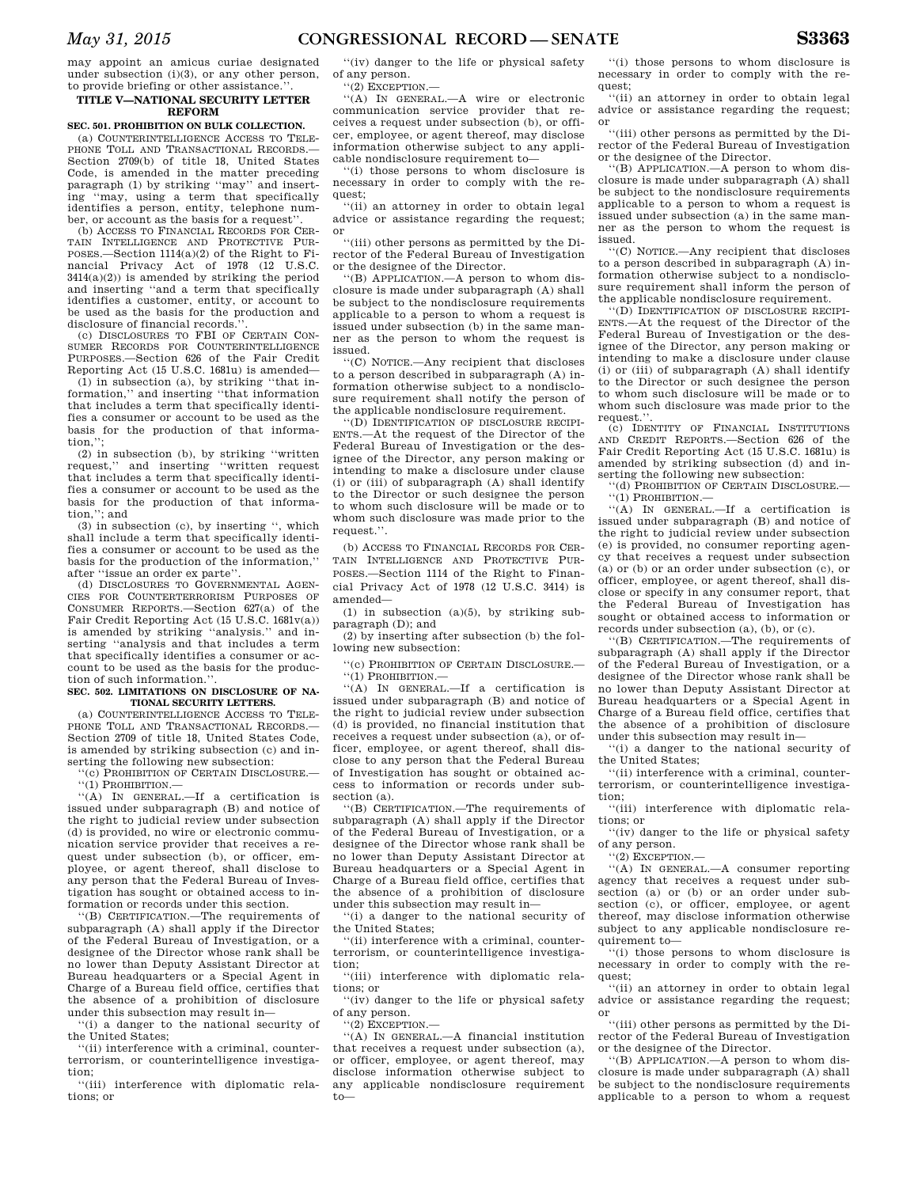may appoint an amicus curiae designated under subsection (i)(3), or any other person, to provide briefing or other assistance.'

#### **TITLE V—NATIONAL SECURITY LETTER REFORM**

#### **SEC. 501. PROHIBITION ON BULK COLLECTION.**

(a) COUNTERINTELLIGENCE ACCESS TO TELE-PHONE TOLL AND TRANSACTIONAL RECORDS. Section 2709(b) of title 18, United States Code, is amended in the matter preceding paragraph (1) by striking ''may'' and inserting ''may, using a term that specifically identifies a person, entity, telephone number, or account as the basis for a request''.

(b) ACCESS TO FINANCIAL RECORDS FOR CER-TAIN INTELLIGENCE AND PROTECTIVE PUR-POSES.—Section 1114(a)(2) of the Right to Financial Privacy Act of 1978 (12 U.S.C.  $3414(a)(2)$ ) is amended by striking the period and inserting ''and a term that specifically identifies a customer, entity, or account to be used as the basis for the production and disclosure of financial records.

(c) DISCLOSURES TO FBI OF CERTAIN CON-SUMER RECORDS FOR COUNTERINTELLIGENCE PURPOSES.—Section 626 of the Fair Credit Reporting Act (15 U.S.C. 1681u) is amended—

(1) in subsection (a), by striking ''that information,'' and inserting ''that information that includes a term that specifically identifies a consumer or account to be used as the basis for the production of that information,'';

(2) in subsection (b), by striking ''written request,'' and inserting ''written request that includes a term that specifically identifies a consumer or account to be used as the basis for the production of that information,''; and

(3) in subsection (c), by inserting '', which shall include a term that specifically identifies a consumer or account to be used as the basis for the production of the information,'' after ''issue an order ex parte''.

(d) DISCLOSURES TO GOVERNMENTAL AGEN-CIES FOR COUNTERTERRORISM PURPOSES OF CONSUMER REPORTS.—Section 627(a) of the Fair Credit Reporting Act (15 U.S.C. 1681v(a)) is amended by striking ''analysis.'' and inserting ''analysis and that includes a term that specifically identifies a consumer or account to be used as the basis for the production of such information.''.

#### **SEC. 502. LIMITATIONS ON DISCLOSURE OF NA-TIONAL SECURITY LETTERS.**

(a) COUNTERINTELLIGENCE ACCESS TO TELE-PHONE TOLL AND TRANSACTIONAL RECORDS. Section 2709 of title 18, United States Code, is amended by striking subsection (c) and inserting the following new subsection:

''(c) PROHIBITION OF CERTAIN DISCLOSURE.— ''(1) PROHIBITION.—

''(A) IN GENERAL.—If a certification is issued under subparagraph (B) and notice of the right to judicial review under subsection (d) is provided, no wire or electronic communication service provider that receives a request under subsection (b), or officer, employee, or agent thereof, shall disclose to any person that the Federal Bureau of Investigation has sought or obtained access to information or records under this section.

''(B) CERTIFICATION.—The requirements of subparagraph (A) shall apply if the Director of the Federal Bureau of Investigation, or a designee of the Director whose rank shall be no lower than Deputy Assistant Director at Bureau headquarters or a Special Agent in Charge of a Bureau field office, certifies that the absence of a prohibition of disclosure under this subsection may result in—

''(i) a danger to the national security of the United States;

''(ii) interference with a criminal, counterterrorism, or counterintelligence investigation;

''(iii) interference with diplomatic relations; or

''(iv) danger to the life or physical safety of any person.

"(2) EXCEPTION.

''(A) IN GENERAL.—A wire or electronic communication service provider that receives a request under subsection (b), or officer, employee, or agent thereof, may disclose information otherwise subject to any applicable nondisclosure requirement to—

''(i) those persons to whom disclosure is necessary in order to comply with the request;

''(ii) an attorney in order to obtain legal advice or assistance regarding the request; or

''(iii) other persons as permitted by the Director of the Federal Bureau of Investigation or the designee of the Director.

''(B) APPLICATION.—A person to whom disclosure is made under subparagraph (A) shall be subject to the nondisclosure requirements applicable to a person to whom a request is issued under subsection (b) in the same manner as the person to whom the request is issued.

''(C) NOTICE.—Any recipient that discloses to a person described in subparagraph (A) information otherwise subject to a nondisclosure requirement shall notify the person of the applicable nondisclosure requirement.

''(D) IDENTIFICATION OF DISCLOSURE RECIPI-ENTS.—At the request of the Director of the Federal Bureau of Investigation or the designee of the Director, any person making or intending to make a disclosure under clause (i) or (iii) of subparagraph (A) shall identify to the Director or such designee the person to whom such disclosure will be made or to whom such disclosure was made prior to the request.''.

(b) ACCESS TO FINANCIAL RECORDS FOR CER-TAIN INTELLIGENCE AND PROTECTIVE PUR-POSES.—Section 1114 of the Right to Financial Privacy Act of 1978 (12 U.S.C. 3414) is amended—

(1) in subsection (a)(5), by striking subparagraph (D); and

(2) by inserting after subsection (b) the following new subsection:

''(c) PROHIBITION OF CERTAIN DISCLOSURE.— ''(1) PROHIBITION.—

''(A) IN GENERAL.—If a certification is issued under subparagraph (B) and notice of the right to judicial review under subsection (d) is provided, no financial institution that receives a request under subsection (a), or officer, employee, or agent thereof, shall disclose to any person that the Federal Bureau of Investigation has sought or obtained access to information or records under subsection (a).

''(B) CERTIFICATION.—The requirements of subparagraph (A) shall apply if the Director of the Federal Bureau of Investigation, or a designee of the Director whose rank shall be no lower than Deputy Assistant Director at Bureau headquarters or a Special Agent in Charge of a Bureau field office, certifies that the absence of a prohibition of disclosure under this subsection may result in—

''(i) a danger to the national security of the United States;

''(ii) interference with a criminal, counterterrorism, or counterintelligence investigation;

''(iii) interference with diplomatic relations; or

''(iv) danger to the life or physical safety of any person.

"(2) EXCEPTION.

''(A) IN GENERAL.—A financial institution that receives a request under subsection (a), or officer, employee, or agent thereof, may disclose information otherwise subject to any applicable nondisclosure requirement to—

''(i) those persons to whom disclosure is necessary in order to comply with the request;

''(ii) an attorney in order to obtain legal advice or assistance regarding the request; or

''(iii) other persons as permitted by the Director of the Federal Bureau of Investigation or the designee of the Director.

''(B) APPLICATION.—A person to whom disclosure is made under subparagraph (A) shall be subject to the nondisclosure requirements applicable to a person to whom a request is issued under subsection (a) in the same manner as the person to whom the request is issued.

''(C) NOTICE.—Any recipient that discloses to a person described in subparagraph (A) information otherwise subject to a nondisclosure requirement shall inform the person of the applicable nondisclosure requirement.

''(D) IDENTIFICATION OF DISCLOSURE RECIPI-ENTS.—At the request of the Director of the Federal Bureau of Investigation or the designee of the Director, any person making or intending to make a disclosure under clause (i) or (iii) of subparagraph (A) shall identify to the Director or such designee the person to whom such disclosure will be made or to whom such disclosure was made prior to the request.''.

(c) IDENTITY OF FINANCIAL INSTITUTIONS AND CREDIT REPORTS.—Section 626 of the Fair Credit Reporting Act (15 U.S.C. 1681u) is amended by striking subsection (d) and inserting the following new subsection:

''(d) PROHIBITION OF CERTAIN DISCLOSURE.— ''(1) PROHIBITION.—

''(A) IN GENERAL.—If a certification is issued under subparagraph (B) and notice of the right to judicial review under subsection (e) is provided, no consumer reporting agency that receives a request under subsection (a) or (b) or an order under subsection (c), or officer, employee, or agent thereof, shall disclose or specify in any consumer report, that the Federal Bureau of Investigation has sought or obtained access to information or records under subsection (a), (b), or (c).

''(B) CERTIFICATION.—The requirements of subparagraph (A) shall apply if the Director of the Federal Bureau of Investigation, or a designee of the Director whose rank shall be no lower than Deputy Assistant Director at Bureau headquarters or a Special Agent in Charge of a Bureau field office, certifies that the absence of a prohibition of disclosure under this subsection may result in—

''(i) a danger to the national security of the United States;

''(ii) interference with a criminal, counterterrorism, or counterintelligence investigation;

''(iii) interference with diplomatic relations; or

''(iv) danger to the life or physical safety of any person.

 $''(2)$  EXCEPTION  $-$ 

''(A) IN GENERAL.—A consumer reporting agency that receives a request under subsection (a) or (b) or an order under subsection (c), or officer, employee, or agent thereof, may disclose information otherwise subject to any applicable nondisclosure requirement to—

''(i) those persons to whom disclosure is necessary in order to comply with the request;

''(ii) an attorney in order to obtain legal advice or assistance regarding the request; or

''(iii) other persons as permitted by the Director of the Federal Bureau of Investigation or the designee of the Director.

''(B) APPLICATION.—A person to whom disclosure is made under subparagraph (A) shall be subject to the nondisclosure requirements applicable to a person to whom a request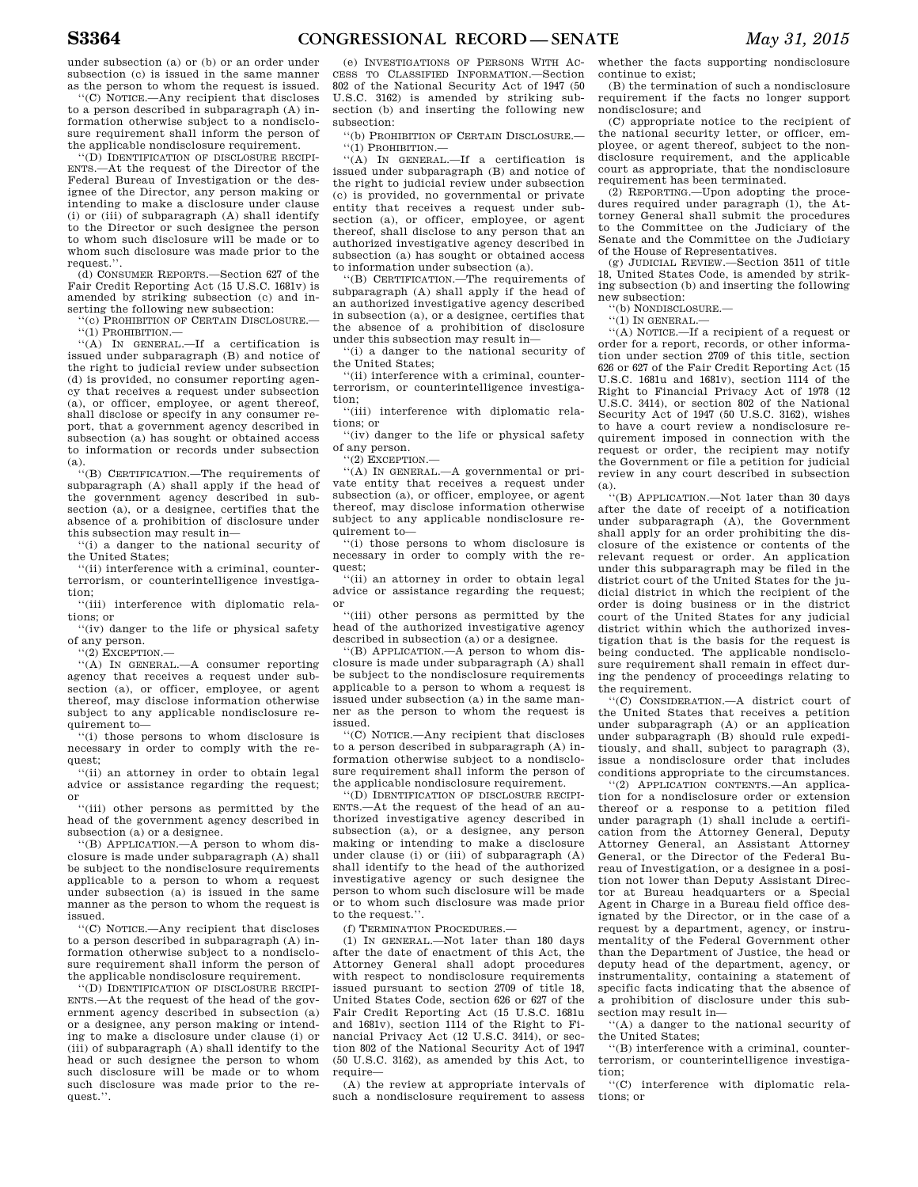under subsection (a) or (b) or an order under subsection (c) is issued in the same manner as the person to whom the request is issued.

''(C) NOTICE.—Any recipient that discloses to a person described in subparagraph (A) information otherwise subject to a nondisclosure requirement shall inform the person of the applicable nondisclosure requirement.

''(D) IDENTIFICATION OF DISCLOSURE RECIPI-ENTS.—At the request of the Director of the Federal Bureau of Investigation or the designee of the Director, any person making or intending to make a disclosure under clause (i) or (iii) of subparagraph (A) shall identify to the Director or such designee the person to whom such disclosure will be made or to whom such disclosure was made prior to the request.''.

(d) CONSUMER REPORTS.—Section 627 of the Fair Credit Reporting Act (15 U.S.C. 1681v) is amended by striking subsection (c) and inserting the following new subsection:

(c) PROHIBITION OF CERTAIN DISCLOSURE. ''(1) PROHIBITION.—

''(A) IN GENERAL.—If a certification is issued under subparagraph (B) and notice of the right to judicial review under subsection (d) is provided, no consumer reporting agency that receives a request under subsection (a), or officer, employee, or agent thereof, shall disclose or specify in any consumer report, that a government agency described in subsection (a) has sought or obtained access to information or records under subsection (a).

''(B) CERTIFICATION.—The requirements of subparagraph (A) shall apply if the head of the government agency described in subsection (a), or a designee, certifies that the absence of a prohibition of disclosure under this subsection may result in—

''(i) a danger to the national security of the United States;

''(ii) interference with a criminal, counterterrorism, or counterintelligence investigation;

''(iii) interference with diplomatic relations; or

''(iv) danger to the life or physical safety of any person.

''(2) EXCEPTION.—

''(A) IN GENERAL.—A consumer reporting agency that receives a request under subsection (a), or officer, employee, or agent thereof, may disclose information otherwise subject to any applicable nondisclosure requirement to—

''(i) those persons to whom disclosure is necessary in order to comply with the request;

''(ii) an attorney in order to obtain legal advice or assistance regarding the request; or

''(iii) other persons as permitted by the head of the government agency described in subsection (a) or a designee.

''(B) APPLICATION.—A person to whom disclosure is made under subparagraph (A) shall be subject to the nondisclosure requirements applicable to a person to whom a request under subsection (a) is issued in the same manner as the person to whom the request is issued.

''(C) NOTICE.—Any recipient that discloses to a person described in subparagraph (A) information otherwise subject to a nondisclosure requirement shall inform the person of the applicable nondisclosure requirement.

''(D) IDENTIFICATION OF DISCLOSURE RECIPI-ENTS.—At the request of the head of the government agency described in subsection (a) or a designee, any person making or intending to make a disclosure under clause (i) or (iii) of subparagraph (A) shall identify to the head or such designee the person to whom such disclosure will be made or to whom such disclosure was made prior to the request.''.

(e) INVESTIGATIONS OF PERSONS WITH AC-CESS TO CLASSIFIED INFORMATION.—Section 802 of the National Security Act of 1947 (50 U.S.C. 3162) is amended by striking subsection (b) and inserting the following new subsection:

''(b) PROHIBITION OF CERTAIN DISCLOSURE.—

''(1) PROHIBITION.—

''(A) IN GENERAL.—If a certification is issued under subparagraph (B) and notice of the right to judicial review under subsection (c) is provided, no governmental or private entity that receives a request under subsection (a), or officer, employee, or agent thereof, shall disclose to any person that an authorized investigative agency described in subsection (a) has sought or obtained access to information under subsection (a).

''(B) CERTIFICATION.—The requirements of subparagraph (A) shall apply if the head of an authorized investigative agency described in subsection (a), or a designee, certifies that the absence of a prohibition of disclosure under this subsection may result in—

''(i) a danger to the national security of the United States;

''(ii) interference with a criminal, counterterrorism, or counterintelligence investigation;

''(iii) interference with diplomatic relations; or

''(iv) danger to the life or physical safety of any person.

''(2) EXCEPTION.—

''(A) IN GENERAL.—A governmental or private entity that receives a request under subsection (a), or officer, employee, or agent thereof, may disclose information otherwise subject to any applicable nondisclosure requirement to—

''(i) those persons to whom disclosure is necessary in order to comply with the request:

''(ii) an attorney in order to obtain legal advice or assistance regarding the request; or

''(iii) other persons as permitted by the head of the authorized investigative agency described in subsection (a) or a designee.

''(B) APPLICATION.—A person to whom disclosure is made under subparagraph (A) shall be subject to the nondisclosure requirements applicable to a person to whom a request is issued under subsection (a) in the same manner as the person to whom the request is issued.

''(C) NOTICE.—Any recipient that discloses to a person described in subparagraph (A) information otherwise subject to a nondisclosure requirement shall inform the person of the applicable nondisclosure requirement.

''(D) IDENTIFICATION OF DISCLOSURE RECIPI-ENTS.—At the request of the head of an authorized investigative agency described in subsection (a), or a designee, any person making or intending to make a disclosure under clause (i) or  $(iii)$  of subparagraph  $(A)$ shall identify to the head of the authorized investigative agency or such designee the person to whom such disclosure will be made or to whom such disclosure was made prior to the request.''.

(f) TERMINATION PROCEDURES.—

(1) IN GENERAL.—Not later than 180 days after the date of enactment of this Act, the Attorney General shall adopt procedures with respect to nondisclosure requirements issued pursuant to section 2709 of title 18, United States Code, section 626 or 627 of the Fair Credit Reporting Act (15 U.S.C. 1681u and 1681v), section 1114 of the Right to Financial Privacy Act (12 U.S.C. 3414), or section 802 of the National Security Act of 1947 (50 U.S.C. 3162), as amended by this Act, to require—

(A) the review at appropriate intervals of such a nondisclosure requirement to assess whether the facts supporting nondisclosure continue to exist;

(B) the termination of such a nondisclosure requirement if the facts no longer support nondisclosure; and

(C) appropriate notice to the recipient of the national security letter, or officer, employee, or agent thereof, subject to the nondisclosure requirement, and the applicable court as appropriate, that the nondisclosure requirement has been terminated.

(2) REPORTING.—Upon adopting the procedures required under paragraph (1), the Attorney General shall submit the procedures to the Committee on the Judiciary of the Senate and the Committee on the Judiciary of the House of Representatives.

(g) JUDICIAL REVIEW.—Section 3511 of title 18, United States Code, is amended by striking subsection (b) and inserting the following new subsection:

''(b) NONDISCLOSURE.—  $''(1)$  IN GENERAL.-

''(A) NOTICE.—If a recipient of a request or order for a report, records, or other information under section 2709 of this title, section 626 or 627 of the Fair Credit Reporting Act (15 U.S.C. 1681u and 1681v), section 1114 of the Right to Financial Privacy Act of 1978 (12 U.S.C. 3414), or section 802 of the National Security Act of 1947 (50 U.S.C. 3162), wishes to have a court review a nondisclosure requirement imposed in connection with the request or order, the recipient may notify the Government or file a petition for judicial review in any court described in subsection (a).

''(B) APPLICATION.—Not later than 30 days after the date of receipt of a notification under subparagraph (A), the Government shall apply for an order prohibiting the disclosure of the existence or contents of the relevant request or order. An application under this subparagraph may be filed in the district court of the United States for the judicial district in which the recipient of the order is doing business or in the district court of the United States for any judicial district within which the authorized investigation that is the basis for the request is being conducted. The applicable nondisclosure requirement shall remain in effect during the pendency of proceedings relating to the requirement.

''(C) CONSIDERATION.—A district court of the United States that receives a petition under subparagraph (A) or an application under subparagraph (B) should rule expeditiously, and shall, subject to paragraph (3), issue a nondisclosure order that includes conditions appropriate to the circumstances.

''(2) APPLICATION CONTENTS.—An application for a nondisclosure order or extension thereof or a response to a petition filed under paragraph (1) shall include a certification from the Attorney General, Deputy Attorney General, an Assistant Attorney General, or the Director of the Federal Bureau of Investigation, or a designee in a position not lower than Deputy Assistant Director at Bureau headquarters or a Special Agent in Charge in a Bureau field office designated by the Director, or in the case of a request by a department, agency, or instrumentality of the Federal Government other than the Department of Justice, the head or deputy head of the department, agency, or instrumentality, containing a statement of specific facts indicating that the absence of a prohibition of disclosure under this subsection may result in—

''(A) a danger to the national security of the United States;

''(B) interference with a criminal, counterterrorism, or counterintelligence investigation;

''(C) interference with diplomatic relations; or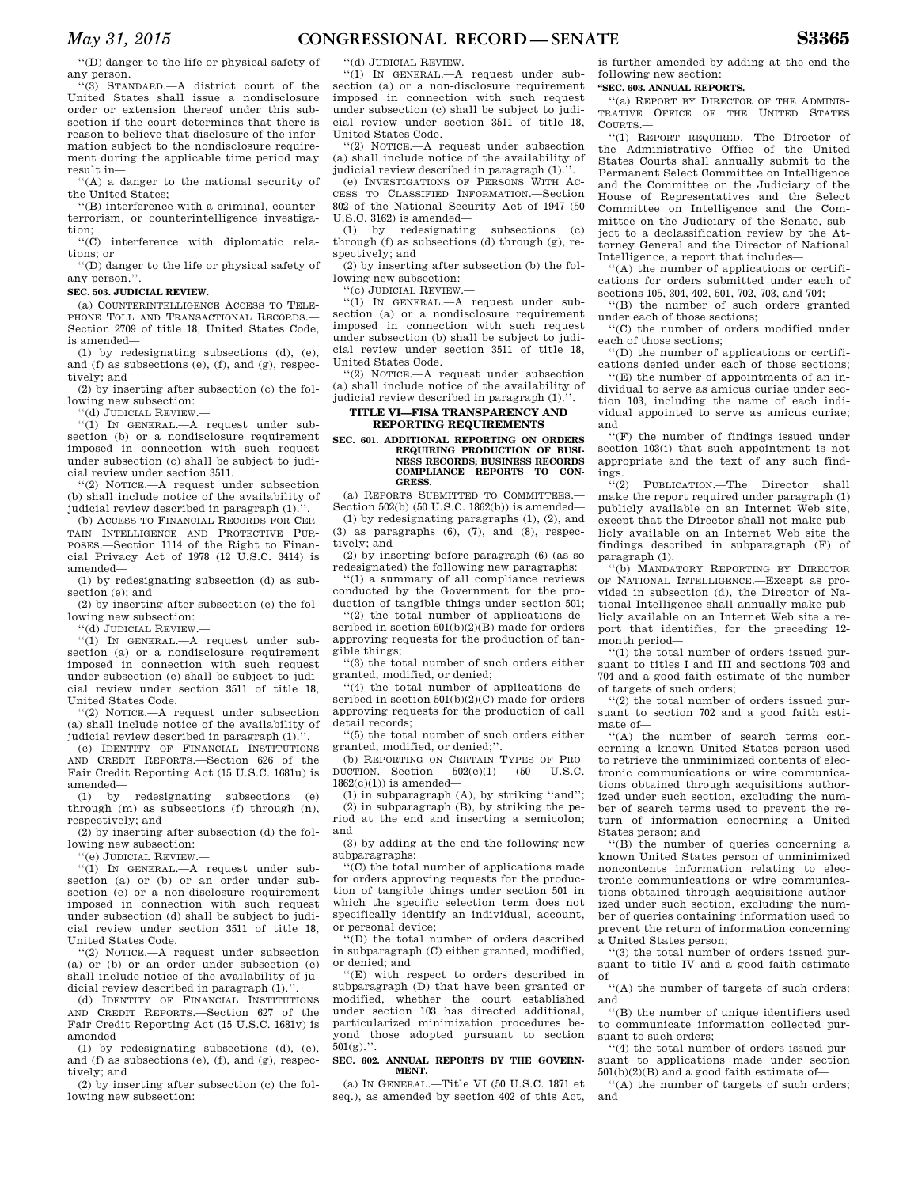''(D) danger to the life or physical safety of any person.

''(3) STANDARD.—A district court of the United States shall issue a nondisclosure order or extension thereof under this subsection if the court determines that there is reason to believe that disclosure of the information subject to the nondisclosure requirement during the applicable time period may result in—

''(A) a danger to the national security of the United States;

''(B) interference with a criminal, counterterrorism, or counterintelligence investigation;

''(C) interference with diplomatic relations; or

''(D) danger to the life or physical safety of any person.''.

#### **SEC. 503. JUDICIAL REVIEW.**

(a) COUNTERINTELLIGENCE ACCESS TO TELE-PHONE TOLL AND TRANSACTIONAL RECORDS.-Section 2709 of title 18, United States Code, is amended—

(1) by redesignating subsections (d), (e), and (f) as subsections (e), (f), and  $(g)$ , respectively; and

(2) by inserting after subsection (c) the following new subsection:

''(d) JUDICIAL REVIEW.—

''(1) IN GENERAL.—A request under subsection (b) or a nondisclosure requirement imposed in connection with such request under subsection (c) shall be subject to judicial review under section 3511.

''(2) NOTICE.—A request under subsection (b) shall include notice of the availability of judicial review described in paragraph (1)."

(b) ACCESS TO FINANCIAL RECORDS FOR CER-TAIN INTELLIGENCE AND PROTECTIVE PUR-POSES.—Section 1114 of the Right to Financial Privacy Act of 1978 (12 U.S.C. 3414) is amended—

(1) by redesignating subsection (d) as subsection (e); and

(2) by inserting after subsection (c) the following new subsection:

''(d) JUDICIAL REVIEW.—

''(1) IN GENERAL.—A request under subsection (a) or a nondisclosure requirement imposed in connection with such request under subsection (c) shall be subject to judicial review under section 3511 of title 18, United States Code.

'(2) NOTICE.—A request under subsection (a) shall include notice of the availability of judicial review described in paragraph (1)."

(c) IDENTITY OF FINANCIAL INSTITUTIONS AND CREDIT REPORTS.—Section 626 of the Fair Credit Reporting Act (15 U.S.C. 1681u) is amended—

(1) by redesignating subsections (e) through (m) as subsections (f) through (n), respectively; and

(2) by inserting after subsection (d) the following new subsection:

''(e) JUDICIAL REVIEW.—

''(1) IN GENERAL.—A request under subsection (a) or (b) or an order under subsection (c) or a non-disclosure requirement imposed in connection with such request under subsection (d) shall be subject to judicial review under section 3511 of title 18, United States Code.

''(2) NOTICE.—A request under subsection (a) or (b) or an order under subsection (c) shall include notice of the availability of judicial review described in paragraph (1)."

(d) IDENTITY OF FINANCIAL INSTITUTIONS AND CREDIT REPORTS.—Section 627 of the Fair Credit Reporting Act (15 U.S.C. 1681v) is amended—

(1) by redesignating subsections (d), (e), and (f) as subsections (e), (f), and (g), respectively; and

(2) by inserting after subsection (c) the following new subsection:

''(d) JUDICIAL REVIEW.—

''(1) IN GENERAL.—A request under subsection (a) or a non-disclosure requirement imposed in connection with such request under subsection (c) shall be subject to judicial review under section 3511 of title 18, United States Code.

''(2) NOTICE.—A request under subsection (a) shall include notice of the availability of judicial review described in paragraph (1).

(e) INVESTIGATIONS OF PERSONS WITH AC-CESS TO CLASSIFIED INFORMATION.—Section 802 of the National Security Act of 1947 (50 U.S.C. 3162) is amended—

(1) by redesignating subsections (c) through (f) as subsections (d) through (g), respectively; and

(2) by inserting after subsection (b) the following new subsection:

''(c) JUDICIAL REVIEW.—

''(1) IN GENERAL.—A request under subsection (a) or a nondisclosure requirement imposed in connection with such request under subsection (b) shall be subject to judicial review under section 3511 of title 18, United States Code.

''(2) NOTICE.—A request under subsection (a) shall include notice of the availability of judicial review described in paragraph (1).

#### **TITLE VI—FISA TRANSPARENCY AND REPORTING REQUIREMENTS**

#### **SEC. 601. ADDITIONAL REPORTING ON ORDERS REQUIRING PRODUCTION OF BUSI-NESS RECORDS; BUSINESS RECORDS COMPLIANCE REPORTS TO CON-GRESS.**

(a) REPORTS SUBMITTED TO COMMITTEES.— Section 502(b) (50 U.S.C. 1862(b)) is amended— (1) by redesignating paragraphs (1), (2), and

 $(3)$  as paragraphs  $(6)$ ,  $(7)$ , and  $(8)$ , respectively; and (2) by inserting before paragraph (6) (as so

redesignated) the following new paragraphs:

''(1) a summary of all compliance reviews conducted by the Government for the production of tangible things under section 501;

''(2) the total number of applications described in section 501(b)(2)(B) made for orders approving requests for the production of tangible things;

''(3) the total number of such orders either granted, modified, or denied;

''(4) the total number of applications described in section 501(b)(2)(C) made for orders approving requests for the production of call detail records;

''(5) the total number of such orders either granted, modified, or denied;''.

(b) REPORTING ON CERTAIN TYPES OF PRO-<br>UCTION.—Section  $502(c)(1)$  (50 U.S.C.  $DUCTION. - Section 502(c)(1) (50)$  $1862(c)(1)$ ) is amended-

(1) in subparagraph (A), by striking ''and'';

(2) in subparagraph (B), by striking the period at the end and inserting a semicolon; and

(3) by adding at the end the following new subparagraphs:

''(C) the total number of applications made for orders approving requests for the production of tangible things under section 501 in which the specific selection term does not specifically identify an individual, account, or personal device;

''(D) the total number of orders described in subparagraph (C) either granted, modified, or denied; and

''(E) with respect to orders described in subparagraph (D) that have been granted or modified, whether the court established under section 103 has directed additional, particularized minimization procedures beyond those adopted pursuant to section  $501(g)$ .''.

#### **SEC. 602. ANNUAL REPORTS BY THE GOVERN-MENT.**

(a) IN GENERAL.—Title VI (50 U.S.C. 1871 et seq.), as amended by section 402 of this Act,

is further amended by adding at the end the following new section:

#### **''SEC. 603. ANNUAL REPORTS.**

''(a) REPORT BY DIRECTOR OF THE ADMINIS-TRATIVE OFFICE OF THE UNITED STATES COURTS.—

''(1) REPORT REQUIRED.—The Director of the Administrative Office of the United States Courts shall annually submit to the Permanent Select Committee on Intelligence and the Committee on the Judiciary of the House of Representatives and the Select Committee on Intelligence and the Committee on the Judiciary of the Senate, subject to a declassification review by the Attorney General and the Director of National Intelligence, a report that includes—

''(A) the number of applications or certifications for orders submitted under each of sections 105, 304, 402, 501, 702, 703, and 704;

''(B) the number of such orders granted under each of those sections;

''(C) the number of orders modified under each of those sections;

''(D) the number of applications or certifications denied under each of those sections;

''(E) the number of appointments of an individual to serve as amicus curiae under section 103, including the name of each individual appointed to serve as amicus curiae; and

''(F) the number of findings issued under section 103(i) that such appointment is not appropriate and the text of any such findings.

''(2) PUBLICATION.—The Director shall make the report required under paragraph (1) publicly available on an Internet Web site, except that the Director shall not make publicly available on an Internet Web site the findings described in subparagraph (F) of paragraph (1).

''(b) MANDATORY REPORTING BY DIRECTOR OF NATIONAL INTELLIGENCE.—Except as provided in subsection (d), the Director of National Intelligence shall annually make publicly available on an Internet Web site a report that identifies, for the preceding 12 month period—

''(1) the total number of orders issued pursuant to titles I and III and sections 703 and 704 and a good faith estimate of the number of targets of such orders;

''(2) the total number of orders issued pursuant to section 702 and a good faith estimate of—

''(A) the number of search terms concerning a known United States person used to retrieve the unminimized contents of electronic communications or wire communications obtained through acquisitions authorized under such section, excluding the number of search terms used to prevent the return of information concerning a United States person; and

''(B) the number of queries concerning a known United States person of unminimized noncontents information relating to electronic communications or wire communications obtained through acquisitions authorized under such section, excluding the number of queries containing information used to prevent the return of information concerning a United States person;

''(3) the total number of orders issued pursuant to title IV and a good faith estimate of—

''(A) the number of targets of such orders; and

''(B) the number of unique identifiers used to communicate information collected pursuant to such orders;

''(4) the total number of orders issued pursuant to applications made under section  $501(b)(2)(B)$  and a good faith estimate of-

''(A) the number of targets of such orders; and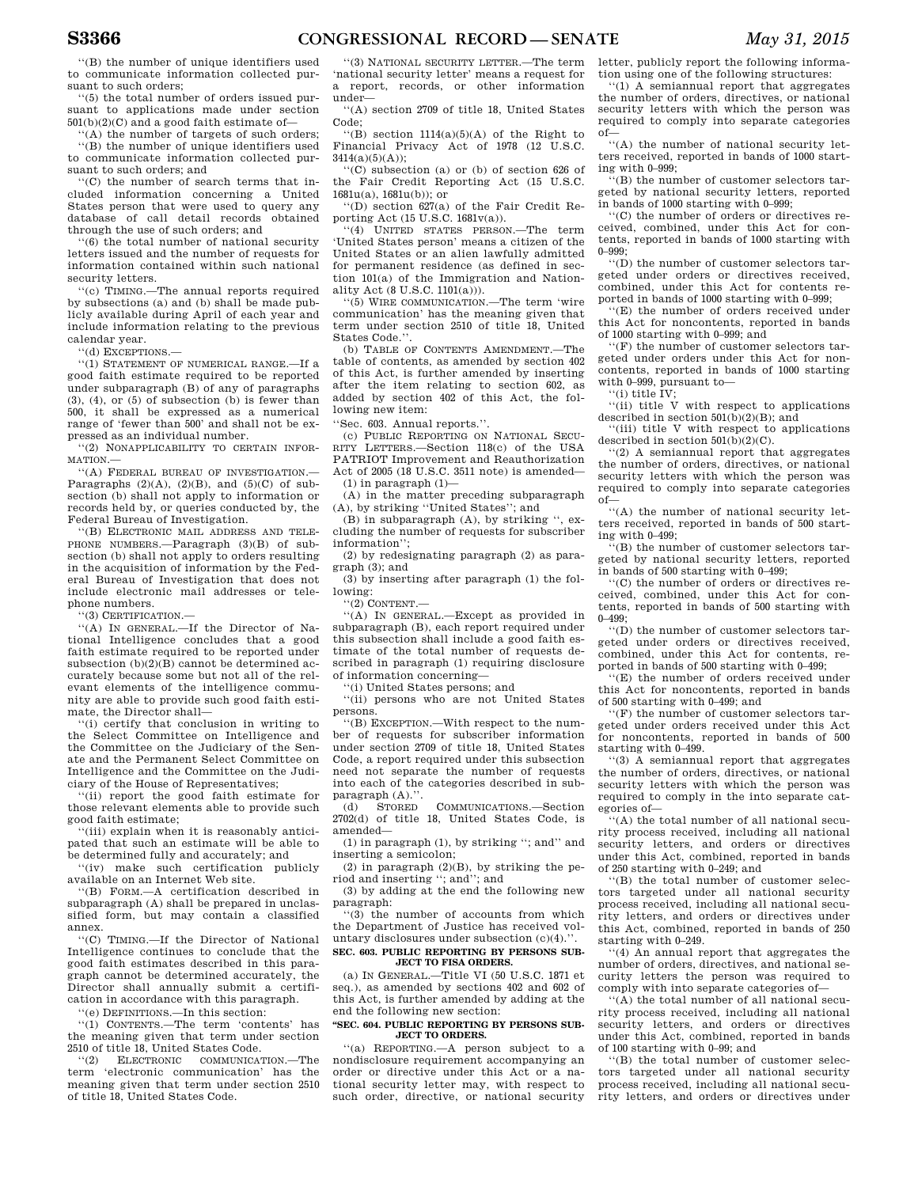''(B) the number of unique identifiers used to communicate information collected pursuant to such orders;

''(5) the total number of orders issued pursuant to applications made under section  $501(b)(2)(C)$  and a good faith estimate of-

''(A) the number of targets of such orders; ''(B) the number of unique identifiers used to communicate information collected pursuant to such orders; and

''(C) the number of search terms that included information concerning a United States person that were used to query any database of call detail records obtained through the use of such orders; and

'(6) the total number of national security letters issued and the number of requests for information contained within such national security letters.

''(c) TIMING.—The annual reports required by subsections (a) and (b) shall be made publicly available during April of each year and include information relating to the previous calendar year.

''(d) EXCEPTIONS.—

''(1) STATEMENT OF NUMERICAL RANGE.—If a good faith estimate required to be reported under subparagraph (B) of any of paragraphs  $(3)$ ,  $(4)$ , or  $(5)$  of subsection  $(b)$  is fewer than 500, it shall be expressed as a numerical range of 'fewer than 500' and shall not be expressed as an individual number.

''(2) NONAPPLICABILITY TO CERTAIN INFOR-MATION.—

''(A) FEDERAL BUREAU OF INVESTIGATION.— Paragraphs  $(2)(A)$ ,  $(2)(B)$ , and  $(5)(C)$  of subsection (b) shall not apply to information or records held by, or queries conducted by, the Federal Bureau of Investigation.

''(B) ELECTRONIC MAIL ADDRESS AND TELE-PHONE NUMBERS.—Paragraph (3)(B) of subsection (b) shall not apply to orders resulting in the acquisition of information by the Federal Bureau of Investigation that does not include electronic mail addresses or telephone numbers.

''(3) CERTIFICATION.—

''(A) IN GENERAL.—If the Director of National Intelligence concludes that a good faith estimate required to be reported under subsection (b)(2)(B) cannot be determined accurately because some but not all of the relevant elements of the intelligence community are able to provide such good faith estimate, the Director shall—

''(i) certify that conclusion in writing to the Select Committee on Intelligence and the Committee on the Judiciary of the Senate and the Permanent Select Committee on Intelligence and the Committee on the Judiciary of the House of Representatives;

''(ii) report the good faith estimate for those relevant elements able to provide such good faith estimate;

'(iii) explain when it is reasonably anticipated that such an estimate will be able to be determined fully and accurately; and

'(iv) make such certification publicly available on an Internet Web site.

''(B) FORM.—A certification described in subparagraph (A) shall be prepared in unclassified form, but may contain a classified annex.

''(C) TIMING.—If the Director of National Intelligence continues to conclude that the good faith estimates described in this paragraph cannot be determined accurately, the Director shall annually submit a certification in accordance with this paragraph.

''(e) DEFINITIONS.—In this section:

''(1) CONTENTS.—The term 'contents' has the meaning given that term under section 2510 of title 18, United States Code.<br>
"(2) ELECTRONIC COMMUNICAT

ELECTRONIC COMMUNICATION.—The term 'electronic communication' has the meaning given that term under section 2510 of title 18, United States Code.

''(3) NATIONAL SECURITY LETTER.—The term 'national security letter' means a request for a report, records, or other information under—

''(A) section 2709 of title 18, United States Code;

 $''(B)$  section  $1114(a)(5)(A)$  of the Right to Financial Privacy Act of 1978 (12 U.S.C. 3414(a)(5)(A));

''(C) subsection (a) or (b) of section 626 of the Fair Credit Reporting Act (15 U.S.C. 1681u(a), 1681u(b)); or

''(D) section 627(a) of the Fair Credit Reporting Act (15 U.S.C. 1681v(a)).

''(4) UNITED STATES PERSON.—The term 'United States person' means a citizen of the United States or an alien lawfully admitted for permanent residence (as defined in section 101(a) of the Immigration and Nationality Act (8 U.S.C. 1101(a))).

''(5) WIRE COMMUNICATION.—The term 'wire communication' has the meaning given that term under section 2510 of title 18, United States Code."

(b) TABLE OF CONTENTS AMENDMENT.—The table of contents, as amended by section 402 of this Act, is further amended by inserting after the item relating to section 602, as added by section 402 of this Act, the following new item:

''Sec. 603. Annual reports.''.

(c) PUBLIC REPORTING ON NATIONAL SECU-RITY LETTERS.—Section 118(c) of the USA PATRIOT Improvement and Reauthorization Act of 2005 (18 U.S.C. 3511 note) is amended—  $(1)$  in paragraph  $(1)$ —

(A) in the matter preceding subparagraph

(A), by striking ''United States''; and

(B) in subparagraph (A), by striking '', excluding the number of requests for subscriber information'';

(2) by redesignating paragraph (2) as paragraph (3); and

(3) by inserting after paragraph (1) the following:

 $''(2)$  CONTENT $-$ 

''(A) IN GENERAL.—Except as provided in subparagraph (B), each report required under this subsection shall include a good faith estimate of the total number of requests described in paragraph (1) requiring disclosure of information concerning—

''(i) United States persons; and

''(ii) persons who are not United States persons.

''(B) EXCEPTION.—With respect to the number of requests for subscriber information under section 2709 of title 18, United States Code, a report required under this subsection need not separate the number of requests into each of the categories described in subparagraph  $(A)$ .".<br>(d) STORED

COMMUNICATIONS.—Section 2702(d) of title 18, United States Code, is amended—

(1) in paragraph (1), by striking ''; and'' and inserting a semicolon;

(2) in paragraph  $(2)(B)$ , by striking the period and inserting ''; and''; and

(3) by adding at the end the following new paragraph:

''(3) the number of accounts from which the Department of Justice has received voluntary disclosures under subsection (c)(4).''. SEC. 603. PUBLIC REPORTING BY PERSONS SUB-

## **JECT TO FISA ORDERS.**

(a) IN GENERAL.—Title VI (50 U.S.C. 1871 et seq.), as amended by sections 402 and 602 of this Act, is further amended by adding at the end the following new section:

**''SEC. 604. PUBLIC REPORTING BY PERSONS SUB-JECT TO ORDERS.** 

''(a) REPORTING.—A person subject to a nondisclosure requirement accompanying an order or directive under this Act or a national security letter may, with respect to such order, directive, or national security

letter, publicly report the following information using one of the following structures: ''(1) A semiannual report that aggregates the number of orders, directives, or national

security letters with which the person was required to comply into separate categories of— ''(A) the number of national security let-

ters received, reported in bands of 1000 starting with 0–999;

''(B) the number of customer selectors targeted by national security letters, reported in bands of 1000 starting with 0–999;

''(C) the number of orders or directives received, combined, under this Act for contents, reported in bands of 1000 starting with 0–999;

''(D) the number of customer selectors targeted under orders or directives received, combined, under this Act for contents reported in bands of 1000 starting with 0–999;

''(E) the number of orders received under this Act for noncontents, reported in bands of 1000 starting with 0–999; and

''(F) the number of customer selectors targeted under orders under this Act for noncontents, reported in bands of 1000 starting with 0–999, pursuant to—

 $``$ (i) title IV;

''(ii) title V with respect to applications described in section 501(b)(2)(B); and

''(iii) title V with respect to applications described in section  $501(b)(2)(C)$ .

''(2) A semiannual report that aggregates the number of orders, directives, or national security letters with which the person was required to comply into separate categories  $\Omega$ f–

''(A) the number of national security letters received, reported in bands of 500 starting with 0–499;

 $\mathcal{F}(\mathbf{B})$  the number of customer selectors targeted by national security letters, reported in bands of 500 starting with 0–499;

''(C) the number of orders or directives received, combined, under this Act for contents, reported in bands of 500 starting with 0–499;

''(D) the number of customer selectors targeted under orders or directives received, combined, under this Act for contents, reported in bands of 500 starting with 0–499;

'(E) the number of orders received under this Act for noncontents, reported in bands of 500 starting with 0–499; and

''(F) the number of customer selectors targeted under orders received under this Act for noncontents, reported in bands of 500 starting with 0–499.

''(3) A semiannual report that aggregates the number of orders, directives, or national security letters with which the person was required to comply in the into separate categories of—

''(A) the total number of all national security process received, including all national security letters, and orders or directives under this Act, combined, reported in bands of 250 starting with 0–249; and

''(B) the total number of customer selectors targeted under all national security process received, including all national security letters, and orders or directives under this Act, combined, reported in bands of 250 starting with 0–249.

''(4) An annual report that aggregates the number of orders, directives, and national security letters the person was required to comply with into separate categories of—

''(A) the total number of all national security process received, including all national security letters, and orders or directives under this Act, combined, reported in bands of 100 starting with 0–99; and

''(B) the total number of customer selectors targeted under all national security process received, including all national security letters, and orders or directives under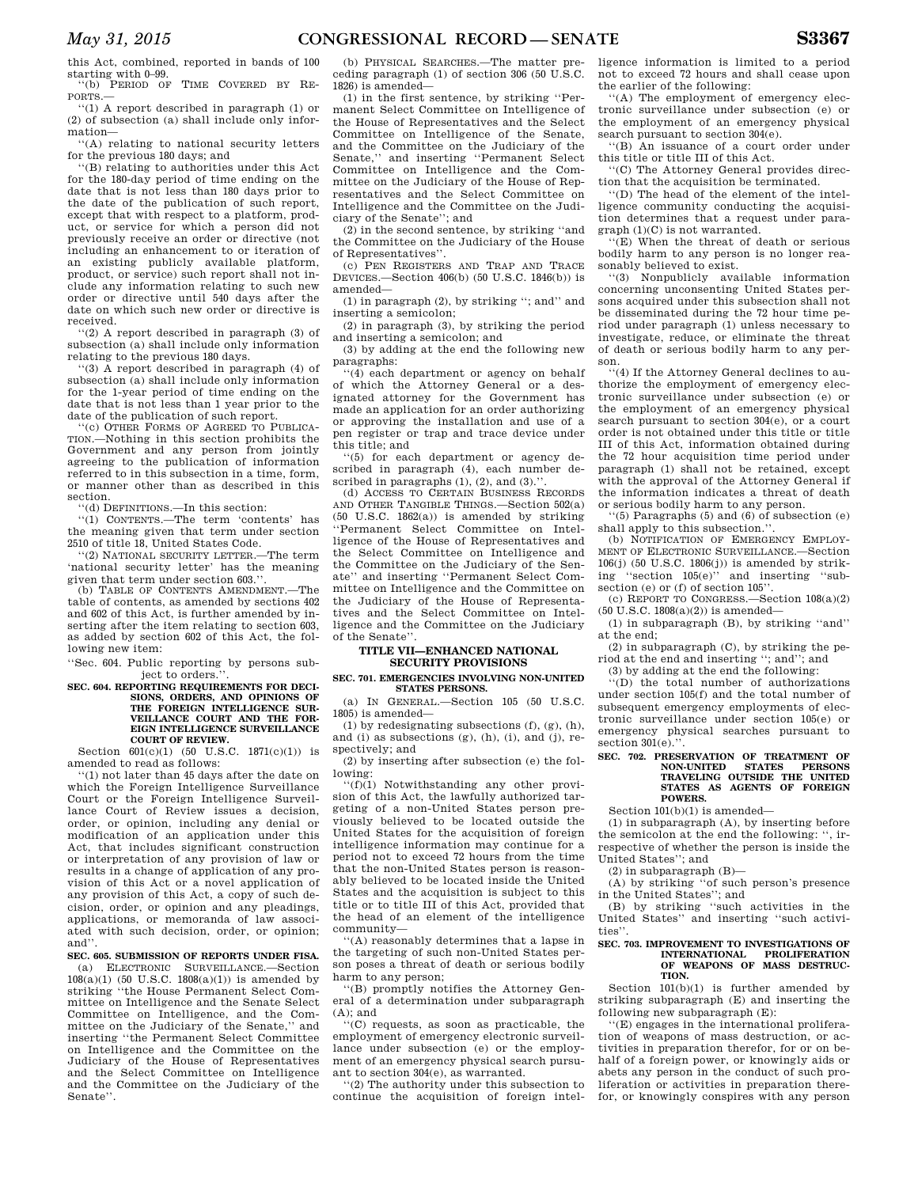this Act, combined, reported in bands of 100 starting with 0–99. ''(b) PERIOD OF TIME COVERED BY RE-

PORTS.—

''(1) A report described in paragraph (1) or (2) of subsection (a) shall include only information—

''(A) relating to national security letters for the previous 180 days; and

''(B) relating to authorities under this Act for the 180-day period of time ending on the date that is not less than 180 days prior to the date of the publication of such report, except that with respect to a platform, product, or service for which a person did not previously receive an order or directive (not including an enhancement to or iteration of an existing publicly available platform, product, or service) such report shall not include any information relating to such new order or directive until 540 days after the date on which such new order or directive is received.

''(2) A report described in paragraph (3) of subsection (a) shall include only information relating to the previous 180 days.

 $(3)$  A report described in paragraph (4) of subsection (a) shall include only information for the 1-year period of time ending on the date that is not less than 1 year prior to the date of the publication of such report.

'(c) OTHER FORMS OF AGREED TO PUBLICA-TION.—Nothing in this section prohibits the Government and any person from jointly agreeing to the publication of information referred to in this subsection in a time, form, or manner other than as described in this section.

''(d) DEFINITIONS.—In this section:

''(1) CONTENTS.—The term 'contents' has the meaning given that term under section 2510 of title 18, United States Code.

''(2) NATIONAL SECURITY LETTER.—The term 'national security letter' has the meaning given that term under section 603.''.

(b) TABLE OF CONTENTS AMENDMENT.—The table of contents, as amended by sections 402 and 602 of this Act, is further amended by inserting after the item relating to section 603, as added by section 602 of this Act, the following new item:

''Sec. 604. Public reporting by persons subject to orders.

**SEC. 604. REPORTING REQUIREMENTS FOR DECI-SIONS, ORDERS, AND OPINIONS OF**  THE FOREIGN INTELLIGENCE SUR-**VEILLANCE COURT AND THE FOR. EIGN INTELLIGENCE SURVEILLANCE COURT OF REVIEW.** 

Section  $601(c)(1)$  (50 U.S.C. 1871(c)(1)) is amended to read as follows:

''(1) not later than 45 days after the date on which the Foreign Intelligence Surveillance Court or the Foreign Intelligence Surveillance Court of Review issues a decision, order, or opinion, including any denial or modification of an application under this Act, that includes significant construction or interpretation of any provision of law or results in a change of application of any provision of this Act or a novel application of any provision of this Act, a copy of such decision, order, or opinion and any pleadings, applications, or memoranda of law associated with such decision, order, or opinion; and'

**SEC. 605. SUBMISSION OF REPORTS UNDER FISA.** 

(a) ELECTRONIC SURVEILLANCE.—Section 108(a)(1) (50 U.S.C. 1808(a)(1)) is amended by striking ''the House Permanent Select Committee on Intelligence and the Senate Select Committee on Intelligence, and the Committee on the Judiciary of the Senate,'' and inserting ''the Permanent Select Committee on Intelligence and the Committee on the Judiciary of the House of Representatives and the Select Committee on Intelligence and the Committee on the Judiciary of the Senate''.

(b) PHYSICAL SEARCHES.—The matter preceding paragraph (1) of section 306 (50 U.S.C. 1826) is amended—

(1) in the first sentence, by striking ''Permanent Select Committee on Intelligence of the House of Representatives and the Select Committee on Intelligence of the Senate, and the Committee on the Judiciary of the Senate,'' and inserting ''Permanent Select Committee on Intelligence and the Committee on the Judiciary of the House of Representatives and the Select Committee on Intelligence and the Committee on the Judiciary of the Senate''; and

(2) in the second sentence, by striking ''and the Committee on the Judiciary of the House of Representatives''.

(c) PEN REGISTERS AND TRAP AND TRACE DEVICES.—Section 406(b) (50 U.S.C. 1846(b)) is amended—

(1) in paragraph (2), by striking ''; and'' and inserting a semicolon;

(2) in paragraph (3), by striking the period and inserting a semicolon; and

(3) by adding at the end the following new paragraphs:

''(4) each department or agency on behalf of which the Attorney General or a designated attorney for the Government has made an application for an order authorizing or approving the installation and use of a pen register or trap and trace device under this title; and

''(5) for each department or agency described in paragraph (4), each number described in paragraphs  $(1)$ ,  $(2)$ , and  $(3)$ .'

(d) ACCESS TO CERTAIN BUSINESS RECORDS AND OTHER TANGIBLE THINGS.—Section 502(a) (50 U.S.C. 1862(a)) is amended by striking ''Permanent Select Committee on Intelligence of the House of Representatives and the Select Committee on Intelligence and the Committee on the Judiciary of the Senate'' and inserting ''Permanent Select Committee on Intelligence and the Committee on the Judiciary of the House of Representatives and the Select Committee on Intelligence and the Committee on the Judiciary of the Senate''.

#### **TITLE VII—ENHANCED NATIONAL SECURITY PROVISIONS**

#### **SEC. 701. EMERGENCIES INVOLVING NON-UNITED STATES PERSONS.**

(a) IN GENERAL.—Section 105 (50 U.S.C. 1805) is amended—

 $(1)$  by redesignating subsections  $(f)$ ,  $(g)$ ,  $(h)$ , and (i) as subsections  $(g)$ ,  $(h)$ ,  $(i)$ , and  $(j)$ , respectively; and

(2) by inserting after subsection (e) the following:

''(f)(1) Notwithstanding any other provision of this Act, the lawfully authorized targeting of a non-United States person previously believed to be located outside the United States for the acquisition of foreign intelligence information may continue for a period not to exceed 72 hours from the time that the non-United States person is reasonably believed to be located inside the United States and the acquisition is subject to this title or to title III of this Act, provided that the head of an element of the intelligence community—

''(A) reasonably determines that a lapse in the targeting of such non-United States person poses a threat of death or serious bodily harm to any person;

''(B) promptly notifies the Attorney General of a determination under subparagraph  $(A)$ ; and

''(C) requests, as soon as practicable, the employment of emergency electronic surveillance under subsection (e) or the employment of an emergency physical search pursuant to section 304(e), as warranted.

''(2) The authority under this subsection to continue the acquisition of foreign intelligence information is limited to a period not to exceed 72 hours and shall cease upon the earlier of the following:

''(A) The employment of emergency electronic surveillance under subsection (e) or the employment of an emergency physical search pursuant to section 304(e).

''(B) An issuance of a court order under this title or title III of this Act.

''(C) The Attorney General provides direction that the acquisition be terminated.

''(D) The head of the element of the intelligence community conducting the acquisition determines that a request under paragraph (1)(C) is not warranted.

''(E) When the threat of death or serious bodily harm to any person is no longer reasonably believed to exist.

''(3) Nonpublicly available information concerning unconsenting United States persons acquired under this subsection shall not be disseminated during the 72 hour time period under paragraph (1) unless necessary to investigate, reduce, or eliminate the threat of death or serious bodily harm to any person.

''(4) If the Attorney General declines to authorize the employment of emergency electronic surveillance under subsection (e) or the employment of an emergency physical search pursuant to section 304(e), or a court order is not obtained under this title or title III of this Act, information obtained during the 72 hour acquisition time period under  $\alpha$  paragraph (1) shall not be retained, except with the approval of the Attorney General if the information indicates a threat of death or serious bodily harm to any person.

 $(5)$  Paragraphs  $(5)$  and  $(6)$  of subsection  $(e)$ shall apply to this subsection.''.

(b) NOTIFICATION OF EMERGENCY EMPLOY-MENT OF ELECTRONIC SURVEILLANCE.—Section 106(j) (50 U.S.C. 1806(j)) is amended by striking ''section 105(e)'' and inserting ''subsection (e) or (f) of section  $105$ ".

(c) REPORT TO CONGRESS.—Section 108(a)(2) (50 U.S.C. 1808(a)(2)) is amended—

(1) in subparagraph (B), by striking ''and'' at the end;

(2) in subparagraph (C), by striking the period at the end and inserting ''; and''; and

(3) by adding at the end the following:

''(D) the total number of authorizations under section 105(f) and the total number of subsequent emergency employments of electronic surveillance under section 105(e) or emergency physical searches pursuant to section 301(e)."

## **SEC. 702. PRESERVATION OF TREATMENT OF NON-UNITED STATES PERSONS TRAVELING OUTSIDE THE UNITED STATES AS AGENTS OF FOREIGN POWERS.**

Section 101(b)(1) is amended—

(1) in subparagraph (A), by inserting before the semicolon at the end the following: '', irrespective of whether the person is inside the United States''; and

(2) in subparagraph (B)—

(A) by striking ''of such person's presence in the United States''; and

(B) by striking ''such activities in the United States'' and inserting ''such activities''.

#### **SEC. 703. IMPROVEMENT TO INVESTIGATIONS OF INTERNATIONAL**<br>OF WEAPONS OF WEAPONS OF MASS DESTRUC-**TION.**

Section 101(b)(1) is further amended by striking subparagraph (E) and inserting the following new subparagraph (E):

''(E) engages in the international proliferation of weapons of mass destruction, or activities in preparation therefor, for or on behalf of a foreign power, or knowingly aids or abets any person in the conduct of such proliferation or activities in preparation therefor, or knowingly conspires with any person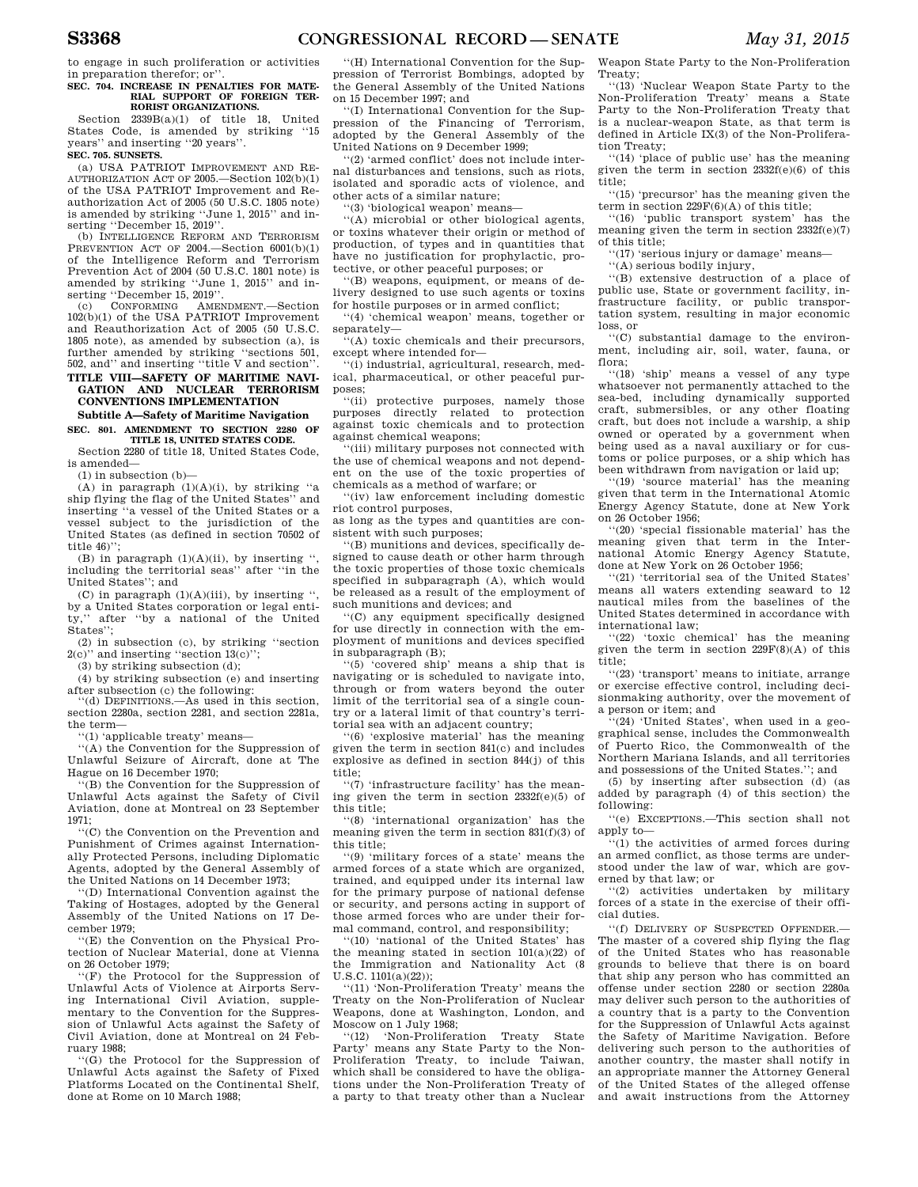to engage in such proliferation or activities in preparation therefor; or''.

#### **SEC. 704. INCREASE IN PENALTIES FOR MATE-RIAL SUPPORT OF FOREIGN TER-RORIST ORGANIZATIONS.**

Section 2339B(a)(1) of title 18, United States Code, is amended by striking ''15 years" and inserting "20 years"

**SEC. 705. SUNSETS.** 

(a) USA PATRIOT IMPROVEMENT AND RE-AUTHORIZATION ACT OF 2005.—Section 102(b)(1) of the USA PATRIOT Improvement and Reauthorization Act of 2005 (50 U.S.C. 1805 note) is amended by striking ''June 1, 2015'' and inserting ''December 15, 2019''.

(b) INTELLIGENCE REFORM AND TERRORISM PREVENTION ACT OF 2004.—Section 6001(b)(1) of the Intelligence Reform and Terrorism Prevention Act of 2004 (50 U.S.C. 1801 note) is amended by striking ''June 1, 2015'' and inserting ''December 15, 2019''. (c) CONFORMING AMENDMENT.—Section

102(b)(1) of the USA PATRIOT Improvement and Reauthorization Act of 2005 (50 U.S.C. 1805 note), as amended by subsection (a), is further amended by striking ''sections 501, 502, and'' and inserting ''title V and section''.

#### **TITLE VIII—SAFETY OF MARITIME NAVI-GATION AND NUCLEAR TERRORISM CONVENTIONS IMPLEMENTATION Subtitle A—Safety of Maritime Navigation**

#### **SEC. 801. AMENDMENT TO SECTION 2280 OF TITLE 18, UNITED STATES CODE.**

Section 2280 of title 18, United States Code, is amended—

 $(1)$  in subsection  $(b)$ -

 $(A)$  in paragraph  $(1)(A)(i)$ , by striking "a ship flying the flag of the United States'' and inserting ''a vessel of the United States or a vessel subject to the jurisdiction of the United States (as defined in section 70502 of title 46)'';

(B) in paragraph  $(1)(A)(ii)$ , by inserting ", including the territorial seas'' after ''in the United States''; and

(C) in paragraph  $(1)(A)(iii)$ , by inserting ", by a United States corporation or legal enti-

ty,'' after ''by a national of the United States'';

(2) in subsection (c), by striking ''section 2(c)'' and inserting ''section 13(c)'';

(3) by striking subsection (d);

(4) by striking subsection (e) and inserting after subsection (c) the following: ''(d) DEFINITIONS.—As used in this section,

section 2280a, section 2281, and section 2281a, the term—

'(1) 'applicable treaty' means-

''(A) the Convention for the Suppression of Unlawful Seizure of Aircraft, done at The Hague on 16 December 1970;

 $\widetilde{H}(B)$  the Convention for the Suppression of Unlawful Acts against the Safety of Civil Aviation, done at Montreal on 23 September 1971;

''(C) the Convention on the Prevention and Punishment of Crimes against Internationally Protected Persons, including Diplomatic Agents, adopted by the General Assembly of the United Nations on 14 December 1973;

''(D) International Convention against the Taking of Hostages, adopted by the General Assembly of the United Nations on 17 December 1979;

''(E) the Convention on the Physical Protection of Nuclear Material, done at Vienna on 26 October 1979;

''(F) the Protocol for the Suppression of Unlawful Acts of Violence at Airports Serving International Civil Aviation, supplementary to the Convention for the Suppression of Unlawful Acts against the Safety of Civil Aviation, done at Montreal on 24 February 1988;

''(G) the Protocol for the Suppression of Unlawful Acts against the Safety of Fixed Platforms Located on the Continental Shelf, done at Rome on 10 March 1988;

''(H) International Convention for the Suppression of Terrorist Bombings, adopted by the General Assembly of the United Nations on 15 December 1997; and

''(I) International Convention for the Suppression of the Financing of Terrorism, adopted by the General Assembly of the United Nations on 9 December 1999;

''(2) 'armed conflict' does not include internal disturbances and tensions, such as riots, isolated and sporadic acts of violence, and other acts of a similar nature;

''(3) 'biological weapon' means—

''(A) microbial or other biological agents, or toxins whatever their origin or method of production, of types and in quantities that have no justification for prophylactic, protective, or other peaceful purposes; or

''(B) weapons, equipment, or means of delivery designed to use such agents or toxins for hostile purposes or in armed conflict;

''(4) 'chemical weapon' means, together or separately—

'(A) toxic chemicals and their precursors, except where intended for—

''(i) industrial, agricultural, research, medical, pharmaceutical, or other peaceful purposes;

''(ii) protective purposes, namely those purposes directly related to protection against toxic chemicals and to protection against chemical weapons;

''(iii) military purposes not connected with the use of chemical weapons and not dependent on the use of the toxic properties of chemicals as a method of warfare; or

''(iv) law enforcement including domestic riot control purposes,

as long as the types and quantities are consistent with such purposes;

''(B) munitions and devices, specifically designed to cause death or other harm through the toxic properties of those toxic chemicals specified in subparagraph (A), which would be released as a result of the employment of such munitions and devices; and

''(C) any equipment specifically designed for use directly in connection with the employment of munitions and devices specified in subparagraph (B);

''(5) 'covered ship' means a ship that is navigating or is scheduled to navigate into, through or from waters beyond the outer limit of the territorial sea of a single country or a lateral limit of that country's territorial sea with an adjacent country;

''(6) 'explosive material' has the meaning given the term in section 841(c) and includes explosive as defined in section 844(j) of this title;

 $\cdot$ (7) 'infrastructure facility' has the meaning given the term in section 2332f(e)(5) of this title;

''(8) 'international organization' has the meaning given the term in section 831(f)(3) of this title;

''(9) 'military forces of a state' means the armed forces of a state which are organized, trained, and equipped under its internal law for the primary purpose of national defense or security, and persons acting in support of those armed forces who are under their formal command, control, and responsibility;

''(10) 'national of the United States' has the meaning stated in section 101(a)(22) of the Immigration and Nationality Act (8 U.S.C. 1101(a)(22));

''(11) 'Non-Proliferation Treaty' means the Treaty on the Non-Proliferation of Nuclear Weapons, done at Washington, London, and Moscow on 1 July 1968;

''(12) 'Non-Proliferation Treaty State Party' means any State Party to the Non-Proliferation Treaty, to include Taiwan, which shall be considered to have the obligations under the Non-Proliferation Treaty of a party to that treaty other than a Nuclear Weapon State Party to the Non-Proliferation Treaty;

''(13) 'Nuclear Weapon State Party to the Non-Proliferation Treaty' means a State Party to the Non-Proliferation Treaty that is a nuclear-weapon State, as that term is defined in Article IX(3) of the Non-Proliferation Treaty;

''(14) 'place of public use' has the meaning given the term in section 2332f(e)(6) of this title;

''(15) 'precursor' has the meaning given the term in section 229F(6)(A) of this title;

''(16) 'public transport system' has the meaning given the term in section  $2332f(e)(7)$ of this title;

''(17) 'serious injury or damage' means—

''(A) serious bodily injury,

''(B) extensive destruction of a place of public use, State or government facility, infrastructure facility, or public transportation system, resulting in major economic loss, or

''(C) substantial damage to the environment, including air, soil, water, fauna, or flora;

''(18) 'ship' means a vessel of any type whatsoever not permanently attached to the sea-bed, including dynamically supported craft, submersibles, or any other floating craft, but does not include a warship, a ship owned or operated by a government when being used as a naval auxiliary or for customs or police purposes, or a ship which has been withdrawn from navigation or laid up;

''(19) 'source material' has the meaning given that term in the International Atomic Energy Agency Statute, done at New York on 26 October 1956;

''(20) 'special fissionable material' has the meaning given that term in the International Atomic Energy Agency Statute, done at New York on 26 October 1956;

''(21) 'territorial sea of the United States' means all waters extending seaward to 12 nautical miles from the baselines of the United States determined in accordance with international law;

''(22) 'toxic chemical' has the meaning given the term in section  $229F(8)(A)$  of this title;

''(23) 'transport' means to initiate, arrange or exercise effective control, including decisionmaking authority, over the movement of a person or item; and

 $(24)$  'United States', when used in a geographical sense, includes the Commonwealth of Puerto Rico, the Commonwealth of the Northern Mariana Islands, and all territories and possessions of the United States.''; and

(5) by inserting after subsection (d) (as added by paragraph (4) of this section) the following:

''(e) EXCEPTIONS.—This section shall not apply to—

(1) the activities of armed forces during an armed conflict, as those terms are understood under the law of war, which are governed by that law; or

''(2) activities undertaken by military forces of a state in the exercise of their official duties.

''(f) DELIVERY OF SUSPECTED OFFENDER.— The master of a covered ship flying the flag of the United States who has reasonable grounds to believe that there is on board that ship any person who has committed an offense under section 2280 or section 2280a may deliver such person to the authorities of a country that is a party to the Convention for the Suppression of Unlawful Acts against the Safety of Maritime Navigation. Before delivering such person to the authorities of another country, the master shall notify in an appropriate manner the Attorney General of the United States of the alleged offense and await instructions from the Attorney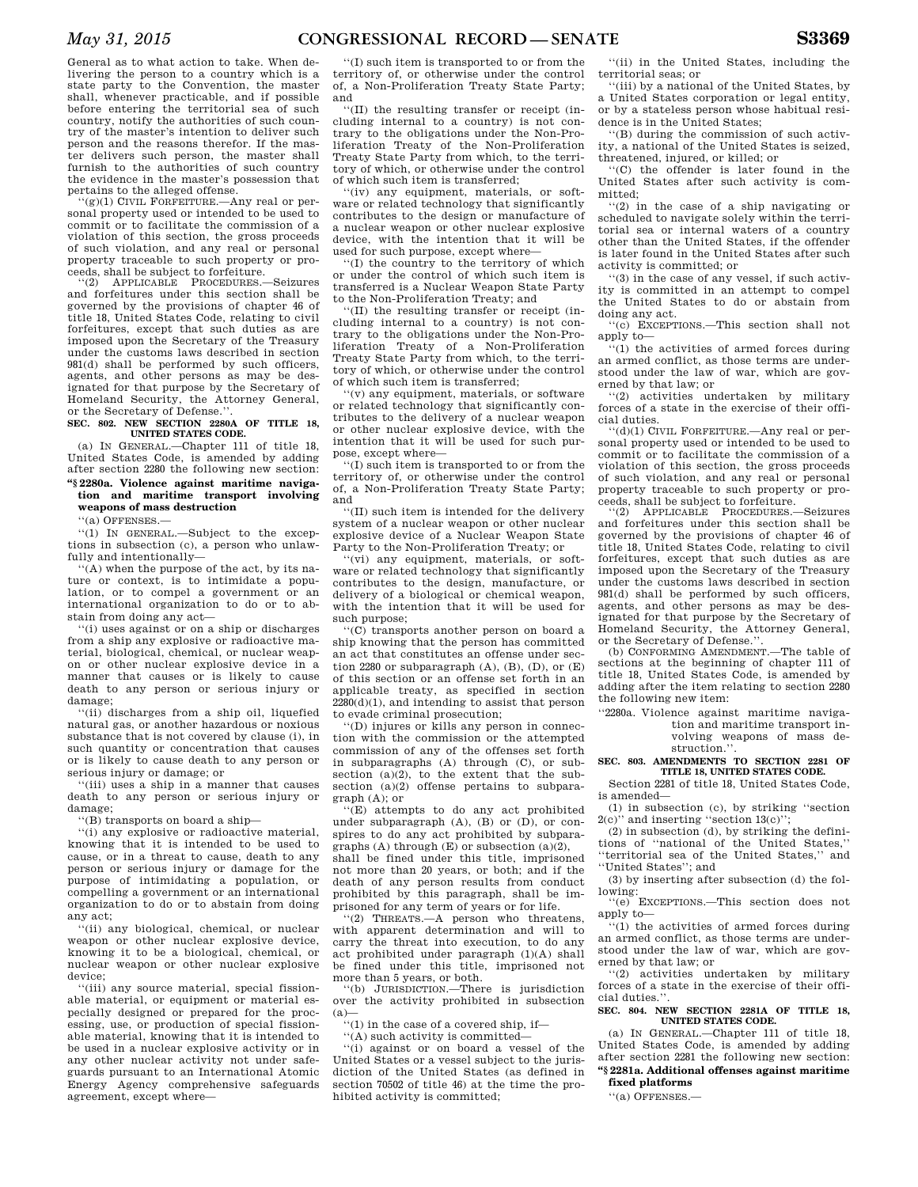General as to what action to take. When delivering the person to a country which is a

state party to the Convention, the master shall, whenever practicable, and if possible before entering the territorial sea of such country, notify the authorities of such country of the master's intention to deliver such person and the reasons therefor. If the master delivers such person, the master shall furnish to the authorities of such country the evidence in the master's possession that pertains to the alleged offense.

''(g)(1) CIVIL FORFEITURE.—Any real or personal property used or intended to be used to commit or to facilitate the commission of a violation of this section, the gross proceeds of such violation, and any real or personal property traceable to such property or proceeds, shall be subject to forfeiture.

''(2) APPLICABLE PROCEDURES.—Seizures and forfeitures under this section shall be governed by the provisions of chapter 46 of title 18, United States Code, relating to civil forfeitures, except that such duties as are imposed upon the Secretary of the Treasury under the customs laws described in section 981(d) shall be performed by such officers, agents, and other persons as may be designated for that purpose by the Secretary of Homeland Security, the Attorney General, or the Secretary of Defense.''.

#### **SEC. 802. NEW SECTION 2280A OF TITLE 18, UNITED STATES CODE.**

(a) IN GENERAL.—Chapter 111 of title 18, United States Code, is amended by adding after section 2280 the following new section: **''§ 2280a. Violence against maritime naviga-**

**tion and maritime transport involving weapons of mass destruction** 

''(a) OFFENSES.—

''(1) IN GENERAL.—Subject to the exceptions in subsection (c), a person who unlawfully and intentionally—

''(A) when the purpose of the act, by its nature or context, is to intimidate a population, or to compel a government or an international organization to do or to abstain from doing any act—

''(i) uses against or on a ship or discharges from a ship any explosive or radioactive material, biological, chemical, or nuclear weapon or other nuclear explosive device in a manner that causes or is likely to cause death to any person or serious injury or damage;

''(ii) discharges from a ship oil, liquefied natural gas, or another hazardous or noxious substance that is not covered by clause (i), in such quantity or concentration that causes or is likely to cause death to any person or serious injury or damage; or

''(iii) uses a ship in a manner that causes death to any person or serious injury or damage;

''(B) transports on board a ship—

'(i) any explosive or radioactive material. knowing that it is intended to be used to cause, or in a threat to cause, death to any person or serious injury or damage for the purpose of intimidating a population, or compelling a government or an international organization to do or to abstain from doing any act;

''(ii) any biological, chemical, or nuclear weapon or other nuclear explosive device, knowing it to be a biological, chemical, or nuclear weapon or other nuclear explosive device;

''(iii) any source material, special fissionable material, or equipment or material especially designed or prepared for the processing, use, or production of special fissionable material, knowing that it is intended to be used in a nuclear explosive activity or in any other nuclear activity not under safeguards pursuant to an International Atomic Energy Agency comprehensive safeguards agreement, except where—

''(I) such item is transported to or from the territory of, or otherwise under the control of, a Non-Proliferation Treaty State Party; and

''(II) the resulting transfer or receipt (including internal to a country) is not contrary to the obligations under the Non-Proliferation Treaty of the Non-Proliferation Treaty State Party from which, to the territory of which, or otherwise under the control of which such item is transferred;

''(iv) any equipment, materials, or software or related technology that significantly contributes to the design or manufacture of a nuclear weapon or other nuclear explosive device, with the intention that it will be used for such purpose, except where—

''(I) the country to the territory of which or under the control of which such item is transferred is a Nuclear Weapon State Party to the Non-Proliferation Treaty; and

''(II) the resulting transfer or receipt (including internal to a country) is not contrary to the obligations under the Non-Proliferation Treaty of a Non-Proliferation Treaty State Party from which, to the territory of which, or otherwise under the control of which such item is transferred;

''(v) any equipment, materials, or software or related technology that significantly contributes to the delivery of a nuclear weapon or other nuclear explosive device, with the intention that it will be used for such purpose, except where—

''(I) such item is transported to or from the territory of, or otherwise under the control of, a Non-Proliferation Treaty State Party; and

''(II) such item is intended for the delivery system of a nuclear weapon or other nuclear explosive device of a Nuclear Weapon State Party to the Non-Proliferation Treaty; or

''(vi) any equipment, materials, or software or related technology that significantly contributes to the design, manufacture, or delivery of a biological or chemical weapon, with the intention that it will be used for such purpose;

''(C) transports another person on board a ship knowing that the person has committed an act that constitutes an offense under section 2280 or subparagraph  $(A)$ ,  $(B)$ ,  $(D)$ , or  $(E)$ of this section or an offense set forth in an applicable treaty, as specified in section 2280(d)(1), and intending to assist that person to evade criminal prosecution;

''(D) injures or kills any person in connection with the commission or the attempted commission of any of the offenses set forth in subparagraphs (A) through (C), or subsection  $(a)(2)$ , to the extent that the subsection (a)(2) offense pertains to subparagraph (A); or

''(E) attempts to do any act prohibited under subparagraph  $(A)$ ,  $(B)$  or  $(D)$ , or conspires to do any act prohibited by subparagraphs  $(A)$  through  $(E)$  or subsection  $(a)(2)$ ,

shall be fined under this title, imprisoned not more than 20 years, or both; and if the death of any person results from conduct prohibited by this paragraph, shall be imprisoned for any term of years or for life.

''(2) THREATS.—A person who threatens, with apparent determination and will to carry the threat into execution, to do any act prohibited under paragraph (1)(A) shall be fined under this title, imprisoned not more than 5 years, or both.

'(b) JURISDICTION.—There is jurisdiction over the activity prohibited in subsection  $(a)$ 

 $''(1)$  in the case of a covered ship, if-''(A) such activity is committed—

''(i) against or on board a vessel of the United States or a vessel subject to the jurisdiction of the United States (as defined in section 70502 of title 46) at the time the prohibited activity is committed;

''(ii) in the United States, including the territorial seas; or

''(iii) by a national of the United States, by a United States corporation or legal entity, or by a stateless person whose habitual residence is in the United States;

''(B) during the commission of such activity, a national of the United States is seized, threatened, injured, or killed; or

''(C) the offender is later found in the United States after such activity is committed;

''(2) in the case of a ship navigating or scheduled to navigate solely within the territorial sea or internal waters of a country other than the United States, if the offender is later found in the United States after such activity is committed; or

''(3) in the case of any vessel, if such activity is committed in an attempt to compel the United States to do or abstain from doing any act.

''(c) EXCEPTIONS.—This section shall not apply to—

''(1) the activities of armed forces during an armed conflict, as those terms are understood under the law of war, which are governed by that law; or

''(2) activities undertaken by military forces of a state in the exercise of their official duties.

''(d)(1) CIVIL FORFEITURE.—Any real or personal property used or intended to be used to commit or to facilitate the commission of a violation of this section, the gross proceeds of such violation, and any real or personal property traceable to such property or proceeds, shall be subject to forfeiture.

''(2) APPLICABLE PROCEDURES.—Seizures and forfeitures under this section shall be governed by the provisions of chapter 46 of title 18, United States Code, relating to civil forfeitures, except that such duties as are imposed upon the Secretary of the Treasury under the customs laws described in section 981(d) shall be performed by such officers, agents, and other persons as may be designated for that purpose by the Secretary of Homeland Security, the Attorney General, or the Secretary of Defense.''.

(b) CONFORMING AMENDMENT.—The table of sections at the beginning of chapter 111 of title 18, United States Code, is amended by adding after the item relating to section 2280 the following new item:

''2280a. Violence against maritime navigation and maritime transport involving weapons of mass destruction."

**SEC. 803. AMENDMENTS TO SECTION 2281 OF TITLE 18, UNITED STATES CODE.** 

Section 2281 of title 18, United States Code, is amended—

(1) in subsection (c), by striking ''section  $2(c)$ <sup>'</sup> and inserting "section  $13(c)$ ";

 $(2)$  in subsection  $(d)$ , by striking the definitions of ''national of the United States,'' 'territorial sea of the United States," and ''United States''; and

(3) by inserting after subsection (d) the following:

''(e) EXCEPTIONS.—This section does not apply to—

'(1) the activities of armed forces during an armed conflict, as those terms are understood under the law of war, which are governed by that law; or

''(2) activities undertaken by military forces of a state in the exercise of their official duties.''.

#### **SEC. 804. NEW SECTION 2281A OF TITLE 18, UNITED STATES CODE.**

(a) IN GENERAL.—Chapter 111 of title 18, United States Code, is amended by adding after section 2281 the following new section:

**''§ 2281a. Additional offenses against maritime fixed platforms** 

''(a) OFFENSES.—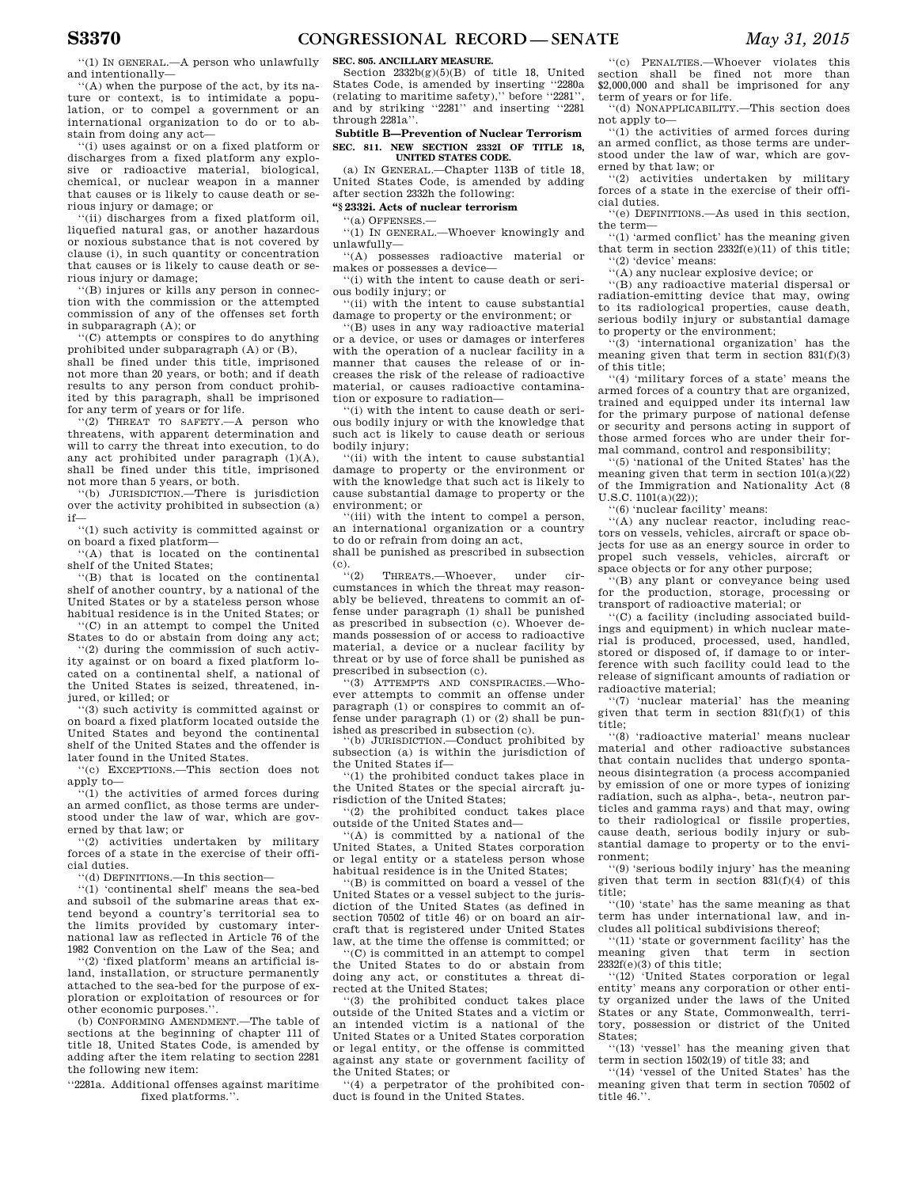''(1) IN GENERAL.—A person who unlawfully and intentionally—

''(A) when the purpose of the act, by its nature or context, is to intimidate a population, or to compel a government or an international organization to do or to abstain from doing any act—

''(i) uses against or on a fixed platform or discharges from a fixed platform any explosive or radioactive material, biological, chemical, or nuclear weapon in a manner that causes or is likely to cause death or serious injury or damage; or

''(ii) discharges from a fixed platform oil, liquefied natural gas, or another hazardous or noxious substance that is not covered by clause (i), in such quantity or concentration that causes or is likely to cause death or serious injury or damage;

''(B) injures or kills any person in connection with the commission or the attempted commission of any of the offenses set forth in subparagraph (A); or

''(C) attempts or conspires to do anything prohibited under subparagraph (A) or (B), shall be fined under this title, imprisoned

not more than 20 years, or both; and if death results to any person from conduct prohibited by this paragraph, shall be imprisoned for any term of years or for life.

''(2) THREAT TO SAFETY.—A person who threatens, with apparent determination and will to carry the threat into execution, to do any act prohibited under paragraph (1)(A), shall be fined under this title, imprisoned not more than 5 years, or both.

''(b) JURISDICTION.—There is jurisdiction over the activity prohibited in subsection (a) if—

''(1) such activity is committed against or on board a fixed platform—

''(A) that is located on the continental shelf of the United States;

''(B) that is located on the continental shelf of another country, by a national of the United States or by a stateless person whose habitual residence is in the United States; or

''(C) in an attempt to compel the United States to do or abstain from doing any act;  $(2)$  during the commission of such activ-

ity against or on board a fixed platform located on a continental shelf, a national of the United States is seized, threatened, injured, or killed; or

''(3) such activity is committed against or on board a fixed platform located outside the United States and beyond the continental shelf of the United States and the offender is later found in the United States.

''(c) EXCEPTIONS.—This section does not apply to—

(1) the activities of armed forces during an armed conflict, as those terms are understood under the law of war, which are governed by that law; or

''(2) activities undertaken by military forces of a state in the exercise of their official duties.

''(d) DEFINITIONS.—In this section—

''(1) 'continental shelf' means the sea-bed and subsoil of the submarine areas that extend beyond a country's territorial sea to the limits provided by customary international law as reflected in Article 76 of the 1982 Convention on the Law of the Sea; and

''(2) 'fixed platform' means an artificial island, installation, or structure permanently attached to the sea-bed for the purpose of exploration or exploitation of resources or for other economic purposes.''.

(b) CONFORMING AMENDMENT.—The table of sections at the beginning of chapter 111 of title 18, United States Code, is amended by adding after the item relating to section 2281 the following new item:

''2281a. Additional offenses against maritime fixed platforms.''.

Section 2332b(g)(5)(B) of title 18, United States Code, is amended by inserting ''2280a (relating to maritime safety)," before "2281' and by striking ''2281'' and inserting ''2281 through 2281a''.

#### **Subtitle B—Prevention of Nuclear Terrorism SEC. 811. NEW SECTION 2332I OF TITLE 18, UNITED STATES CODE.**

(a) IN GENERAL.—Chapter 113B of title 18, United States Code, is amended by adding after section 2332h the following:

#### **''§ 2332i. Acts of nuclear terrorism**

**SEC. 805. ANCILLARY MEASURE.** 

''(a) OFFENSES.—

''(1) IN GENERAL.—Whoever knowingly and unlawfully—

''(A) possesses radioactive material or makes or possesses a device—

''(i) with the intent to cause death or serious bodily injury; or

''(ii) with the intent to cause substantial damage to property or the environment; or

''(B) uses in any way radioactive material or a device, or uses or damages or interferes with the operation of a nuclear facility in a manner that causes the release of or increases the risk of the release of radioactive material, or causes radioactive contamination or exposure to radiation—

''(i) with the intent to cause death or serious bodily injury or with the knowledge that such act is likely to cause death or serious bodily injury;

''(ii) with the intent to cause substantial damage to property or the environment or with the knowledge that such act is likely to cause substantial damage to property or the environment; or

''(iii) with the intent to compel a person, an international organization or a country to do or refrain from doing an act,

shall be punished as prescribed in subsection (c).

''(2) THREATS.—Whoever, under circumstances in which the threat may reasonably be believed, threatens to commit an offense under paragraph (1) shall be punished as prescribed in subsection (c). Whoever demands possession of or access to radioactive material, a device or a nuclear facility by threat or by use of force shall be punished as prescribed in subsection (c).

''(3) ATTEMPTS AND CONSPIRACIES.—Whoever attempts to commit an offense under paragraph (1) or conspires to commit an offense under paragraph (1) or (2) shall be punished as prescribed in subsection (c).

''(b) JURISDICTION.—Conduct prohibited by subsection (a) is within the jurisdiction of the United States if—

''(1) the prohibited conduct takes place in the United States or the special aircraft jurisdiction of the United States;

''(2) the prohibited conduct takes place outside of the United States and—

''(A) is committed by a national of the United States, a United States corporation or legal entity or a stateless person whose habitual residence is in the United States;

''(B) is committed on board a vessel of the United States or a vessel subject to the jurisdiction of the United States (as defined in section 70502 of title 46) or on board an aircraft that is registered under United States law, at the time the offense is committed; or

''(C) is committed in an attempt to compel the United States to do or abstain from doing any act, or constitutes a threat directed at the United States;

''(3) the prohibited conduct takes place outside of the United States and a victim or an intended victim is a national of the United States or a United States corporation or legal entity, or the offense is committed against any state or government facility of the United States; or

''(4) a perpetrator of the prohibited conduct is found in the United States.

''(c) PENALTIES.—Whoever violates this section shall be fined not more than \$2,000,000 and shall be imprisoned for any term of years or for life.

''(d) NONAPPLICABILITY.—This section does not apply to—

''(1) the activities of armed forces during an armed conflict, as those terms are understood under the law of war, which are governed by that law; or

''(2) activities undertaken by military forces of a state in the exercise of their official duties.

 $\ddot{e}$  (e) DEFINITIONS.—As used in this section, the term—

''(1) 'armed conflict' has the meaning given that term in section 2332f(e)(11) of this title; ''(2) 'device' means:

''(A) any nuclear explosive device; or

''(B) any radioactive material dispersal or radiation-emitting device that may, owing to its radiological properties, cause death, serious bodily injury or substantial damage to property or the environment;

''(3) 'international organization' has the meaning given that term in section  $831(f)(3)$ of this title;

''(4) 'military forces of a state' means the armed forces of a country that are organized, trained and equipped under its internal law for the primary purpose of national defense or security and persons acting in support of those armed forces who are under their formal command, control and responsibility;

''(5) 'national of the United States' has the meaning given that term in section 101(a)(22) of the Immigration and Nationality Act (8 U.S.C. 1101(a)(22));

''(6) 'nuclear facility' means:

''(A) any nuclear reactor, including reactors on vessels, vehicles, aircraft or space objects for use as an energy source in order to propel such vessels, vehicles, aircraft or space objects or for any other purpose;

''(B) any plant or conveyance being used for the production, storage, processing or transport of radioactive material; or

''(C) a facility (including associated buildings and equipment) in which nuclear material is produced, processed, used, handled, stored or disposed of, if damage to or interference with such facility could lead to the release of significant amounts of radiation or radioactive material;

''(7) 'nuclear material' has the meaning given that term in section  $831(f)(1)$  of this title;

''(8) 'radioactive material' means nuclear material and other radioactive substances that contain nuclides that undergo spontaneous disintegration (a process accompanied by emission of one or more types of ionizing radiation, such as alpha-, beta-, neutron particles and gamma rays) and that may, owing to their radiological or fissile properties, cause death, serious bodily injury or substantial damage to property or to the environment;

''(9) 'serious bodily injury' has the meaning given that term in section 831(f)(4) of this title;

''(10) 'state' has the same meaning as that term has under international law, and includes all political subdivisions thereof;

''(11) 'state or government facility' has the meaning given that term in section 2332f(e)(3) of this title;

''(12) 'United States corporation or legal entity' means any corporation or other entity organized under the laws of the United States or any State, Commonwealth, territory, possession or district of the United States;

''(13) 'vessel' has the meaning given that term in section 1502(19) of title 33; and

''(14) 'vessel of the United States' has the meaning given that term in section 70502 of title  $46.$ ".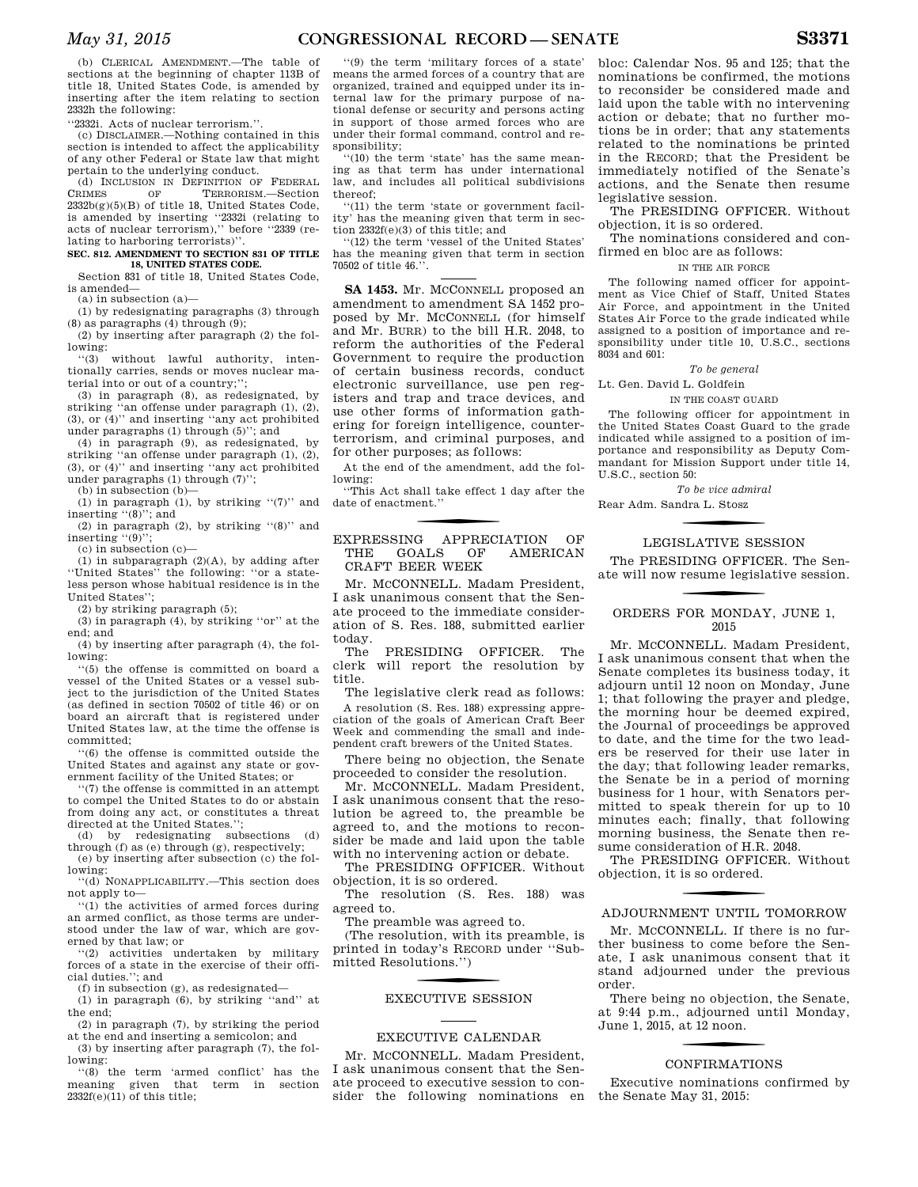(b) CLERICAL AMENDMENT.—The table of sections at the beginning of chapter 113B of title 18, United States Code, is amended by inserting after the item relating to section 2332h the following:

''2332i. Acts of nuclear terrorism.''.

(c) DISCLAIMER.—Nothing contained in this section is intended to affect the applicability of any other Federal or State law that might pertain to the underlying conduct.

(d) INCLUSION IN DEFINITION OF FEDERAL CRIMES OF TERRORISM.—Section TERRORISM.-Section  $2332b(g)(5)(B)$  of title 18, United States Code, is amended by inserting ''2332i (relating to acts of nuclear terrorism),'' before ''2339 (relating to harboring terrorists)''.

#### **SEC. 812. AMENDMENT TO SECTION 831 OF TITLE 18, UNITED STATES CODE.**

Section 831 of title 18, United States Code, is amended—

(a) in subsection (a)—

(1) by redesignating paragraphs (3) through (8) as paragraphs (4) through (9);

(2) by inserting after paragraph (2) the following:

''(3) without lawful authority, intentionally carries, sends or moves nuclear material into or out of a country;'';

(3) in paragraph (8), as redesignated, by striking ''an offense under paragraph (1), (2), (3), or (4)'' and inserting ''any act prohibited under paragraphs (1) through (5)''; and

(4) in paragraph (9), as redesignated, by striking ''an offense under paragraph (1), (2), (3), or (4)'' and inserting ''any act prohibited under paragraphs (1) through (7)'';

 $(b)$  in subsection  $(b)$ -

(1) in paragraph (1), by striking ''(7)'' and inserting ''(8)''; and

(2) in paragraph (2), by striking  $(8)$ " and inserting ''(9)'';

(c) in subsection (c)—

 $(1)$  in subparagraph  $(2)(A)$ , by adding after ''United States'' the following: ''or a stateless person whose habitual residence is in the United States'';

(2) by striking paragraph (5);

(3) in paragraph (4), by striking ''or'' at the end; and

(4) by inserting after paragraph (4), the following:

''(5) the offense is committed on board a vessel of the United States or a vessel subject to the jurisdiction of the United States (as defined in section 70502 of title 46) or on board an aircraft that is registered under United States law, at the time the offense is committed;

''(6) the offense is committed outside the United States and against any state or government facility of the United States; or

''(7) the offense is committed in an attempt to compel the United States to do or abstain from doing any act, or constitutes a threat directed at the United States.'';

(d) by redesignating subsections (d) through  $(f)$  as  $(e)$  through  $(g)$ , respectively; (e) by inserting after subsection (c) the fol-

lowing: ''(d) NONAPPLICABILITY.—This section does not apply to—

''(1) the activities of armed forces during an armed conflict, as those terms are understood under the law of war, which are governed by that law; or

''(2) activities undertaken by military forces of a state in the exercise of their official duties.''; and

(f) in subsection (g), as redesignated—

(1) in paragraph (6), by striking ''and'' at the end;

(2) in paragraph (7), by striking the period

at the end and inserting a semicolon; and (3) by inserting after paragraph (7), the fol-

lowing: ''(8) the term 'armed conflict' has the

meaning given that term in section  $2332f(e)(11)$  of this title;

''(9) the term 'military forces of a state' means the armed forces of a country that are organized, trained and equipped under its internal law for the primary purpose of national defense or security and persons acting in support of those armed forces who are under their formal command, control and responsibility;

''(10) the term 'state' has the same meaning as that term has under international law, and includes all political subdivisions thereof;

''(11) the term 'state or government facility' has the meaning given that term in section 2332f(e)(3) of this title; and

''(12) the term 'vessel of the United States' has the meaning given that term in section 70502 of title 46.''.

SA 1453. Mr. McConnell proposed an amendment to amendment SA 1452 proposed by Mr. MCCONNELL (for himself and Mr. BURR) to the bill H.R. 2048, to reform the authorities of the Federal Government to require the production of certain business records, conduct electronic surveillance, use pen registers and trap and trace devices, and use other forms of information gathering for foreign intelligence, counterterrorism, and criminal purposes, and for other purposes; as follows:

At the end of the amendment, add the following:

''This Act shall take effect 1 day after the date of enactment.''

## f EXPRESSING APPRECIATION OF

## THE GOALS OF AMERICAN CRAFT BEER WEEK

Mr. MCCONNELL. Madam President, I ask unanimous consent that the Senate proceed to the immediate consideration of S. Res. 188, submitted earlier today.

The PRESIDING OFFICER. The clerk will report the resolution by title.

The legislative clerk read as follows: A resolution (S. Res. 188) expressing appreciation of the goals of American Craft Beer Week and commending the small and independent craft brewers of the United States.

There being no objection, the Senate proceeded to consider the resolution.

Mr. MCCONNELL. Madam President, I ask unanimous consent that the resolution be agreed to, the preamble be agreed to, and the motions to reconsider be made and laid upon the table with no intervening action or debate.

The PRESIDING OFFICER. Without objection, it is so ordered.

The resolution (S. Res. 188) was agreed to.

The preamble was agreed to.

(The resolution, with its preamble, is printed in today's RECORD under ''Submitted Resolutions.'')

## f EXECUTIVE SESSION

#### EXECUTIVE CALENDAR

Mr. MCCONNELL. Madam President, I ask unanimous consent that the Senate proceed to executive session to consider the following nominations en

bloc: Calendar Nos. 95 and 125; that the nominations be confirmed, the motions to reconsider be considered made and laid upon the table with no intervening action or debate; that no further motions be in order; that any statements related to the nominations be printed in the RECORD; that the President be immediately notified of the Senate's actions, and the Senate then resume legislative session.

The PRESIDING OFFICER. Without objection, it is so ordered.

The nominations considered and confirmed en bloc are as follows:

#### IN THE AIR FORCE

The following named officer for appointment as Vice Chief of Staff, United States Air Force, and appointment in the United States Air Force to the grade indicated while assigned to a position of importance and responsibility under title 10, U.S.C., sections 8034 and 601:

#### *To be general*

Lt. Gen. David L. Goldfein

#### IN THE COAST GUARD

The following officer for appointment in the United States Coast Guard to the grade indicated while assigned to a position of importance and responsibility as Deputy Commandant for Mission Support under title 14, U.S.C., section 50:

*To be vice admiral* 

Rear Adm. Sandra L. Stosz

## LEGISLATIVE SESSION

The PRESIDING OFFICER. The Senate will now resume legislative session.

## ORDERS FOR MONDAY, JUNE 1, 2015

Mr. MCCONNELL. Madam President, I ask unanimous consent that when the Senate completes its business today, it adjourn until 12 noon on Monday, June 1; that following the prayer and pledge, the morning hour be deemed expired, the Journal of proceedings be approved to date, and the time for the two leaders be reserved for their use later in the day; that following leader remarks, the Senate be in a period of morning business for 1 hour, with Senators permitted to speak therein for up to 10 minutes each; finally, that following morning business, the Senate then resume consideration of H.R. 2048.

The PRESIDING OFFICER. Without objection, it is so ordered.

#### ADJOURNMENT UNTIL TOMORROW

Mr. MCCONNELL. If there is no further business to come before the Senate, I ask unanimous consent that it stand adjourned under the previous order.

There being no objection, the Senate, at 9:44 p.m., adjourned until Monday, June 1, 2015, at 12 noon.

#### CONFIRMATIONS

Executive nominations confirmed by the Senate May 31, 2015: